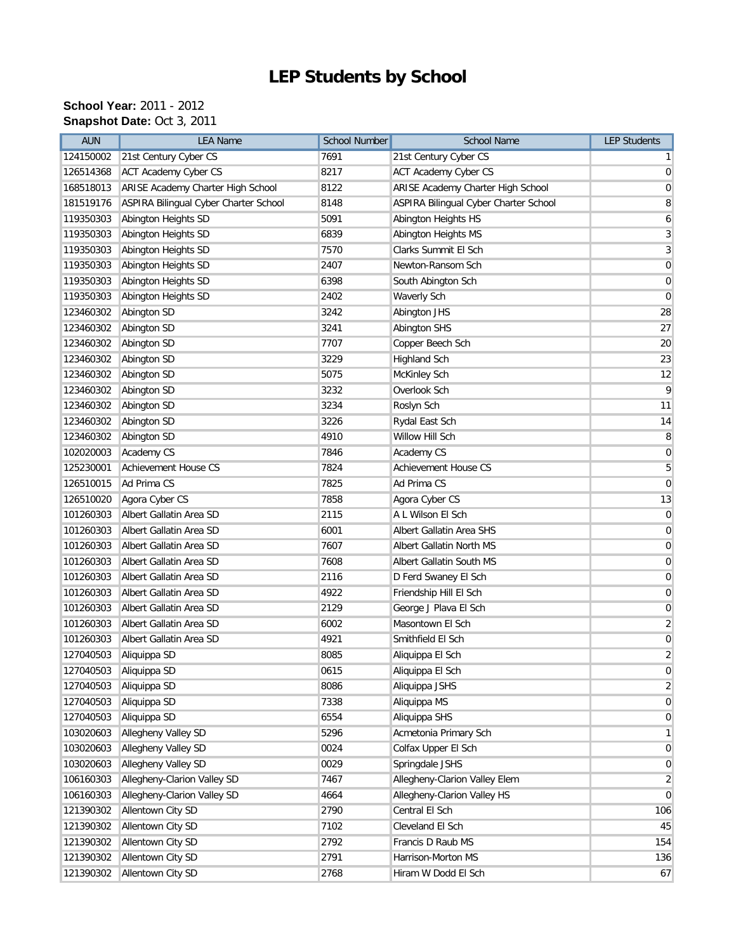## **LEP Students by School**

## **School Year:** 2011 - 2012 **Snapshot Date:** Oct 3, 2011

| 124150002<br>21st Century Cyber CS<br>7691<br>21st Century Cyber CS<br>$\mathbf{1}$<br>8217<br>126514368<br><b>ACT Academy Cyber CS</b><br><b>ACT Academy Cyber CS</b><br>$\overline{0}$<br>ARISE Academy Charter High School<br>8122<br>ARISE Academy Charter High School<br>168518013<br>$\mathbf 0$<br>ASPIRA Bilingual Cyber Charter School<br>8148<br>ASPIRA Bilingual Cyber Charter School<br>8<br>181519176<br>Abington Heights SD<br>5091<br>Abington Heights HS<br>119350303<br>6<br>Abington Heights SD<br>6839<br>3<br>119350303<br>Abington Heights MS<br>Abington Heights SD<br>7570<br>Clarks Summit El Sch<br>3<br>119350303<br>Abington Heights SD<br>2407<br>Newton-Ransom Sch<br>$\pmb{0}$<br>119350303<br>6398<br>$\boldsymbol{0}$<br>119350303<br>Abington Heights SD<br>South Abington Sch<br>Abington Heights SD<br>2402<br>$\pmb{0}$<br>119350303<br>Waverly Sch<br>Abington SD<br>3242<br>28<br>123460302<br>Abington JHS<br>3241<br>27<br>123460302<br>Abington SD<br><b>Abington SHS</b><br>Abington SD<br>7707<br>Copper Beech Sch<br>20<br>123460302<br>3229<br>Abington SD<br>23<br>123460302<br><b>Highland Sch</b><br>5075<br>12<br>123460302<br>Abington SD<br>McKinley Sch<br>9<br>Abington SD<br>3232<br>Overlook Sch<br>123460302<br>3234<br>123460302<br>Abington SD<br>Roslyn Sch<br>11<br>3226<br>14<br>123460302<br>Abington SD<br>Rydal East Sch<br>4910<br>Willow Hill Sch<br>8<br>123460302<br>Abington SD<br>Academy CS<br>7846<br>Academy CS<br>$\pmb{0}$<br>102020003<br>5<br>125230001<br>Achievement House CS<br>7824<br>Achievement House CS<br>Ad Prima CS<br>7825<br>Ad Prima CS<br>126510015<br>$\pmb{0}$<br>7858<br>126510020<br>Agora Cyber CS<br>Agora Cyber CS<br>13<br>Albert Gallatin Area SD<br>A L Wilson El Sch<br>101260303<br>2115<br>$\mathbf 0$<br>Albert Gallatin Area SD<br>6001<br>Albert Gallatin Area SHS<br>$\mathbf 0$<br>101260303<br>7607<br>101260303<br>Albert Gallatin Area SD<br>Albert Gallatin North MS<br>$\pmb{0}$<br>Albert Gallatin Area SD<br>7608<br>101260303<br>Albert Gallatin South MS<br>$\mathbf 0$<br>Albert Gallatin Area SD<br>2116<br>D Ferd Swaney El Sch<br>101260303<br>$\mathbf 0$<br>Albert Gallatin Area SD<br>4922<br>Friendship Hill El Sch<br>101260303<br>$\mathbf 0$<br>Albert Gallatin Area SD<br>2129<br>George J Plava El Sch<br>101260303<br>$\mathbf 0$<br>Albert Gallatin Area SD<br>6002<br>Masontown El Sch<br>$\overline{2}$<br>101260303<br>Albert Gallatin Area SD<br>4921<br>Smithfield El Sch<br>$\pmb{0}$<br>101260303<br>8085<br>$\overline{2}$<br>127040503<br>Aliquippa SD<br>Aliquippa El Sch<br>$\pmb{0}$<br>127040503 Aliquippa SD<br>0615<br>Aliquippa El Sch<br>$\overline{2}$<br>127040503<br>Aliquippa SD<br>8086<br>Aliquippa JSHS<br>Aliquippa SD<br>7338<br>Aliquippa MS<br>127040503<br>$\overline{0}$<br>Aliquippa SD<br>127040503<br>6554<br>Aliquippa SHS<br>$\mathbf 0$<br>Allegheny Valley SD<br>103020603<br>5296<br>Acmetonia Primary Sch<br>$\mathbf{1}$<br>Allegheny Valley SD<br>0024<br>Colfax Upper El Sch<br>103020603<br>$\pmb{0}$<br>Allegheny Valley SD<br>0029<br>Springdale JSHS<br>103020603<br>$\mathbf 0$<br>Allegheny-Clarion Valley SD<br>106160303<br>7467<br>Allegheny-Clarion Valley Elem<br>$\overline{2}$<br>Allegheny-Clarion Valley SD<br>Allegheny-Clarion Valley HS<br>106160303<br>4664<br>$\mathbf 0$<br>Allentown City SD<br>2790<br>Central El Sch<br>121390302<br>106<br>Allentown City SD<br>121390302<br>7102<br>Cleveland El Sch<br>45<br>Allentown City SD<br>2792<br>121390302<br>Francis D Raub MS<br>154<br>Allentown City SD<br>121390302<br>2791<br>Harrison-Morton MS<br>136<br>Allentown City SD<br>121390302<br>2768<br>Hiram W Dodd El Sch<br>67 | <b>AUN</b> | <b>LEA Name</b> | <b>School Number</b> | <b>School Name</b> | <b>LEP Students</b> |
|------------------------------------------------------------------------------------------------------------------------------------------------------------------------------------------------------------------------------------------------------------------------------------------------------------------------------------------------------------------------------------------------------------------------------------------------------------------------------------------------------------------------------------------------------------------------------------------------------------------------------------------------------------------------------------------------------------------------------------------------------------------------------------------------------------------------------------------------------------------------------------------------------------------------------------------------------------------------------------------------------------------------------------------------------------------------------------------------------------------------------------------------------------------------------------------------------------------------------------------------------------------------------------------------------------------------------------------------------------------------------------------------------------------------------------------------------------------------------------------------------------------------------------------------------------------------------------------------------------------------------------------------------------------------------------------------------------------------------------------------------------------------------------------------------------------------------------------------------------------------------------------------------------------------------------------------------------------------------------------------------------------------------------------------------------------------------------------------------------------------------------------------------------------------------------------------------------------------------------------------------------------------------------------------------------------------------------------------------------------------------------------------------------------------------------------------------------------------------------------------------------------------------------------------------------------------------------------------------------------------------------------------------------------------------------------------------------------------------------------------------------------------------------------------------------------------------------------------------------------------------------------------------------------------------------------------------------------------------------------------------------------------------------------------------------------------------------------------------------------------------------------------------------------------------------------------------------------------------------------------------------------------------------------------------------------------------------------------------------------------------------------------------------------------------------------------------------------------------------------------------------------------------------------------------------------------------------------------------------------------------------------------------------------------------------------------------------------------------------------|------------|-----------------|----------------------|--------------------|---------------------|
|                                                                                                                                                                                                                                                                                                                                                                                                                                                                                                                                                                                                                                                                                                                                                                                                                                                                                                                                                                                                                                                                                                                                                                                                                                                                                                                                                                                                                                                                                                                                                                                                                                                                                                                                                                                                                                                                                                                                                                                                                                                                                                                                                                                                                                                                                                                                                                                                                                                                                                                                                                                                                                                                                                                                                                                                                                                                                                                                                                                                                                                                                                                                                                                                                                                                                                                                                                                                                                                                                                                                                                                                                                                                                                                                          |            |                 |                      |                    |                     |
|                                                                                                                                                                                                                                                                                                                                                                                                                                                                                                                                                                                                                                                                                                                                                                                                                                                                                                                                                                                                                                                                                                                                                                                                                                                                                                                                                                                                                                                                                                                                                                                                                                                                                                                                                                                                                                                                                                                                                                                                                                                                                                                                                                                                                                                                                                                                                                                                                                                                                                                                                                                                                                                                                                                                                                                                                                                                                                                                                                                                                                                                                                                                                                                                                                                                                                                                                                                                                                                                                                                                                                                                                                                                                                                                          |            |                 |                      |                    |                     |
|                                                                                                                                                                                                                                                                                                                                                                                                                                                                                                                                                                                                                                                                                                                                                                                                                                                                                                                                                                                                                                                                                                                                                                                                                                                                                                                                                                                                                                                                                                                                                                                                                                                                                                                                                                                                                                                                                                                                                                                                                                                                                                                                                                                                                                                                                                                                                                                                                                                                                                                                                                                                                                                                                                                                                                                                                                                                                                                                                                                                                                                                                                                                                                                                                                                                                                                                                                                                                                                                                                                                                                                                                                                                                                                                          |            |                 |                      |                    |                     |
|                                                                                                                                                                                                                                                                                                                                                                                                                                                                                                                                                                                                                                                                                                                                                                                                                                                                                                                                                                                                                                                                                                                                                                                                                                                                                                                                                                                                                                                                                                                                                                                                                                                                                                                                                                                                                                                                                                                                                                                                                                                                                                                                                                                                                                                                                                                                                                                                                                                                                                                                                                                                                                                                                                                                                                                                                                                                                                                                                                                                                                                                                                                                                                                                                                                                                                                                                                                                                                                                                                                                                                                                                                                                                                                                          |            |                 |                      |                    |                     |
|                                                                                                                                                                                                                                                                                                                                                                                                                                                                                                                                                                                                                                                                                                                                                                                                                                                                                                                                                                                                                                                                                                                                                                                                                                                                                                                                                                                                                                                                                                                                                                                                                                                                                                                                                                                                                                                                                                                                                                                                                                                                                                                                                                                                                                                                                                                                                                                                                                                                                                                                                                                                                                                                                                                                                                                                                                                                                                                                                                                                                                                                                                                                                                                                                                                                                                                                                                                                                                                                                                                                                                                                                                                                                                                                          |            |                 |                      |                    |                     |
|                                                                                                                                                                                                                                                                                                                                                                                                                                                                                                                                                                                                                                                                                                                                                                                                                                                                                                                                                                                                                                                                                                                                                                                                                                                                                                                                                                                                                                                                                                                                                                                                                                                                                                                                                                                                                                                                                                                                                                                                                                                                                                                                                                                                                                                                                                                                                                                                                                                                                                                                                                                                                                                                                                                                                                                                                                                                                                                                                                                                                                                                                                                                                                                                                                                                                                                                                                                                                                                                                                                                                                                                                                                                                                                                          |            |                 |                      |                    |                     |
|                                                                                                                                                                                                                                                                                                                                                                                                                                                                                                                                                                                                                                                                                                                                                                                                                                                                                                                                                                                                                                                                                                                                                                                                                                                                                                                                                                                                                                                                                                                                                                                                                                                                                                                                                                                                                                                                                                                                                                                                                                                                                                                                                                                                                                                                                                                                                                                                                                                                                                                                                                                                                                                                                                                                                                                                                                                                                                                                                                                                                                                                                                                                                                                                                                                                                                                                                                                                                                                                                                                                                                                                                                                                                                                                          |            |                 |                      |                    |                     |
|                                                                                                                                                                                                                                                                                                                                                                                                                                                                                                                                                                                                                                                                                                                                                                                                                                                                                                                                                                                                                                                                                                                                                                                                                                                                                                                                                                                                                                                                                                                                                                                                                                                                                                                                                                                                                                                                                                                                                                                                                                                                                                                                                                                                                                                                                                                                                                                                                                                                                                                                                                                                                                                                                                                                                                                                                                                                                                                                                                                                                                                                                                                                                                                                                                                                                                                                                                                                                                                                                                                                                                                                                                                                                                                                          |            |                 |                      |                    |                     |
|                                                                                                                                                                                                                                                                                                                                                                                                                                                                                                                                                                                                                                                                                                                                                                                                                                                                                                                                                                                                                                                                                                                                                                                                                                                                                                                                                                                                                                                                                                                                                                                                                                                                                                                                                                                                                                                                                                                                                                                                                                                                                                                                                                                                                                                                                                                                                                                                                                                                                                                                                                                                                                                                                                                                                                                                                                                                                                                                                                                                                                                                                                                                                                                                                                                                                                                                                                                                                                                                                                                                                                                                                                                                                                                                          |            |                 |                      |                    |                     |
|                                                                                                                                                                                                                                                                                                                                                                                                                                                                                                                                                                                                                                                                                                                                                                                                                                                                                                                                                                                                                                                                                                                                                                                                                                                                                                                                                                                                                                                                                                                                                                                                                                                                                                                                                                                                                                                                                                                                                                                                                                                                                                                                                                                                                                                                                                                                                                                                                                                                                                                                                                                                                                                                                                                                                                                                                                                                                                                                                                                                                                                                                                                                                                                                                                                                                                                                                                                                                                                                                                                                                                                                                                                                                                                                          |            |                 |                      |                    |                     |
|                                                                                                                                                                                                                                                                                                                                                                                                                                                                                                                                                                                                                                                                                                                                                                                                                                                                                                                                                                                                                                                                                                                                                                                                                                                                                                                                                                                                                                                                                                                                                                                                                                                                                                                                                                                                                                                                                                                                                                                                                                                                                                                                                                                                                                                                                                                                                                                                                                                                                                                                                                                                                                                                                                                                                                                                                                                                                                                                                                                                                                                                                                                                                                                                                                                                                                                                                                                                                                                                                                                                                                                                                                                                                                                                          |            |                 |                      |                    |                     |
|                                                                                                                                                                                                                                                                                                                                                                                                                                                                                                                                                                                                                                                                                                                                                                                                                                                                                                                                                                                                                                                                                                                                                                                                                                                                                                                                                                                                                                                                                                                                                                                                                                                                                                                                                                                                                                                                                                                                                                                                                                                                                                                                                                                                                                                                                                                                                                                                                                                                                                                                                                                                                                                                                                                                                                                                                                                                                                                                                                                                                                                                                                                                                                                                                                                                                                                                                                                                                                                                                                                                                                                                                                                                                                                                          |            |                 |                      |                    |                     |
|                                                                                                                                                                                                                                                                                                                                                                                                                                                                                                                                                                                                                                                                                                                                                                                                                                                                                                                                                                                                                                                                                                                                                                                                                                                                                                                                                                                                                                                                                                                                                                                                                                                                                                                                                                                                                                                                                                                                                                                                                                                                                                                                                                                                                                                                                                                                                                                                                                                                                                                                                                                                                                                                                                                                                                                                                                                                                                                                                                                                                                                                                                                                                                                                                                                                                                                                                                                                                                                                                                                                                                                                                                                                                                                                          |            |                 |                      |                    |                     |
|                                                                                                                                                                                                                                                                                                                                                                                                                                                                                                                                                                                                                                                                                                                                                                                                                                                                                                                                                                                                                                                                                                                                                                                                                                                                                                                                                                                                                                                                                                                                                                                                                                                                                                                                                                                                                                                                                                                                                                                                                                                                                                                                                                                                                                                                                                                                                                                                                                                                                                                                                                                                                                                                                                                                                                                                                                                                                                                                                                                                                                                                                                                                                                                                                                                                                                                                                                                                                                                                                                                                                                                                                                                                                                                                          |            |                 |                      |                    |                     |
|                                                                                                                                                                                                                                                                                                                                                                                                                                                                                                                                                                                                                                                                                                                                                                                                                                                                                                                                                                                                                                                                                                                                                                                                                                                                                                                                                                                                                                                                                                                                                                                                                                                                                                                                                                                                                                                                                                                                                                                                                                                                                                                                                                                                                                                                                                                                                                                                                                                                                                                                                                                                                                                                                                                                                                                                                                                                                                                                                                                                                                                                                                                                                                                                                                                                                                                                                                                                                                                                                                                                                                                                                                                                                                                                          |            |                 |                      |                    |                     |
|                                                                                                                                                                                                                                                                                                                                                                                                                                                                                                                                                                                                                                                                                                                                                                                                                                                                                                                                                                                                                                                                                                                                                                                                                                                                                                                                                                                                                                                                                                                                                                                                                                                                                                                                                                                                                                                                                                                                                                                                                                                                                                                                                                                                                                                                                                                                                                                                                                                                                                                                                                                                                                                                                                                                                                                                                                                                                                                                                                                                                                                                                                                                                                                                                                                                                                                                                                                                                                                                                                                                                                                                                                                                                                                                          |            |                 |                      |                    |                     |
|                                                                                                                                                                                                                                                                                                                                                                                                                                                                                                                                                                                                                                                                                                                                                                                                                                                                                                                                                                                                                                                                                                                                                                                                                                                                                                                                                                                                                                                                                                                                                                                                                                                                                                                                                                                                                                                                                                                                                                                                                                                                                                                                                                                                                                                                                                                                                                                                                                                                                                                                                                                                                                                                                                                                                                                                                                                                                                                                                                                                                                                                                                                                                                                                                                                                                                                                                                                                                                                                                                                                                                                                                                                                                                                                          |            |                 |                      |                    |                     |
|                                                                                                                                                                                                                                                                                                                                                                                                                                                                                                                                                                                                                                                                                                                                                                                                                                                                                                                                                                                                                                                                                                                                                                                                                                                                                                                                                                                                                                                                                                                                                                                                                                                                                                                                                                                                                                                                                                                                                                                                                                                                                                                                                                                                                                                                                                                                                                                                                                                                                                                                                                                                                                                                                                                                                                                                                                                                                                                                                                                                                                                                                                                                                                                                                                                                                                                                                                                                                                                                                                                                                                                                                                                                                                                                          |            |                 |                      |                    |                     |
|                                                                                                                                                                                                                                                                                                                                                                                                                                                                                                                                                                                                                                                                                                                                                                                                                                                                                                                                                                                                                                                                                                                                                                                                                                                                                                                                                                                                                                                                                                                                                                                                                                                                                                                                                                                                                                                                                                                                                                                                                                                                                                                                                                                                                                                                                                                                                                                                                                                                                                                                                                                                                                                                                                                                                                                                                                                                                                                                                                                                                                                                                                                                                                                                                                                                                                                                                                                                                                                                                                                                                                                                                                                                                                                                          |            |                 |                      |                    |                     |
|                                                                                                                                                                                                                                                                                                                                                                                                                                                                                                                                                                                                                                                                                                                                                                                                                                                                                                                                                                                                                                                                                                                                                                                                                                                                                                                                                                                                                                                                                                                                                                                                                                                                                                                                                                                                                                                                                                                                                                                                                                                                                                                                                                                                                                                                                                                                                                                                                                                                                                                                                                                                                                                                                                                                                                                                                                                                                                                                                                                                                                                                                                                                                                                                                                                                                                                                                                                                                                                                                                                                                                                                                                                                                                                                          |            |                 |                      |                    |                     |
|                                                                                                                                                                                                                                                                                                                                                                                                                                                                                                                                                                                                                                                                                                                                                                                                                                                                                                                                                                                                                                                                                                                                                                                                                                                                                                                                                                                                                                                                                                                                                                                                                                                                                                                                                                                                                                                                                                                                                                                                                                                                                                                                                                                                                                                                                                                                                                                                                                                                                                                                                                                                                                                                                                                                                                                                                                                                                                                                                                                                                                                                                                                                                                                                                                                                                                                                                                                                                                                                                                                                                                                                                                                                                                                                          |            |                 |                      |                    |                     |
|                                                                                                                                                                                                                                                                                                                                                                                                                                                                                                                                                                                                                                                                                                                                                                                                                                                                                                                                                                                                                                                                                                                                                                                                                                                                                                                                                                                                                                                                                                                                                                                                                                                                                                                                                                                                                                                                                                                                                                                                                                                                                                                                                                                                                                                                                                                                                                                                                                                                                                                                                                                                                                                                                                                                                                                                                                                                                                                                                                                                                                                                                                                                                                                                                                                                                                                                                                                                                                                                                                                                                                                                                                                                                                                                          |            |                 |                      |                    |                     |
|                                                                                                                                                                                                                                                                                                                                                                                                                                                                                                                                                                                                                                                                                                                                                                                                                                                                                                                                                                                                                                                                                                                                                                                                                                                                                                                                                                                                                                                                                                                                                                                                                                                                                                                                                                                                                                                                                                                                                                                                                                                                                                                                                                                                                                                                                                                                                                                                                                                                                                                                                                                                                                                                                                                                                                                                                                                                                                                                                                                                                                                                                                                                                                                                                                                                                                                                                                                                                                                                                                                                                                                                                                                                                                                                          |            |                 |                      |                    |                     |
|                                                                                                                                                                                                                                                                                                                                                                                                                                                                                                                                                                                                                                                                                                                                                                                                                                                                                                                                                                                                                                                                                                                                                                                                                                                                                                                                                                                                                                                                                                                                                                                                                                                                                                                                                                                                                                                                                                                                                                                                                                                                                                                                                                                                                                                                                                                                                                                                                                                                                                                                                                                                                                                                                                                                                                                                                                                                                                                                                                                                                                                                                                                                                                                                                                                                                                                                                                                                                                                                                                                                                                                                                                                                                                                                          |            |                 |                      |                    |                     |
|                                                                                                                                                                                                                                                                                                                                                                                                                                                                                                                                                                                                                                                                                                                                                                                                                                                                                                                                                                                                                                                                                                                                                                                                                                                                                                                                                                                                                                                                                                                                                                                                                                                                                                                                                                                                                                                                                                                                                                                                                                                                                                                                                                                                                                                                                                                                                                                                                                                                                                                                                                                                                                                                                                                                                                                                                                                                                                                                                                                                                                                                                                                                                                                                                                                                                                                                                                                                                                                                                                                                                                                                                                                                                                                                          |            |                 |                      |                    |                     |
|                                                                                                                                                                                                                                                                                                                                                                                                                                                                                                                                                                                                                                                                                                                                                                                                                                                                                                                                                                                                                                                                                                                                                                                                                                                                                                                                                                                                                                                                                                                                                                                                                                                                                                                                                                                                                                                                                                                                                                                                                                                                                                                                                                                                                                                                                                                                                                                                                                                                                                                                                                                                                                                                                                                                                                                                                                                                                                                                                                                                                                                                                                                                                                                                                                                                                                                                                                                                                                                                                                                                                                                                                                                                                                                                          |            |                 |                      |                    |                     |
|                                                                                                                                                                                                                                                                                                                                                                                                                                                                                                                                                                                                                                                                                                                                                                                                                                                                                                                                                                                                                                                                                                                                                                                                                                                                                                                                                                                                                                                                                                                                                                                                                                                                                                                                                                                                                                                                                                                                                                                                                                                                                                                                                                                                                                                                                                                                                                                                                                                                                                                                                                                                                                                                                                                                                                                                                                                                                                                                                                                                                                                                                                                                                                                                                                                                                                                                                                                                                                                                                                                                                                                                                                                                                                                                          |            |                 |                      |                    |                     |
|                                                                                                                                                                                                                                                                                                                                                                                                                                                                                                                                                                                                                                                                                                                                                                                                                                                                                                                                                                                                                                                                                                                                                                                                                                                                                                                                                                                                                                                                                                                                                                                                                                                                                                                                                                                                                                                                                                                                                                                                                                                                                                                                                                                                                                                                                                                                                                                                                                                                                                                                                                                                                                                                                                                                                                                                                                                                                                                                                                                                                                                                                                                                                                                                                                                                                                                                                                                                                                                                                                                                                                                                                                                                                                                                          |            |                 |                      |                    |                     |
|                                                                                                                                                                                                                                                                                                                                                                                                                                                                                                                                                                                                                                                                                                                                                                                                                                                                                                                                                                                                                                                                                                                                                                                                                                                                                                                                                                                                                                                                                                                                                                                                                                                                                                                                                                                                                                                                                                                                                                                                                                                                                                                                                                                                                                                                                                                                                                                                                                                                                                                                                                                                                                                                                                                                                                                                                                                                                                                                                                                                                                                                                                                                                                                                                                                                                                                                                                                                                                                                                                                                                                                                                                                                                                                                          |            |                 |                      |                    |                     |
|                                                                                                                                                                                                                                                                                                                                                                                                                                                                                                                                                                                                                                                                                                                                                                                                                                                                                                                                                                                                                                                                                                                                                                                                                                                                                                                                                                                                                                                                                                                                                                                                                                                                                                                                                                                                                                                                                                                                                                                                                                                                                                                                                                                                                                                                                                                                                                                                                                                                                                                                                                                                                                                                                                                                                                                                                                                                                                                                                                                                                                                                                                                                                                                                                                                                                                                                                                                                                                                                                                                                                                                                                                                                                                                                          |            |                 |                      |                    |                     |
|                                                                                                                                                                                                                                                                                                                                                                                                                                                                                                                                                                                                                                                                                                                                                                                                                                                                                                                                                                                                                                                                                                                                                                                                                                                                                                                                                                                                                                                                                                                                                                                                                                                                                                                                                                                                                                                                                                                                                                                                                                                                                                                                                                                                                                                                                                                                                                                                                                                                                                                                                                                                                                                                                                                                                                                                                                                                                                                                                                                                                                                                                                                                                                                                                                                                                                                                                                                                                                                                                                                                                                                                                                                                                                                                          |            |                 |                      |                    |                     |
|                                                                                                                                                                                                                                                                                                                                                                                                                                                                                                                                                                                                                                                                                                                                                                                                                                                                                                                                                                                                                                                                                                                                                                                                                                                                                                                                                                                                                                                                                                                                                                                                                                                                                                                                                                                                                                                                                                                                                                                                                                                                                                                                                                                                                                                                                                                                                                                                                                                                                                                                                                                                                                                                                                                                                                                                                                                                                                                                                                                                                                                                                                                                                                                                                                                                                                                                                                                                                                                                                                                                                                                                                                                                                                                                          |            |                 |                      |                    |                     |
|                                                                                                                                                                                                                                                                                                                                                                                                                                                                                                                                                                                                                                                                                                                                                                                                                                                                                                                                                                                                                                                                                                                                                                                                                                                                                                                                                                                                                                                                                                                                                                                                                                                                                                                                                                                                                                                                                                                                                                                                                                                                                                                                                                                                                                                                                                                                                                                                                                                                                                                                                                                                                                                                                                                                                                                                                                                                                                                                                                                                                                                                                                                                                                                                                                                                                                                                                                                                                                                                                                                                                                                                                                                                                                                                          |            |                 |                      |                    |                     |
|                                                                                                                                                                                                                                                                                                                                                                                                                                                                                                                                                                                                                                                                                                                                                                                                                                                                                                                                                                                                                                                                                                                                                                                                                                                                                                                                                                                                                                                                                                                                                                                                                                                                                                                                                                                                                                                                                                                                                                                                                                                                                                                                                                                                                                                                                                                                                                                                                                                                                                                                                                                                                                                                                                                                                                                                                                                                                                                                                                                                                                                                                                                                                                                                                                                                                                                                                                                                                                                                                                                                                                                                                                                                                                                                          |            |                 |                      |                    |                     |
|                                                                                                                                                                                                                                                                                                                                                                                                                                                                                                                                                                                                                                                                                                                                                                                                                                                                                                                                                                                                                                                                                                                                                                                                                                                                                                                                                                                                                                                                                                                                                                                                                                                                                                                                                                                                                                                                                                                                                                                                                                                                                                                                                                                                                                                                                                                                                                                                                                                                                                                                                                                                                                                                                                                                                                                                                                                                                                                                                                                                                                                                                                                                                                                                                                                                                                                                                                                                                                                                                                                                                                                                                                                                                                                                          |            |                 |                      |                    |                     |
|                                                                                                                                                                                                                                                                                                                                                                                                                                                                                                                                                                                                                                                                                                                                                                                                                                                                                                                                                                                                                                                                                                                                                                                                                                                                                                                                                                                                                                                                                                                                                                                                                                                                                                                                                                                                                                                                                                                                                                                                                                                                                                                                                                                                                                                                                                                                                                                                                                                                                                                                                                                                                                                                                                                                                                                                                                                                                                                                                                                                                                                                                                                                                                                                                                                                                                                                                                                                                                                                                                                                                                                                                                                                                                                                          |            |                 |                      |                    |                     |
|                                                                                                                                                                                                                                                                                                                                                                                                                                                                                                                                                                                                                                                                                                                                                                                                                                                                                                                                                                                                                                                                                                                                                                                                                                                                                                                                                                                                                                                                                                                                                                                                                                                                                                                                                                                                                                                                                                                                                                                                                                                                                                                                                                                                                                                                                                                                                                                                                                                                                                                                                                                                                                                                                                                                                                                                                                                                                                                                                                                                                                                                                                                                                                                                                                                                                                                                                                                                                                                                                                                                                                                                                                                                                                                                          |            |                 |                      |                    |                     |
|                                                                                                                                                                                                                                                                                                                                                                                                                                                                                                                                                                                                                                                                                                                                                                                                                                                                                                                                                                                                                                                                                                                                                                                                                                                                                                                                                                                                                                                                                                                                                                                                                                                                                                                                                                                                                                                                                                                                                                                                                                                                                                                                                                                                                                                                                                                                                                                                                                                                                                                                                                                                                                                                                                                                                                                                                                                                                                                                                                                                                                                                                                                                                                                                                                                                                                                                                                                                                                                                                                                                                                                                                                                                                                                                          |            |                 |                      |                    |                     |
|                                                                                                                                                                                                                                                                                                                                                                                                                                                                                                                                                                                                                                                                                                                                                                                                                                                                                                                                                                                                                                                                                                                                                                                                                                                                                                                                                                                                                                                                                                                                                                                                                                                                                                                                                                                                                                                                                                                                                                                                                                                                                                                                                                                                                                                                                                                                                                                                                                                                                                                                                                                                                                                                                                                                                                                                                                                                                                                                                                                                                                                                                                                                                                                                                                                                                                                                                                                                                                                                                                                                                                                                                                                                                                                                          |            |                 |                      |                    |                     |
|                                                                                                                                                                                                                                                                                                                                                                                                                                                                                                                                                                                                                                                                                                                                                                                                                                                                                                                                                                                                                                                                                                                                                                                                                                                                                                                                                                                                                                                                                                                                                                                                                                                                                                                                                                                                                                                                                                                                                                                                                                                                                                                                                                                                                                                                                                                                                                                                                                                                                                                                                                                                                                                                                                                                                                                                                                                                                                                                                                                                                                                                                                                                                                                                                                                                                                                                                                                                                                                                                                                                                                                                                                                                                                                                          |            |                 |                      |                    |                     |
|                                                                                                                                                                                                                                                                                                                                                                                                                                                                                                                                                                                                                                                                                                                                                                                                                                                                                                                                                                                                                                                                                                                                                                                                                                                                                                                                                                                                                                                                                                                                                                                                                                                                                                                                                                                                                                                                                                                                                                                                                                                                                                                                                                                                                                                                                                                                                                                                                                                                                                                                                                                                                                                                                                                                                                                                                                                                                                                                                                                                                                                                                                                                                                                                                                                                                                                                                                                                                                                                                                                                                                                                                                                                                                                                          |            |                 |                      |                    |                     |
|                                                                                                                                                                                                                                                                                                                                                                                                                                                                                                                                                                                                                                                                                                                                                                                                                                                                                                                                                                                                                                                                                                                                                                                                                                                                                                                                                                                                                                                                                                                                                                                                                                                                                                                                                                                                                                                                                                                                                                                                                                                                                                                                                                                                                                                                                                                                                                                                                                                                                                                                                                                                                                                                                                                                                                                                                                                                                                                                                                                                                                                                                                                                                                                                                                                                                                                                                                                                                                                                                                                                                                                                                                                                                                                                          |            |                 |                      |                    |                     |
|                                                                                                                                                                                                                                                                                                                                                                                                                                                                                                                                                                                                                                                                                                                                                                                                                                                                                                                                                                                                                                                                                                                                                                                                                                                                                                                                                                                                                                                                                                                                                                                                                                                                                                                                                                                                                                                                                                                                                                                                                                                                                                                                                                                                                                                                                                                                                                                                                                                                                                                                                                                                                                                                                                                                                                                                                                                                                                                                                                                                                                                                                                                                                                                                                                                                                                                                                                                                                                                                                                                                                                                                                                                                                                                                          |            |                 |                      |                    |                     |
|                                                                                                                                                                                                                                                                                                                                                                                                                                                                                                                                                                                                                                                                                                                                                                                                                                                                                                                                                                                                                                                                                                                                                                                                                                                                                                                                                                                                                                                                                                                                                                                                                                                                                                                                                                                                                                                                                                                                                                                                                                                                                                                                                                                                                                                                                                                                                                                                                                                                                                                                                                                                                                                                                                                                                                                                                                                                                                                                                                                                                                                                                                                                                                                                                                                                                                                                                                                                                                                                                                                                                                                                                                                                                                                                          |            |                 |                      |                    |                     |
|                                                                                                                                                                                                                                                                                                                                                                                                                                                                                                                                                                                                                                                                                                                                                                                                                                                                                                                                                                                                                                                                                                                                                                                                                                                                                                                                                                                                                                                                                                                                                                                                                                                                                                                                                                                                                                                                                                                                                                                                                                                                                                                                                                                                                                                                                                                                                                                                                                                                                                                                                                                                                                                                                                                                                                                                                                                                                                                                                                                                                                                                                                                                                                                                                                                                                                                                                                                                                                                                                                                                                                                                                                                                                                                                          |            |                 |                      |                    |                     |
|                                                                                                                                                                                                                                                                                                                                                                                                                                                                                                                                                                                                                                                                                                                                                                                                                                                                                                                                                                                                                                                                                                                                                                                                                                                                                                                                                                                                                                                                                                                                                                                                                                                                                                                                                                                                                                                                                                                                                                                                                                                                                                                                                                                                                                                                                                                                                                                                                                                                                                                                                                                                                                                                                                                                                                                                                                                                                                                                                                                                                                                                                                                                                                                                                                                                                                                                                                                                                                                                                                                                                                                                                                                                                                                                          |            |                 |                      |                    |                     |
|                                                                                                                                                                                                                                                                                                                                                                                                                                                                                                                                                                                                                                                                                                                                                                                                                                                                                                                                                                                                                                                                                                                                                                                                                                                                                                                                                                                                                                                                                                                                                                                                                                                                                                                                                                                                                                                                                                                                                                                                                                                                                                                                                                                                                                                                                                                                                                                                                                                                                                                                                                                                                                                                                                                                                                                                                                                                                                                                                                                                                                                                                                                                                                                                                                                                                                                                                                                                                                                                                                                                                                                                                                                                                                                                          |            |                 |                      |                    |                     |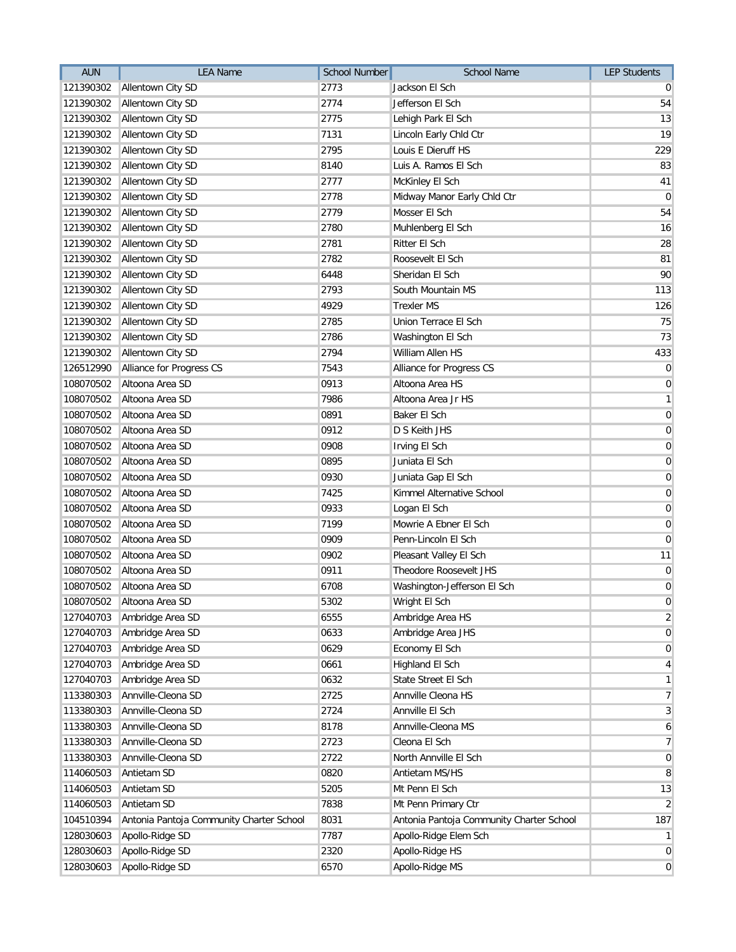| <b>AUN</b> | <b>LEA Name</b>                          | <b>School Number</b> | <b>School Name</b>                       | <b>LEP Students</b> |
|------------|------------------------------------------|----------------------|------------------------------------------|---------------------|
| 121390302  | Allentown City SD                        | 2773                 | Jackson El Sch                           | $\overline{0}$      |
| 121390302  | Allentown City SD                        | 2774                 | Jefferson El Sch                         | 54                  |
| 121390302  | Allentown City SD                        | 2775                 | Lehigh Park El Sch                       | 13                  |
| 121390302  | Allentown City SD                        | 7131                 | Lincoln Early Chld Ctr                   | 19                  |
| 121390302  | Allentown City SD                        | 2795                 | Louis E Dieruff HS                       | 229                 |
| 121390302  | Allentown City SD                        | 8140                 | Luis A. Ramos El Sch                     | 83                  |
| 121390302  | Allentown City SD                        | 2777                 | McKinley El Sch                          | 41                  |
| 121390302  | Allentown City SD                        | 2778                 | Midway Manor Early Chld Ctr              | $\overline{0}$      |
| 121390302  | Allentown City SD                        | 2779                 | Mosser El Sch                            | 54                  |
| 121390302  | Allentown City SD                        | 2780                 | Muhlenberg El Sch                        | 16                  |
| 121390302  | Allentown City SD                        | 2781                 | Ritter El Sch                            | 28                  |
| 121390302  | Allentown City SD                        | 2782                 | Roosevelt El Sch                         | 81                  |
| 121390302  | Allentown City SD                        | 6448                 | Sheridan El Sch                          | 90                  |
| 121390302  | Allentown City SD                        | 2793                 | South Mountain MS                        | 113                 |
| 121390302  | Allentown City SD                        | 4929                 | <b>Trexler MS</b>                        | 126                 |
| 121390302  | Allentown City SD                        | 2785                 | Union Terrace El Sch                     | 75                  |
| 121390302  | Allentown City SD                        | 2786                 | Washington El Sch                        | 73                  |
| 121390302  | Allentown City SD                        | 2794                 | William Allen HS                         | 433                 |
| 126512990  | Alliance for Progress CS                 | 7543                 | Alliance for Progress CS                 | $\overline{0}$      |
| 108070502  | Altoona Area SD                          | 0913                 | Altoona Area HS                          | $\boldsymbol{0}$    |
| 108070502  | Altoona Area SD                          | 7986                 | Altoona Area Jr HS                       | $\mathbf{1}$        |
| 108070502  | Altoona Area SD                          | 0891                 | Baker El Sch                             | $\boldsymbol{0}$    |
| 108070502  | Altoona Area SD                          | 0912                 | D S Keith JHS                            | $\overline{0}$      |
| 108070502  | Altoona Area SD                          | 0908                 | Irving El Sch                            | $\boldsymbol{0}$    |
| 108070502  | Altoona Area SD                          | 0895                 | Juniata El Sch                           | $\boldsymbol{0}$    |
| 108070502  | Altoona Area SD                          | 0930                 | Juniata Gap El Sch                       | $\overline{0}$      |
| 108070502  | Altoona Area SD                          | 7425                 | Kimmel Alternative School                | $\overline{0}$      |
| 108070502  | Altoona Area SD                          | 0933                 | Logan El Sch                             | 0                   |
| 108070502  | Altoona Area SD                          | 7199                 | Mowrie A Ebner El Sch                    | 0                   |
| 108070502  | Altoona Area SD                          | 0909                 | Penn-Lincoln El Sch                      | $\mathbf 0$         |
| 108070502  | Altoona Area SD                          | 0902                 | Pleasant Valley El Sch                   | 11                  |
| 108070502  | Altoona Area SD                          | 0911                 | Theodore Roosevelt JHS                   | $\overline{0}$      |
| 108070502  | Altoona Area SD                          | 6708                 | Washington-Jefferson El Sch              | $\boldsymbol{0}$    |
| 108070502  | Altoona Area SD                          | 5302                 | Wright El Sch                            | $\boldsymbol{0}$    |
| 127040703  | Ambridge Area SD                         | 6555                 | Ambridge Area HS                         | $\overline{2}$      |
| 127040703  | Ambridge Area SD                         | 0633                 | Ambridge Area JHS                        | $\overline{0}$      |
| 127040703  | Ambridge Area SD                         | 0629                 | Economy El Sch                           | $\overline{0}$      |
| 127040703  | Ambridge Area SD                         | 0661                 | Highland El Sch                          | $\vert 4 \vert$     |
| 127040703  | Ambridge Area SD                         | 0632                 | State Street El Sch                      | $\mathbf{1}$        |
| 113380303  | Annville-Cleona SD                       | 2725                 | Annville Cleona HS                       | $\overline{7}$      |
| 113380303  | Annville-Cleona SD                       | 2724                 | Annville El Sch                          | $\mathbf{3}$        |
| 113380303  | Annville-Cleona SD                       | 8178                 | Annville-Cleona MS                       | $\boldsymbol{6}$    |
| 113380303  | Annville-Cleona SD                       | 2723                 | Cleona El Sch                            | $\overline{7}$      |
| 113380303  | Annville-Cleona SD                       | 2722                 | North Annville El Sch                    | $\overline{0}$      |
| 114060503  | Antietam SD                              | 0820                 | Antietam MS/HS                           | 8                   |
| 114060503  | Antietam SD                              | 5205                 | Mt Penn El Sch                           | 13                  |
| 114060503  | Antietam SD                              | 7838                 | Mt Penn Primary Ctr                      | $\overline{2}$      |
| 104510394  | Antonia Pantoja Community Charter School | 8031                 | Antonia Pantoja Community Charter School | 187                 |
| 128030603  | Apollo-Ridge SD                          | 7787                 | Apollo-Ridge Elem Sch                    | $\vert$             |
| 128030603  | Apollo-Ridge SD                          | 2320                 | Apollo-Ridge HS                          | $\overline{0}$      |
| 128030603  | Apollo-Ridge SD                          | 6570                 | Apollo-Ridge MS                          | 0                   |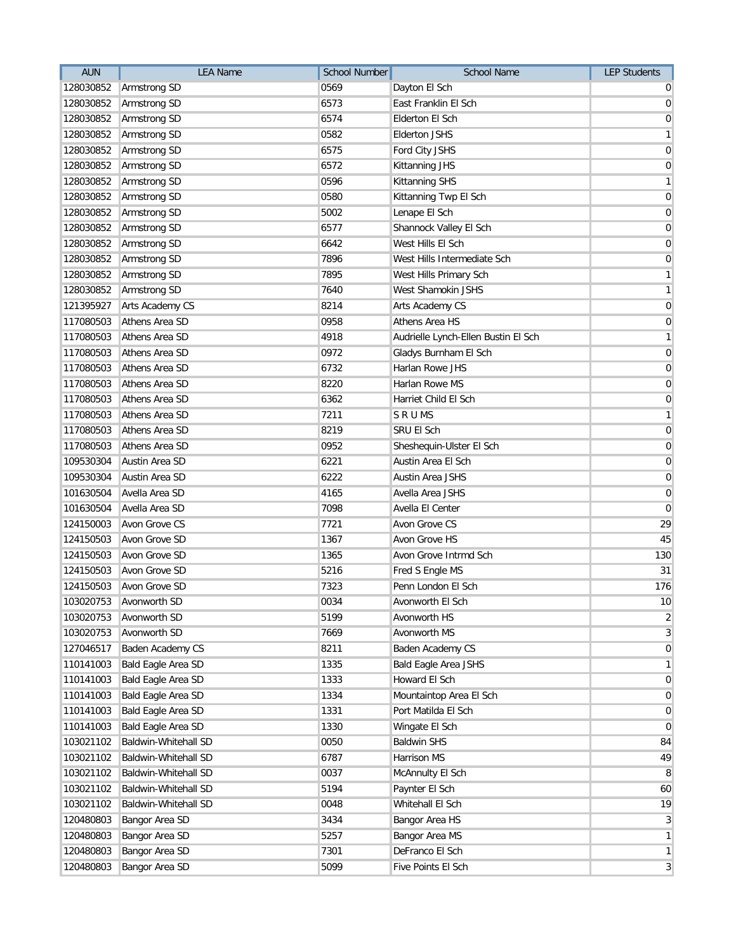| <b>AUN</b> | <b>LEA Name</b>             | School Number | <b>School Name</b>                  | <b>LEP Students</b> |
|------------|-----------------------------|---------------|-------------------------------------|---------------------|
| 128030852  | Armstrong SD                | 0569          | Dayton El Sch                       | $\overline{0}$      |
| 128030852  | Armstrong SD                | 6573          | East Franklin El Sch                | $\overline{0}$      |
| 128030852  | Armstrong SD                | 6574          | Elderton El Sch                     | $\mathbf 0$         |
| 128030852  | Armstrong SD                | 0582          | <b>Elderton JSHS</b>                | $\mathbf{1}$        |
| 128030852  | Armstrong SD                | 6575          | Ford City JSHS                      | $\mathbf 0$         |
| 128030852  | Armstrong SD                | 6572          | Kittanning JHS                      | $\overline{0}$      |
| 128030852  | Armstrong SD                | 0596          | Kittanning SHS                      | $\mathbf{1}$        |
| 128030852  | Armstrong SD                | 0580          | Kittanning Twp El Sch               | $\pmb{0}$           |
| 128030852  | <b>Armstrong SD</b>         | 5002          | Lenape El Sch                       | $\pmb{0}$           |
| 128030852  | Armstrong SD                | 6577          | Shannock Valley El Sch              | $\pmb{0}$           |
| 128030852  | Armstrong SD                | 6642          | West Hills El Sch                   | $\overline{0}$      |
| 128030852  | Armstrong SD                | 7896          | West Hills Intermediate Sch         | $\overline{0}$      |
| 128030852  | Armstrong SD                | 7895          | West Hills Primary Sch              | $\mathbf{1}$        |
| 128030852  | Armstrong SD                | 7640          | West Shamokin JSHS                  | $\mathbf{1}$        |
| 121395927  | Arts Academy CS             | 8214          | Arts Academy CS                     | $\overline{0}$      |
| 117080503  | Athens Area SD              | 0958          | Athens Area HS                      | $\pmb{0}$           |
| 117080503  | Athens Area SD              | 4918          | Audrielle Lynch-Ellen Bustin El Sch | $\mathbf{1}$        |
| 117080503  | Athens Area SD              | 0972          | Gladys Burnham El Sch               | $\mathbf 0$         |
| 117080503  | Athens Area SD              | 6732          | Harlan Rowe JHS                     | $\mathbf 0$         |
| 117080503  | Athens Area SD              | 8220          | Harlan Rowe MS                      | $\pmb{0}$           |
| 117080503  | Athens Area SD              | 6362          | Harriet Child El Sch                | $\pmb{0}$           |
| 117080503  | Athens Area SD              | 7211          | <b>SRUMS</b>                        | $\mathbf{1}$        |
| 117080503  | Athens Area SD              | 8219          | SRU EI Sch                          | $\mathbf 0$         |
| 117080503  | Athens Area SD              | 0952          | Sheshequin-Ulster El Sch            | $\mathbf 0$         |
| 109530304  | Austin Area SD              | 6221          | Austin Area El Sch                  | $\mathbf 0$         |
| 109530304  | Austin Area SD              | 6222          | <b>Austin Area JSHS</b>             | $\mathbf 0$         |
| 101630504  | Avella Area SD              | 4165          | Avella Area JSHS                    | $\mathbf 0$         |
| 101630504  | Avella Area SD              | 7098          | Avella El Center                    | $\mathbf 0$         |
| 124150003  | Avon Grove CS               | 7721          | Avon Grove CS                       | 29                  |
| 124150503  | Avon Grove SD               | 1367          | <b>Avon Grove HS</b>                | 45                  |
| 124150503  | Avon Grove SD               | 1365          | Avon Grove Intrmd Sch               | 130                 |
| 124150503  | Avon Grove SD               | 5216          | Fred S Engle MS                     | 31                  |
| 124150503  | Avon Grove SD               | 7323          | Penn London El Sch                  | 176                 |
|            | 103020753 Avonworth SD      | 0034          | Avonworth El Sch                    | 10                  |
| 103020753  | Avonworth SD                | 5199          | Avonworth HS                        | $\overline{2}$      |
| 103020753  | Avonworth SD                | 7669          | Avonworth MS                        | 3                   |
| 127046517  | Baden Academy CS            | 8211          | Baden Academy CS                    | $\mathbf 0$         |
| 110141003  | <b>Bald Eagle Area SD</b>   | 1335          | <b>Bald Eagle Area JSHS</b>         | $\mathbf{1}$        |
| 110141003  | Bald Eagle Area SD          | 1333          | Howard El Sch                       | $\mathbf 0$         |
| 110141003  | <b>Bald Eagle Area SD</b>   | 1334          | Mountaintop Area El Sch             | $\mathbf 0$         |
| 110141003  | <b>Bald Eagle Area SD</b>   | 1331          | Port Matilda El Sch                 | $\pmb{0}$           |
| 110141003  | Bald Eagle Area SD          | 1330          | Wingate El Sch                      | $\mathbf 0$         |
| 103021102  | <b>Baldwin-Whitehall SD</b> | 0050          | <b>Baldwin SHS</b>                  | 84                  |
| 103021102  | Baldwin-Whitehall SD        | 6787          | <b>Harrison MS</b>                  | 49                  |
| 103021102  | Baldwin-Whitehall SD        | 0037          | McAnnulty El Sch                    | 8                   |
| 103021102  | Baldwin-Whitehall SD        | 5194          | Paynter El Sch                      | 60                  |
| 103021102  | Baldwin-Whitehall SD        | 0048          | Whitehall El Sch                    | 19                  |
| 120480803  | Bangor Area SD              | 3434          | Bangor Area HS                      | 3                   |
| 120480803  | Bangor Area SD              | 5257          | <b>Bangor Area MS</b>               | $\mathbf{1}$        |
| 120480803  | Bangor Area SD              | 7301          | DeFranco El Sch                     | $\mathbf{1}$        |
| 120480803  | Bangor Area SD              | 5099          | Five Points El Sch                  | 3                   |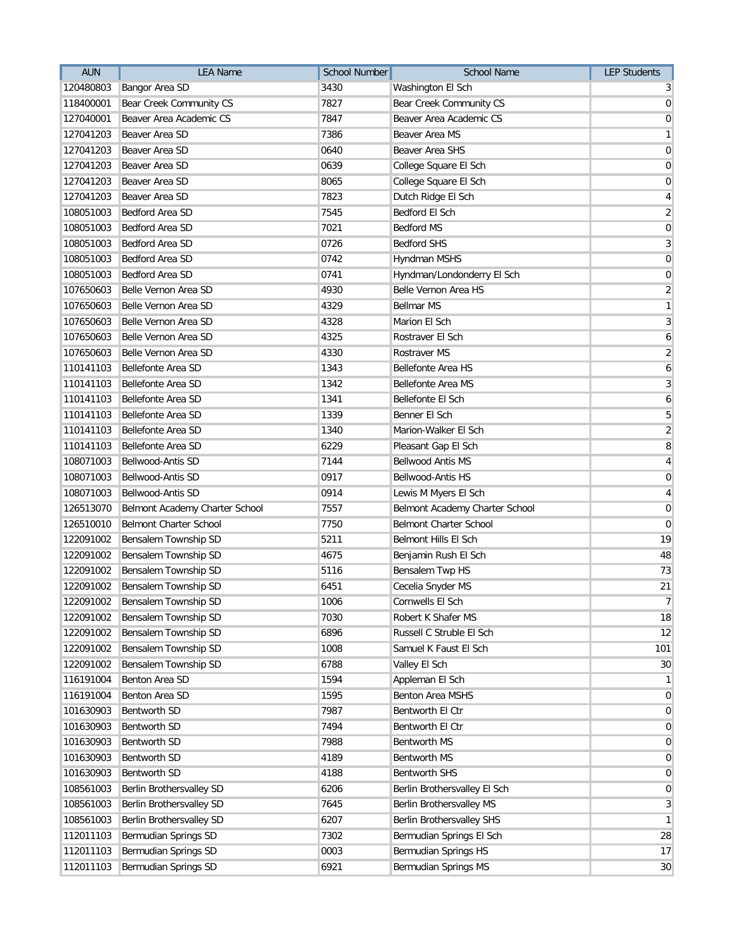| <b>AUN</b> | <b>LEA Name</b>                | <b>School Number</b> | <b>School Name</b>             | <b>LEP Students</b> |
|------------|--------------------------------|----------------------|--------------------------------|---------------------|
| 120480803  | Bangor Area SD                 | 3430                 | Washington El Sch              | 3                   |
| 118400001  | Bear Creek Community CS        | 7827                 | Bear Creek Community CS        | 0                   |
| 127040001  | Beaver Area Academic CS        | 7847                 | Beaver Area Academic CS        | $\mathbf 0$         |
| 127041203  | Beaver Area SD                 | 7386                 | Beaver Area MS                 | $\mathbf{1}$        |
| 127041203  | Beaver Area SD                 | 0640                 | <b>Beaver Area SHS</b>         | $\mathbf 0$         |
| 127041203  | Beaver Area SD                 | 0639                 | College Square El Sch          | $\mathbf 0$         |
| 127041203  | Beaver Area SD                 | 8065                 | College Square El Sch          | $\mathbf 0$         |
| 127041203  | Beaver Area SD                 | 7823                 | Dutch Ridge El Sch             | $\overline{4}$      |
| 108051003  | <b>Bedford Area SD</b>         | 7545                 | <b>Bedford El Sch</b>          | $\overline{2}$      |
| 108051003  | Bedford Area SD                | 7021                 | <b>Bedford MS</b>              | $\mathbf 0$         |
| 108051003  | Bedford Area SD                | 0726                 | <b>Bedford SHS</b>             | $\mathbf{3}$        |
| 108051003  | Bedford Area SD                | 0742                 | Hyndman MSHS                   | $\mathbf 0$         |
| 108051003  | Bedford Area SD                | 0741                 | Hyndman/Londonderry El Sch     | $\mathbf 0$         |
| 107650603  | Belle Vernon Area SD           | 4930                 | Belle Vernon Area HS           | $\overline{2}$      |
| 107650603  | Belle Vernon Area SD           | 4329                 | <b>Bellmar MS</b>              | $\mathbf{1}$        |
| 107650603  | Belle Vernon Area SD           | 4328                 | Marion El Sch                  | $\mathbf{3}$        |
| 107650603  | Belle Vernon Area SD           | 4325                 | Rostraver El Sch               | $\boldsymbol{6}$    |
| 107650603  | Belle Vernon Area SD           | 4330                 | <b>Rostraver MS</b>            | $\overline{2}$      |
| 110141103  | <b>Bellefonte Area SD</b>      | 1343                 | <b>Bellefonte Area HS</b>      | 6                   |
| 110141103  | Bellefonte Area SD             | 1342                 | <b>Bellefonte Area MS</b>      | $\mathbf{3}$        |
| 110141103  | Bellefonte Area SD             | 1341                 | Bellefonte El Sch              | 6                   |
| 110141103  | Bellefonte Area SD             | 1339                 | Benner El Sch                  | 5                   |
| 110141103  | Bellefonte Area SD             | 1340                 | Marion-Walker El Sch           | $\overline{2}$      |
| 110141103  | Bellefonte Area SD             | 6229                 | Pleasant Gap El Sch            | 8                   |
| 108071003  | Bellwood-Antis SD              | 7144                 | <b>Bellwood Antis MS</b>       | $\overline{4}$      |
| 108071003  | Bellwood-Antis SD              | 0917                 | Bellwood-Antis HS              | $\mathbf 0$         |
| 108071003  | Bellwood-Antis SD              | 0914                 | Lewis M Myers El Sch           | 4                   |
| 126513070  | Belmont Academy Charter School | 7557                 | Belmont Academy Charter School | $\pmb{0}$           |
| 126510010  | <b>Belmont Charter School</b>  | 7750                 | <b>Belmont Charter School</b>  | 0                   |
| 122091002  | Bensalem Township SD           | 5211                 | Belmont Hills El Sch           | 19                  |
| 122091002  | Bensalem Township SD           | 4675                 | Benjamin Rush El Sch           | 48                  |
| 122091002  | Bensalem Township SD           | 5116                 | Bensalem Twp HS                | 73                  |
| 122091002  | Bensalem Township SD           | 6451                 | Cecelia Snyder MS              | 21                  |
| 122091002  | Bensalem Township SD           | 1006                 | Cornwells El Sch               | $\overline{7}$      |
| 122091002  | Bensalem Township SD           | 7030                 | Robert K Shafer MS             | 18                  |
| 122091002  | Bensalem Township SD           | 6896                 | Russell C Struble El Sch       | 12                  |
| 122091002  | Bensalem Township SD           | 1008                 | Samuel K Faust El Sch          | 101                 |
| 122091002  | Bensalem Township SD           | 6788                 | Valley El Sch                  | 30                  |
| 116191004  | Benton Area SD                 | 1594                 | Appleman El Sch                | $\mathbf{1}$        |
| 116191004  | Benton Area SD                 | 1595                 | Benton Area MSHS               | $\overline{0}$      |
| 101630903  | Bentworth SD                   | 7987                 | Bentworth El Ctr               | $\overline{0}$      |
| 101630903  | Bentworth SD                   | 7494                 | Bentworth El Ctr               | $\mathbf 0$         |
| 101630903  | Bentworth SD                   | 7988                 | Bentworth MS                   | 0                   |
| 101630903  | Bentworth SD                   | 4189                 | Bentworth MS                   | $\mathbf 0$         |
| 101630903  | Bentworth SD                   | 4188                 | Bentworth SHS                  | $\mathbf 0$         |
| 108561003  | Berlin Brothersvalley SD       | 6206                 | Berlin Brothersvalley El Sch   | 0                   |
| 108561003  | Berlin Brothersvalley SD       | 7645                 | Berlin Brothersvalley MS       | 3                   |
| 108561003  | Berlin Brothersvalley SD       | 6207                 | Berlin Brothersvalley SHS      | $\mathbf{1}$        |
| 112011103  | Bermudian Springs SD           | 7302                 | Bermudian Springs El Sch       | 28                  |
| 112011103  | Bermudian Springs SD           | 0003                 | <b>Bermudian Springs HS</b>    | 17                  |
| 112011103  | Bermudian Springs SD           | 6921                 | Bermudian Springs MS           | 30                  |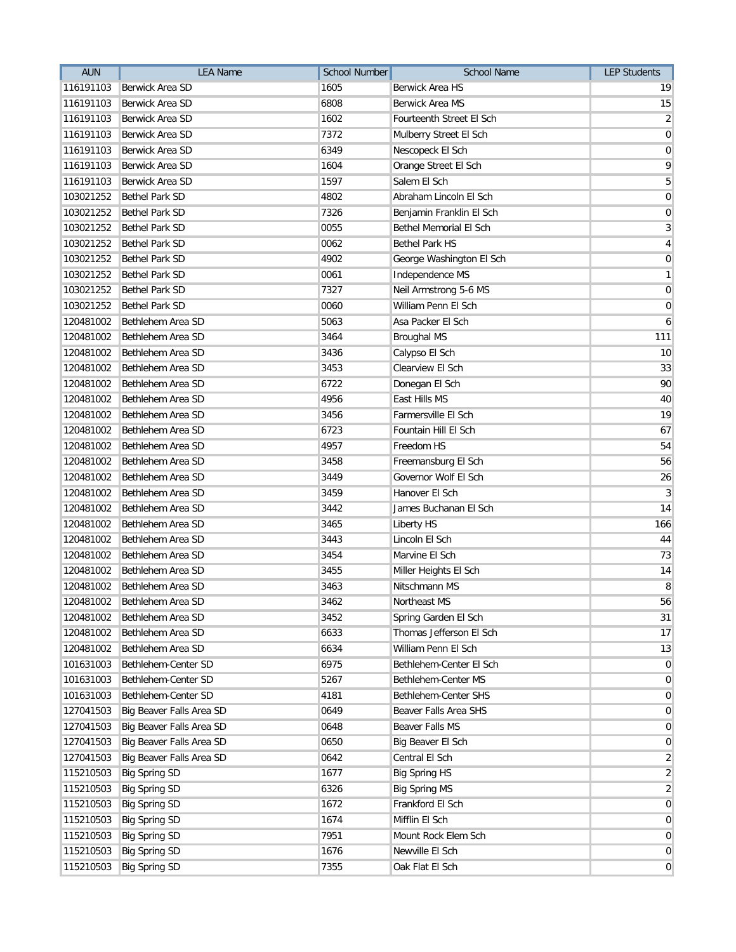| <b>AUN</b> | <b>LEA Name</b>          | <b>School Number</b> | <b>School Name</b>       | <b>LEP Students</b> |
|------------|--------------------------|----------------------|--------------------------|---------------------|
| 116191103  | Berwick Area SD          | 1605                 | Berwick Area HS          | 19                  |
| 116191103  | Berwick Area SD          | 6808                 | <b>Berwick Area MS</b>   | 15                  |
| 116191103  | Berwick Area SD          | 1602                 | Fourteenth Street El Sch | $\overline{2}$      |
| 116191103  | <b>Berwick Area SD</b>   | 7372                 | Mulberry Street El Sch   | $\overline{0}$      |
| 116191103  | Berwick Area SD          | 6349                 | Nescopeck El Sch         | $\overline{0}$      |
| 116191103  | Berwick Area SD          | 1604                 | Orange Street El Sch     | 9                   |
| 116191103  | Berwick Area SD          | 1597                 | Salem El Sch             | $\overline{5}$      |
| 103021252  | <b>Bethel Park SD</b>    | 4802                 | Abraham Lincoln El Sch   | $\overline{0}$      |
| 103021252  | <b>Bethel Park SD</b>    | 7326                 | Benjamin Franklin El Sch | 0                   |
| 103021252  | <b>Bethel Park SD</b>    | 0055                 | Bethel Memorial El Sch   | $\overline{3}$      |
| 103021252  | <b>Bethel Park SD</b>    | 0062                 | <b>Bethel Park HS</b>    | $\vert 4 \vert$     |
| 103021252  | Bethel Park SD           | 4902                 | George Washington El Sch | $\boldsymbol{0}$    |
| 103021252  | <b>Bethel Park SD</b>    | 0061                 | Independence MS          | 1                   |
| 103021252  | <b>Bethel Park SD</b>    | 7327                 | Neil Armstrong 5-6 MS    | $\overline{0}$      |
| 103021252  | <b>Bethel Park SD</b>    | 0060                 | William Penn El Sch      | 0                   |
| 120481002  | Bethlehem Area SD        | 5063                 | Asa Packer El Sch        | $\mathbf{6}$        |
| 120481002  | Bethlehem Area SD        | 3464                 | <b>Broughal MS</b>       | 111                 |
| 120481002  | Bethlehem Area SD        | 3436                 | Calypso El Sch           | 10 <sup>1</sup>     |
| 120481002  | Bethlehem Area SD        | 3453                 | Clearview El Sch         | 33                  |
| 120481002  | Bethlehem Area SD        | 6722                 | Donegan El Sch           | 90                  |
| 120481002  | Bethlehem Area SD        | 4956                 | East Hills MS            | 40                  |
| 120481002  | Bethlehem Area SD        | 3456                 | Farmersville El Sch      | 19                  |
| 120481002  | Bethlehem Area SD        | 6723                 | Fountain Hill El Sch     | 67                  |
| 120481002  | Bethlehem Area SD        | 4957                 | Freedom HS               | 54                  |
| 120481002  | Bethlehem Area SD        | 3458                 | Freemansburg El Sch      | 56                  |
| 120481002  | Bethlehem Area SD        | 3449                 | Governor Wolf El Sch     | 26                  |
| 120481002  | Bethlehem Area SD        | 3459                 | Hanover El Sch           | 3 <sup>1</sup>      |
| 120481002  | Bethlehem Area SD        | 3442                 | James Buchanan El Sch    | 14                  |
| 120481002  | Bethlehem Area SD        | 3465                 | <b>Liberty HS</b>        | 166                 |
| 120481002  | Bethlehem Area SD        | 3443                 | Lincoln El Sch           | 44                  |
| 120481002  | Bethlehem Area SD        | 3454                 | Marvine El Sch           | 73                  |
| 120481002  | Bethlehem Area SD        | 3455                 | Miller Heights El Sch    | 14                  |
| 120481002  | Bethlehem Area SD        | 3463                 | Nitschmann MS            | 8                   |
| 120481002  | Bethlehem Area SD        | 3462                 | Northeast MS             | 56                  |
| 120481002  | Bethlehem Area SD        | 3452                 | Spring Garden El Sch     | 31                  |
| 120481002  | Bethlehem Area SD        | 6633                 | Thomas Jefferson El Sch  | 17                  |
| 120481002  | Bethlehem Area SD        | 6634                 | William Penn El Sch      | 13                  |
| 101631003  | Bethlehem-Center SD      | 6975                 | Bethlehem-Center El Sch  | $\overline{0}$      |
| 101631003  | Bethlehem-Center SD      | 5267                 | Bethlehem-Center MS      | $\overline{0}$      |
| 101631003  | Bethlehem-Center SD      | 4181                 | Bethlehem-Center SHS     | 0                   |
| 127041503  | Big Beaver Falls Area SD | 0649                 | Beaver Falls Area SHS    | $\overline{0}$      |
| 127041503  | Big Beaver Falls Area SD | 0648                 | <b>Beaver Falls MS</b>   | 0                   |
| 127041503  | Big Beaver Falls Area SD | 0650                 | Big Beaver El Sch        | $\overline{0}$      |
| 127041503  | Big Beaver Falls Area SD | 0642                 | Central El Sch           | $\overline{2}$      |
| 115210503  | <b>Big Spring SD</b>     | 1677                 | <b>Big Spring HS</b>     | $\overline{2}$      |
| 115210503  | <b>Big Spring SD</b>     | 6326                 | <b>Big Spring MS</b>     | $\overline{2}$      |
| 115210503  | <b>Big Spring SD</b>     | 1672                 | Frankford El Sch         | $\overline{0}$      |
| 115210503  | <b>Big Spring SD</b>     | 1674                 | Mifflin El Sch           | $\overline{0}$      |
| 115210503  | <b>Big Spring SD</b>     | 7951                 | Mount Rock Elem Sch      | $\overline{0}$      |
| 115210503  | <b>Big Spring SD</b>     | 1676                 | Newville El Sch          | $\overline{0}$      |
| 115210503  | <b>Big Spring SD</b>     | 7355                 | Oak Flat El Sch          | 0                   |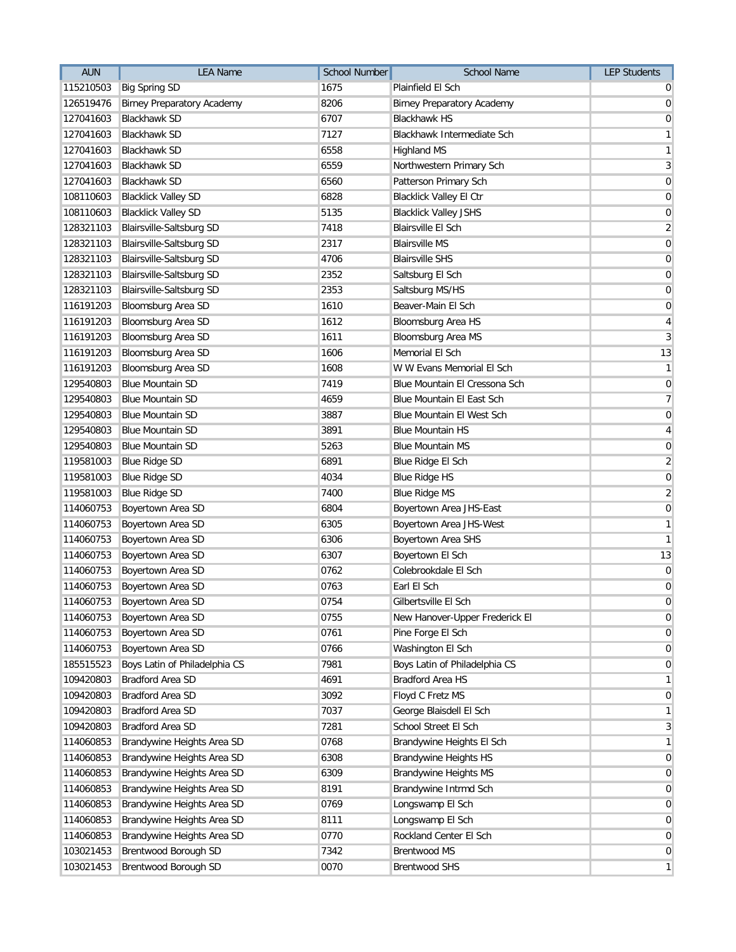| <b>AUN</b> | <b>LEA Name</b>                   | <b>School Number</b> | School Name                       | <b>LEP Students</b> |
|------------|-----------------------------------|----------------------|-----------------------------------|---------------------|
| 115210503  | <b>Big Spring SD</b>              | 1675                 | Plainfield El Sch                 | $\overline{0}$      |
| 126519476  | <b>Birney Preparatory Academy</b> | 8206                 | <b>Birney Preparatory Academy</b> | $\mathbf 0$         |
| 127041603  | <b>Blackhawk SD</b>               | 6707                 | <b>Blackhawk HS</b>               | $\mathbf 0$         |
| 127041603  | <b>Blackhawk SD</b>               | 7127                 | Blackhawk Intermediate Sch        | $\mathbf{1}$        |
| 127041603  | <b>Blackhawk SD</b>               | 6558                 | <b>Highland MS</b>                | $\mathbf{1}$        |
| 127041603  | <b>Blackhawk SD</b>               | 6559                 | Northwestern Primary Sch          | 3                   |
| 127041603  | <b>Blackhawk SD</b>               | 6560                 | Patterson Primary Sch             | $\pmb{0}$           |
| 108110603  | <b>Blacklick Valley SD</b>        | 6828                 | <b>Blacklick Valley El Ctr</b>    | $\pmb{0}$           |
| 108110603  | <b>Blacklick Valley SD</b>        | 5135                 | <b>Blacklick Valley JSHS</b>      | $\pmb{0}$           |
| 128321103  | <b>Blairsville-Saltsburg SD</b>   | 7418                 | <b>Blairsville El Sch</b>         | $\overline{2}$      |
| 128321103  | Blairsville-Saltsburg SD          | 2317                 | <b>Blairsville MS</b>             | $\mathbf 0$         |
| 128321103  | Blairsville-Saltsburg SD          | 4706                 | <b>Blairsville SHS</b>            | $\mathbf 0$         |
| 128321103  | Blairsville-Saltsburg SD          | 2352                 | Saltsburg El Sch                  | $\pmb{0}$           |
| 128321103  | Blairsville-Saltsburg SD          | 2353                 | Saltsburg MS/HS                   | $\mathbf 0$         |
| 116191203  | Bloomsburg Area SD                | 1610                 | Beaver-Main El Sch                | $\mathbf 0$         |
| 116191203  | Bloomsburg Area SD                | 1612                 | Bloomsburg Area HS                | $\overline{4}$      |
| 116191203  | Bloomsburg Area SD                | 1611                 | Bloomsburg Area MS                | $\mathbf{3}$        |
| 116191203  | Bloomsburg Area SD                | 1606                 | Memorial El Sch                   | 13                  |
| 116191203  | Bloomsburg Area SD                | 1608                 | W W Evans Memorial El Sch         | $\mathbf{1}$        |
| 129540803  | <b>Blue Mountain SD</b>           | 7419                 | Blue Mountain El Cressona Sch     | $\pmb{0}$           |
| 129540803  | <b>Blue Mountain SD</b>           | 4659                 | Blue Mountain El East Sch         | $\overline{7}$      |
| 129540803  | <b>Blue Mountain SD</b>           | 3887                 | Blue Mountain El West Sch         | $\pmb{0}$           |
| 129540803  | <b>Blue Mountain SD</b>           | 3891                 | <b>Blue Mountain HS</b>           | 4                   |
| 129540803  | <b>Blue Mountain SD</b>           | 5263                 | <b>Blue Mountain MS</b>           | $\mathbf 0$         |
| 119581003  | <b>Blue Ridge SD</b>              | 6891                 | Blue Ridge El Sch                 | $\overline{2}$      |
| 119581003  | <b>Blue Ridge SD</b>              | 4034                 | <b>Blue Ridge HS</b>              | $\mathbf 0$         |
| 119581003  | <b>Blue Ridge SD</b>              | 7400                 | <b>Blue Ridge MS</b>              | $\overline{2}$      |
| 114060753  | Boyertown Area SD                 | 6804                 | Boyertown Area JHS-East           | $\mathbf 0$         |
| 114060753  | Boyertown Area SD                 | 6305                 | Boyertown Area JHS-West           | $\mathbf{1}$        |
| 114060753  | Boyertown Area SD                 | 6306                 | Boyertown Area SHS                | $\mathbf{1}$        |
| 114060753  | Boyertown Area SD                 | 6307                 | Boyertown El Sch                  | 13                  |
| 114060753  | Boyertown Area SD                 | 0762                 | Colebrookdale El Sch              | $\pmb{0}$           |
| 114060753  | Boyertown Area SD                 | 0763                 | Earl El Sch                       | $\pmb{0}$           |
| 114060753  | Boyertown Area SD                 | 0754                 | Gilbertsville El Sch              | $\mathbf 0$         |
| 114060753  | Boyertown Area SD                 | 0755                 | New Hanover-Upper Frederick El    | $\mathbf 0$         |
| 114060753  | Boyertown Area SD                 | 0761                 | Pine Forge El Sch                 | $\overline{0}$      |
| 114060753  | Boyertown Area SD                 | 0766                 | Washington El Sch                 | $\mathbf 0$         |
| 185515523  | Boys Latin of Philadelphia CS     | 7981                 | Boys Latin of Philadelphia CS     | $\mathbf 0$         |
| 109420803  | Bradford Area SD                  | 4691                 | Bradford Area HS                  | $\mathbf{1}$        |
| 109420803  | Bradford Area SD                  | 3092                 | Floyd C Fretz MS                  | $\mathbf 0$         |
| 109420803  | Bradford Area SD                  | 7037                 | George Blaisdell El Sch           | $\mathbf{1}$        |
| 109420803  | Bradford Area SD                  | 7281                 | School Street El Sch              | 3                   |
| 114060853  | Brandywine Heights Area SD        | 0768                 | Brandywine Heights El Sch         | $\mathbf{1}$        |
| 114060853  | Brandywine Heights Area SD        | 6308                 | <b>Brandywine Heights HS</b>      | 0                   |
| 114060853  | Brandywine Heights Area SD        | 6309                 | Brandywine Heights MS             | 0                   |
| 114060853  | Brandywine Heights Area SD        | 8191                 | Brandywine Intrmd Sch             | $\mathbf 0$         |
| 114060853  | Brandywine Heights Area SD        | 0769                 | Longswamp El Sch                  | 0                   |
| 114060853  | Brandywine Heights Area SD        | 8111                 | Longswamp El Sch                  | $\mathbf 0$         |
| 114060853  | Brandywine Heights Area SD        | 0770                 | Rockland Center El Sch            | $\mathbf 0$         |
| 103021453  | Brentwood Borough SD              | 7342                 | Brentwood MS                      | 0                   |
| 103021453  | <b>Brentwood Borough SD</b>       | 0070                 | <b>Brentwood SHS</b>              | $\mathbf{1}$        |
|            |                                   |                      |                                   |                     |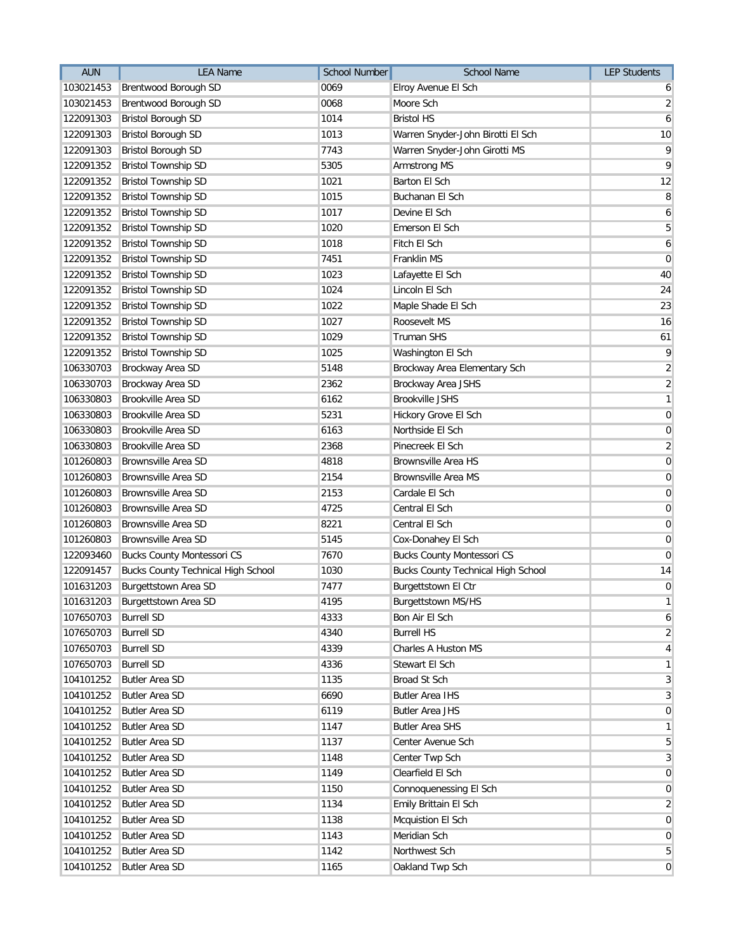| Brentwood Borough SD<br>0069<br>103021453<br>Elroy Avenue El Sch<br>6<br>0068<br>103021453<br>Brentwood Borough SD<br>Moore Sch<br>122091303<br><b>Bristol Borough SD</b><br>1014<br><b>Bristol HS</b><br>122091303<br><b>Bristol Borough SD</b><br>1013<br>Warren Snyder-John Birotti El Sch<br>7743<br>122091303<br><b>Bristol Borough SD</b><br>Warren Snyder-John Girotti MS<br><b>Bristol Township SD</b><br>5305<br>Armstrong MS<br>122091352<br><b>Bristol Township SD</b><br>1021<br>Barton El Sch<br>122091352<br>1015<br>Buchanan El Sch<br>122091352<br><b>Bristol Township SD</b><br>122091352<br><b>Bristol Township SD</b><br>1017<br>Devine El Sch<br>122091352<br><b>Bristol Township SD</b><br>1020<br>Emerson El Sch<br>1018<br>Fitch El Sch<br>122091352<br><b>Bristol Township SD</b><br><b>Bristol Township SD</b><br>7451<br>Franklin MS<br>122091352<br>122091352<br><b>Bristol Township SD</b><br>1023<br>Lafayette El Sch<br><b>Bristol Township SD</b><br>1024<br>Lincoln El Sch<br>122091352<br>122091352<br><b>Bristol Township SD</b><br>1022<br>Maple Shade El Sch<br>122091352<br><b>Bristol Township SD</b><br>1027<br>Roosevelt MS<br>1029<br>122091352<br><b>Bristol Township SD</b><br>Truman SHS<br><b>Bristol Township SD</b><br>1025<br>122091352<br>Washington El Sch<br>5148<br>106330703<br>Brockway Area SD<br>Brockway Area Elementary Sch<br>106330703<br>2362<br>Brockway Area SD<br>Brockway Area JSHS<br>106330803<br>Brookville Area SD<br>6162<br><b>Brookville JSHS</b><br>106330803<br><b>Brookville Area SD</b><br>5231<br>Hickory Grove El Sch<br>6163<br>Northside El Sch<br>106330803<br><b>Brookville Area SD</b><br><b>Brookville Area SD</b><br>2368<br>Pinecreek El Sch<br>106330803<br><b>Brownsville Area SD</b><br>4818<br><b>Brownsville Area HS</b><br>101260803<br>2154<br>101260803<br><b>Brownsville Area SD</b><br><b>Brownsville Area MS</b><br>101260803<br><b>Brownsville Area SD</b><br>2153<br>Cardale El Sch<br><b>Brownsville Area SD</b><br>4725<br>Central El Sch<br>101260803<br>8221<br>101260803<br><b>Brownsville Area SD</b><br>Central El Sch<br><b>Brownsville Area SD</b><br>5145<br>101260803<br>Cox-Donahey El Sch<br>7670<br><b>Bucks County Montessori CS</b><br>122093460<br><b>Bucks County Montessori CS</b><br>1030<br>122091457<br><b>Bucks County Technical High School</b><br><b>Bucks County Technical High School</b><br>101631203<br>Burgettstown Area SD<br>7477<br>Burgettstown El Ctr<br>4195<br>101631203 Burgettstown Area SD<br><b>Burgettstown MS/HS</b><br>107650703<br><b>Burrell SD</b><br>4333<br>Bon Air El Sch<br>4340<br><b>Burrell HS</b><br>107650703<br><b>Burrell SD</b><br>107650703<br><b>Burrell SD</b><br>4339<br>Charles A Huston MS<br><b>Burrell SD</b><br>107650703<br>4336<br>Stewart El Sch<br>104101252<br><b>Butler Area SD</b><br>1135<br>Broad St Sch<br>6690<br>104101252<br><b>Butler Area SD</b><br><b>Butler Area IHS</b><br>6119<br>104101252<br>Butler Area SD<br><b>Butler Area JHS</b><br>104101252<br><b>Butler Area SD</b><br>1147<br><b>Butler Area SHS</b><br><b>Butler Area SD</b><br>104101252<br>1137<br>Center Avenue Sch<br>104101252<br><b>Butler Area SD</b><br>1148<br>Center Twp Sch<br>104101252<br><b>Butler Area SD</b><br>1149<br>Clearfield El Sch<br><b>Butler Area SD</b><br>104101252<br>1150<br>Connoquenessing El Sch<br>1134<br>Emily Brittain El Sch<br>104101252<br><b>Butler Area SD</b><br><b>Butler Area SD</b><br>1138<br>Mcquistion El Sch<br>104101252<br>104101252<br><b>Butler Area SD</b><br>1143<br>Meridian Sch<br>104101252<br><b>Butler Area SD</b><br>1142<br>Northwest Sch<br>104101252<br>Oakland Twp Sch<br><b>Butler Area SD</b><br>1165 | <b>AUN</b> | <b>LEA Name</b> | <b>School Number</b> | <b>School Name</b> | <b>LEP Students</b> |
|---------------------------------------------------------------------------------------------------------------------------------------------------------------------------------------------------------------------------------------------------------------------------------------------------------------------------------------------------------------------------------------------------------------------------------------------------------------------------------------------------------------------------------------------------------------------------------------------------------------------------------------------------------------------------------------------------------------------------------------------------------------------------------------------------------------------------------------------------------------------------------------------------------------------------------------------------------------------------------------------------------------------------------------------------------------------------------------------------------------------------------------------------------------------------------------------------------------------------------------------------------------------------------------------------------------------------------------------------------------------------------------------------------------------------------------------------------------------------------------------------------------------------------------------------------------------------------------------------------------------------------------------------------------------------------------------------------------------------------------------------------------------------------------------------------------------------------------------------------------------------------------------------------------------------------------------------------------------------------------------------------------------------------------------------------------------------------------------------------------------------------------------------------------------------------------------------------------------------------------------------------------------------------------------------------------------------------------------------------------------------------------------------------------------------------------------------------------------------------------------------------------------------------------------------------------------------------------------------------------------------------------------------------------------------------------------------------------------------------------------------------------------------------------------------------------------------------------------------------------------------------------------------------------------------------------------------------------------------------------------------------------------------------------------------------------------------------------------------------------------------------------------------------------------------------------------------------------------------------------------------------------------------------------------------------------------------------------------------------------------------------------------------------------------------------------------------------------------------------------------------------------------------------------------------------------------------------------------------------------------------------------------------------------------------------------------------------------------------------|------------|-----------------|----------------------|--------------------|---------------------|
|                                                                                                                                                                                                                                                                                                                                                                                                                                                                                                                                                                                                                                                                                                                                                                                                                                                                                                                                                                                                                                                                                                                                                                                                                                                                                                                                                                                                                                                                                                                                                                                                                                                                                                                                                                                                                                                                                                                                                                                                                                                                                                                                                                                                                                                                                                                                                                                                                                                                                                                                                                                                                                                                                                                                                                                                                                                                                                                                                                                                                                                                                                                                                                                                                                                                                                                                                                                                                                                                                                                                                                                                                                                                                                                                 |            |                 |                      |                    |                     |
| 6                                                                                                                                                                                                                                                                                                                                                                                                                                                                                                                                                                                                                                                                                                                                                                                                                                                                                                                                                                                                                                                                                                                                                                                                                                                                                                                                                                                                                                                                                                                                                                                                                                                                                                                                                                                                                                                                                                                                                                                                                                                                                                                                                                                                                                                                                                                                                                                                                                                                                                                                                                                                                                                                                                                                                                                                                                                                                                                                                                                                                                                                                                                                                                                                                                                                                                                                                                                                                                                                                                                                                                                                                                                                                                                               |            |                 |                      |                    | $\overline{2}$      |
|                                                                                                                                                                                                                                                                                                                                                                                                                                                                                                                                                                                                                                                                                                                                                                                                                                                                                                                                                                                                                                                                                                                                                                                                                                                                                                                                                                                                                                                                                                                                                                                                                                                                                                                                                                                                                                                                                                                                                                                                                                                                                                                                                                                                                                                                                                                                                                                                                                                                                                                                                                                                                                                                                                                                                                                                                                                                                                                                                                                                                                                                                                                                                                                                                                                                                                                                                                                                                                                                                                                                                                                                                                                                                                                                 |            |                 |                      |                    |                     |
| 9<br>9<br>12<br>8<br>$\boldsymbol{6}$<br>$\overline{5}$<br>6<br>$\mathbf 0$<br>40<br>24<br>23<br>16<br>61<br>9<br>$\overline{2}$<br>$\overline{2}$<br>$\mathbf{1}$<br>$\pmb{0}$<br>$\pmb{0}$<br>$\overline{2}$<br>$\mathbf 0$<br>$\mathbf 0$<br>$\mathbf 0$<br>$\mathbf 0$<br>$\pmb{0}$<br>$\mathbf 0$<br>$\mathbf 0$<br>14<br>$\mathbf 0$<br>$\mathbf{1}$<br>6<br>$\overline{2}$<br>4<br>$\mathbf{1}$<br>3<br>$\mathbf{3}$<br>$\pmb{0}$<br>$\mathbf{1}$<br>5<br>$\overline{3}$<br>$\overline{0}$<br>$\pmb{0}$<br>$\overline{\mathbf{c}}$<br>$\mathbf 0$<br>$\mathbf 0$<br>5<br>$\mathbf 0$                                                                                                                                                                                                                                                                                                                                                                                                                                                                                                                                                                                                                                                                                                                                                                                                                                                                                                                                                                                                                                                                                                                                                                                                                                                                                                                                                                                                                                                                                                                                                                                                                                                                                                                                                                                                                                                                                                                                                                                                                                                                                                                                                                                                                                                                                                                                                                                                                                                                                                                                                                                                                                                                                                                                                                                                                                                                                                                                                                                                                                                                                                                                     |            |                 |                      |                    | 10                  |
|                                                                                                                                                                                                                                                                                                                                                                                                                                                                                                                                                                                                                                                                                                                                                                                                                                                                                                                                                                                                                                                                                                                                                                                                                                                                                                                                                                                                                                                                                                                                                                                                                                                                                                                                                                                                                                                                                                                                                                                                                                                                                                                                                                                                                                                                                                                                                                                                                                                                                                                                                                                                                                                                                                                                                                                                                                                                                                                                                                                                                                                                                                                                                                                                                                                                                                                                                                                                                                                                                                                                                                                                                                                                                                                                 |            |                 |                      |                    |                     |
|                                                                                                                                                                                                                                                                                                                                                                                                                                                                                                                                                                                                                                                                                                                                                                                                                                                                                                                                                                                                                                                                                                                                                                                                                                                                                                                                                                                                                                                                                                                                                                                                                                                                                                                                                                                                                                                                                                                                                                                                                                                                                                                                                                                                                                                                                                                                                                                                                                                                                                                                                                                                                                                                                                                                                                                                                                                                                                                                                                                                                                                                                                                                                                                                                                                                                                                                                                                                                                                                                                                                                                                                                                                                                                                                 |            |                 |                      |                    |                     |
|                                                                                                                                                                                                                                                                                                                                                                                                                                                                                                                                                                                                                                                                                                                                                                                                                                                                                                                                                                                                                                                                                                                                                                                                                                                                                                                                                                                                                                                                                                                                                                                                                                                                                                                                                                                                                                                                                                                                                                                                                                                                                                                                                                                                                                                                                                                                                                                                                                                                                                                                                                                                                                                                                                                                                                                                                                                                                                                                                                                                                                                                                                                                                                                                                                                                                                                                                                                                                                                                                                                                                                                                                                                                                                                                 |            |                 |                      |                    |                     |
|                                                                                                                                                                                                                                                                                                                                                                                                                                                                                                                                                                                                                                                                                                                                                                                                                                                                                                                                                                                                                                                                                                                                                                                                                                                                                                                                                                                                                                                                                                                                                                                                                                                                                                                                                                                                                                                                                                                                                                                                                                                                                                                                                                                                                                                                                                                                                                                                                                                                                                                                                                                                                                                                                                                                                                                                                                                                                                                                                                                                                                                                                                                                                                                                                                                                                                                                                                                                                                                                                                                                                                                                                                                                                                                                 |            |                 |                      |                    |                     |
|                                                                                                                                                                                                                                                                                                                                                                                                                                                                                                                                                                                                                                                                                                                                                                                                                                                                                                                                                                                                                                                                                                                                                                                                                                                                                                                                                                                                                                                                                                                                                                                                                                                                                                                                                                                                                                                                                                                                                                                                                                                                                                                                                                                                                                                                                                                                                                                                                                                                                                                                                                                                                                                                                                                                                                                                                                                                                                                                                                                                                                                                                                                                                                                                                                                                                                                                                                                                                                                                                                                                                                                                                                                                                                                                 |            |                 |                      |                    |                     |
|                                                                                                                                                                                                                                                                                                                                                                                                                                                                                                                                                                                                                                                                                                                                                                                                                                                                                                                                                                                                                                                                                                                                                                                                                                                                                                                                                                                                                                                                                                                                                                                                                                                                                                                                                                                                                                                                                                                                                                                                                                                                                                                                                                                                                                                                                                                                                                                                                                                                                                                                                                                                                                                                                                                                                                                                                                                                                                                                                                                                                                                                                                                                                                                                                                                                                                                                                                                                                                                                                                                                                                                                                                                                                                                                 |            |                 |                      |                    |                     |
|                                                                                                                                                                                                                                                                                                                                                                                                                                                                                                                                                                                                                                                                                                                                                                                                                                                                                                                                                                                                                                                                                                                                                                                                                                                                                                                                                                                                                                                                                                                                                                                                                                                                                                                                                                                                                                                                                                                                                                                                                                                                                                                                                                                                                                                                                                                                                                                                                                                                                                                                                                                                                                                                                                                                                                                                                                                                                                                                                                                                                                                                                                                                                                                                                                                                                                                                                                                                                                                                                                                                                                                                                                                                                                                                 |            |                 |                      |                    |                     |
|                                                                                                                                                                                                                                                                                                                                                                                                                                                                                                                                                                                                                                                                                                                                                                                                                                                                                                                                                                                                                                                                                                                                                                                                                                                                                                                                                                                                                                                                                                                                                                                                                                                                                                                                                                                                                                                                                                                                                                                                                                                                                                                                                                                                                                                                                                                                                                                                                                                                                                                                                                                                                                                                                                                                                                                                                                                                                                                                                                                                                                                                                                                                                                                                                                                                                                                                                                                                                                                                                                                                                                                                                                                                                                                                 |            |                 |                      |                    |                     |
|                                                                                                                                                                                                                                                                                                                                                                                                                                                                                                                                                                                                                                                                                                                                                                                                                                                                                                                                                                                                                                                                                                                                                                                                                                                                                                                                                                                                                                                                                                                                                                                                                                                                                                                                                                                                                                                                                                                                                                                                                                                                                                                                                                                                                                                                                                                                                                                                                                                                                                                                                                                                                                                                                                                                                                                                                                                                                                                                                                                                                                                                                                                                                                                                                                                                                                                                                                                                                                                                                                                                                                                                                                                                                                                                 |            |                 |                      |                    |                     |
|                                                                                                                                                                                                                                                                                                                                                                                                                                                                                                                                                                                                                                                                                                                                                                                                                                                                                                                                                                                                                                                                                                                                                                                                                                                                                                                                                                                                                                                                                                                                                                                                                                                                                                                                                                                                                                                                                                                                                                                                                                                                                                                                                                                                                                                                                                                                                                                                                                                                                                                                                                                                                                                                                                                                                                                                                                                                                                                                                                                                                                                                                                                                                                                                                                                                                                                                                                                                                                                                                                                                                                                                                                                                                                                                 |            |                 |                      |                    |                     |
|                                                                                                                                                                                                                                                                                                                                                                                                                                                                                                                                                                                                                                                                                                                                                                                                                                                                                                                                                                                                                                                                                                                                                                                                                                                                                                                                                                                                                                                                                                                                                                                                                                                                                                                                                                                                                                                                                                                                                                                                                                                                                                                                                                                                                                                                                                                                                                                                                                                                                                                                                                                                                                                                                                                                                                                                                                                                                                                                                                                                                                                                                                                                                                                                                                                                                                                                                                                                                                                                                                                                                                                                                                                                                                                                 |            |                 |                      |                    |                     |
|                                                                                                                                                                                                                                                                                                                                                                                                                                                                                                                                                                                                                                                                                                                                                                                                                                                                                                                                                                                                                                                                                                                                                                                                                                                                                                                                                                                                                                                                                                                                                                                                                                                                                                                                                                                                                                                                                                                                                                                                                                                                                                                                                                                                                                                                                                                                                                                                                                                                                                                                                                                                                                                                                                                                                                                                                                                                                                                                                                                                                                                                                                                                                                                                                                                                                                                                                                                                                                                                                                                                                                                                                                                                                                                                 |            |                 |                      |                    |                     |
|                                                                                                                                                                                                                                                                                                                                                                                                                                                                                                                                                                                                                                                                                                                                                                                                                                                                                                                                                                                                                                                                                                                                                                                                                                                                                                                                                                                                                                                                                                                                                                                                                                                                                                                                                                                                                                                                                                                                                                                                                                                                                                                                                                                                                                                                                                                                                                                                                                                                                                                                                                                                                                                                                                                                                                                                                                                                                                                                                                                                                                                                                                                                                                                                                                                                                                                                                                                                                                                                                                                                                                                                                                                                                                                                 |            |                 |                      |                    |                     |
|                                                                                                                                                                                                                                                                                                                                                                                                                                                                                                                                                                                                                                                                                                                                                                                                                                                                                                                                                                                                                                                                                                                                                                                                                                                                                                                                                                                                                                                                                                                                                                                                                                                                                                                                                                                                                                                                                                                                                                                                                                                                                                                                                                                                                                                                                                                                                                                                                                                                                                                                                                                                                                                                                                                                                                                                                                                                                                                                                                                                                                                                                                                                                                                                                                                                                                                                                                                                                                                                                                                                                                                                                                                                                                                                 |            |                 |                      |                    |                     |
|                                                                                                                                                                                                                                                                                                                                                                                                                                                                                                                                                                                                                                                                                                                                                                                                                                                                                                                                                                                                                                                                                                                                                                                                                                                                                                                                                                                                                                                                                                                                                                                                                                                                                                                                                                                                                                                                                                                                                                                                                                                                                                                                                                                                                                                                                                                                                                                                                                                                                                                                                                                                                                                                                                                                                                                                                                                                                                                                                                                                                                                                                                                                                                                                                                                                                                                                                                                                                                                                                                                                                                                                                                                                                                                                 |            |                 |                      |                    |                     |
|                                                                                                                                                                                                                                                                                                                                                                                                                                                                                                                                                                                                                                                                                                                                                                                                                                                                                                                                                                                                                                                                                                                                                                                                                                                                                                                                                                                                                                                                                                                                                                                                                                                                                                                                                                                                                                                                                                                                                                                                                                                                                                                                                                                                                                                                                                                                                                                                                                                                                                                                                                                                                                                                                                                                                                                                                                                                                                                                                                                                                                                                                                                                                                                                                                                                                                                                                                                                                                                                                                                                                                                                                                                                                                                                 |            |                 |                      |                    |                     |
|                                                                                                                                                                                                                                                                                                                                                                                                                                                                                                                                                                                                                                                                                                                                                                                                                                                                                                                                                                                                                                                                                                                                                                                                                                                                                                                                                                                                                                                                                                                                                                                                                                                                                                                                                                                                                                                                                                                                                                                                                                                                                                                                                                                                                                                                                                                                                                                                                                                                                                                                                                                                                                                                                                                                                                                                                                                                                                                                                                                                                                                                                                                                                                                                                                                                                                                                                                                                                                                                                                                                                                                                                                                                                                                                 |            |                 |                      |                    |                     |
|                                                                                                                                                                                                                                                                                                                                                                                                                                                                                                                                                                                                                                                                                                                                                                                                                                                                                                                                                                                                                                                                                                                                                                                                                                                                                                                                                                                                                                                                                                                                                                                                                                                                                                                                                                                                                                                                                                                                                                                                                                                                                                                                                                                                                                                                                                                                                                                                                                                                                                                                                                                                                                                                                                                                                                                                                                                                                                                                                                                                                                                                                                                                                                                                                                                                                                                                                                                                                                                                                                                                                                                                                                                                                                                                 |            |                 |                      |                    |                     |
|                                                                                                                                                                                                                                                                                                                                                                                                                                                                                                                                                                                                                                                                                                                                                                                                                                                                                                                                                                                                                                                                                                                                                                                                                                                                                                                                                                                                                                                                                                                                                                                                                                                                                                                                                                                                                                                                                                                                                                                                                                                                                                                                                                                                                                                                                                                                                                                                                                                                                                                                                                                                                                                                                                                                                                                                                                                                                                                                                                                                                                                                                                                                                                                                                                                                                                                                                                                                                                                                                                                                                                                                                                                                                                                                 |            |                 |                      |                    |                     |
|                                                                                                                                                                                                                                                                                                                                                                                                                                                                                                                                                                                                                                                                                                                                                                                                                                                                                                                                                                                                                                                                                                                                                                                                                                                                                                                                                                                                                                                                                                                                                                                                                                                                                                                                                                                                                                                                                                                                                                                                                                                                                                                                                                                                                                                                                                                                                                                                                                                                                                                                                                                                                                                                                                                                                                                                                                                                                                                                                                                                                                                                                                                                                                                                                                                                                                                                                                                                                                                                                                                                                                                                                                                                                                                                 |            |                 |                      |                    |                     |
|                                                                                                                                                                                                                                                                                                                                                                                                                                                                                                                                                                                                                                                                                                                                                                                                                                                                                                                                                                                                                                                                                                                                                                                                                                                                                                                                                                                                                                                                                                                                                                                                                                                                                                                                                                                                                                                                                                                                                                                                                                                                                                                                                                                                                                                                                                                                                                                                                                                                                                                                                                                                                                                                                                                                                                                                                                                                                                                                                                                                                                                                                                                                                                                                                                                                                                                                                                                                                                                                                                                                                                                                                                                                                                                                 |            |                 |                      |                    |                     |
|                                                                                                                                                                                                                                                                                                                                                                                                                                                                                                                                                                                                                                                                                                                                                                                                                                                                                                                                                                                                                                                                                                                                                                                                                                                                                                                                                                                                                                                                                                                                                                                                                                                                                                                                                                                                                                                                                                                                                                                                                                                                                                                                                                                                                                                                                                                                                                                                                                                                                                                                                                                                                                                                                                                                                                                                                                                                                                                                                                                                                                                                                                                                                                                                                                                                                                                                                                                                                                                                                                                                                                                                                                                                                                                                 |            |                 |                      |                    |                     |
|                                                                                                                                                                                                                                                                                                                                                                                                                                                                                                                                                                                                                                                                                                                                                                                                                                                                                                                                                                                                                                                                                                                                                                                                                                                                                                                                                                                                                                                                                                                                                                                                                                                                                                                                                                                                                                                                                                                                                                                                                                                                                                                                                                                                                                                                                                                                                                                                                                                                                                                                                                                                                                                                                                                                                                                                                                                                                                                                                                                                                                                                                                                                                                                                                                                                                                                                                                                                                                                                                                                                                                                                                                                                                                                                 |            |                 |                      |                    |                     |
|                                                                                                                                                                                                                                                                                                                                                                                                                                                                                                                                                                                                                                                                                                                                                                                                                                                                                                                                                                                                                                                                                                                                                                                                                                                                                                                                                                                                                                                                                                                                                                                                                                                                                                                                                                                                                                                                                                                                                                                                                                                                                                                                                                                                                                                                                                                                                                                                                                                                                                                                                                                                                                                                                                                                                                                                                                                                                                                                                                                                                                                                                                                                                                                                                                                                                                                                                                                                                                                                                                                                                                                                                                                                                                                                 |            |                 |                      |                    |                     |
|                                                                                                                                                                                                                                                                                                                                                                                                                                                                                                                                                                                                                                                                                                                                                                                                                                                                                                                                                                                                                                                                                                                                                                                                                                                                                                                                                                                                                                                                                                                                                                                                                                                                                                                                                                                                                                                                                                                                                                                                                                                                                                                                                                                                                                                                                                                                                                                                                                                                                                                                                                                                                                                                                                                                                                                                                                                                                                                                                                                                                                                                                                                                                                                                                                                                                                                                                                                                                                                                                                                                                                                                                                                                                                                                 |            |                 |                      |                    |                     |
|                                                                                                                                                                                                                                                                                                                                                                                                                                                                                                                                                                                                                                                                                                                                                                                                                                                                                                                                                                                                                                                                                                                                                                                                                                                                                                                                                                                                                                                                                                                                                                                                                                                                                                                                                                                                                                                                                                                                                                                                                                                                                                                                                                                                                                                                                                                                                                                                                                                                                                                                                                                                                                                                                                                                                                                                                                                                                                                                                                                                                                                                                                                                                                                                                                                                                                                                                                                                                                                                                                                                                                                                                                                                                                                                 |            |                 |                      |                    |                     |
|                                                                                                                                                                                                                                                                                                                                                                                                                                                                                                                                                                                                                                                                                                                                                                                                                                                                                                                                                                                                                                                                                                                                                                                                                                                                                                                                                                                                                                                                                                                                                                                                                                                                                                                                                                                                                                                                                                                                                                                                                                                                                                                                                                                                                                                                                                                                                                                                                                                                                                                                                                                                                                                                                                                                                                                                                                                                                                                                                                                                                                                                                                                                                                                                                                                                                                                                                                                                                                                                                                                                                                                                                                                                                                                                 |            |                 |                      |                    |                     |
|                                                                                                                                                                                                                                                                                                                                                                                                                                                                                                                                                                                                                                                                                                                                                                                                                                                                                                                                                                                                                                                                                                                                                                                                                                                                                                                                                                                                                                                                                                                                                                                                                                                                                                                                                                                                                                                                                                                                                                                                                                                                                                                                                                                                                                                                                                                                                                                                                                                                                                                                                                                                                                                                                                                                                                                                                                                                                                                                                                                                                                                                                                                                                                                                                                                                                                                                                                                                                                                                                                                                                                                                                                                                                                                                 |            |                 |                      |                    |                     |
|                                                                                                                                                                                                                                                                                                                                                                                                                                                                                                                                                                                                                                                                                                                                                                                                                                                                                                                                                                                                                                                                                                                                                                                                                                                                                                                                                                                                                                                                                                                                                                                                                                                                                                                                                                                                                                                                                                                                                                                                                                                                                                                                                                                                                                                                                                                                                                                                                                                                                                                                                                                                                                                                                                                                                                                                                                                                                                                                                                                                                                                                                                                                                                                                                                                                                                                                                                                                                                                                                                                                                                                                                                                                                                                                 |            |                 |                      |                    |                     |
|                                                                                                                                                                                                                                                                                                                                                                                                                                                                                                                                                                                                                                                                                                                                                                                                                                                                                                                                                                                                                                                                                                                                                                                                                                                                                                                                                                                                                                                                                                                                                                                                                                                                                                                                                                                                                                                                                                                                                                                                                                                                                                                                                                                                                                                                                                                                                                                                                                                                                                                                                                                                                                                                                                                                                                                                                                                                                                                                                                                                                                                                                                                                                                                                                                                                                                                                                                                                                                                                                                                                                                                                                                                                                                                                 |            |                 |                      |                    |                     |
|                                                                                                                                                                                                                                                                                                                                                                                                                                                                                                                                                                                                                                                                                                                                                                                                                                                                                                                                                                                                                                                                                                                                                                                                                                                                                                                                                                                                                                                                                                                                                                                                                                                                                                                                                                                                                                                                                                                                                                                                                                                                                                                                                                                                                                                                                                                                                                                                                                                                                                                                                                                                                                                                                                                                                                                                                                                                                                                                                                                                                                                                                                                                                                                                                                                                                                                                                                                                                                                                                                                                                                                                                                                                                                                                 |            |                 |                      |                    |                     |
|                                                                                                                                                                                                                                                                                                                                                                                                                                                                                                                                                                                                                                                                                                                                                                                                                                                                                                                                                                                                                                                                                                                                                                                                                                                                                                                                                                                                                                                                                                                                                                                                                                                                                                                                                                                                                                                                                                                                                                                                                                                                                                                                                                                                                                                                                                                                                                                                                                                                                                                                                                                                                                                                                                                                                                                                                                                                                                                                                                                                                                                                                                                                                                                                                                                                                                                                                                                                                                                                                                                                                                                                                                                                                                                                 |            |                 |                      |                    |                     |
|                                                                                                                                                                                                                                                                                                                                                                                                                                                                                                                                                                                                                                                                                                                                                                                                                                                                                                                                                                                                                                                                                                                                                                                                                                                                                                                                                                                                                                                                                                                                                                                                                                                                                                                                                                                                                                                                                                                                                                                                                                                                                                                                                                                                                                                                                                                                                                                                                                                                                                                                                                                                                                                                                                                                                                                                                                                                                                                                                                                                                                                                                                                                                                                                                                                                                                                                                                                                                                                                                                                                                                                                                                                                                                                                 |            |                 |                      |                    |                     |
|                                                                                                                                                                                                                                                                                                                                                                                                                                                                                                                                                                                                                                                                                                                                                                                                                                                                                                                                                                                                                                                                                                                                                                                                                                                                                                                                                                                                                                                                                                                                                                                                                                                                                                                                                                                                                                                                                                                                                                                                                                                                                                                                                                                                                                                                                                                                                                                                                                                                                                                                                                                                                                                                                                                                                                                                                                                                                                                                                                                                                                                                                                                                                                                                                                                                                                                                                                                                                                                                                                                                                                                                                                                                                                                                 |            |                 |                      |                    |                     |
|                                                                                                                                                                                                                                                                                                                                                                                                                                                                                                                                                                                                                                                                                                                                                                                                                                                                                                                                                                                                                                                                                                                                                                                                                                                                                                                                                                                                                                                                                                                                                                                                                                                                                                                                                                                                                                                                                                                                                                                                                                                                                                                                                                                                                                                                                                                                                                                                                                                                                                                                                                                                                                                                                                                                                                                                                                                                                                                                                                                                                                                                                                                                                                                                                                                                                                                                                                                                                                                                                                                                                                                                                                                                                                                                 |            |                 |                      |                    |                     |
|                                                                                                                                                                                                                                                                                                                                                                                                                                                                                                                                                                                                                                                                                                                                                                                                                                                                                                                                                                                                                                                                                                                                                                                                                                                                                                                                                                                                                                                                                                                                                                                                                                                                                                                                                                                                                                                                                                                                                                                                                                                                                                                                                                                                                                                                                                                                                                                                                                                                                                                                                                                                                                                                                                                                                                                                                                                                                                                                                                                                                                                                                                                                                                                                                                                                                                                                                                                                                                                                                                                                                                                                                                                                                                                                 |            |                 |                      |                    |                     |
|                                                                                                                                                                                                                                                                                                                                                                                                                                                                                                                                                                                                                                                                                                                                                                                                                                                                                                                                                                                                                                                                                                                                                                                                                                                                                                                                                                                                                                                                                                                                                                                                                                                                                                                                                                                                                                                                                                                                                                                                                                                                                                                                                                                                                                                                                                                                                                                                                                                                                                                                                                                                                                                                                                                                                                                                                                                                                                                                                                                                                                                                                                                                                                                                                                                                                                                                                                                                                                                                                                                                                                                                                                                                                                                                 |            |                 |                      |                    |                     |
|                                                                                                                                                                                                                                                                                                                                                                                                                                                                                                                                                                                                                                                                                                                                                                                                                                                                                                                                                                                                                                                                                                                                                                                                                                                                                                                                                                                                                                                                                                                                                                                                                                                                                                                                                                                                                                                                                                                                                                                                                                                                                                                                                                                                                                                                                                                                                                                                                                                                                                                                                                                                                                                                                                                                                                                                                                                                                                                                                                                                                                                                                                                                                                                                                                                                                                                                                                                                                                                                                                                                                                                                                                                                                                                                 |            |                 |                      |                    |                     |
|                                                                                                                                                                                                                                                                                                                                                                                                                                                                                                                                                                                                                                                                                                                                                                                                                                                                                                                                                                                                                                                                                                                                                                                                                                                                                                                                                                                                                                                                                                                                                                                                                                                                                                                                                                                                                                                                                                                                                                                                                                                                                                                                                                                                                                                                                                                                                                                                                                                                                                                                                                                                                                                                                                                                                                                                                                                                                                                                                                                                                                                                                                                                                                                                                                                                                                                                                                                                                                                                                                                                                                                                                                                                                                                                 |            |                 |                      |                    |                     |
|                                                                                                                                                                                                                                                                                                                                                                                                                                                                                                                                                                                                                                                                                                                                                                                                                                                                                                                                                                                                                                                                                                                                                                                                                                                                                                                                                                                                                                                                                                                                                                                                                                                                                                                                                                                                                                                                                                                                                                                                                                                                                                                                                                                                                                                                                                                                                                                                                                                                                                                                                                                                                                                                                                                                                                                                                                                                                                                                                                                                                                                                                                                                                                                                                                                                                                                                                                                                                                                                                                                                                                                                                                                                                                                                 |            |                 |                      |                    |                     |
|                                                                                                                                                                                                                                                                                                                                                                                                                                                                                                                                                                                                                                                                                                                                                                                                                                                                                                                                                                                                                                                                                                                                                                                                                                                                                                                                                                                                                                                                                                                                                                                                                                                                                                                                                                                                                                                                                                                                                                                                                                                                                                                                                                                                                                                                                                                                                                                                                                                                                                                                                                                                                                                                                                                                                                                                                                                                                                                                                                                                                                                                                                                                                                                                                                                                                                                                                                                                                                                                                                                                                                                                                                                                                                                                 |            |                 |                      |                    |                     |
|                                                                                                                                                                                                                                                                                                                                                                                                                                                                                                                                                                                                                                                                                                                                                                                                                                                                                                                                                                                                                                                                                                                                                                                                                                                                                                                                                                                                                                                                                                                                                                                                                                                                                                                                                                                                                                                                                                                                                                                                                                                                                                                                                                                                                                                                                                                                                                                                                                                                                                                                                                                                                                                                                                                                                                                                                                                                                                                                                                                                                                                                                                                                                                                                                                                                                                                                                                                                                                                                                                                                                                                                                                                                                                                                 |            |                 |                      |                    |                     |
|                                                                                                                                                                                                                                                                                                                                                                                                                                                                                                                                                                                                                                                                                                                                                                                                                                                                                                                                                                                                                                                                                                                                                                                                                                                                                                                                                                                                                                                                                                                                                                                                                                                                                                                                                                                                                                                                                                                                                                                                                                                                                                                                                                                                                                                                                                                                                                                                                                                                                                                                                                                                                                                                                                                                                                                                                                                                                                                                                                                                                                                                                                                                                                                                                                                                                                                                                                                                                                                                                                                                                                                                                                                                                                                                 |            |                 |                      |                    |                     |
|                                                                                                                                                                                                                                                                                                                                                                                                                                                                                                                                                                                                                                                                                                                                                                                                                                                                                                                                                                                                                                                                                                                                                                                                                                                                                                                                                                                                                                                                                                                                                                                                                                                                                                                                                                                                                                                                                                                                                                                                                                                                                                                                                                                                                                                                                                                                                                                                                                                                                                                                                                                                                                                                                                                                                                                                                                                                                                                                                                                                                                                                                                                                                                                                                                                                                                                                                                                                                                                                                                                                                                                                                                                                                                                                 |            |                 |                      |                    |                     |
|                                                                                                                                                                                                                                                                                                                                                                                                                                                                                                                                                                                                                                                                                                                                                                                                                                                                                                                                                                                                                                                                                                                                                                                                                                                                                                                                                                                                                                                                                                                                                                                                                                                                                                                                                                                                                                                                                                                                                                                                                                                                                                                                                                                                                                                                                                                                                                                                                                                                                                                                                                                                                                                                                                                                                                                                                                                                                                                                                                                                                                                                                                                                                                                                                                                                                                                                                                                                                                                                                                                                                                                                                                                                                                                                 |            |                 |                      |                    |                     |
|                                                                                                                                                                                                                                                                                                                                                                                                                                                                                                                                                                                                                                                                                                                                                                                                                                                                                                                                                                                                                                                                                                                                                                                                                                                                                                                                                                                                                                                                                                                                                                                                                                                                                                                                                                                                                                                                                                                                                                                                                                                                                                                                                                                                                                                                                                                                                                                                                                                                                                                                                                                                                                                                                                                                                                                                                                                                                                                                                                                                                                                                                                                                                                                                                                                                                                                                                                                                                                                                                                                                                                                                                                                                                                                                 |            |                 |                      |                    |                     |
|                                                                                                                                                                                                                                                                                                                                                                                                                                                                                                                                                                                                                                                                                                                                                                                                                                                                                                                                                                                                                                                                                                                                                                                                                                                                                                                                                                                                                                                                                                                                                                                                                                                                                                                                                                                                                                                                                                                                                                                                                                                                                                                                                                                                                                                                                                                                                                                                                                                                                                                                                                                                                                                                                                                                                                                                                                                                                                                                                                                                                                                                                                                                                                                                                                                                                                                                                                                                                                                                                                                                                                                                                                                                                                                                 |            |                 |                      |                    |                     |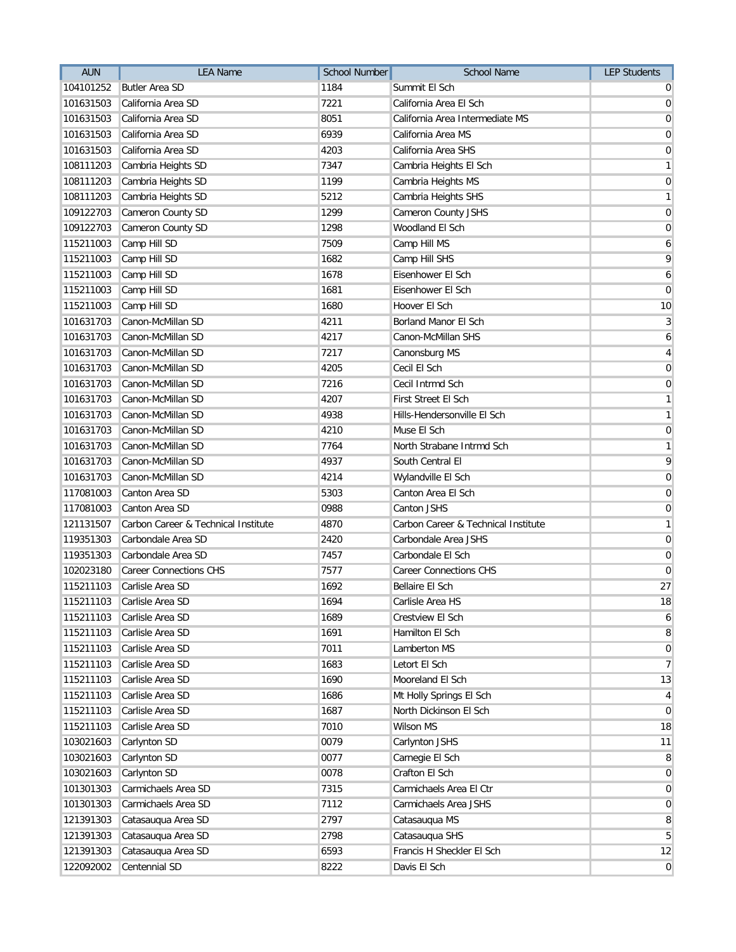| 1184<br>104101252<br><b>Butler Area SD</b><br>Summit El Sch<br>7221<br>101631503<br>California Area SD<br>California Area El Sch<br>101631503<br>California Area SD<br>8051<br>California Area Intermediate MS<br>6939<br>101631503<br>California Area SD<br>California Area MS<br>California Area SD<br>4203<br>101631503<br>California Area SHS<br>Cambria Heights SD<br>7347<br>Cambria Heights El Sch<br>108111203<br>Cambria Heights SD<br>1199<br>108111203<br>Cambria Heights MS<br>Cambria Heights SD<br>5212<br>108111203<br>Cambria Heights SHS<br>109122703<br>Cameron County SD<br>1299<br>Cameron County JSHS<br>109122703<br>Cameron County SD<br>1298<br>Woodland El Sch<br>Camp Hill SD<br>115211003<br>7509<br>Camp Hill MS<br>Camp Hill SD<br>1682<br>115211003<br>Camp Hill SHS<br>1678<br>115211003<br>Camp Hill SD<br>Eisenhower El Sch<br>1681<br>Eisenhower El Sch<br>115211003<br>Camp Hill SD<br>115211003<br>Camp Hill SD<br>1680<br>Hoover El Sch<br>101631703<br>Canon-McMillan SD<br>4211<br>Borland Manor El Sch<br>Canon-McMillan SD<br>4217<br>Canon-McMillan SHS<br>101631703<br>101631703<br>Canon-McMillan SD<br>7217<br>Canonsburg MS<br>Canon-McMillan SD<br>4205<br>Cecil El Sch<br>101631703<br>101631703<br>Canon-McMillan SD<br>7216<br>Cecil Intrmd Sch<br>4207<br>101631703<br>Canon-McMillan SD<br><b>First Street El Sch</b><br>101631703<br>Canon-McMillan SD<br>4938<br>Hills-Hendersonville El Sch<br>Canon-McMillan SD<br>4210<br>Muse El Sch<br>101631703<br>101631703<br>Canon-McMillan SD<br>7764<br>North Strabane Intrmd Sch<br>Canon-McMillan SD<br>101631703<br>4937<br>South Central El<br>101631703<br>Canon-McMillan SD<br>4214<br>Wylandville El Sch<br>117081003<br>Canton Area SD<br>5303<br>Canton Area El Sch<br>117081003<br>Canton Area SD<br>0988<br>Canton JSHS<br>Carbon Career & Technical Institute<br>4870<br>Carbon Career & Technical Institute<br>121131507<br>Carbondale Area SD<br>2420<br>Carbondale Area JSHS<br>119351303<br>Carbondale Area SD<br>7457<br>Carbondale El Sch<br>119351303<br><b>Career Connections CHS</b><br>7577<br><b>Career Connections CHS</b><br>102023180<br>Carlisle Area SD<br>1692<br>115211103<br><b>Bellaire El Sch</b><br>1694<br>115211103 Carlisle Area SD<br>Carlisle Area HS<br>115211103<br>Carlisle Area SD<br>1689<br>Crestview El Sch<br>1691<br>115211103<br>Carlisle Area SD<br>Hamilton El Sch<br>Carlisle Area SD<br>7011<br>Lamberton MS<br>115211103<br>1683<br>115211103<br>Carlisle Area SD<br>Letort El Sch<br>115211103<br>Carlisle Area SD<br>1690<br>Mooreland El Sch<br>115211103<br>Carlisle Area SD<br>1686<br>Mt Holly Springs El Sch<br>Carlisle Area SD<br>1687<br>115211103<br>North Dickinson El Sch<br>Carlisle Area SD<br>7010<br>Wilson MS<br>115211103<br>103021603<br>Carlynton SD<br>0079<br>Carlynton JSHS<br>0077<br>103021603<br>Carlynton SD<br>Carnegie El Sch<br>103021603<br>Carlynton SD<br>0078<br>Crafton El Sch<br>Carmichaels Area SD<br>101301303<br>7315<br>Carmichaels Area El Ctr<br>101301303<br>Carmichaels Area SD<br>7112<br>Carmichaels Area JSHS<br>Catasauqua Area SD<br>2797<br>Catasauqua MS<br>121391303<br>Catasauqua Area SD<br>2798<br>Catasauqua SHS<br>121391303<br>Francis H Sheckler El Sch<br>Catasauqua Area SD<br>6593<br>121391303<br>122092002<br>Centennial SD<br>8222<br>Davis El Sch | <b>AUN</b> | <b>LEA Name</b> | <b>School Number</b> | School Name | <b>LEP Students</b> |
|------------------------------------------------------------------------------------------------------------------------------------------------------------------------------------------------------------------------------------------------------------------------------------------------------------------------------------------------------------------------------------------------------------------------------------------------------------------------------------------------------------------------------------------------------------------------------------------------------------------------------------------------------------------------------------------------------------------------------------------------------------------------------------------------------------------------------------------------------------------------------------------------------------------------------------------------------------------------------------------------------------------------------------------------------------------------------------------------------------------------------------------------------------------------------------------------------------------------------------------------------------------------------------------------------------------------------------------------------------------------------------------------------------------------------------------------------------------------------------------------------------------------------------------------------------------------------------------------------------------------------------------------------------------------------------------------------------------------------------------------------------------------------------------------------------------------------------------------------------------------------------------------------------------------------------------------------------------------------------------------------------------------------------------------------------------------------------------------------------------------------------------------------------------------------------------------------------------------------------------------------------------------------------------------------------------------------------------------------------------------------------------------------------------------------------------------------------------------------------------------------------------------------------------------------------------------------------------------------------------------------------------------------------------------------------------------------------------------------------------------------------------------------------------------------------------------------------------------------------------------------------------------------------------------------------------------------------------------------------------------------------------------------------------------------------------------------------------------------------------------------------------------------------------------------------------------------------------------------------------------------------------------------------------------------------------------------------------------------------------------------|------------|-----------------|----------------------|-------------|---------------------|
|                                                                                                                                                                                                                                                                                                                                                                                                                                                                                                                                                                                                                                                                                                                                                                                                                                                                                                                                                                                                                                                                                                                                                                                                                                                                                                                                                                                                                                                                                                                                                                                                                                                                                                                                                                                                                                                                                                                                                                                                                                                                                                                                                                                                                                                                                                                                                                                                                                                                                                                                                                                                                                                                                                                                                                                                                                                                                                                                                                                                                                                                                                                                                                                                                                                                                                                                                                              |            |                 |                      |             | 0                   |
| $\overline{0}$<br>$\mathbf 0$<br>$\mathbf 0$<br>$\mathbf{1}$<br>$\mathbf 0$<br>$\mathbf{1}$<br>$\mathbf 0$<br>$\mathbf 0$<br>6<br>9<br>6<br>$\overline{0}$<br>10<br>$\mathbf{3}$<br>6<br>$\overline{4}$<br>$\mathbf 0$<br>$\mathbf 0$<br>$\mathbf{1}$<br>$\mathbf{1}$<br>$\mathbf 0$<br>$\mathbf{1}$<br>9<br>$\mathbf 0$<br>$\mathbf 0$<br>$\boldsymbol{0}$<br>$\mathbf{1}$<br>$\boldsymbol{0}$<br>$\overline{0}$<br>$\overline{0}$<br>27<br>18<br>6<br>8<br>$\overline{0}$<br>$\overline{7}$<br>13<br>4<br>$\mathbf 0$<br>18<br>11<br>8<br>$\overline{0}$<br>$\overline{0}$<br>$\mathbf 0$<br>8<br>5<br>12<br>$\mathbf 0$                                                                                                                                                                                                                                                                                                                                                                                                                                                                                                                                                                                                                                                                                                                                                                                                                                                                                                                                                                                                                                                                                                                                                                                                                                                                                                                                                                                                                                                                                                                                                                                                                                                                                                                                                                                                                                                                                                                                                                                                                                                                                                                                                                                                                                                                                                                                                                                                                                                                                                                                                                                                                                                                                                                                                   |            |                 |                      |             | $\overline{0}$      |
|                                                                                                                                                                                                                                                                                                                                                                                                                                                                                                                                                                                                                                                                                                                                                                                                                                                                                                                                                                                                                                                                                                                                                                                                                                                                                                                                                                                                                                                                                                                                                                                                                                                                                                                                                                                                                                                                                                                                                                                                                                                                                                                                                                                                                                                                                                                                                                                                                                                                                                                                                                                                                                                                                                                                                                                                                                                                                                                                                                                                                                                                                                                                                                                                                                                                                                                                                                              |            |                 |                      |             |                     |
|                                                                                                                                                                                                                                                                                                                                                                                                                                                                                                                                                                                                                                                                                                                                                                                                                                                                                                                                                                                                                                                                                                                                                                                                                                                                                                                                                                                                                                                                                                                                                                                                                                                                                                                                                                                                                                                                                                                                                                                                                                                                                                                                                                                                                                                                                                                                                                                                                                                                                                                                                                                                                                                                                                                                                                                                                                                                                                                                                                                                                                                                                                                                                                                                                                                                                                                                                                              |            |                 |                      |             |                     |
|                                                                                                                                                                                                                                                                                                                                                                                                                                                                                                                                                                                                                                                                                                                                                                                                                                                                                                                                                                                                                                                                                                                                                                                                                                                                                                                                                                                                                                                                                                                                                                                                                                                                                                                                                                                                                                                                                                                                                                                                                                                                                                                                                                                                                                                                                                                                                                                                                                                                                                                                                                                                                                                                                                                                                                                                                                                                                                                                                                                                                                                                                                                                                                                                                                                                                                                                                                              |            |                 |                      |             |                     |
|                                                                                                                                                                                                                                                                                                                                                                                                                                                                                                                                                                                                                                                                                                                                                                                                                                                                                                                                                                                                                                                                                                                                                                                                                                                                                                                                                                                                                                                                                                                                                                                                                                                                                                                                                                                                                                                                                                                                                                                                                                                                                                                                                                                                                                                                                                                                                                                                                                                                                                                                                                                                                                                                                                                                                                                                                                                                                                                                                                                                                                                                                                                                                                                                                                                                                                                                                                              |            |                 |                      |             |                     |
|                                                                                                                                                                                                                                                                                                                                                                                                                                                                                                                                                                                                                                                                                                                                                                                                                                                                                                                                                                                                                                                                                                                                                                                                                                                                                                                                                                                                                                                                                                                                                                                                                                                                                                                                                                                                                                                                                                                                                                                                                                                                                                                                                                                                                                                                                                                                                                                                                                                                                                                                                                                                                                                                                                                                                                                                                                                                                                                                                                                                                                                                                                                                                                                                                                                                                                                                                                              |            |                 |                      |             |                     |
|                                                                                                                                                                                                                                                                                                                                                                                                                                                                                                                                                                                                                                                                                                                                                                                                                                                                                                                                                                                                                                                                                                                                                                                                                                                                                                                                                                                                                                                                                                                                                                                                                                                                                                                                                                                                                                                                                                                                                                                                                                                                                                                                                                                                                                                                                                                                                                                                                                                                                                                                                                                                                                                                                                                                                                                                                                                                                                                                                                                                                                                                                                                                                                                                                                                                                                                                                                              |            |                 |                      |             |                     |
|                                                                                                                                                                                                                                                                                                                                                                                                                                                                                                                                                                                                                                                                                                                                                                                                                                                                                                                                                                                                                                                                                                                                                                                                                                                                                                                                                                                                                                                                                                                                                                                                                                                                                                                                                                                                                                                                                                                                                                                                                                                                                                                                                                                                                                                                                                                                                                                                                                                                                                                                                                                                                                                                                                                                                                                                                                                                                                                                                                                                                                                                                                                                                                                                                                                                                                                                                                              |            |                 |                      |             |                     |
|                                                                                                                                                                                                                                                                                                                                                                                                                                                                                                                                                                                                                                                                                                                                                                                                                                                                                                                                                                                                                                                                                                                                                                                                                                                                                                                                                                                                                                                                                                                                                                                                                                                                                                                                                                                                                                                                                                                                                                                                                                                                                                                                                                                                                                                                                                                                                                                                                                                                                                                                                                                                                                                                                                                                                                                                                                                                                                                                                                                                                                                                                                                                                                                                                                                                                                                                                                              |            |                 |                      |             |                     |
|                                                                                                                                                                                                                                                                                                                                                                                                                                                                                                                                                                                                                                                                                                                                                                                                                                                                                                                                                                                                                                                                                                                                                                                                                                                                                                                                                                                                                                                                                                                                                                                                                                                                                                                                                                                                                                                                                                                                                                                                                                                                                                                                                                                                                                                                                                                                                                                                                                                                                                                                                                                                                                                                                                                                                                                                                                                                                                                                                                                                                                                                                                                                                                                                                                                                                                                                                                              |            |                 |                      |             |                     |
|                                                                                                                                                                                                                                                                                                                                                                                                                                                                                                                                                                                                                                                                                                                                                                                                                                                                                                                                                                                                                                                                                                                                                                                                                                                                                                                                                                                                                                                                                                                                                                                                                                                                                                                                                                                                                                                                                                                                                                                                                                                                                                                                                                                                                                                                                                                                                                                                                                                                                                                                                                                                                                                                                                                                                                                                                                                                                                                                                                                                                                                                                                                                                                                                                                                                                                                                                                              |            |                 |                      |             |                     |
|                                                                                                                                                                                                                                                                                                                                                                                                                                                                                                                                                                                                                                                                                                                                                                                                                                                                                                                                                                                                                                                                                                                                                                                                                                                                                                                                                                                                                                                                                                                                                                                                                                                                                                                                                                                                                                                                                                                                                                                                                                                                                                                                                                                                                                                                                                                                                                                                                                                                                                                                                                                                                                                                                                                                                                                                                                                                                                                                                                                                                                                                                                                                                                                                                                                                                                                                                                              |            |                 |                      |             |                     |
|                                                                                                                                                                                                                                                                                                                                                                                                                                                                                                                                                                                                                                                                                                                                                                                                                                                                                                                                                                                                                                                                                                                                                                                                                                                                                                                                                                                                                                                                                                                                                                                                                                                                                                                                                                                                                                                                                                                                                                                                                                                                                                                                                                                                                                                                                                                                                                                                                                                                                                                                                                                                                                                                                                                                                                                                                                                                                                                                                                                                                                                                                                                                                                                                                                                                                                                                                                              |            |                 |                      |             |                     |
|                                                                                                                                                                                                                                                                                                                                                                                                                                                                                                                                                                                                                                                                                                                                                                                                                                                                                                                                                                                                                                                                                                                                                                                                                                                                                                                                                                                                                                                                                                                                                                                                                                                                                                                                                                                                                                                                                                                                                                                                                                                                                                                                                                                                                                                                                                                                                                                                                                                                                                                                                                                                                                                                                                                                                                                                                                                                                                                                                                                                                                                                                                                                                                                                                                                                                                                                                                              |            |                 |                      |             |                     |
|                                                                                                                                                                                                                                                                                                                                                                                                                                                                                                                                                                                                                                                                                                                                                                                                                                                                                                                                                                                                                                                                                                                                                                                                                                                                                                                                                                                                                                                                                                                                                                                                                                                                                                                                                                                                                                                                                                                                                                                                                                                                                                                                                                                                                                                                                                                                                                                                                                                                                                                                                                                                                                                                                                                                                                                                                                                                                                                                                                                                                                                                                                                                                                                                                                                                                                                                                                              |            |                 |                      |             |                     |
|                                                                                                                                                                                                                                                                                                                                                                                                                                                                                                                                                                                                                                                                                                                                                                                                                                                                                                                                                                                                                                                                                                                                                                                                                                                                                                                                                                                                                                                                                                                                                                                                                                                                                                                                                                                                                                                                                                                                                                                                                                                                                                                                                                                                                                                                                                                                                                                                                                                                                                                                                                                                                                                                                                                                                                                                                                                                                                                                                                                                                                                                                                                                                                                                                                                                                                                                                                              |            |                 |                      |             |                     |
|                                                                                                                                                                                                                                                                                                                                                                                                                                                                                                                                                                                                                                                                                                                                                                                                                                                                                                                                                                                                                                                                                                                                                                                                                                                                                                                                                                                                                                                                                                                                                                                                                                                                                                                                                                                                                                                                                                                                                                                                                                                                                                                                                                                                                                                                                                                                                                                                                                                                                                                                                                                                                                                                                                                                                                                                                                                                                                                                                                                                                                                                                                                                                                                                                                                                                                                                                                              |            |                 |                      |             |                     |
|                                                                                                                                                                                                                                                                                                                                                                                                                                                                                                                                                                                                                                                                                                                                                                                                                                                                                                                                                                                                                                                                                                                                                                                                                                                                                                                                                                                                                                                                                                                                                                                                                                                                                                                                                                                                                                                                                                                                                                                                                                                                                                                                                                                                                                                                                                                                                                                                                                                                                                                                                                                                                                                                                                                                                                                                                                                                                                                                                                                                                                                                                                                                                                                                                                                                                                                                                                              |            |                 |                      |             |                     |
|                                                                                                                                                                                                                                                                                                                                                                                                                                                                                                                                                                                                                                                                                                                                                                                                                                                                                                                                                                                                                                                                                                                                                                                                                                                                                                                                                                                                                                                                                                                                                                                                                                                                                                                                                                                                                                                                                                                                                                                                                                                                                                                                                                                                                                                                                                                                                                                                                                                                                                                                                                                                                                                                                                                                                                                                                                                                                                                                                                                                                                                                                                                                                                                                                                                                                                                                                                              |            |                 |                      |             |                     |
|                                                                                                                                                                                                                                                                                                                                                                                                                                                                                                                                                                                                                                                                                                                                                                                                                                                                                                                                                                                                                                                                                                                                                                                                                                                                                                                                                                                                                                                                                                                                                                                                                                                                                                                                                                                                                                                                                                                                                                                                                                                                                                                                                                                                                                                                                                                                                                                                                                                                                                                                                                                                                                                                                                                                                                                                                                                                                                                                                                                                                                                                                                                                                                                                                                                                                                                                                                              |            |                 |                      |             |                     |
|                                                                                                                                                                                                                                                                                                                                                                                                                                                                                                                                                                                                                                                                                                                                                                                                                                                                                                                                                                                                                                                                                                                                                                                                                                                                                                                                                                                                                                                                                                                                                                                                                                                                                                                                                                                                                                                                                                                                                                                                                                                                                                                                                                                                                                                                                                                                                                                                                                                                                                                                                                                                                                                                                                                                                                                                                                                                                                                                                                                                                                                                                                                                                                                                                                                                                                                                                                              |            |                 |                      |             |                     |
|                                                                                                                                                                                                                                                                                                                                                                                                                                                                                                                                                                                                                                                                                                                                                                                                                                                                                                                                                                                                                                                                                                                                                                                                                                                                                                                                                                                                                                                                                                                                                                                                                                                                                                                                                                                                                                                                                                                                                                                                                                                                                                                                                                                                                                                                                                                                                                                                                                                                                                                                                                                                                                                                                                                                                                                                                                                                                                                                                                                                                                                                                                                                                                                                                                                                                                                                                                              |            |                 |                      |             |                     |
|                                                                                                                                                                                                                                                                                                                                                                                                                                                                                                                                                                                                                                                                                                                                                                                                                                                                                                                                                                                                                                                                                                                                                                                                                                                                                                                                                                                                                                                                                                                                                                                                                                                                                                                                                                                                                                                                                                                                                                                                                                                                                                                                                                                                                                                                                                                                                                                                                                                                                                                                                                                                                                                                                                                                                                                                                                                                                                                                                                                                                                                                                                                                                                                                                                                                                                                                                                              |            |                 |                      |             |                     |
|                                                                                                                                                                                                                                                                                                                                                                                                                                                                                                                                                                                                                                                                                                                                                                                                                                                                                                                                                                                                                                                                                                                                                                                                                                                                                                                                                                                                                                                                                                                                                                                                                                                                                                                                                                                                                                                                                                                                                                                                                                                                                                                                                                                                                                                                                                                                                                                                                                                                                                                                                                                                                                                                                                                                                                                                                                                                                                                                                                                                                                                                                                                                                                                                                                                                                                                                                                              |            |                 |                      |             |                     |
|                                                                                                                                                                                                                                                                                                                                                                                                                                                                                                                                                                                                                                                                                                                                                                                                                                                                                                                                                                                                                                                                                                                                                                                                                                                                                                                                                                                                                                                                                                                                                                                                                                                                                                                                                                                                                                                                                                                                                                                                                                                                                                                                                                                                                                                                                                                                                                                                                                                                                                                                                                                                                                                                                                                                                                                                                                                                                                                                                                                                                                                                                                                                                                                                                                                                                                                                                                              |            |                 |                      |             |                     |
|                                                                                                                                                                                                                                                                                                                                                                                                                                                                                                                                                                                                                                                                                                                                                                                                                                                                                                                                                                                                                                                                                                                                                                                                                                                                                                                                                                                                                                                                                                                                                                                                                                                                                                                                                                                                                                                                                                                                                                                                                                                                                                                                                                                                                                                                                                                                                                                                                                                                                                                                                                                                                                                                                                                                                                                                                                                                                                                                                                                                                                                                                                                                                                                                                                                                                                                                                                              |            |                 |                      |             |                     |
|                                                                                                                                                                                                                                                                                                                                                                                                                                                                                                                                                                                                                                                                                                                                                                                                                                                                                                                                                                                                                                                                                                                                                                                                                                                                                                                                                                                                                                                                                                                                                                                                                                                                                                                                                                                                                                                                                                                                                                                                                                                                                                                                                                                                                                                                                                                                                                                                                                                                                                                                                                                                                                                                                                                                                                                                                                                                                                                                                                                                                                                                                                                                                                                                                                                                                                                                                                              |            |                 |                      |             |                     |
|                                                                                                                                                                                                                                                                                                                                                                                                                                                                                                                                                                                                                                                                                                                                                                                                                                                                                                                                                                                                                                                                                                                                                                                                                                                                                                                                                                                                                                                                                                                                                                                                                                                                                                                                                                                                                                                                                                                                                                                                                                                                                                                                                                                                                                                                                                                                                                                                                                                                                                                                                                                                                                                                                                                                                                                                                                                                                                                                                                                                                                                                                                                                                                                                                                                                                                                                                                              |            |                 |                      |             |                     |
|                                                                                                                                                                                                                                                                                                                                                                                                                                                                                                                                                                                                                                                                                                                                                                                                                                                                                                                                                                                                                                                                                                                                                                                                                                                                                                                                                                                                                                                                                                                                                                                                                                                                                                                                                                                                                                                                                                                                                                                                                                                                                                                                                                                                                                                                                                                                                                                                                                                                                                                                                                                                                                                                                                                                                                                                                                                                                                                                                                                                                                                                                                                                                                                                                                                                                                                                                                              |            |                 |                      |             |                     |
|                                                                                                                                                                                                                                                                                                                                                                                                                                                                                                                                                                                                                                                                                                                                                                                                                                                                                                                                                                                                                                                                                                                                                                                                                                                                                                                                                                                                                                                                                                                                                                                                                                                                                                                                                                                                                                                                                                                                                                                                                                                                                                                                                                                                                                                                                                                                                                                                                                                                                                                                                                                                                                                                                                                                                                                                                                                                                                                                                                                                                                                                                                                                                                                                                                                                                                                                                                              |            |                 |                      |             |                     |
|                                                                                                                                                                                                                                                                                                                                                                                                                                                                                                                                                                                                                                                                                                                                                                                                                                                                                                                                                                                                                                                                                                                                                                                                                                                                                                                                                                                                                                                                                                                                                                                                                                                                                                                                                                                                                                                                                                                                                                                                                                                                                                                                                                                                                                                                                                                                                                                                                                                                                                                                                                                                                                                                                                                                                                                                                                                                                                                                                                                                                                                                                                                                                                                                                                                                                                                                                                              |            |                 |                      |             |                     |
|                                                                                                                                                                                                                                                                                                                                                                                                                                                                                                                                                                                                                                                                                                                                                                                                                                                                                                                                                                                                                                                                                                                                                                                                                                                                                                                                                                                                                                                                                                                                                                                                                                                                                                                                                                                                                                                                                                                                                                                                                                                                                                                                                                                                                                                                                                                                                                                                                                                                                                                                                                                                                                                                                                                                                                                                                                                                                                                                                                                                                                                                                                                                                                                                                                                                                                                                                                              |            |                 |                      |             |                     |
|                                                                                                                                                                                                                                                                                                                                                                                                                                                                                                                                                                                                                                                                                                                                                                                                                                                                                                                                                                                                                                                                                                                                                                                                                                                                                                                                                                                                                                                                                                                                                                                                                                                                                                                                                                                                                                                                                                                                                                                                                                                                                                                                                                                                                                                                                                                                                                                                                                                                                                                                                                                                                                                                                                                                                                                                                                                                                                                                                                                                                                                                                                                                                                                                                                                                                                                                                                              |            |                 |                      |             |                     |
|                                                                                                                                                                                                                                                                                                                                                                                                                                                                                                                                                                                                                                                                                                                                                                                                                                                                                                                                                                                                                                                                                                                                                                                                                                                                                                                                                                                                                                                                                                                                                                                                                                                                                                                                                                                                                                                                                                                                                                                                                                                                                                                                                                                                                                                                                                                                                                                                                                                                                                                                                                                                                                                                                                                                                                                                                                                                                                                                                                                                                                                                                                                                                                                                                                                                                                                                                                              |            |                 |                      |             |                     |
|                                                                                                                                                                                                                                                                                                                                                                                                                                                                                                                                                                                                                                                                                                                                                                                                                                                                                                                                                                                                                                                                                                                                                                                                                                                                                                                                                                                                                                                                                                                                                                                                                                                                                                                                                                                                                                                                                                                                                                                                                                                                                                                                                                                                                                                                                                                                                                                                                                                                                                                                                                                                                                                                                                                                                                                                                                                                                                                                                                                                                                                                                                                                                                                                                                                                                                                                                                              |            |                 |                      |             |                     |
|                                                                                                                                                                                                                                                                                                                                                                                                                                                                                                                                                                                                                                                                                                                                                                                                                                                                                                                                                                                                                                                                                                                                                                                                                                                                                                                                                                                                                                                                                                                                                                                                                                                                                                                                                                                                                                                                                                                                                                                                                                                                                                                                                                                                                                                                                                                                                                                                                                                                                                                                                                                                                                                                                                                                                                                                                                                                                                                                                                                                                                                                                                                                                                                                                                                                                                                                                                              |            |                 |                      |             |                     |
|                                                                                                                                                                                                                                                                                                                                                                                                                                                                                                                                                                                                                                                                                                                                                                                                                                                                                                                                                                                                                                                                                                                                                                                                                                                                                                                                                                                                                                                                                                                                                                                                                                                                                                                                                                                                                                                                                                                                                                                                                                                                                                                                                                                                                                                                                                                                                                                                                                                                                                                                                                                                                                                                                                                                                                                                                                                                                                                                                                                                                                                                                                                                                                                                                                                                                                                                                                              |            |                 |                      |             |                     |
|                                                                                                                                                                                                                                                                                                                                                                                                                                                                                                                                                                                                                                                                                                                                                                                                                                                                                                                                                                                                                                                                                                                                                                                                                                                                                                                                                                                                                                                                                                                                                                                                                                                                                                                                                                                                                                                                                                                                                                                                                                                                                                                                                                                                                                                                                                                                                                                                                                                                                                                                                                                                                                                                                                                                                                                                                                                                                                                                                                                                                                                                                                                                                                                                                                                                                                                                                                              |            |                 |                      |             |                     |
|                                                                                                                                                                                                                                                                                                                                                                                                                                                                                                                                                                                                                                                                                                                                                                                                                                                                                                                                                                                                                                                                                                                                                                                                                                                                                                                                                                                                                                                                                                                                                                                                                                                                                                                                                                                                                                                                                                                                                                                                                                                                                                                                                                                                                                                                                                                                                                                                                                                                                                                                                                                                                                                                                                                                                                                                                                                                                                                                                                                                                                                                                                                                                                                                                                                                                                                                                                              |            |                 |                      |             |                     |
|                                                                                                                                                                                                                                                                                                                                                                                                                                                                                                                                                                                                                                                                                                                                                                                                                                                                                                                                                                                                                                                                                                                                                                                                                                                                                                                                                                                                                                                                                                                                                                                                                                                                                                                                                                                                                                                                                                                                                                                                                                                                                                                                                                                                                                                                                                                                                                                                                                                                                                                                                                                                                                                                                                                                                                                                                                                                                                                                                                                                                                                                                                                                                                                                                                                                                                                                                                              |            |                 |                      |             |                     |
|                                                                                                                                                                                                                                                                                                                                                                                                                                                                                                                                                                                                                                                                                                                                                                                                                                                                                                                                                                                                                                                                                                                                                                                                                                                                                                                                                                                                                                                                                                                                                                                                                                                                                                                                                                                                                                                                                                                                                                                                                                                                                                                                                                                                                                                                                                                                                                                                                                                                                                                                                                                                                                                                                                                                                                                                                                                                                                                                                                                                                                                                                                                                                                                                                                                                                                                                                                              |            |                 |                      |             |                     |
|                                                                                                                                                                                                                                                                                                                                                                                                                                                                                                                                                                                                                                                                                                                                                                                                                                                                                                                                                                                                                                                                                                                                                                                                                                                                                                                                                                                                                                                                                                                                                                                                                                                                                                                                                                                                                                                                                                                                                                                                                                                                                                                                                                                                                                                                                                                                                                                                                                                                                                                                                                                                                                                                                                                                                                                                                                                                                                                                                                                                                                                                                                                                                                                                                                                                                                                                                                              |            |                 |                      |             |                     |
|                                                                                                                                                                                                                                                                                                                                                                                                                                                                                                                                                                                                                                                                                                                                                                                                                                                                                                                                                                                                                                                                                                                                                                                                                                                                                                                                                                                                                                                                                                                                                                                                                                                                                                                                                                                                                                                                                                                                                                                                                                                                                                                                                                                                                                                                                                                                                                                                                                                                                                                                                                                                                                                                                                                                                                                                                                                                                                                                                                                                                                                                                                                                                                                                                                                                                                                                                                              |            |                 |                      |             |                     |
|                                                                                                                                                                                                                                                                                                                                                                                                                                                                                                                                                                                                                                                                                                                                                                                                                                                                                                                                                                                                                                                                                                                                                                                                                                                                                                                                                                                                                                                                                                                                                                                                                                                                                                                                                                                                                                                                                                                                                                                                                                                                                                                                                                                                                                                                                                                                                                                                                                                                                                                                                                                                                                                                                                                                                                                                                                                                                                                                                                                                                                                                                                                                                                                                                                                                                                                                                                              |            |                 |                      |             |                     |
|                                                                                                                                                                                                                                                                                                                                                                                                                                                                                                                                                                                                                                                                                                                                                                                                                                                                                                                                                                                                                                                                                                                                                                                                                                                                                                                                                                                                                                                                                                                                                                                                                                                                                                                                                                                                                                                                                                                                                                                                                                                                                                                                                                                                                                                                                                                                                                                                                                                                                                                                                                                                                                                                                                                                                                                                                                                                                                                                                                                                                                                                                                                                                                                                                                                                                                                                                                              |            |                 |                      |             |                     |
|                                                                                                                                                                                                                                                                                                                                                                                                                                                                                                                                                                                                                                                                                                                                                                                                                                                                                                                                                                                                                                                                                                                                                                                                                                                                                                                                                                                                                                                                                                                                                                                                                                                                                                                                                                                                                                                                                                                                                                                                                                                                                                                                                                                                                                                                                                                                                                                                                                                                                                                                                                                                                                                                                                                                                                                                                                                                                                                                                                                                                                                                                                                                                                                                                                                                                                                                                                              |            |                 |                      |             |                     |
|                                                                                                                                                                                                                                                                                                                                                                                                                                                                                                                                                                                                                                                                                                                                                                                                                                                                                                                                                                                                                                                                                                                                                                                                                                                                                                                                                                                                                                                                                                                                                                                                                                                                                                                                                                                                                                                                                                                                                                                                                                                                                                                                                                                                                                                                                                                                                                                                                                                                                                                                                                                                                                                                                                                                                                                                                                                                                                                                                                                                                                                                                                                                                                                                                                                                                                                                                                              |            |                 |                      |             |                     |
|                                                                                                                                                                                                                                                                                                                                                                                                                                                                                                                                                                                                                                                                                                                                                                                                                                                                                                                                                                                                                                                                                                                                                                                                                                                                                                                                                                                                                                                                                                                                                                                                                                                                                                                                                                                                                                                                                                                                                                                                                                                                                                                                                                                                                                                                                                                                                                                                                                                                                                                                                                                                                                                                                                                                                                                                                                                                                                                                                                                                                                                                                                                                                                                                                                                                                                                                                                              |            |                 |                      |             |                     |
|                                                                                                                                                                                                                                                                                                                                                                                                                                                                                                                                                                                                                                                                                                                                                                                                                                                                                                                                                                                                                                                                                                                                                                                                                                                                                                                                                                                                                                                                                                                                                                                                                                                                                                                                                                                                                                                                                                                                                                                                                                                                                                                                                                                                                                                                                                                                                                                                                                                                                                                                                                                                                                                                                                                                                                                                                                                                                                                                                                                                                                                                                                                                                                                                                                                                                                                                                                              |            |                 |                      |             |                     |
|                                                                                                                                                                                                                                                                                                                                                                                                                                                                                                                                                                                                                                                                                                                                                                                                                                                                                                                                                                                                                                                                                                                                                                                                                                                                                                                                                                                                                                                                                                                                                                                                                                                                                                                                                                                                                                                                                                                                                                                                                                                                                                                                                                                                                                                                                                                                                                                                                                                                                                                                                                                                                                                                                                                                                                                                                                                                                                                                                                                                                                                                                                                                                                                                                                                                                                                                                                              |            |                 |                      |             |                     |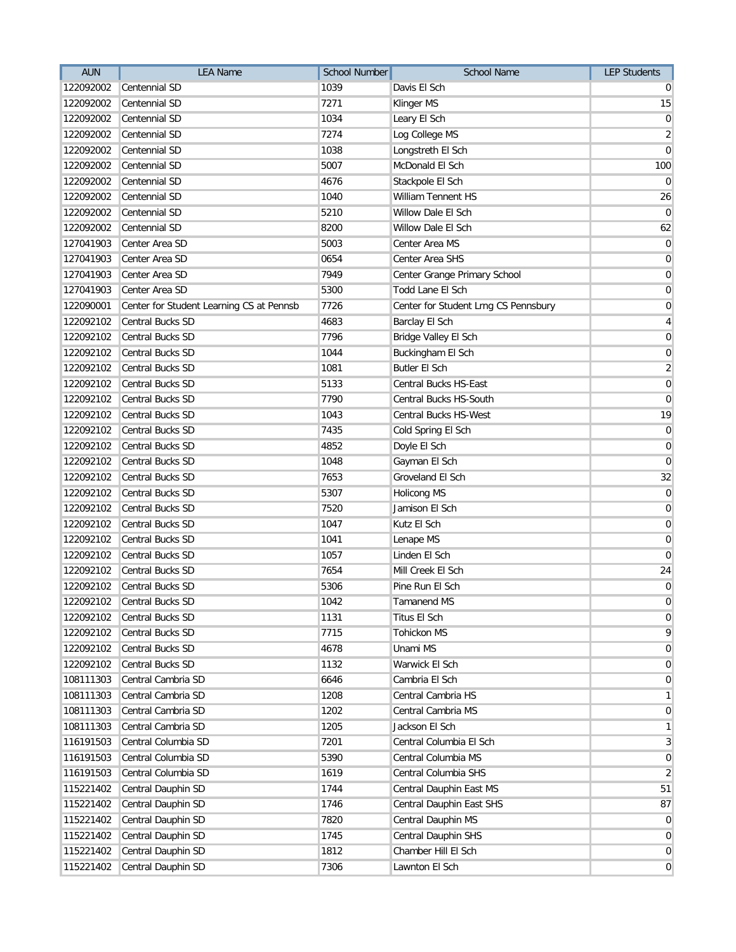| <b>AUN</b> | <b>LEA Name</b>                          | School Number | School Name                          | <b>LEP Students</b> |
|------------|------------------------------------------|---------------|--------------------------------------|---------------------|
| 122092002  | Centennial SD                            | 1039          | Davis El Sch                         | 0                   |
| 122092002  | Centennial SD                            | 7271          | Klinger MS                           | 15                  |
| 122092002  | Centennial SD                            | 1034          | Leary El Sch                         | $\boldsymbol{0}$    |
| 122092002  | Centennial SD                            | 7274          | Log College MS                       | $\overline{2}$      |
| 122092002  | Centennial SD                            | 1038          | Longstreth El Sch                    | $\overline{0}$      |
| 122092002  | Centennial SD                            | 5007          | McDonald El Sch                      | 100                 |
| 122092002  | Centennial SD                            | 4676          | Stackpole El Sch                     | $\overline{0}$      |
| 122092002  | Centennial SD                            | 1040          | <b>William Tennent HS</b>            | 26                  |
| 122092002  | Centennial SD                            | 5210          | Willow Dale El Sch                   | $\overline{0}$      |
| 122092002  | Centennial SD                            | 8200          | Willow Dale El Sch                   | 62                  |
| 127041903  | Center Area SD                           | 5003          | Center Area MS                       | $\overline{0}$      |
| 127041903  | Center Area SD                           | 0654          | Center Area SHS                      | $\overline{0}$      |
| 127041903  | Center Area SD                           | 7949          | Center Grange Primary School         | $\overline{0}$      |
| 127041903  | Center Area SD                           | 5300          | Todd Lane El Sch                     | $\overline{0}$      |
| 122090001  | Center for Student Learning CS at Pennsb | 7726          | Center for Student Lrng CS Pennsbury | $\overline{0}$      |
| 122092102  | Central Bucks SD                         | 4683          | Barclay El Sch                       | $\vert 4 \vert$     |
| 122092102  | Central Bucks SD                         | 7796          | Bridge Valley El Sch                 | $\overline{0}$      |
| 122092102  | Central Bucks SD                         | 1044          | Buckingham El Sch                    | $\boldsymbol{0}$    |
| 122092102  | <b>Central Bucks SD</b>                  | 1081          | <b>Butler El Sch</b>                 | $\overline{2}$      |
| 122092102  | Central Bucks SD                         | 5133          | Central Bucks HS-East                | $\overline{0}$      |
| 122092102  | Central Bucks SD                         | 7790          | Central Bucks HS-South               | $\overline{0}$      |
| 122092102  | Central Bucks SD                         | 1043          | <b>Central Bucks HS-West</b>         | 19                  |
| 122092102  | Central Bucks SD                         | 7435          | Cold Spring El Sch                   | $\overline{0}$      |
| 122092102  | Central Bucks SD                         | 4852          | Doyle El Sch                         | $\overline{0}$      |
| 122092102  | Central Bucks SD                         | 1048          | Gayman El Sch                        | $\overline{0}$      |
| 122092102  | Central Bucks SD                         | 7653          | Groveland El Sch                     | 32                  |
| 122092102  | Central Bucks SD                         | 5307          | <b>Holicong MS</b>                   | $\overline{0}$      |
| 122092102  | Central Bucks SD                         | 7520          | Jamison El Sch                       | 0                   |
| 122092102  | Central Bucks SD                         | 1047          | Kutz El Sch                          | $\overline{0}$      |
| 122092102  | Central Bucks SD                         | 1041          | Lenape MS                            | 0                   |
| 122092102  | Central Bucks SD                         | 1057          | Linden El Sch                        | $\overline{0}$      |
| 122092102  | Central Bucks SD                         | 7654          | Mill Creek El Sch                    | 24                  |
| 122092102  | Central Bucks SD                         | 5306          | Pine Run El Sch                      | $\overline{0}$      |
| 122092102  | Central Bucks SD                         | 1042          | Tamanend MS                          | $\overline{0}$      |
| 122092102  | Central Bucks SD                         | 1131          | Titus El Sch                         | $\overline{0}$      |
| 122092102  | Central Bucks SD                         | 7715          | <b>Tohickon MS</b>                   | 9                   |
| 122092102  | Central Bucks SD                         | 4678          | Unami MS                             | $\overline{0}$      |
| 122092102  | Central Bucks SD                         | 1132          | Warwick El Sch                       | $\overline{0}$      |
| 108111303  | Central Cambria SD                       | 6646          | Cambria El Sch                       | $\overline{0}$      |
| 108111303  | Central Cambria SD                       | 1208          | Central Cambria HS                   | $\mathbf{1}$        |
| 108111303  | Central Cambria SD                       | 1202          | Central Cambria MS                   | $\overline{0}$      |
| 108111303  | Central Cambria SD                       | 1205          | Jackson El Sch                       | $\mathbf{1}$        |
| 116191503  | Central Columbia SD                      | 7201          | Central Columbia El Sch              | $\mathbf{3}$        |
| 116191503  | Central Columbia SD                      | 5390          | Central Columbia MS                  | $\overline{0}$      |
| 116191503  | Central Columbia SD                      | 1619          | Central Columbia SHS                 | $\mathbf{2}$        |
| 115221402  | Central Dauphin SD                       | 1744          | Central Dauphin East MS              | 51                  |
| 115221402  | Central Dauphin SD                       | 1746          | Central Dauphin East SHS             | 87                  |
| 115221402  | Central Dauphin SD                       | 7820          | Central Dauphin MS                   | $\overline{0}$      |
| 115221402  | Central Dauphin SD                       | 1745          | Central Dauphin SHS                  | $\overline{0}$      |
| 115221402  | Central Dauphin SD                       | 1812          | Chamber Hill El Sch                  | $\overline{0}$      |
| 115221402  | Central Dauphin SD                       | 7306          | Lawnton El Sch                       | $\overline{0}$      |
|            |                                          |               |                                      |                     |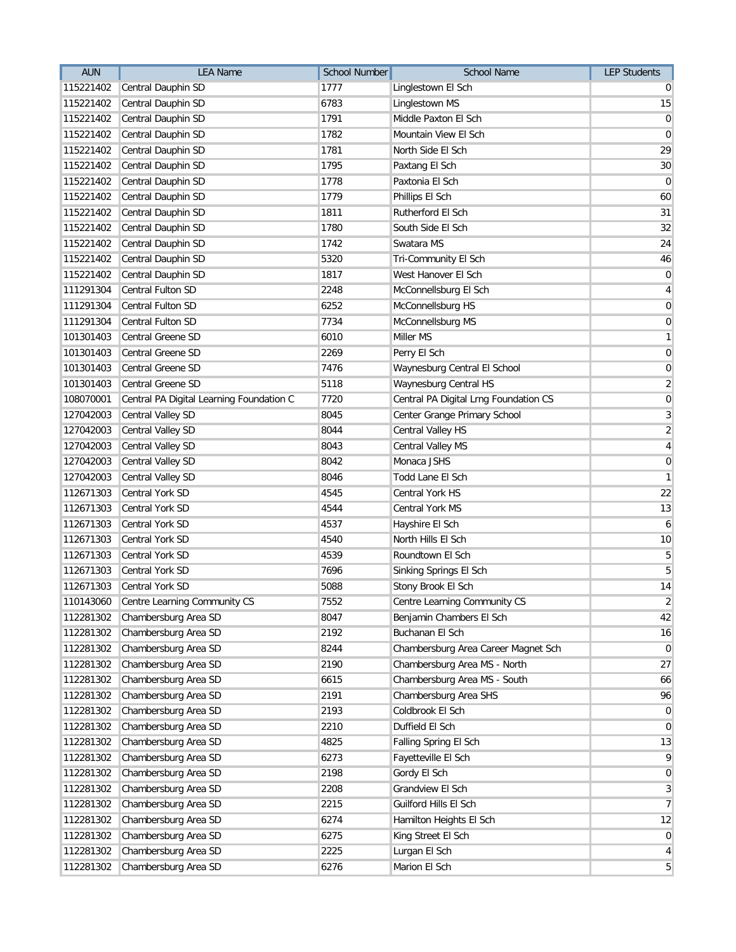| <b>AUN</b> | <b>LEA Name</b>                          | <b>School Number</b> | School Name                           | <b>LEP Students</b> |
|------------|------------------------------------------|----------------------|---------------------------------------|---------------------|
| 115221402  | Central Dauphin SD                       | 1777                 | Linglestown El Sch                    | $\overline{0}$      |
| 115221402  | Central Dauphin SD                       | 6783                 | Linglestown MS                        | 15                  |
| 115221402  | Central Dauphin SD                       | 1791                 | Middle Paxton El Sch                  | $\overline{0}$      |
| 115221402  | Central Dauphin SD                       | 1782                 | Mountain View El Sch                  | $\mathbf 0$         |
| 115221402  | Central Dauphin SD                       | 1781                 | North Side El Sch                     | 29                  |
| 115221402  | Central Dauphin SD                       | 1795                 | Paxtang El Sch                        | 30                  |
| 115221402  | Central Dauphin SD                       | 1778                 | Paxtonia El Sch                       | $\overline{0}$      |
| 115221402  | Central Dauphin SD                       | 1779                 | Phillips El Sch                       | 60                  |
| 115221402  | Central Dauphin SD                       | 1811                 | Rutherford El Sch                     | 31                  |
| 115221402  | Central Dauphin SD                       | 1780                 | South Side El Sch                     | 32                  |
| 115221402  | Central Dauphin SD                       | 1742                 | Swatara MS                            | 24                  |
| 115221402  | Central Dauphin SD                       | 5320                 | <b>Tri-Community El Sch</b>           | 46                  |
| 115221402  | Central Dauphin SD                       | 1817                 | West Hanover El Sch                   | $\overline{0}$      |
| 111291304  | Central Fulton SD                        | 2248                 | McConnellsburg El Sch                 | $\vert 4 \vert$     |
| 111291304  | Central Fulton SD                        | 6252                 | McConnellsburg HS                     | $\overline{0}$      |
| 111291304  | Central Fulton SD                        | 7734                 | McConnellsburg MS                     | $\boldsymbol{0}$    |
| 101301403  | Central Greene SD                        | 6010                 | Miller MS                             | $\mathbf{1}$        |
| 101301403  | Central Greene SD                        | 2269                 | Perry El Sch                          | $\overline{0}$      |
| 101301403  | Central Greene SD                        | 7476                 | Waynesburg Central El School          | $\boldsymbol{0}$    |
| 101301403  | Central Greene SD                        | 5118                 | Waynesburg Central HS                 | $\overline{2}$      |
| 108070001  | Central PA Digital Learning Foundation C | 7720                 | Central PA Digital Lrng Foundation CS | $\boldsymbol{0}$    |
| 127042003  | Central Valley SD                        | 8045                 | Center Grange Primary School          | $\overline{3}$      |
| 127042003  | Central Valley SD                        | 8044                 | Central Valley HS                     | $\overline{2}$      |
| 127042003  | Central Valley SD                        | 8043                 | Central Valley MS                     | $\vert 4 \vert$     |
| 127042003  | Central Valley SD                        | 8042                 | Monaca JSHS                           | $\overline{0}$      |
| 127042003  | Central Valley SD                        | 8046                 | Todd Lane El Sch                      | $\mathbf{1}$        |
| 112671303  | Central York SD                          | 4545                 | Central York HS                       | 22                  |
| 112671303  | Central York SD                          | 4544                 | Central York MS                       | 13                  |
| 112671303  | Central York SD                          | 4537                 | Hayshire El Sch                       | 6                   |
| 112671303  | Central York SD                          | 4540                 | North Hills El Sch                    | 10                  |
| 112671303  | Central York SD                          | 4539                 | Roundtown El Sch                      | $\overline{5}$      |
| 112671303  | Central York SD                          | 7696                 | Sinking Springs El Sch                | 5 <sup>1</sup>      |
| 112671303  | <b>Central York SD</b>                   | 5088                 | Stony Brook El Sch                    | 14                  |
| 110143060  | Centre Learning Community CS             | 7552                 | Centre Learning Community CS          | $\overline{2}$      |
| 112281302  | Chambersburg Area SD                     | 8047                 | Benjamin Chambers El Sch              | 42                  |
| 112281302  | Chambersburg Area SD                     | 2192                 | Buchanan El Sch                       | 16                  |
| 112281302  | Chambersburg Area SD                     | 8244                 | Chambersburg Area Career Magnet Sch   | $\overline{0}$      |
| 112281302  | Chambersburg Area SD                     | 2190                 | Chambersburg Area MS - North          | 27                  |
| 112281302  | Chambersburg Area SD                     | 6615                 | Chambersburg Area MS - South          | 66                  |
| 112281302  | Chambersburg Area SD                     | 2191                 | Chambersburg Area SHS                 | 96                  |
| 112281302  | Chambersburg Area SD                     | 2193                 | Coldbrook El Sch                      | $\overline{0}$      |
| 112281302  | Chambersburg Area SD                     | 2210                 | Duffield El Sch                       | $\overline{0}$      |
| 112281302  | Chambersburg Area SD                     | 4825                 | Falling Spring El Sch                 | 13                  |
| 112281302  | Chambersburg Area SD                     | 6273                 | Fayetteville El Sch                   | $\overline{9}$      |
| 112281302  | Chambersburg Area SD                     | 2198                 | Gordy El Sch                          | $\overline{0}$      |
| 112281302  | Chambersburg Area SD                     | 2208                 | Grandview El Sch                      | $\mathbf{3}$        |
| 112281302  | Chambersburg Area SD                     | 2215                 | Guilford Hills El Sch                 | $\overline{7}$      |
| 112281302  | Chambersburg Area SD                     | 6274                 | Hamilton Heights El Sch               | 12                  |
| 112281302  | Chambersburg Area SD                     | 6275                 | King Street El Sch                    | $\overline{0}$      |
| 112281302  | Chambersburg Area SD                     | 2225                 | Lurgan El Sch                         | $\overline{4}$      |
| 112281302  | Chambersburg Area SD                     | 6276                 | Marion El Sch                         | $5\overline{)}$     |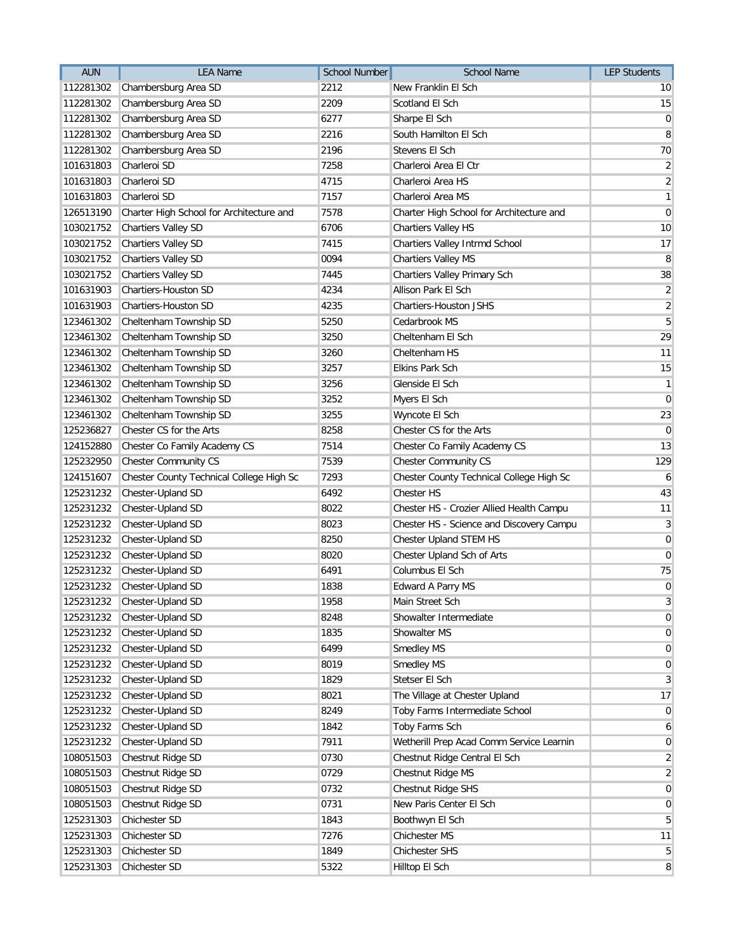| <b>AUN</b> | <b>LEA Name</b>                          | School Number | <b>School Name</b>                       | <b>LEP Students</b> |
|------------|------------------------------------------|---------------|------------------------------------------|---------------------|
| 112281302  | Chambersburg Area SD                     | 2212          | New Franklin El Sch                      | 10                  |
| 112281302  | Chambersburg Area SD                     | 2209          | Scotland El Sch                          | 15                  |
| 112281302  | Chambersburg Area SD                     | 6277          | Sharpe El Sch                            | $\overline{0}$      |
| 112281302  | Chambersburg Area SD                     | 2216          | South Hamilton El Sch                    | 8                   |
| 112281302  | Chambersburg Area SD                     | 2196          | Stevens El Sch                           | 70                  |
| 101631803  | Charleroi SD                             | 7258          | Charleroi Area El Ctr                    | $\overline{2}$      |
| 101631803  | Charleroi SD                             | 4715          | Charleroi Area HS                        | $\overline{2}$      |
| 101631803  | Charleroi SD                             | 7157          | Charleroi Area MS                        | $\mathbf{1}$        |
| 126513190  | Charter High School for Architecture and | 7578          | Charter High School for Architecture and | $\mathbf 0$         |
| 103021752  | <b>Chartiers Valley SD</b>               | 6706          | Chartiers Valley HS                      | 10                  |
| 103021752  | Chartiers Valley SD                      | 7415          | Chartiers Valley Intrmd School           | 17                  |
| 103021752  | Chartiers Valley SD                      | 0094          | Chartiers Valley MS                      | 8                   |
| 103021752  | Chartiers Valley SD                      | 7445          | Chartiers Valley Primary Sch             | 38                  |
| 101631903  | Chartiers-Houston SD                     | 4234          | Allison Park El Sch                      | $\overline{2}$      |
| 101631903  | Chartiers-Houston SD                     | 4235          | Chartiers-Houston JSHS                   | $\overline{2}$      |
| 123461302  | Cheltenham Township SD                   | 5250          | Cedarbrook MS                            | 5                   |
| 123461302  | Cheltenham Township SD                   | 3250          | Cheltenham El Sch                        | 29                  |
| 123461302  | Cheltenham Township SD                   | 3260          | Cheltenham HS                            | 11                  |
| 123461302  | Cheltenham Township SD                   | 3257          | Elkins Park Sch                          | 15                  |
| 123461302  | Cheltenham Township SD                   | 3256          | Glenside El Sch                          | $\mathbf{1}$        |
| 123461302  | Cheltenham Township SD                   | 3252          | Myers El Sch                             | $\mathbf 0$         |
| 123461302  | Cheltenham Township SD                   | 3255          | Wyncote El Sch                           | 23                  |
| 125236827  | Chester CS for the Arts                  | 8258          | Chester CS for the Arts                  | $\overline{0}$      |
| 124152880  | Chester Co Family Academy CS             | 7514          | Chester Co Family Academy CS             | 13                  |
| 125232950  | <b>Chester Community CS</b>              | 7539          | Chester Community CS                     | 129                 |
| 124151607  | Chester County Technical College High Sc | 7293          | Chester County Technical College High Sc | 6                   |
| 125231232  | Chester-Upland SD                        | 6492          | Chester HS                               | 43                  |
| 125231232  | Chester-Upland SD                        | 8022          | Chester HS - Crozier Allied Health Campu | 11                  |
| 125231232  | Chester-Upland SD                        | 8023          | Chester HS - Science and Discovery Campu | $\mathbf{3}$        |
| 125231232  | Chester-Upland SD                        | 8250          | Chester Upland STEM HS                   | $\overline{0}$      |
| 125231232  | Chester-Upland SD                        | 8020          | Chester Upland Sch of Arts               | $\overline{0}$      |
| 125231232  | Chester-Upland SD                        | 6491          | Columbus El Sch                          | 75                  |
| 125231232  | Chester-Upland SD                        | 1838          | Edward A Parry MS                        | $\boldsymbol{0}$    |
|            | 125231232 Chester-Upland SD              | 1958          | Main Street Sch                          | $\overline{3}$      |
| 125231232  | Chester-Upland SD                        | 8248          | Showalter Intermediate                   | $\overline{0}$      |
| 125231232  | Chester-Upland SD                        | 1835          | Showalter MS                             | $\overline{0}$      |
| 125231232  | Chester-Upland SD                        | 6499          | Smedley MS                               | $\mathbf 0$         |
| 125231232  | Chester-Upland SD                        | 8019          | Smedley MS                               | $\mathbf 0$         |
| 125231232  | Chester-Upland SD                        | 1829          | Stetser El Sch                           | 3                   |
| 125231232  | Chester-Upland SD                        | 8021          | The Village at Chester Upland            | 17                  |
| 125231232  | Chester-Upland SD                        | 8249          | Toby Farms Intermediate School           | $\overline{0}$      |
| 125231232  | Chester-Upland SD                        | 1842          | Toby Farms Sch                           | 6                   |
| 125231232  | Chester-Upland SD                        | 7911          | Wetherill Prep Acad Comm Service Learnin | 0                   |
| 108051503  | Chestnut Ridge SD                        | 0730          | Chestnut Ridge Central El Sch            | $\overline{2}$      |
| 108051503  | Chestnut Ridge SD                        | 0729          | Chestnut Ridge MS                        | $\overline{2}$      |
| 108051503  | Chestnut Ridge SD                        | 0732          | Chestnut Ridge SHS                       | $\mathbf 0$         |
| 108051503  | Chestnut Ridge SD                        | 0731          | New Paris Center El Sch                  | $\mathbf 0$         |
| 125231303  | Chichester SD                            | 1843          | Boothwyn El Sch                          | 5                   |
| 125231303  | Chichester SD                            | 7276          | Chichester MS                            | 11                  |
| 125231303  | Chichester SD                            | 1849          | Chichester SHS                           | 5                   |
| 125231303  | Chichester SD                            | 5322          | Hilltop El Sch                           | 8                   |
|            |                                          |               |                                          |                     |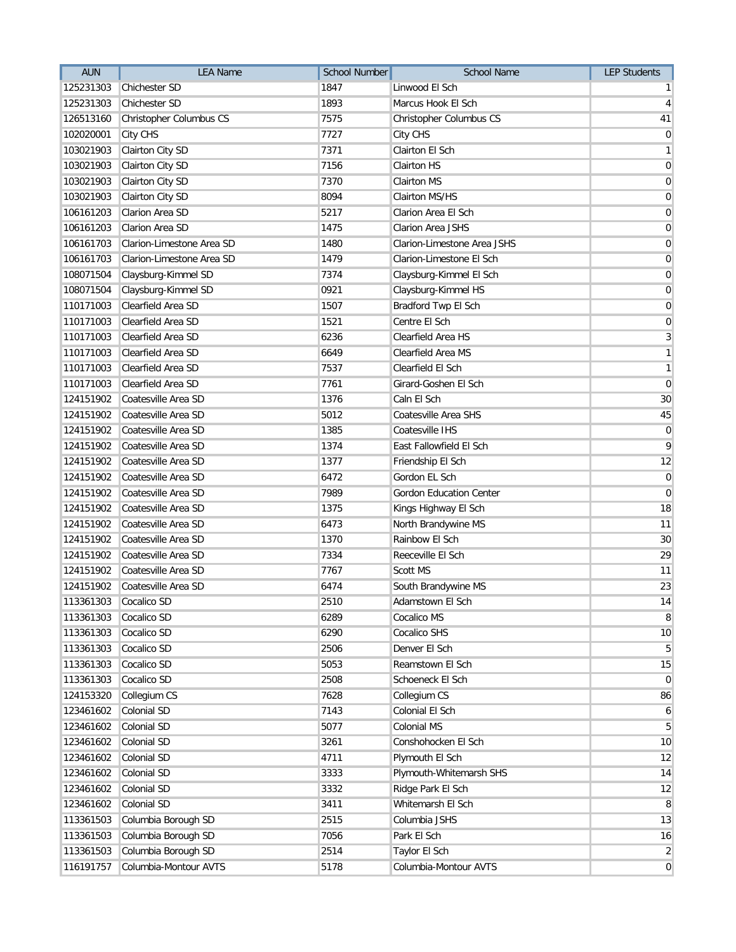| <b>AUN</b> | <b>LEA Name</b>           | <b>School Number</b> | <b>School Name</b>             | <b>LEP Students</b>     |
|------------|---------------------------|----------------------|--------------------------------|-------------------------|
| 125231303  | <b>Chichester SD</b>      | 1847                 | Linwood El Sch                 | $\mathbf{1}$            |
| 125231303  | <b>Chichester SD</b>      | 1893                 | Marcus Hook El Sch             | $\overline{4}$          |
| 126513160  | Christopher Columbus CS   | 7575                 | Christopher Columbus CS        | 41                      |
| 102020001  | City CHS                  | 7727                 | City CHS                       | $\overline{0}$          |
| 103021903  | Clairton City SD          | 7371                 | Clairton El Sch                | $\mathbf{1}$            |
| 103021903  | Clairton City SD          | 7156                 | <b>Clairton HS</b>             | $\mathbf 0$             |
| 103021903  | Clairton City SD          | 7370                 | <b>Clairton MS</b>             | $\pmb{0}$               |
| 103021903  | Clairton City SD          | 8094                 | Clairton MS/HS                 | $\pmb{0}$               |
| 106161203  | Clarion Area SD           | 5217                 | Clarion Area El Sch            | $\pmb{0}$               |
| 106161203  | Clarion Area SD           | 1475                 | Clarion Area JSHS              | $\overline{0}$          |
| 106161703  | Clarion-Limestone Area SD | 1480                 | Clarion-Limestone Area JSHS    | $\mathbf 0$             |
| 106161703  | Clarion-Limestone Area SD | 1479                 | Clarion-Limestone El Sch       | $\mathbf 0$             |
| 108071504  | Claysburg-Kimmel SD       | 7374                 | Claysburg-Kimmel El Sch        | $\overline{0}$          |
| 108071504  | Claysburg-Kimmel SD       | 0921                 | Claysburg-Kimmel HS            | $\pmb{0}$               |
| 110171003  | Clearfield Area SD        | 1507                 | Bradford Twp El Sch            | $\mathbf 0$             |
| 110171003  | Clearfield Area SD        | 1521                 | Centre El Sch                  | $\pmb{0}$               |
| 110171003  | Clearfield Area SD        | 6236                 | Clearfield Area HS             | $\mathbf{3}$            |
| 110171003  | Clearfield Area SD        | 6649                 | Clearfield Area MS             | $\mathbf{1}$            |
| 110171003  | Clearfield Area SD        | 7537                 | Clearfield El Sch              | $\mathbf{1}$            |
| 110171003  | Clearfield Area SD        | 7761                 | Girard-Goshen El Sch           | $\mathbf 0$             |
| 124151902  | Coatesville Area SD       | 1376                 | Caln El Sch                    | 30                      |
| 124151902  | Coatesville Area SD       | 5012                 | Coatesville Area SHS           | 45                      |
| 124151902  | Coatesville Area SD       | 1385                 | Coatesville IHS                | $\mathbf 0$             |
| 124151902  | Coatesville Area SD       | 1374                 | East Fallowfield El Sch        | 9                       |
| 124151902  | Coatesville Area SD       | 1377                 | Friendship El Sch              | 12                      |
| 124151902  | Coatesville Area SD       | 6472                 | Gordon EL Sch                  | $\overline{0}$          |
| 124151902  | Coatesville Area SD       | 7989                 | <b>Gordon Education Center</b> | $\mathbf 0$             |
| 124151902  | Coatesville Area SD       | 1375                 | Kings Highway El Sch           | 18                      |
| 124151902  | Coatesville Area SD       | 6473                 | North Brandywine MS            | 11                      |
| 124151902  | Coatesville Area SD       | 1370                 | Rainbow El Sch                 | 30                      |
| 124151902  | Coatesville Area SD       | 7334                 | Reeceville El Sch              | 29                      |
| 124151902  | Coatesville Area SD       | 7767                 | Scott MS                       | 11                      |
| 124151902  | Coatesville Area SD       | 6474                 | South Brandywine MS            | 23                      |
| 113361303  | Cocalico SD               | 2510                 | Adamstown El Sch               | $14$                    |
| 113361303  | Cocalico SD               | 6289                 | Cocalico MS                    | 8                       |
| 113361303  | Cocalico SD               | 6290                 | Cocalico SHS                   | 10                      |
| 113361303  | Cocalico SD               | 2506                 | Denver El Sch                  | $\sqrt{5}$              |
| 113361303  | Cocalico SD               | 5053                 | Reamstown El Sch               | 15                      |
| 113361303  | Cocalico SD               | 2508                 | Schoeneck El Sch               | $\mathbf 0$             |
| 124153320  | Collegium CS              | 7628                 | Collegium CS                   | 86                      |
| 123461602  | Colonial SD               | 7143                 | Colonial El Sch                | 6                       |
| 123461602  | Colonial SD               | 5077                 | Colonial MS                    | $\overline{5}$          |
| 123461602  | Colonial SD               | 3261                 | Conshohocken El Sch            | 10                      |
| 123461602  | Colonial SD               | 4711                 | Plymouth El Sch                | 12                      |
| 123461602  | Colonial SD               | 3333                 | Plymouth-Whitemarsh SHS        | 14                      |
| 123461602  | Colonial SD               | 3332                 | Ridge Park El Sch              | 12                      |
| 123461602  | Colonial SD               | 3411                 | Whitemarsh El Sch              | 8                       |
| 113361503  | Columbia Borough SD       | 2515                 | Columbia JSHS                  | 13                      |
| 113361503  | Columbia Borough SD       | 7056                 | Park El Sch                    | 16                      |
| 113361503  | Columbia Borough SD       | 2514                 | Taylor El Sch                  | $\overline{\mathbf{c}}$ |
| 116191757  | Columbia-Montour AVTS     | 5178                 | Columbia-Montour AVTS          | $\mathbf 0$             |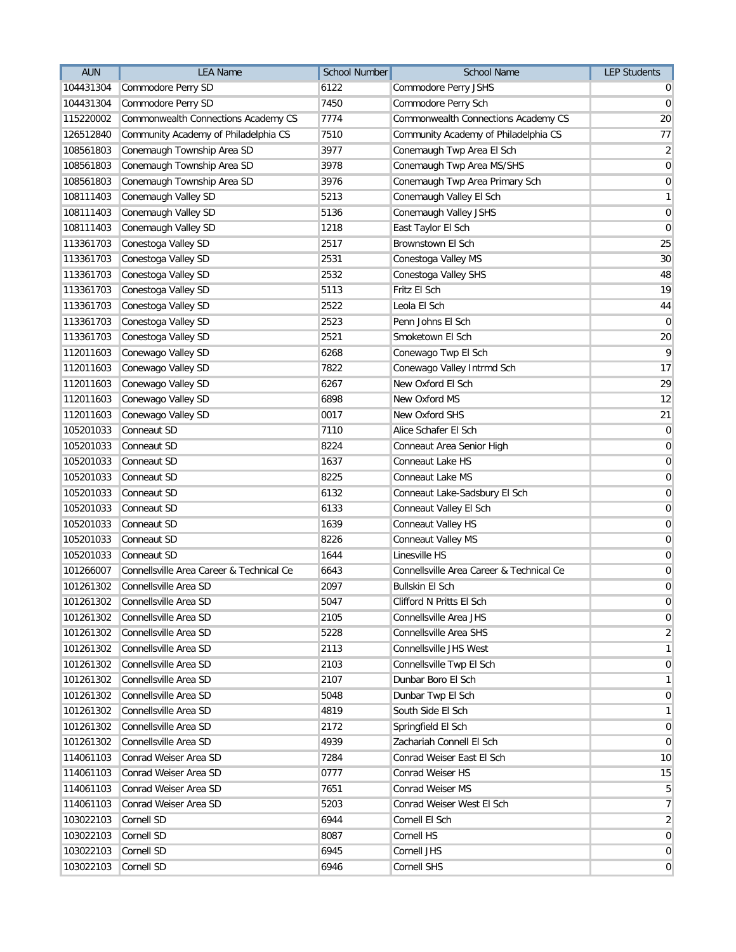| <b>AUN</b> | <b>LEA Name</b>                          | School Number | <b>School Name</b>                       | <b>LEP Students</b> |
|------------|------------------------------------------|---------------|------------------------------------------|---------------------|
| 104431304  | Commodore Perry SD                       | 6122          | Commodore Perry JSHS                     | $\overline{0}$      |
| 104431304  | Commodore Perry SD                       | 7450          | Commodore Perry Sch                      | $\overline{0}$      |
| 115220002  | Commonwealth Connections Academy CS      | 7774          | Commonwealth Connections Academy CS      | 20                  |
| 126512840  | Community Academy of Philadelphia CS     | 7510          | Community Academy of Philadelphia CS     | 77                  |
| 108561803  | Conemaugh Township Area SD               | 3977          | Conemaugh Twp Area El Sch                | $\overline{2}$      |
| 108561803  | Conemaugh Township Area SD               | 3978          | Conemaugh Twp Area MS/SHS                | $\mathbf 0$         |
| 108561803  | Conemaugh Township Area SD               | 3976          | Conemaugh Twp Area Primary Sch           | $\pmb{0}$           |
| 108111403  | Conemaugh Valley SD                      | 5213          | Conemaugh Valley El Sch                  | $\mathbf{1}$        |
| 108111403  | Conemaugh Valley SD                      | 5136          | Conemaugh Valley JSHS                    | $\pmb{0}$           |
| 108111403  | Conemaugh Valley SD                      | 1218          | East Taylor El Sch                       | $\mathbf 0$         |
| 113361703  | Conestoga Valley SD                      | 2517          | Brownstown El Sch                        | 25                  |
| 113361703  | Conestoga Valley SD                      | 2531          | Conestoga Valley MS                      | 30                  |
| 113361703  | Conestoga Valley SD                      | 2532          | Conestoga Valley SHS                     | 48                  |
| 113361703  | Conestoga Valley SD                      | 5113          | Fritz El Sch                             | 19                  |
| 113361703  | Conestoga Valley SD                      | 2522          | Leola El Sch                             | 44                  |
| 113361703  | Conestoga Valley SD                      | 2523          | Penn Johns El Sch                        | $\overline{0}$      |
| 113361703  | Conestoga Valley SD                      | 2521          | Smoketown El Sch                         | 20                  |
| 112011603  | Conewago Valley SD                       | 6268          | Conewago Twp El Sch                      | 9                   |
| 112011603  | Conewago Valley SD                       | 7822          | Conewago Valley Intrmd Sch               | 17                  |
| 112011603  | Conewago Valley SD                       | 6267          | New Oxford El Sch                        | 29                  |
| 112011603  | Conewago Valley SD                       | 6898          | New Oxford MS                            | 12                  |
| 112011603  | Conewago Valley SD                       | 0017          | New Oxford SHS                           | 21                  |
| 105201033  | Conneaut SD                              | 7110          | Alice Schafer El Sch                     | $\mathbf 0$         |
| 105201033  | Conneaut SD                              | 8224          | Conneaut Area Senior High                | $\mathbf 0$         |
| 105201033  | Conneaut SD                              | 1637          | Conneaut Lake HS                         | $\mathbf 0$         |
| 105201033  | Conneaut SD                              | 8225          | Conneaut Lake MS                         | $\mathbf 0$         |
| 105201033  | Conneaut SD                              | 6132          | Conneaut Lake-Sadsbury El Sch            | $\mathbf 0$         |
| 105201033  | Conneaut SD                              | 6133          | Conneaut Valley El Sch                   | $\boldsymbol{0}$    |
| 105201033  | Conneaut SD                              | 1639          | Conneaut Valley HS                       | $\mathbf 0$         |
| 105201033  | Conneaut SD                              | 8226          | Conneaut Valley MS                       | $\boldsymbol{0}$    |
| 105201033  | Conneaut SD                              | 1644          | Linesville HS                            | $\mathbf 0$         |
| 101266007  | Connellsville Area Career & Technical Ce | 6643          | Connellsville Area Career & Technical Ce | $\mathbf 0$         |
| 101261302  | Connellsville Area SD                    | 2097          | Bullskin El Sch                          | $\pmb{0}$           |
|            | 101261302 Connellsville Area SD          | 5047          | Clifford N Pritts El Sch                 | $\mathbf 0$         |
| 101261302  | Connellsville Area SD                    | 2105          | Connellsville Area JHS                   | $\mathbf 0$         |
| 101261302  | Connellsville Area SD                    | 5228          | Connellsville Area SHS                   | $\overline{2}$      |
| 101261302  | Connellsville Area SD                    | 2113          | Connellsville JHS West                   | $\mathbf{1}$        |
| 101261302  | Connellsville Area SD                    | 2103          | Connellsville Twp El Sch                 | $\overline{0}$      |
| 101261302  | Connellsville Area SD                    | 2107          | Dunbar Boro El Sch                       | $\mathbf{1}$        |
| 101261302  | Connellsville Area SD                    | 5048          | Dunbar Twp El Sch                        | $\mathbf 0$         |
| 101261302  | Connellsville Area SD                    | 4819          | South Side El Sch                        | $\mathbf{1}$        |
| 101261302  | Connellsville Area SD                    | 2172          | Springfield El Sch                       | $\mathbf 0$         |
| 101261302  | Connellsville Area SD                    | 4939          | Zachariah Connell El Sch                 | $\mathbf 0$         |
| 114061103  | Conrad Weiser Area SD                    | 7284          | Conrad Weiser East El Sch                | 10                  |
| 114061103  | Conrad Weiser Area SD                    | 0777          | Conrad Weiser HS                         | 15                  |
| 114061103  | Conrad Weiser Area SD                    | 7651          | Conrad Weiser MS                         | 5                   |
| 114061103  | Conrad Weiser Area SD                    | 5203          | Conrad Weiser West El Sch                | 7                   |
| 103022103  | Cornell SD                               | 6944          | Cornell El Sch                           | $\overline{2}$      |
| 103022103  | Cornell SD                               | 8087          | Cornell HS                               | $\mathbf{0}$        |
| 103022103  | Cornell SD                               | 6945          | Cornell JHS                              | 0                   |
| 103022103  | Cornell SD                               | 6946          | Cornell SHS                              | $\mathbf 0$         |
|            |                                          |               |                                          |                     |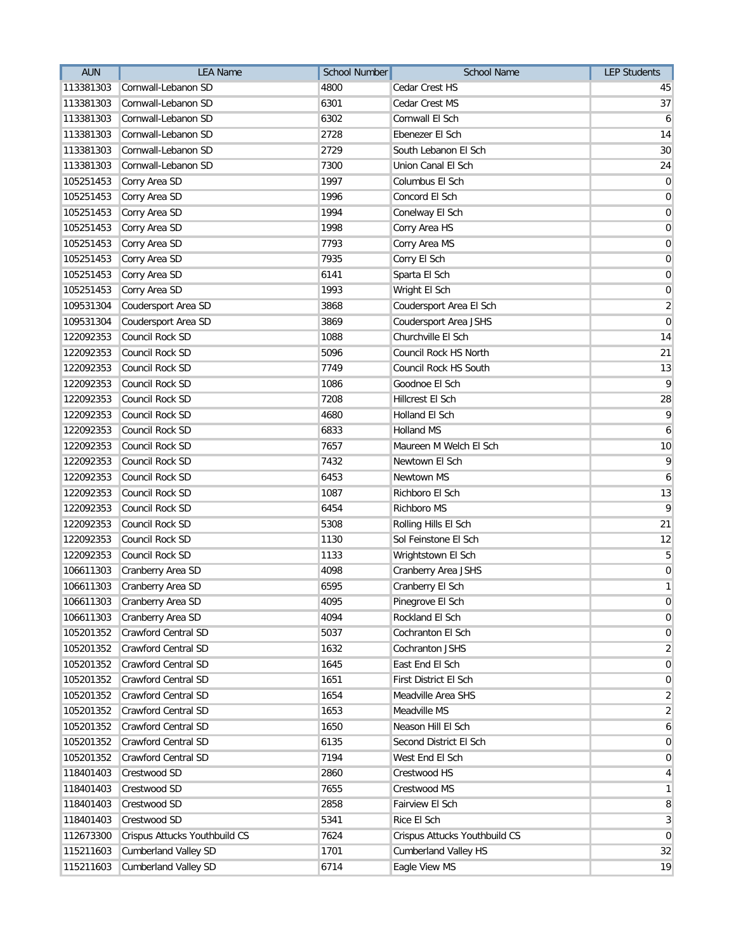| <b>AUN</b> | <b>LEA Name</b>               | <b>School Number</b> | School Name                   | <b>LEP Students</b> |
|------------|-------------------------------|----------------------|-------------------------------|---------------------|
| 113381303  | Cornwall-Lebanon SD           | 4800                 | Cedar Crest HS                | 45                  |
| 113381303  | Cornwall-Lebanon SD           | 6301                 | Cedar Crest MS                | 37                  |
| 113381303  | Cornwall-Lebanon SD           | 6302                 | Cornwall El Sch               | 6                   |
| 113381303  | Cornwall-Lebanon SD           | 2728                 | Ebenezer El Sch               | 14                  |
| 113381303  | Cornwall-Lebanon SD           | 2729                 | South Lebanon El Sch          | 30                  |
| 113381303  | Cornwall-Lebanon SD           | 7300                 | Union Canal El Sch            | 24                  |
| 105251453  | Corry Area SD                 | 1997                 | Columbus El Sch               | $\overline{0}$      |
| 105251453  | Corry Area SD                 | 1996                 | Concord El Sch                | $\boldsymbol{0}$    |
| 105251453  | Corry Area SD                 | 1994                 | Conelway El Sch               | $\overline{0}$      |
| 105251453  | Corry Area SD                 | 1998                 | Corry Area HS                 | $\overline{0}$      |
| 105251453  | Corry Area SD                 | 7793                 | Corry Area MS                 | 0                   |
| 105251453  | Corry Area SD                 | 7935                 | Corry El Sch                  | $\overline{0}$      |
| 105251453  | Corry Area SD                 | 6141                 | Sparta El Sch                 | $\boldsymbol{0}$    |
| 105251453  | Corry Area SD                 | 1993                 | Wright El Sch                 | $\overline{0}$      |
| 109531304  | Coudersport Area SD           | 3868                 | Coudersport Area El Sch       | $\overline{2}$      |
| 109531304  | Coudersport Area SD           | 3869                 | Coudersport Area JSHS         | $\overline{0}$      |
| 122092353  | Council Rock SD               | 1088                 | Churchville El Sch            | 14                  |
| 122092353  | Council Rock SD               | 5096                 | Council Rock HS North         | 21                  |
| 122092353  | Council Rock SD               | 7749                 | Council Rock HS South         | 13                  |
| 122092353  | Council Rock SD               | 1086                 | Goodnoe El Sch                | 9                   |
| 122092353  | Council Rock SD               | 7208                 | Hillcrest El Sch              | 28                  |
| 122092353  | Council Rock SD               | 4680                 | Holland El Sch                | 9                   |
| 122092353  | Council Rock SD               | 6833                 | <b>Holland MS</b>             | 6                   |
| 122092353  | Council Rock SD               | 7657                 | Maureen M Welch El Sch        | 10                  |
| 122092353  | Council Rock SD               | 7432                 | Newtown El Sch                | 9                   |
| 122092353  | Council Rock SD               | 6453                 | Newtown MS                    | 6                   |
| 122092353  | Council Rock SD               | 1087                 | Richboro El Sch               | 13                  |
| 122092353  | Council Rock SD               | 6454                 | Richboro MS                   | $\mathsf{q}$        |
| 122092353  | Council Rock SD               | 5308                 | Rolling Hills El Sch          | 21                  |
| 122092353  | Council Rock SD               | 1130                 | Sol Feinstone El Sch          | 12                  |
| 122092353  | Council Rock SD               | 1133                 | Wrightstown El Sch            | $\overline{5}$      |
| 106611303  | Cranberry Area SD             | 4098                 | Cranberry Area JSHS           | $\overline{0}$      |
| 106611303  | Cranberry Area SD             | 6595                 | Cranberry El Sch              | $\mathbf{1}$        |
|            | 106611303 Cranberry Area SD   | 4095                 | Pinegrove El Sch              | $\overline{0}$      |
| 106611303  | Cranberry Area SD             | 4094                 | Rockland El Sch               | $\overline{0}$      |
| 105201352  | Crawford Central SD           | 5037                 | Cochranton El Sch             | $\overline{0}$      |
| 105201352  | Crawford Central SD           | 1632                 | Cochranton JSHS               | $\overline{2}$      |
| 105201352  | Crawford Central SD           | 1645                 | East End El Sch               | $\overline{0}$      |
| 105201352  | <b>Crawford Central SD</b>    | 1651                 | First District El Sch         | $\overline{0}$      |
| 105201352  | Crawford Central SD           | 1654                 | Meadville Area SHS            | $\overline{2}$      |
| 105201352  | <b>Crawford Central SD</b>    | 1653                 | Meadville MS                  | $\overline{2}$      |
| 105201352  | Crawford Central SD           | 1650                 | Neason Hill El Sch            | $\boldsymbol{6}$    |
| 105201352  | Crawford Central SD           | 6135                 | Second District El Sch        | $\overline{0}$      |
| 105201352  | Crawford Central SD           | 7194                 | West End El Sch               | $\overline{0}$      |
| 118401403  | Crestwood SD                  | 2860                 | Crestwood HS                  | $\vert 4 \vert$     |
| 118401403  | Crestwood SD                  | 7655                 | Crestwood MS                  | $\mathbf{1}$        |
| 118401403  | Crestwood SD                  | 2858                 | Fairview El Sch               | 8                   |
| 118401403  | Crestwood SD                  | 5341                 | Rice El Sch                   | $\mathbf{3}$        |
| 112673300  | Crispus Attucks Youthbuild CS | 7624                 | Crispus Attucks Youthbuild CS | $\overline{0}$      |
| 115211603  | <b>Cumberland Valley SD</b>   | 1701                 | <b>Cumberland Valley HS</b>   | 32                  |
| 115211603  | <b>Cumberland Valley SD</b>   | 6714                 | Eagle View MS                 | 19                  |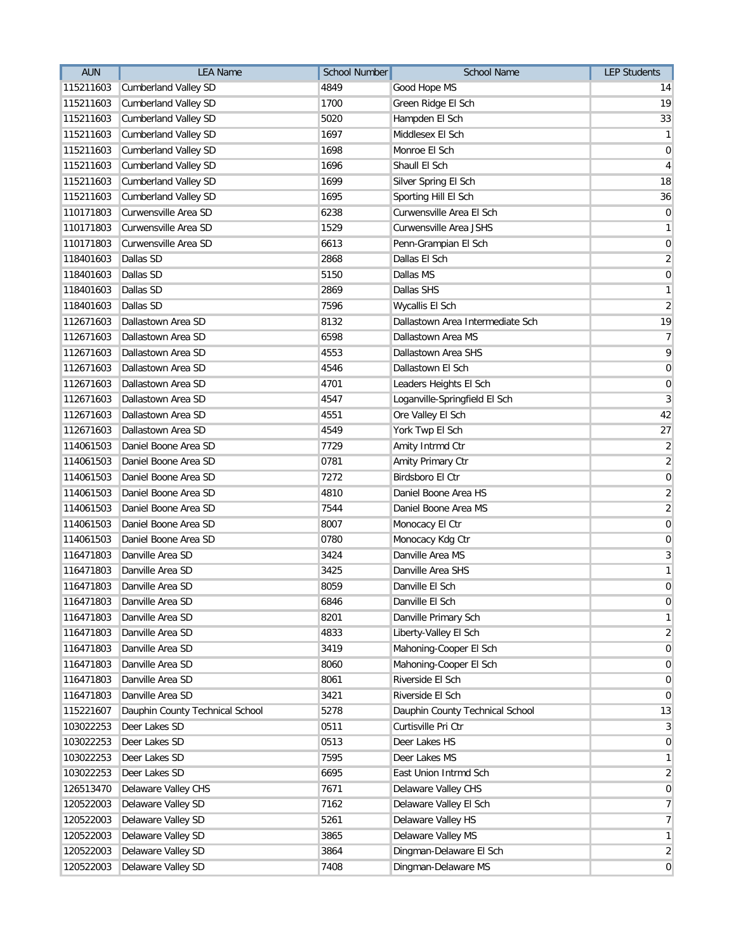| <b>AUN</b> | <b>LEA Name</b>                 | <b>School Number</b> | <b>School Name</b>               | <b>LEP Students</b> |
|------------|---------------------------------|----------------------|----------------------------------|---------------------|
| 115211603  | Cumberland Valley SD            | 4849                 | Good Hope MS                     | 14                  |
| 115211603  | <b>Cumberland Valley SD</b>     | 1700                 | Green Ridge El Sch               | 19                  |
| 115211603  | <b>Cumberland Valley SD</b>     | 5020                 | Hampden El Sch                   | 33                  |
| 115211603  | <b>Cumberland Valley SD</b>     | 1697                 | Middlesex El Sch                 | $\mathbf{1}$        |
| 115211603  | <b>Cumberland Valley SD</b>     | 1698                 | Monroe El Sch                    | $\mathbf 0$         |
| 115211603  | Cumberland Valley SD            | 1696                 | Shaull El Sch                    | $\overline{4}$      |
| 115211603  | Cumberland Valley SD            | 1699                 | Silver Spring El Sch             | 18                  |
| 115211603  | <b>Cumberland Valley SD</b>     | 1695                 | Sporting Hill El Sch             | 36                  |
| 110171803  | Curwensville Area SD            | 6238                 | Curwensville Area El Sch         | $\mathbf 0$         |
| 110171803  | Curwensville Area SD            | 1529                 | Curwensville Area JSHS           | $\mathbf{1}$        |
| 110171803  | Curwensville Area SD            | 6613                 | Penn-Grampian El Sch             | $\mathbf 0$         |
| 118401603  | Dallas SD                       | 2868                 | Dallas El Sch                    | $\overline{2}$      |
| 118401603  | Dallas SD                       | 5150                 | Dallas MS                        | $\mathbf 0$         |
| 118401603  | Dallas SD                       | 2869                 | Dallas SHS                       | $\mathbf{1}$        |
| 118401603  | Dallas SD                       | 7596                 | Wycallis El Sch                  | $\overline{2}$      |
| 112671603  | Dallastown Area SD              | 8132                 | Dallastown Area Intermediate Sch | 19                  |
| 112671603  | Dallastown Area SD              | 6598                 | Dallastown Area MS               | $\overline{7}$      |
| 112671603  | Dallastown Area SD              | 4553                 | Dallastown Area SHS              | 9                   |
| 112671603  | Dallastown Area SD              | 4546                 | Dallastown El Sch                | $\pmb{0}$           |
| 112671603  | Dallastown Area SD              | 4701                 | Leaders Heights El Sch           | $\pmb{0}$           |
| 112671603  | Dallastown Area SD              | 4547                 | Loganville-Springfield El Sch    | $\mathbf{3}$        |
| 112671603  | Dallastown Area SD              | 4551                 | Ore Valley El Sch                | 42                  |
| 112671603  | Dallastown Area SD              | 4549                 | York Twp El Sch                  | 27                  |
| 114061503  | Daniel Boone Area SD            | 7729                 | Amity Intrmd Ctr                 | $\overline{2}$      |
| 114061503  | Daniel Boone Area SD            | 0781                 | Amity Primary Ctr                | $\overline{c}$      |
| 114061503  | Daniel Boone Area SD            | 7272                 | Birdsboro El Ctr                 | $\mathbf 0$         |
| 114061503  | Daniel Boone Area SD            | 4810                 | Daniel Boone Area HS             | $\overline{2}$      |
| 114061503  | Daniel Boone Area SD            | 7544                 | Daniel Boone Area MS             | $\overline{2}$      |
| 114061503  | Daniel Boone Area SD            | 8007                 | Monocacy El Ctr                  | 0                   |
| 114061503  | Daniel Boone Area SD            | 0780                 | Monocacy Kdg Ctr                 | $\mathbf 0$         |
| 116471803  | Danville Area SD                | 3424                 | Danville Area MS                 | 3                   |
| 116471803  | Danville Area SD                | 3425                 | Danville Area SHS                | $\mathbf{1}$        |
| 116471803  | Danville Area SD                | 8059                 | Danville El Sch                  | $\boldsymbol{0}$    |
|            | 116471803 Danville Area SD      | 6846                 | Danville El Sch                  | $\pmb{0}$           |
| 116471803  | Danville Area SD                | 8201                 | Danville Primary Sch             | $\mathbf{1}$        |
| 116471803  | Danville Area SD                | 4833                 | Liberty-Valley El Sch            | $\overline{2}$      |
| 116471803  | Danville Area SD                | 3419                 | Mahoning-Cooper El Sch           | $\mathbf 0$         |
| 116471803  | Danville Area SD                | 8060                 | Mahoning-Cooper El Sch           | $\mathbf 0$         |
| 116471803  | Danville Area SD                | 8061                 | Riverside El Sch                 | $\mathbf 0$         |
| 116471803  | Danville Area SD                | 3421                 | Riverside El Sch                 | 0                   |
| 115221607  | Dauphin County Technical School | 5278                 | Dauphin County Technical School  | 13                  |
| 103022253  | Deer Lakes SD                   | 0511                 | Curtisville Pri Ctr              | 3                   |
| 103022253  | Deer Lakes SD                   | 0513                 | Deer Lakes HS                    | 0                   |
| 103022253  | Deer Lakes SD                   | 7595                 | Deer Lakes MS                    | $\mathbf{1}$        |
| 103022253  | Deer Lakes SD                   | 6695                 | East Union Intrmd Sch            | $\overline{2}$      |
| 126513470  | Delaware Valley CHS             | 7671                 | Delaware Valley CHS              | $\mathbf 0$         |
| 120522003  | Delaware Valley SD              | 7162                 | Delaware Valley El Sch           | 7                   |
| 120522003  | Delaware Valley SD              | 5261                 | Delaware Valley HS               | $\overline{7}$      |
| 120522003  | Delaware Valley SD              | 3865                 | Delaware Valley MS               | $\mathbf{1}$        |
| 120522003  | Delaware Valley SD              | 3864                 | Dingman-Delaware El Sch          | $\overline{c}$      |
| 120522003  | Delaware Valley SD              | 7408                 | Dingman-Delaware MS              | $\mathbf 0$         |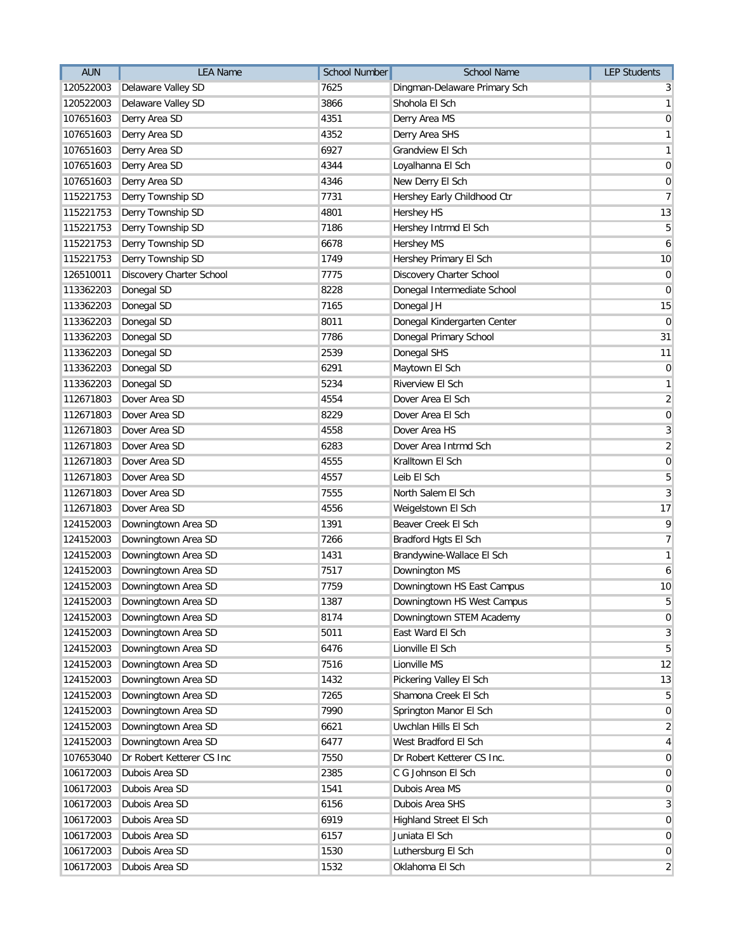| <b>AUN</b> | <b>LEA Name</b>           | <b>School Number</b> | School Name                  | <b>LEP Students</b> |
|------------|---------------------------|----------------------|------------------------------|---------------------|
| 120522003  | Delaware Valley SD        | 7625                 | Dingman-Delaware Primary Sch | 3                   |
| 120522003  | Delaware Valley SD        | 3866                 | Shohola El Sch               | $\mathbf{1}$        |
| 107651603  | Derry Area SD             | 4351                 | Derry Area MS                | $\mathbf 0$         |
| 107651603  | Derry Area SD             | 4352                 | Derry Area SHS               | $\mathbf{1}$        |
| 107651603  | Derry Area SD             | 6927                 | Grandview El Sch             | $\mathbf{1}$        |
| 107651603  | Derry Area SD             | 4344                 | Loyalhanna El Sch            | $\mathbf 0$         |
| 107651603  | Derry Area SD             | 4346                 | New Derry El Sch             | $\pmb{0}$           |
| 115221753  | Derry Township SD         | 7731                 | Hershey Early Childhood Ctr  | $\overline{7}$      |
| 115221753  | Derry Township SD         | 4801                 | Hershey HS                   | 13                  |
| 115221753  | Derry Township SD         | 7186                 | Hershey Intrmd El Sch        | 5                   |
| 115221753  | Derry Township SD         | 6678                 | Hershey MS                   | 6                   |
| 115221753  | Derry Township SD         | 1749                 | Hershey Primary El Sch       | 10                  |
| 126510011  | Discovery Charter School  | 7775                 | Discovery Charter School     | $\pmb{0}$           |
| 113362203  | Donegal SD                | 8228                 | Donegal Intermediate School  | $\overline{0}$      |
| 113362203  | Donegal SD                | 7165                 | Donegal JH                   | 15                  |
| 113362203  | Donegal SD                | 8011                 | Donegal Kindergarten Center  | $\mathbf 0$         |
| 113362203  | Donegal SD                | 7786                 | Donegal Primary School       | 31                  |
| 113362203  | Donegal SD                | 2539                 | Donegal SHS                  | 11                  |
| 113362203  | Donegal SD                | 6291                 | Maytown El Sch               | $\pmb{0}$           |
| 113362203  | Donegal SD                | 5234                 | Riverview El Sch             | $\mathbf{1}$        |
| 112671803  | Dover Area SD             | 4554                 | Dover Area El Sch            | $\overline{2}$      |
| 112671803  | Dover Area SD             | 8229                 | Dover Area El Sch            | $\pmb{0}$           |
| 112671803  | Dover Area SD             | 4558                 | Dover Area HS                | 3                   |
| 112671803  | Dover Area SD             | 6283                 | Dover Area Intrmd Sch        | $\overline{2}$      |
| 112671803  | Dover Area SD             | 4555                 | Kralltown El Sch             | $\pmb{0}$           |
| 112671803  | Dover Area SD             | 4557                 | Leib El Sch                  | 5                   |
| 112671803  | Dover Area SD             | 7555                 | North Salem El Sch           | 3                   |
| 112671803  | Dover Area SD             | 4556                 | Weigelstown El Sch           | 17                  |
| 124152003  | Downingtown Area SD       | 1391                 | Beaver Creek El Sch          | 9                   |
| 124152003  | Downingtown Area SD       | 7266                 | Bradford Hgts El Sch         | $\overline{7}$      |
| 124152003  | Downingtown Area SD       | 1431                 | Brandywine-Wallace El Sch    | $\mathbf{1}$        |
| 124152003  | Downingtown Area SD       | 7517                 | Downington MS                | 6                   |
| 124152003  | Downingtown Area SD       | 7759                 | Downingtown HS East Campus   | 10                  |
| 124152003  | Downingtown Area SD       | 1387                 | Downingtown HS West Campus   | 5                   |
| 124152003  | Downingtown Area SD       | 8174                 | Downingtown STEM Academy     | $\mathbf 0$         |
| 124152003  | Downingtown Area SD       | 5011                 | East Ward El Sch             | 3                   |
| 124152003  | Downingtown Area SD       | 6476                 | Lionville El Sch             | 5                   |
| 124152003  | Downingtown Area SD       | 7516                 | Lionville MS                 | 12                  |
| 124152003  | Downingtown Area SD       | 1432                 | Pickering Valley El Sch      | 13                  |
| 124152003  | Downingtown Area SD       | 7265                 | Shamona Creek El Sch         | 5                   |
| 124152003  | Downingtown Area SD       | 7990                 | Springton Manor El Sch       | $\mathbf 0$         |
| 124152003  | Downingtown Area SD       | 6621                 | Uwchlan Hills El Sch         | $\overline{2}$      |
| 124152003  | Downingtown Area SD       | 6477                 | West Bradford El Sch         | 4                   |
| 107653040  | Dr Robert Ketterer CS Inc | 7550                 | Dr Robert Ketterer CS Inc.   | $\overline{0}$      |
| 106172003  | Dubois Area SD            | 2385                 | C G Johnson El Sch           | $\overline{0}$      |
| 106172003  | Dubois Area SD            | 1541                 | Dubois Area MS               | $\mathbf 0$         |
| 106172003  | Dubois Area SD            | 6156                 | Dubois Area SHS              | 3                   |
| 106172003  | Dubois Area SD            | 6919                 | Highland Street El Sch       | $\mathbf 0$         |
| 106172003  | Dubois Area SD            | 6157                 | Juniata El Sch               | $\mathbf 0$         |
| 106172003  | Dubois Area SD            | 1530                 | Luthersburg El Sch           | 0                   |
| 106172003  | Dubois Area SD            | 1532                 | Oklahoma El Sch              | $\overline{2}$      |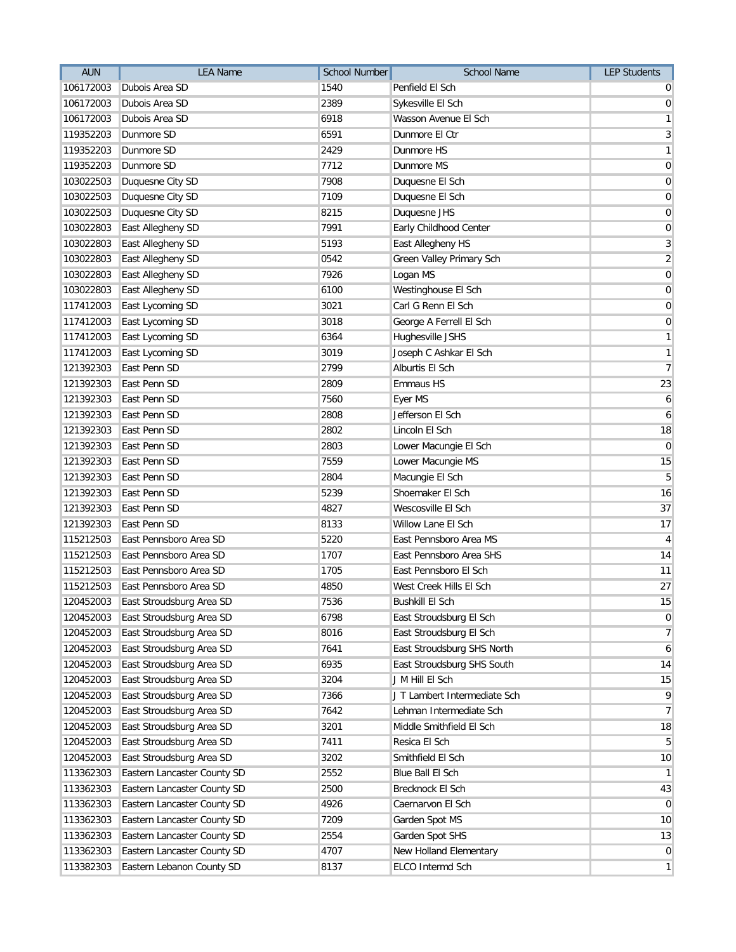| <b>AUN</b> | <b>LEA Name</b>             | <b>School Number</b> | School Name                  | <b>LEP Students</b> |
|------------|-----------------------------|----------------------|------------------------------|---------------------|
| 106172003  | Dubois Area SD              | 1540                 | Penfield El Sch              | 0                   |
| 106172003  | Dubois Area SD              | 2389                 | Sykesville El Sch            | $\mathbf 0$         |
| 106172003  | Dubois Area SD              | 6918                 | Wasson Avenue El Sch         | $\mathbf{1}$        |
| 119352203  | Dunmore SD                  | 6591                 | Dunmore El Ctr               | $\overline{3}$      |
| 119352203  | Dunmore SD                  | 2429                 | Dunmore HS                   | $\mathbf{1}$        |
| 119352203  | Dunmore SD                  | 7712                 | Dunmore MS                   | $\mathbf 0$         |
| 103022503  | Duquesne City SD            | 7908                 | Duquesne El Sch              | $\pmb{0}$           |
| 103022503  | Duquesne City SD            | 7109                 | Duquesne El Sch              | $\pmb{0}$           |
| 103022503  | Duquesne City SD            | 8215                 | Duquesne JHS                 | $\pmb{0}$           |
| 103022803  | East Allegheny SD           | 7991                 | Early Childhood Center       | $\pmb{0}$           |
| 103022803  | East Allegheny SD           | 5193                 | East Allegheny HS            | 3                   |
| 103022803  | East Allegheny SD           | 0542                 | Green Valley Primary Sch     | $\overline{2}$      |
| 103022803  | East Allegheny SD           | 7926                 | Logan MS                     | $\pmb{0}$           |
| 103022803  | East Allegheny SD           | 6100                 | Westinghouse El Sch          | $\mathbf 0$         |
| 117412003  | East Lycoming SD            | 3021                 | Carl G Renn El Sch           | $\mathbf 0$         |
| 117412003  | East Lycoming SD            | 3018                 | George A Ferrell El Sch      | $\pmb{0}$           |
| 117412003  | East Lycoming SD            | 6364                 | Hughesville JSHS             | $\mathbf{1}$        |
| 117412003  | East Lycoming SD            | 3019                 | Joseph C Ashkar El Sch       | $\mathbf{1}$        |
| 121392303  | East Penn SD                | 2799                 | Alburtis El Sch              | $\overline{7}$      |
| 121392303  | East Penn SD                | 2809                 | <b>Emmaus HS</b>             | 23                  |
| 121392303  | East Penn SD                | 7560                 | Eyer MS                      | $\boldsymbol{6}$    |
| 121392303  | East Penn SD                | 2808                 | Jefferson El Sch             | $\boldsymbol{6}$    |
| 121392303  | East Penn SD                | 2802                 | Lincoln El Sch               | 18                  |
| 121392303  | East Penn SD                | 2803                 | Lower Macungie El Sch        | $\mathbf 0$         |
| 121392303  | East Penn SD                | 7559                 | Lower Macungie MS            | 15                  |
| 121392303  | East Penn SD                | 2804                 | Macungie El Sch              | $5\overline{)}$     |
| 121392303  | East Penn SD                | 5239                 | Shoemaker El Sch             | 16                  |
| 121392303  | East Penn SD                | 4827                 | Wescosville El Sch           | 37                  |
| 121392303  | East Penn SD                | 8133                 | Willow Lane El Sch           | 17                  |
| 115212503  | East Pennsboro Area SD      | 5220                 | East Pennsboro Area MS       | 4                   |
| 115212503  | East Pennsboro Area SD      | 1707                 | East Pennsboro Area SHS      | 14                  |
| 115212503  | East Pennsboro Area SD      | 1705                 | East Pennsboro El Sch        | 11                  |
| 115212503  | East Pennsboro Area SD      | 4850                 | West Creek Hills El Sch      | 27                  |
| 120452003  | East Stroudsburg Area SD    | 7536                 | <b>Bushkill El Sch</b>       | 15                  |
| 120452003  | East Stroudsburg Area SD    | 6798                 | East Stroudsburg El Sch      | $\mathbf 0$         |
| 120452003  | East Stroudsburg Area SD    | 8016                 | East Stroudsburg El Sch      | $\overline{7}$      |
| 120452003  | East Stroudsburg Area SD    | 7641                 | East Stroudsburg SHS North   | 6                   |
| 120452003  | East Stroudsburg Area SD    | 6935                 | East Stroudsburg SHS South   | 14                  |
| 120452003  | East Stroudsburg Area SD    | 3204                 | J M Hill El Sch              | 15                  |
| 120452003  | East Stroudsburg Area SD    | 7366                 | J T Lambert Intermediate Sch | 9                   |
| 120452003  | East Stroudsburg Area SD    | 7642                 | Lehman Intermediate Sch      | $\overline{7}$      |
| 120452003  | East Stroudsburg Area SD    | 3201                 | Middle Smithfield El Sch     | 18                  |
| 120452003  | East Stroudsburg Area SD    | 7411                 | Resica El Sch                | 5                   |
| 120452003  | East Stroudsburg Area SD    | 3202                 | Smithfield El Sch            | 10                  |
| 113362303  | Eastern Lancaster County SD | 2552                 | Blue Ball El Sch             | $\mathbf{1}$        |
| 113362303  | Eastern Lancaster County SD | 2500                 | Brecknock El Sch             | 43                  |
| 113362303  | Eastern Lancaster County SD | 4926                 | Caernarvon El Sch            | $\mathbf 0$         |
| 113362303  | Eastern Lancaster County SD | 7209                 | Garden Spot MS               | 10                  |
| 113362303  | Eastern Lancaster County SD | 2554                 | Garden Spot SHS              | 13                  |
| 113362303  | Eastern Lancaster County SD | 4707                 | New Holland Elementary       | 0                   |
| 113382303  | Eastern Lebanon County SD   | 8137                 | ELCO Intermd Sch             | $\mathbf{1}$        |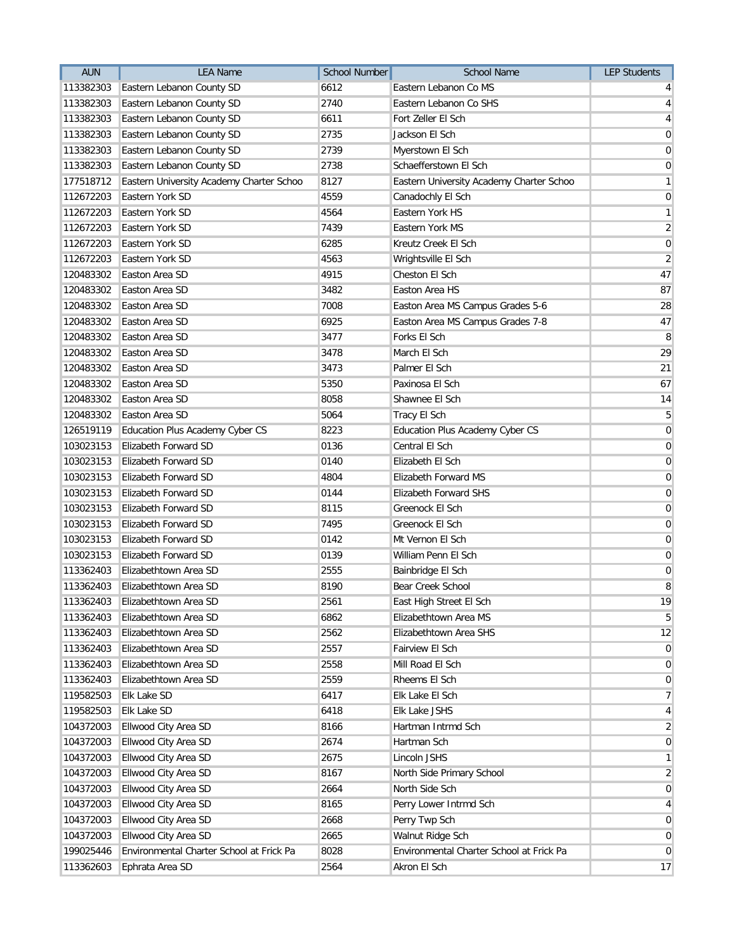| <b>AUN</b> | <b>LEA Name</b>                          | <b>School Number</b> | <b>School Name</b>                       | <b>LEP Students</b> |
|------------|------------------------------------------|----------------------|------------------------------------------|---------------------|
| 113382303  | Eastern Lebanon County SD                | 6612                 | Eastern Lebanon Co MS                    | $\overline{4}$      |
| 113382303  | Eastern Lebanon County SD                | 2740                 | Eastern Lebanon Co SHS                   | $\vert$             |
| 113382303  | Eastern Lebanon County SD                | 6611                 | Fort Zeller El Sch                       | $\vert 4 \vert$     |
| 113382303  | Eastern Lebanon County SD                | 2735                 | Jackson El Sch                           | $\overline{0}$      |
| 113382303  | Eastern Lebanon County SD                | 2739                 | Myerstown El Sch                         | $\overline{0}$      |
| 113382303  | Eastern Lebanon County SD                | 2738                 | Schaefferstown El Sch                    | $\overline{0}$      |
| 177518712  | Eastern University Academy Charter Schoo | 8127                 | Eastern University Academy Charter Schoo | $\mathbf{1}$        |
| 112672203  | Eastern York SD                          | 4559                 | Canadochly El Sch                        | $\boldsymbol{0}$    |
| 112672203  | Eastern York SD                          | 4564                 | <b>Eastern York HS</b>                   | $\mathbf{1}$        |
| 112672203  | Eastern York SD                          | 7439                 | Eastern York MS                          | $\overline{2}$      |
| 112672203  | Eastern York SD                          | 6285                 | Kreutz Creek El Sch                      | $\overline{0}$      |
| 112672203  | Eastern York SD                          | 4563                 | Wrightsville El Sch                      | $\overline{2}$      |
| 120483302  | Easton Area SD                           | 4915                 | Cheston El Sch                           | 47                  |
| 120483302  | Easton Area SD                           | 3482                 | Easton Area HS                           | 87                  |
| 120483302  | Easton Area SD                           | 7008                 | Easton Area MS Campus Grades 5-6         | 28                  |
| 120483302  | Easton Area SD                           | 6925                 | Easton Area MS Campus Grades 7-8         | 47                  |
| 120483302  | Easton Area SD                           | 3477                 | Forks El Sch                             | 8                   |
| 120483302  | Easton Area SD                           | 3478                 | March El Sch                             | 29                  |
| 120483302  | Easton Area SD                           | 3473                 | Palmer El Sch                            | 21                  |
| 120483302  | Easton Area SD                           | 5350                 | Paxinosa El Sch                          | 67                  |
| 120483302  | Easton Area SD                           | 8058                 | Shawnee El Sch                           | 14                  |
| 120483302  | Easton Area SD                           | 5064                 | Tracy El Sch                             | 5                   |
| 126519119  | Education Plus Academy Cyber CS          | 8223                 | <b>Education Plus Academy Cyber CS</b>   | 0                   |
| 103023153  | Elizabeth Forward SD                     | 0136                 | Central El Sch                           | $\overline{0}$      |
| 103023153  | Elizabeth Forward SD                     | 0140                 | Elizabeth El Sch                         | $\overline{0}$      |
| 103023153  | Elizabeth Forward SD                     | 4804                 | Elizabeth Forward MS                     | $\overline{0}$      |
| 103023153  | Elizabeth Forward SD                     | 0144                 | Elizabeth Forward SHS                    | $\overline{0}$      |
| 103023153  | Elizabeth Forward SD                     | 8115                 | Greenock El Sch                          | 0                   |
| 103023153  | Elizabeth Forward SD                     | 7495                 | Greenock El Sch                          | 0                   |
| 103023153  | Elizabeth Forward SD                     | 0142                 | Mt Vernon El Sch                         | $\overline{0}$      |
| 103023153  | Elizabeth Forward SD                     | 0139                 | William Penn El Sch                      | $\boldsymbol{0}$    |
| 113362403  | Elizabethtown Area SD                    | 2555                 | Bainbridge El Sch                        | $\mathbf 0$         |
| 113362403  | Elizabethtown Area SD                    | 8190                 | Bear Creek School                        | 8                   |
|            | 113362403 Elizabethtown Area SD          | 2561                 | East High Street El Sch                  | 19                  |
| 113362403  | Elizabethtown Area SD                    | 6862                 | Elizabethtown Area MS                    | 5                   |
| 113362403  | Elizabethtown Area SD                    | 2562                 | Elizabethtown Area SHS                   | 12                  |
| 113362403  | Elizabethtown Area SD                    | 2557                 | Fairview El Sch                          | $\overline{0}$      |
| 113362403  | Elizabethtown Area SD                    | 2558                 | Mill Road El Sch                         | $\overline{0}$      |
| 113362403  | Elizabethtown Area SD                    | 2559                 | Rheems El Sch                            | $\overline{0}$      |
| 119582503  | Elk Lake SD                              | 6417                 | Elk Lake El Sch                          | $\overline{7}$      |
| 119582503  | Elk Lake SD                              | 6418                 | <b>Elk Lake JSHS</b>                     | $\vert 4 \vert$     |
| 104372003  | Ellwood City Area SD                     | 8166                 | Hartman Intrmd Sch                       | $\overline{2}$      |
| 104372003  | Ellwood City Area SD                     | 2674                 | Hartman Sch                              | $\overline{0}$      |
| 104372003  | Ellwood City Area SD                     | 2675                 | Lincoln JSHS                             | $\mathbf{1}$        |
| 104372003  | Ellwood City Area SD                     | 8167                 | North Side Primary School                | $\overline{2}$      |
| 104372003  | Ellwood City Area SD                     | 2664                 | North Side Sch                           | $\overline{0}$      |
| 104372003  | Ellwood City Area SD                     | 8165                 | Perry Lower Intrmd Sch                   | $\vert 4 \vert$     |
| 104372003  | Ellwood City Area SD                     | 2668                 | Perry Twp Sch                            | $\overline{0}$      |
| 104372003  | Ellwood City Area SD                     | 2665                 | Walnut Ridge Sch                         | $\overline{0}$      |
| 199025446  | Environmental Charter School at Frick Pa | 8028                 | Environmental Charter School at Frick Pa | $\overline{0}$      |
| 113362603  | Ephrata Area SD                          | 2564                 | Akron El Sch                             | 17                  |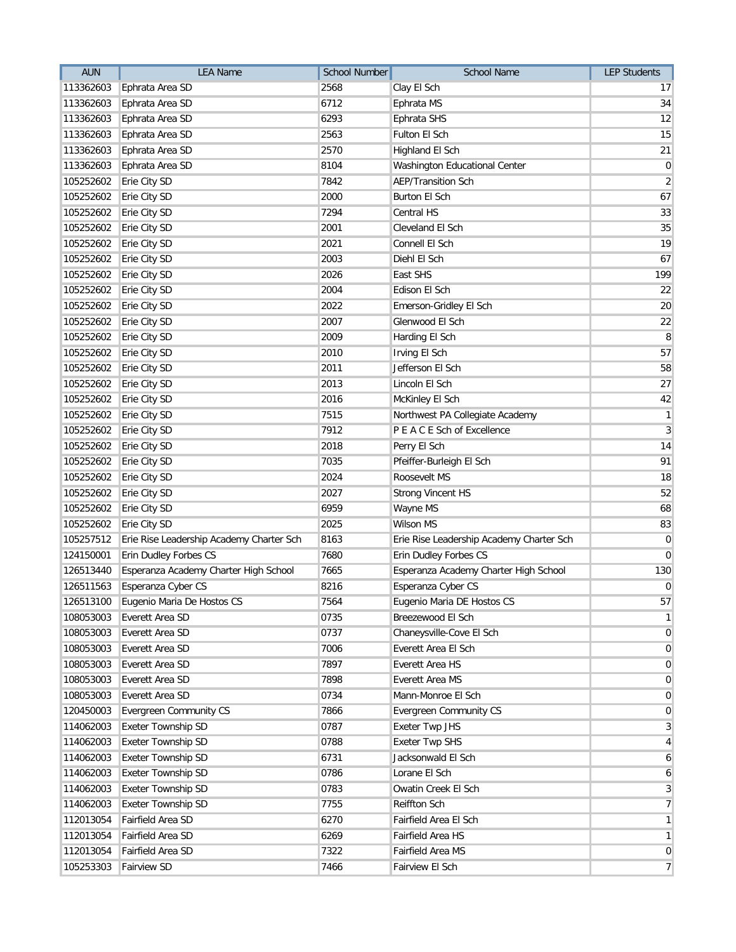| <b>AUN</b> | <b>LEA Name</b>                          | <b>School Number</b> | School Name                              | <b>LEP Students</b> |
|------------|------------------------------------------|----------------------|------------------------------------------|---------------------|
| 113362603  | Ephrata Area SD                          | 2568                 | Clay El Sch                              | 17                  |
| 113362603  | Ephrata Area SD                          | 6712                 | Ephrata MS                               | 34                  |
| 113362603  | Ephrata Area SD                          | 6293                 | Ephrata SHS                              | 12                  |
| 113362603  | Ephrata Area SD                          | 2563                 | Fulton El Sch                            | 15                  |
| 113362603  | Ephrata Area SD                          | 2570                 | Highland El Sch                          | 21                  |
| 113362603  | Ephrata Area SD                          | 8104                 | Washington Educational Center            | $\overline{0}$      |
| 105252602  | Erie City SD                             | 7842                 | <b>AEP/Transition Sch</b>                | $\overline{2}$      |
| 105252602  | Erie City SD                             | 2000                 | <b>Burton El Sch</b>                     | 67                  |
| 105252602  | Erie City SD                             | 7294                 | <b>Central HS</b>                        | 33                  |
| 105252602  | Erie City SD                             | 2001                 | Cleveland El Sch                         | 35                  |
| 105252602  | Erie City SD                             | 2021                 | Connell El Sch                           | 19                  |
| 105252602  | Erie City SD                             | 2003                 | Diehl El Sch                             | 67                  |
| 105252602  | Erie City SD                             | 2026                 | East SHS                                 | 199                 |
| 105252602  | Erie City SD                             | 2004                 | Edison El Sch                            | 22                  |
| 105252602  | Erie City SD                             | 2022                 | Emerson-Gridley El Sch                   | 20                  |
| 105252602  | Erie City SD                             | 2007                 | Glenwood El Sch                          | 22                  |
| 105252602  | Erie City SD                             | 2009                 | Harding El Sch                           | 8                   |
| 105252602  | Erie City SD                             | 2010                 | Irving El Sch                            | 57                  |
| 105252602  | Erie City SD                             | 2011                 | Jefferson El Sch                         | 58                  |
| 105252602  | Erie City SD                             | 2013                 | Lincoln El Sch                           | 27                  |
| 105252602  | Erie City SD                             | 2016                 | McKinley El Sch                          | 42                  |
| 105252602  | Erie City SD                             | 7515                 | Northwest PA Collegiate Academy          | $\mathbf{1}$        |
| 105252602  | Erie City SD                             | 7912                 | P E A C E Sch of Excellence              | $\overline{3}$      |
| 105252602  | Erie City SD                             | 2018                 | Perry El Sch                             | 14                  |
| 105252602  | Erie City SD                             | 7035                 | Pfeiffer-Burleigh El Sch                 | 91                  |
| 105252602  | Erie City SD                             | 2024                 | Roosevelt MS                             | 18                  |
| 105252602  | Erie City SD                             | 2027                 | <b>Strong Vincent HS</b>                 | 52                  |
| 105252602  | Erie City SD                             | 6959                 | Wayne MS                                 | 68                  |
| 105252602  | Erie City SD                             | 2025                 | <b>Wilson MS</b>                         | 83                  |
| 105257512  | Erie Rise Leadership Academy Charter Sch | 8163                 | Erie Rise Leadership Academy Charter Sch | $\overline{0}$      |
| 124150001  | Erin Dudley Forbes CS                    | 7680                 | Erin Dudley Forbes CS                    | $\overline{0}$      |
| 126513440  | Esperanza Academy Charter High School    | 7665                 | Esperanza Academy Charter High School    | 130                 |
| 126511563  | Esperanza Cyber CS                       | 8216                 | Esperanza Cyber CS                       | $\overline{0}$      |
|            | 126513100 Eugenio Maria De Hostos CS     | 7564                 | Eugenio Maria DE Hostos CS               | 57                  |
| 108053003  | Everett Area SD                          | 0735                 | Breezewood El Sch                        | 1                   |
| 108053003  | Everett Area SD                          | 0737                 | Chaneysville-Cove El Sch                 | $\overline{0}$      |
| 108053003  | Everett Area SD                          | 7006                 | Everett Area El Sch                      | $\overline{0}$      |
| 108053003  | Everett Area SD                          | 7897                 | Everett Area HS                          | $\overline{0}$      |
| 108053003  | Everett Area SD                          | 7898                 | Everett Area MS                          | $\overline{0}$      |
| 108053003  | Everett Area SD                          | 0734                 | Mann-Monroe El Sch                       | $\overline{0}$      |
| 120450003  | <b>Evergreen Community CS</b>            | 7866                 | <b>Evergreen Community CS</b>            | $\overline{0}$      |
| 114062003  | <b>Exeter Township SD</b>                | 0787                 | <b>Exeter Twp JHS</b>                    | $\overline{3}$      |
| 114062003  | Exeter Township SD                       | 0788                 | <b>Exeter Twp SHS</b>                    | $\vert 4 \vert$     |
| 114062003  | Exeter Township SD                       | 6731                 | Jacksonwald El Sch                       | $6 \mid$            |
| 114062003  | Exeter Township SD                       | 0786                 | Lorane El Sch                            | $\boldsymbol{6}$    |
| 114062003  | Exeter Township SD                       | 0783                 | Owatin Creek El Sch                      | $\overline{3}$      |
| 114062003  | Exeter Township SD                       | 7755                 | <b>Reiffton Sch</b>                      | $\overline{7}$      |
| 112013054  | Fairfield Area SD                        | 6270                 | Fairfield Area El Sch                    | 1                   |
| 112013054  | Fairfield Area SD                        | 6269                 | Fairfield Area HS                        | 1                   |
| 112013054  | Fairfield Area SD                        | 7322                 | Fairfield Area MS                        | $\overline{0}$      |
| 105253303  | <b>Fairview SD</b>                       | 7466                 | Fairview El Sch                          | $\overline{7}$      |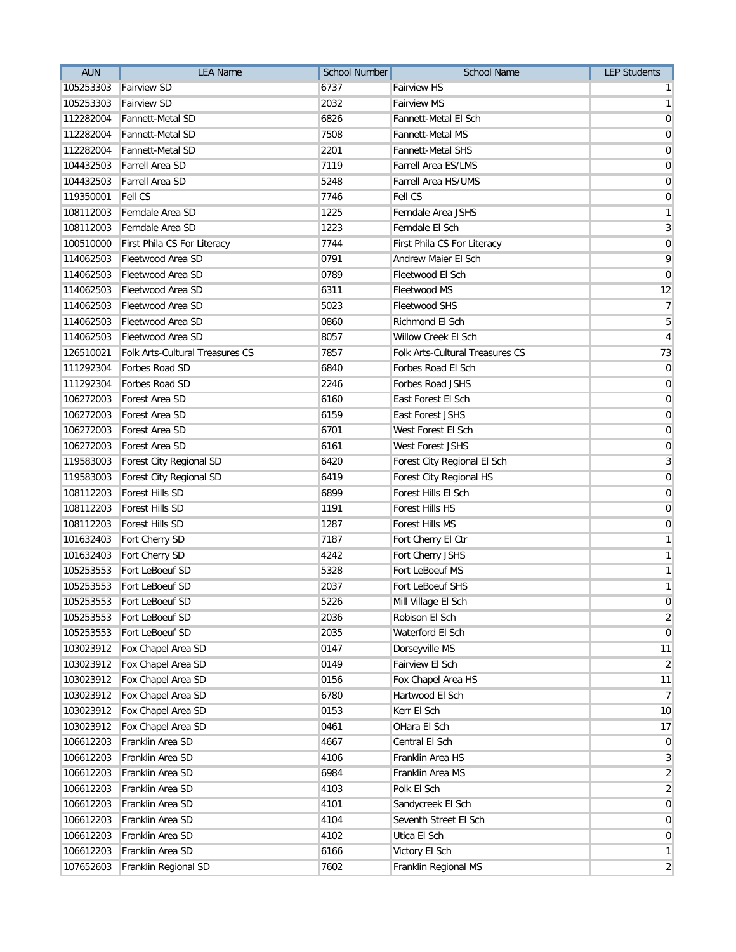| <b>Fairview SD</b><br>6737<br>105253303<br><b>Fairview HS</b><br>$\mathbf{1}$<br>105253303<br><b>Fairview SD</b><br>2032<br><b>Fairview MS</b><br>$\mathbf{1}$<br>6826<br>112282004<br>Fannett-Metal SD<br><b>Fannett-Metal El Sch</b><br>$\mathbf 0$<br><b>Fannett-Metal SD</b><br>7508<br><b>Fannett-Metal MS</b><br>112282004<br>Fannett-Metal SD<br>2201<br>Fannett-Metal SHS<br>112282004<br>Farrell Area SD<br>7119<br>Farrell Area ES/LMS<br>104432503<br>Farrell Area SD<br>5248<br>Farrell Area HS/UMS<br>104432503<br><b>Fell CS</b><br>7746<br>Fell CS<br>119350001<br>108112003<br>Ferndale Area SD<br>1225<br>Ferndale Area JSHS<br>Ferndale Area SD<br>1223<br>Ferndale El Sch<br>108112003<br>7744<br>100510000<br>First Phila CS For Literacy<br>First Phila CS For Literacy<br>114062503<br>Fleetwood Area SD<br>0791<br>Andrew Maier El Sch<br>Fleetwood Area SD<br>0789<br>Fleetwood El Sch<br>114062503<br>114062503<br>Fleetwood Area SD<br>6311<br>Fleetwood MS<br>Fleetwood Area SD<br>5023<br>114062503<br><b>Fleetwood SHS</b><br>Fleetwood Area SD<br>0860<br>5<br>114062503<br>Richmond El Sch<br>Fleetwood Area SD<br>8057<br>Willow Creek El Sch<br>114062503<br><b>Folk Arts-Cultural Treasures CS</b><br>7857<br>Folk Arts-Cultural Treasures CS<br>126510021<br>6840<br>111292304<br>Forbes Road SD<br>Forbes Road El Sch<br>111292304<br>Forbes Road SD<br>2246<br>Forbes Road JSHS<br>Forest Area SD<br>6160<br>106272003<br>East Forest El Sch<br>Forest Area SD<br>East Forest JSHS<br>106272003<br>6159<br>Forest Area SD<br>6701<br>West Forest El Sch<br>106272003<br>Forest Area SD<br>6161<br>West Forest JSHS<br>106272003<br>119583003<br>Forest City Regional SD<br>6420<br>Forest City Regional El Sch<br>Forest City Regional SD<br>6419<br>Forest City Regional HS<br>119583003<br>108112203<br><b>Forest Hills SD</b><br>6899<br>Forest Hills El Sch<br>108112203<br>Forest Hills SD<br>1191<br>Forest Hills HS<br>Forest Hills SD<br>1287<br>108112203<br>Forest Hills MS<br>Fort Cherry SD<br>7187<br>101632403<br>Fort Cherry El Ctr<br>Fort Cherry SD<br>4242<br>Fort Cherry JSHS<br>101632403<br>Fort LeBoeuf SD<br>5328<br>Fort LeBoeuf MS<br>105253553<br>105253553<br>Fort LeBoeuf SD<br>2037<br>Fort LeBoeuf SHS<br>5226<br>105253553 Fort LeBoeuf SD<br>Mill Village El Sch<br>105253553<br>Fort LeBoeuf SD<br>2036<br>Robison El Sch<br>Fort LeBoeuf SD<br>2035<br>Waterford El Sch<br>105253553<br>Fox Chapel Area SD<br>0147<br>Dorseyville MS<br>103023912<br>Fairview El Sch<br>103023912<br>Fox Chapel Area SD<br>0149<br>Fox Chapel Area SD<br>103023912<br>0156<br>Fox Chapel Area HS<br>Fox Chapel Area SD<br>6780<br>103023912<br>Hartwood El Sch<br>Fox Chapel Area SD<br>0153<br>Kerr El Sch<br>103023912<br>Fox Chapel Area SD<br>0461<br>OHara El Sch<br>103023912<br>106612203<br>Franklin Area SD<br>4667<br>Central El Sch<br>Franklin Area SD<br>4106<br>106612203<br>Franklin Area HS<br>Franklin Area SD<br>6984<br>Franklin Area MS<br>106612203<br>Franklin Area SD<br>106612203<br>4103<br>Polk El Sch<br>Franklin Area SD<br>106612203<br>4101<br>Sandycreek El Sch<br>Franklin Area SD<br>4104<br>Seventh Street El Sch<br>106612203<br>Franklin Area SD<br>4102<br>Utica El Sch<br>106612203<br>Franklin Area SD<br>106612203<br>6166<br>Victory El Sch | <b>AUN</b> | <b>LEA Name</b>      | <b>School Number</b> | <b>School Name</b>   | <b>LEP Students</b> |
|---------------------------------------------------------------------------------------------------------------------------------------------------------------------------------------------------------------------------------------------------------------------------------------------------------------------------------------------------------------------------------------------------------------------------------------------------------------------------------------------------------------------------------------------------------------------------------------------------------------------------------------------------------------------------------------------------------------------------------------------------------------------------------------------------------------------------------------------------------------------------------------------------------------------------------------------------------------------------------------------------------------------------------------------------------------------------------------------------------------------------------------------------------------------------------------------------------------------------------------------------------------------------------------------------------------------------------------------------------------------------------------------------------------------------------------------------------------------------------------------------------------------------------------------------------------------------------------------------------------------------------------------------------------------------------------------------------------------------------------------------------------------------------------------------------------------------------------------------------------------------------------------------------------------------------------------------------------------------------------------------------------------------------------------------------------------------------------------------------------------------------------------------------------------------------------------------------------------------------------------------------------------------------------------------------------------------------------------------------------------------------------------------------------------------------------------------------------------------------------------------------------------------------------------------------------------------------------------------------------------------------------------------------------------------------------------------------------------------------------------------------------------------------------------------------------------------------------------------------------------------------------------------------------------------------------------------------------------------------------------------------------------------------------------------------------------------------------------------------------------------------------------------------------------------------------------------------------------------------------------------------------------------------------------------------------------------------------------|------------|----------------------|----------------------|----------------------|---------------------|
|                                                                                                                                                                                                                                                                                                                                                                                                                                                                                                                                                                                                                                                                                                                                                                                                                                                                                                                                                                                                                                                                                                                                                                                                                                                                                                                                                                                                                                                                                                                                                                                                                                                                                                                                                                                                                                                                                                                                                                                                                                                                                                                                                                                                                                                                                                                                                                                                                                                                                                                                                                                                                                                                                                                                                                                                                                                                                                                                                                                                                                                                                                                                                                                                                                                                                                                                             |            |                      |                      |                      |                     |
|                                                                                                                                                                                                                                                                                                                                                                                                                                                                                                                                                                                                                                                                                                                                                                                                                                                                                                                                                                                                                                                                                                                                                                                                                                                                                                                                                                                                                                                                                                                                                                                                                                                                                                                                                                                                                                                                                                                                                                                                                                                                                                                                                                                                                                                                                                                                                                                                                                                                                                                                                                                                                                                                                                                                                                                                                                                                                                                                                                                                                                                                                                                                                                                                                                                                                                                                             |            |                      |                      |                      |                     |
|                                                                                                                                                                                                                                                                                                                                                                                                                                                                                                                                                                                                                                                                                                                                                                                                                                                                                                                                                                                                                                                                                                                                                                                                                                                                                                                                                                                                                                                                                                                                                                                                                                                                                                                                                                                                                                                                                                                                                                                                                                                                                                                                                                                                                                                                                                                                                                                                                                                                                                                                                                                                                                                                                                                                                                                                                                                                                                                                                                                                                                                                                                                                                                                                                                                                                                                                             |            |                      |                      |                      |                     |
| $\overline{0}$<br>$\mathbf 0$<br>$\pmb{0}$<br>$\pmb{0}$<br>$\mathbf{1}$<br>3<br>$\mathbf 0$<br>9<br>$\overline{0}$<br>12<br>$\overline{7}$<br>$\overline{4}$<br>73<br>$\pmb{0}$<br>$\mathbf 0$<br>$\mathbf 0$<br>$\mathbf 0$<br>$\mathbf 0$<br>$\mathbf 0$<br>$\mathbf{3}$<br>$\mathbf 0$<br>$\mathbf 0$<br>$\mathbf 0$<br>$\mathbf 0$<br>$\mathbf{1}$<br>$\mathbf{1}$<br>$\mathbf{1}$<br>$\mathbf{1}$<br>$\pmb{0}$<br>$\overline{2}$<br>$\overline{0}$<br>11<br>$\overline{2}$<br>11<br>$\overline{7}$<br>10<br>17<br>$\mathbf 0$<br>3<br>$\overline{2}$<br>$\overline{2}$<br>$\mathbf 0$<br>$\mathbf 0$<br>$\mathbf 0$<br>$\mathbf{1}$                                                                                                                                                                                                                                                                                                                                                                                                                                                                                                                                                                                                                                                                                                                                                                                                                                                                                                                                                                                                                                                                                                                                                                                                                                                                                                                                                                                                                                                                                                                                                                                                                                                                                                                                                                                                                                                                                                                                                                                                                                                                                                                                                                                                                                                                                                                                                                                                                                                                                                                                                                                                                                                                                                    |            |                      |                      |                      | $\overline{0}$      |
|                                                                                                                                                                                                                                                                                                                                                                                                                                                                                                                                                                                                                                                                                                                                                                                                                                                                                                                                                                                                                                                                                                                                                                                                                                                                                                                                                                                                                                                                                                                                                                                                                                                                                                                                                                                                                                                                                                                                                                                                                                                                                                                                                                                                                                                                                                                                                                                                                                                                                                                                                                                                                                                                                                                                                                                                                                                                                                                                                                                                                                                                                                                                                                                                                                                                                                                                             |            |                      |                      |                      |                     |
|                                                                                                                                                                                                                                                                                                                                                                                                                                                                                                                                                                                                                                                                                                                                                                                                                                                                                                                                                                                                                                                                                                                                                                                                                                                                                                                                                                                                                                                                                                                                                                                                                                                                                                                                                                                                                                                                                                                                                                                                                                                                                                                                                                                                                                                                                                                                                                                                                                                                                                                                                                                                                                                                                                                                                                                                                                                                                                                                                                                                                                                                                                                                                                                                                                                                                                                                             |            |                      |                      |                      |                     |
|                                                                                                                                                                                                                                                                                                                                                                                                                                                                                                                                                                                                                                                                                                                                                                                                                                                                                                                                                                                                                                                                                                                                                                                                                                                                                                                                                                                                                                                                                                                                                                                                                                                                                                                                                                                                                                                                                                                                                                                                                                                                                                                                                                                                                                                                                                                                                                                                                                                                                                                                                                                                                                                                                                                                                                                                                                                                                                                                                                                                                                                                                                                                                                                                                                                                                                                                             |            |                      |                      |                      |                     |
|                                                                                                                                                                                                                                                                                                                                                                                                                                                                                                                                                                                                                                                                                                                                                                                                                                                                                                                                                                                                                                                                                                                                                                                                                                                                                                                                                                                                                                                                                                                                                                                                                                                                                                                                                                                                                                                                                                                                                                                                                                                                                                                                                                                                                                                                                                                                                                                                                                                                                                                                                                                                                                                                                                                                                                                                                                                                                                                                                                                                                                                                                                                                                                                                                                                                                                                                             |            |                      |                      |                      |                     |
|                                                                                                                                                                                                                                                                                                                                                                                                                                                                                                                                                                                                                                                                                                                                                                                                                                                                                                                                                                                                                                                                                                                                                                                                                                                                                                                                                                                                                                                                                                                                                                                                                                                                                                                                                                                                                                                                                                                                                                                                                                                                                                                                                                                                                                                                                                                                                                                                                                                                                                                                                                                                                                                                                                                                                                                                                                                                                                                                                                                                                                                                                                                                                                                                                                                                                                                                             |            |                      |                      |                      |                     |
|                                                                                                                                                                                                                                                                                                                                                                                                                                                                                                                                                                                                                                                                                                                                                                                                                                                                                                                                                                                                                                                                                                                                                                                                                                                                                                                                                                                                                                                                                                                                                                                                                                                                                                                                                                                                                                                                                                                                                                                                                                                                                                                                                                                                                                                                                                                                                                                                                                                                                                                                                                                                                                                                                                                                                                                                                                                                                                                                                                                                                                                                                                                                                                                                                                                                                                                                             |            |                      |                      |                      |                     |
|                                                                                                                                                                                                                                                                                                                                                                                                                                                                                                                                                                                                                                                                                                                                                                                                                                                                                                                                                                                                                                                                                                                                                                                                                                                                                                                                                                                                                                                                                                                                                                                                                                                                                                                                                                                                                                                                                                                                                                                                                                                                                                                                                                                                                                                                                                                                                                                                                                                                                                                                                                                                                                                                                                                                                                                                                                                                                                                                                                                                                                                                                                                                                                                                                                                                                                                                             |            |                      |                      |                      |                     |
|                                                                                                                                                                                                                                                                                                                                                                                                                                                                                                                                                                                                                                                                                                                                                                                                                                                                                                                                                                                                                                                                                                                                                                                                                                                                                                                                                                                                                                                                                                                                                                                                                                                                                                                                                                                                                                                                                                                                                                                                                                                                                                                                                                                                                                                                                                                                                                                                                                                                                                                                                                                                                                                                                                                                                                                                                                                                                                                                                                                                                                                                                                                                                                                                                                                                                                                                             |            |                      |                      |                      |                     |
|                                                                                                                                                                                                                                                                                                                                                                                                                                                                                                                                                                                                                                                                                                                                                                                                                                                                                                                                                                                                                                                                                                                                                                                                                                                                                                                                                                                                                                                                                                                                                                                                                                                                                                                                                                                                                                                                                                                                                                                                                                                                                                                                                                                                                                                                                                                                                                                                                                                                                                                                                                                                                                                                                                                                                                                                                                                                                                                                                                                                                                                                                                                                                                                                                                                                                                                                             |            |                      |                      |                      |                     |
|                                                                                                                                                                                                                                                                                                                                                                                                                                                                                                                                                                                                                                                                                                                                                                                                                                                                                                                                                                                                                                                                                                                                                                                                                                                                                                                                                                                                                                                                                                                                                                                                                                                                                                                                                                                                                                                                                                                                                                                                                                                                                                                                                                                                                                                                                                                                                                                                                                                                                                                                                                                                                                                                                                                                                                                                                                                                                                                                                                                                                                                                                                                                                                                                                                                                                                                                             |            |                      |                      |                      |                     |
|                                                                                                                                                                                                                                                                                                                                                                                                                                                                                                                                                                                                                                                                                                                                                                                                                                                                                                                                                                                                                                                                                                                                                                                                                                                                                                                                                                                                                                                                                                                                                                                                                                                                                                                                                                                                                                                                                                                                                                                                                                                                                                                                                                                                                                                                                                                                                                                                                                                                                                                                                                                                                                                                                                                                                                                                                                                                                                                                                                                                                                                                                                                                                                                                                                                                                                                                             |            |                      |                      |                      |                     |
|                                                                                                                                                                                                                                                                                                                                                                                                                                                                                                                                                                                                                                                                                                                                                                                                                                                                                                                                                                                                                                                                                                                                                                                                                                                                                                                                                                                                                                                                                                                                                                                                                                                                                                                                                                                                                                                                                                                                                                                                                                                                                                                                                                                                                                                                                                                                                                                                                                                                                                                                                                                                                                                                                                                                                                                                                                                                                                                                                                                                                                                                                                                                                                                                                                                                                                                                             |            |                      |                      |                      |                     |
|                                                                                                                                                                                                                                                                                                                                                                                                                                                                                                                                                                                                                                                                                                                                                                                                                                                                                                                                                                                                                                                                                                                                                                                                                                                                                                                                                                                                                                                                                                                                                                                                                                                                                                                                                                                                                                                                                                                                                                                                                                                                                                                                                                                                                                                                                                                                                                                                                                                                                                                                                                                                                                                                                                                                                                                                                                                                                                                                                                                                                                                                                                                                                                                                                                                                                                                                             |            |                      |                      |                      |                     |
|                                                                                                                                                                                                                                                                                                                                                                                                                                                                                                                                                                                                                                                                                                                                                                                                                                                                                                                                                                                                                                                                                                                                                                                                                                                                                                                                                                                                                                                                                                                                                                                                                                                                                                                                                                                                                                                                                                                                                                                                                                                                                                                                                                                                                                                                                                                                                                                                                                                                                                                                                                                                                                                                                                                                                                                                                                                                                                                                                                                                                                                                                                                                                                                                                                                                                                                                             |            |                      |                      |                      |                     |
|                                                                                                                                                                                                                                                                                                                                                                                                                                                                                                                                                                                                                                                                                                                                                                                                                                                                                                                                                                                                                                                                                                                                                                                                                                                                                                                                                                                                                                                                                                                                                                                                                                                                                                                                                                                                                                                                                                                                                                                                                                                                                                                                                                                                                                                                                                                                                                                                                                                                                                                                                                                                                                                                                                                                                                                                                                                                                                                                                                                                                                                                                                                                                                                                                                                                                                                                             |            |                      |                      |                      |                     |
|                                                                                                                                                                                                                                                                                                                                                                                                                                                                                                                                                                                                                                                                                                                                                                                                                                                                                                                                                                                                                                                                                                                                                                                                                                                                                                                                                                                                                                                                                                                                                                                                                                                                                                                                                                                                                                                                                                                                                                                                                                                                                                                                                                                                                                                                                                                                                                                                                                                                                                                                                                                                                                                                                                                                                                                                                                                                                                                                                                                                                                                                                                                                                                                                                                                                                                                                             |            |                      |                      |                      |                     |
|                                                                                                                                                                                                                                                                                                                                                                                                                                                                                                                                                                                                                                                                                                                                                                                                                                                                                                                                                                                                                                                                                                                                                                                                                                                                                                                                                                                                                                                                                                                                                                                                                                                                                                                                                                                                                                                                                                                                                                                                                                                                                                                                                                                                                                                                                                                                                                                                                                                                                                                                                                                                                                                                                                                                                                                                                                                                                                                                                                                                                                                                                                                                                                                                                                                                                                                                             |            |                      |                      |                      |                     |
|                                                                                                                                                                                                                                                                                                                                                                                                                                                                                                                                                                                                                                                                                                                                                                                                                                                                                                                                                                                                                                                                                                                                                                                                                                                                                                                                                                                                                                                                                                                                                                                                                                                                                                                                                                                                                                                                                                                                                                                                                                                                                                                                                                                                                                                                                                                                                                                                                                                                                                                                                                                                                                                                                                                                                                                                                                                                                                                                                                                                                                                                                                                                                                                                                                                                                                                                             |            |                      |                      |                      |                     |
|                                                                                                                                                                                                                                                                                                                                                                                                                                                                                                                                                                                                                                                                                                                                                                                                                                                                                                                                                                                                                                                                                                                                                                                                                                                                                                                                                                                                                                                                                                                                                                                                                                                                                                                                                                                                                                                                                                                                                                                                                                                                                                                                                                                                                                                                                                                                                                                                                                                                                                                                                                                                                                                                                                                                                                                                                                                                                                                                                                                                                                                                                                                                                                                                                                                                                                                                             |            |                      |                      |                      |                     |
|                                                                                                                                                                                                                                                                                                                                                                                                                                                                                                                                                                                                                                                                                                                                                                                                                                                                                                                                                                                                                                                                                                                                                                                                                                                                                                                                                                                                                                                                                                                                                                                                                                                                                                                                                                                                                                                                                                                                                                                                                                                                                                                                                                                                                                                                                                                                                                                                                                                                                                                                                                                                                                                                                                                                                                                                                                                                                                                                                                                                                                                                                                                                                                                                                                                                                                                                             |            |                      |                      |                      |                     |
|                                                                                                                                                                                                                                                                                                                                                                                                                                                                                                                                                                                                                                                                                                                                                                                                                                                                                                                                                                                                                                                                                                                                                                                                                                                                                                                                                                                                                                                                                                                                                                                                                                                                                                                                                                                                                                                                                                                                                                                                                                                                                                                                                                                                                                                                                                                                                                                                                                                                                                                                                                                                                                                                                                                                                                                                                                                                                                                                                                                                                                                                                                                                                                                                                                                                                                                                             |            |                      |                      |                      |                     |
|                                                                                                                                                                                                                                                                                                                                                                                                                                                                                                                                                                                                                                                                                                                                                                                                                                                                                                                                                                                                                                                                                                                                                                                                                                                                                                                                                                                                                                                                                                                                                                                                                                                                                                                                                                                                                                                                                                                                                                                                                                                                                                                                                                                                                                                                                                                                                                                                                                                                                                                                                                                                                                                                                                                                                                                                                                                                                                                                                                                                                                                                                                                                                                                                                                                                                                                                             |            |                      |                      |                      |                     |
|                                                                                                                                                                                                                                                                                                                                                                                                                                                                                                                                                                                                                                                                                                                                                                                                                                                                                                                                                                                                                                                                                                                                                                                                                                                                                                                                                                                                                                                                                                                                                                                                                                                                                                                                                                                                                                                                                                                                                                                                                                                                                                                                                                                                                                                                                                                                                                                                                                                                                                                                                                                                                                                                                                                                                                                                                                                                                                                                                                                                                                                                                                                                                                                                                                                                                                                                             |            |                      |                      |                      |                     |
|                                                                                                                                                                                                                                                                                                                                                                                                                                                                                                                                                                                                                                                                                                                                                                                                                                                                                                                                                                                                                                                                                                                                                                                                                                                                                                                                                                                                                                                                                                                                                                                                                                                                                                                                                                                                                                                                                                                                                                                                                                                                                                                                                                                                                                                                                                                                                                                                                                                                                                                                                                                                                                                                                                                                                                                                                                                                                                                                                                                                                                                                                                                                                                                                                                                                                                                                             |            |                      |                      |                      |                     |
|                                                                                                                                                                                                                                                                                                                                                                                                                                                                                                                                                                                                                                                                                                                                                                                                                                                                                                                                                                                                                                                                                                                                                                                                                                                                                                                                                                                                                                                                                                                                                                                                                                                                                                                                                                                                                                                                                                                                                                                                                                                                                                                                                                                                                                                                                                                                                                                                                                                                                                                                                                                                                                                                                                                                                                                                                                                                                                                                                                                                                                                                                                                                                                                                                                                                                                                                             |            |                      |                      |                      |                     |
|                                                                                                                                                                                                                                                                                                                                                                                                                                                                                                                                                                                                                                                                                                                                                                                                                                                                                                                                                                                                                                                                                                                                                                                                                                                                                                                                                                                                                                                                                                                                                                                                                                                                                                                                                                                                                                                                                                                                                                                                                                                                                                                                                                                                                                                                                                                                                                                                                                                                                                                                                                                                                                                                                                                                                                                                                                                                                                                                                                                                                                                                                                                                                                                                                                                                                                                                             |            |                      |                      |                      |                     |
|                                                                                                                                                                                                                                                                                                                                                                                                                                                                                                                                                                                                                                                                                                                                                                                                                                                                                                                                                                                                                                                                                                                                                                                                                                                                                                                                                                                                                                                                                                                                                                                                                                                                                                                                                                                                                                                                                                                                                                                                                                                                                                                                                                                                                                                                                                                                                                                                                                                                                                                                                                                                                                                                                                                                                                                                                                                                                                                                                                                                                                                                                                                                                                                                                                                                                                                                             |            |                      |                      |                      |                     |
|                                                                                                                                                                                                                                                                                                                                                                                                                                                                                                                                                                                                                                                                                                                                                                                                                                                                                                                                                                                                                                                                                                                                                                                                                                                                                                                                                                                                                                                                                                                                                                                                                                                                                                                                                                                                                                                                                                                                                                                                                                                                                                                                                                                                                                                                                                                                                                                                                                                                                                                                                                                                                                                                                                                                                                                                                                                                                                                                                                                                                                                                                                                                                                                                                                                                                                                                             |            |                      |                      |                      |                     |
|                                                                                                                                                                                                                                                                                                                                                                                                                                                                                                                                                                                                                                                                                                                                                                                                                                                                                                                                                                                                                                                                                                                                                                                                                                                                                                                                                                                                                                                                                                                                                                                                                                                                                                                                                                                                                                                                                                                                                                                                                                                                                                                                                                                                                                                                                                                                                                                                                                                                                                                                                                                                                                                                                                                                                                                                                                                                                                                                                                                                                                                                                                                                                                                                                                                                                                                                             |            |                      |                      |                      |                     |
|                                                                                                                                                                                                                                                                                                                                                                                                                                                                                                                                                                                                                                                                                                                                                                                                                                                                                                                                                                                                                                                                                                                                                                                                                                                                                                                                                                                                                                                                                                                                                                                                                                                                                                                                                                                                                                                                                                                                                                                                                                                                                                                                                                                                                                                                                                                                                                                                                                                                                                                                                                                                                                                                                                                                                                                                                                                                                                                                                                                                                                                                                                                                                                                                                                                                                                                                             |            |                      |                      |                      |                     |
|                                                                                                                                                                                                                                                                                                                                                                                                                                                                                                                                                                                                                                                                                                                                                                                                                                                                                                                                                                                                                                                                                                                                                                                                                                                                                                                                                                                                                                                                                                                                                                                                                                                                                                                                                                                                                                                                                                                                                                                                                                                                                                                                                                                                                                                                                                                                                                                                                                                                                                                                                                                                                                                                                                                                                                                                                                                                                                                                                                                                                                                                                                                                                                                                                                                                                                                                             |            |                      |                      |                      |                     |
|                                                                                                                                                                                                                                                                                                                                                                                                                                                                                                                                                                                                                                                                                                                                                                                                                                                                                                                                                                                                                                                                                                                                                                                                                                                                                                                                                                                                                                                                                                                                                                                                                                                                                                                                                                                                                                                                                                                                                                                                                                                                                                                                                                                                                                                                                                                                                                                                                                                                                                                                                                                                                                                                                                                                                                                                                                                                                                                                                                                                                                                                                                                                                                                                                                                                                                                                             |            |                      |                      |                      |                     |
|                                                                                                                                                                                                                                                                                                                                                                                                                                                                                                                                                                                                                                                                                                                                                                                                                                                                                                                                                                                                                                                                                                                                                                                                                                                                                                                                                                                                                                                                                                                                                                                                                                                                                                                                                                                                                                                                                                                                                                                                                                                                                                                                                                                                                                                                                                                                                                                                                                                                                                                                                                                                                                                                                                                                                                                                                                                                                                                                                                                                                                                                                                                                                                                                                                                                                                                                             |            |                      |                      |                      |                     |
|                                                                                                                                                                                                                                                                                                                                                                                                                                                                                                                                                                                                                                                                                                                                                                                                                                                                                                                                                                                                                                                                                                                                                                                                                                                                                                                                                                                                                                                                                                                                                                                                                                                                                                                                                                                                                                                                                                                                                                                                                                                                                                                                                                                                                                                                                                                                                                                                                                                                                                                                                                                                                                                                                                                                                                                                                                                                                                                                                                                                                                                                                                                                                                                                                                                                                                                                             |            |                      |                      |                      |                     |
|                                                                                                                                                                                                                                                                                                                                                                                                                                                                                                                                                                                                                                                                                                                                                                                                                                                                                                                                                                                                                                                                                                                                                                                                                                                                                                                                                                                                                                                                                                                                                                                                                                                                                                                                                                                                                                                                                                                                                                                                                                                                                                                                                                                                                                                                                                                                                                                                                                                                                                                                                                                                                                                                                                                                                                                                                                                                                                                                                                                                                                                                                                                                                                                                                                                                                                                                             |            |                      |                      |                      |                     |
|                                                                                                                                                                                                                                                                                                                                                                                                                                                                                                                                                                                                                                                                                                                                                                                                                                                                                                                                                                                                                                                                                                                                                                                                                                                                                                                                                                                                                                                                                                                                                                                                                                                                                                                                                                                                                                                                                                                                                                                                                                                                                                                                                                                                                                                                                                                                                                                                                                                                                                                                                                                                                                                                                                                                                                                                                                                                                                                                                                                                                                                                                                                                                                                                                                                                                                                                             |            |                      |                      |                      |                     |
|                                                                                                                                                                                                                                                                                                                                                                                                                                                                                                                                                                                                                                                                                                                                                                                                                                                                                                                                                                                                                                                                                                                                                                                                                                                                                                                                                                                                                                                                                                                                                                                                                                                                                                                                                                                                                                                                                                                                                                                                                                                                                                                                                                                                                                                                                                                                                                                                                                                                                                                                                                                                                                                                                                                                                                                                                                                                                                                                                                                                                                                                                                                                                                                                                                                                                                                                             |            |                      |                      |                      |                     |
|                                                                                                                                                                                                                                                                                                                                                                                                                                                                                                                                                                                                                                                                                                                                                                                                                                                                                                                                                                                                                                                                                                                                                                                                                                                                                                                                                                                                                                                                                                                                                                                                                                                                                                                                                                                                                                                                                                                                                                                                                                                                                                                                                                                                                                                                                                                                                                                                                                                                                                                                                                                                                                                                                                                                                                                                                                                                                                                                                                                                                                                                                                                                                                                                                                                                                                                                             |            |                      |                      |                      |                     |
|                                                                                                                                                                                                                                                                                                                                                                                                                                                                                                                                                                                                                                                                                                                                                                                                                                                                                                                                                                                                                                                                                                                                                                                                                                                                                                                                                                                                                                                                                                                                                                                                                                                                                                                                                                                                                                                                                                                                                                                                                                                                                                                                                                                                                                                                                                                                                                                                                                                                                                                                                                                                                                                                                                                                                                                                                                                                                                                                                                                                                                                                                                                                                                                                                                                                                                                                             |            |                      |                      |                      |                     |
|                                                                                                                                                                                                                                                                                                                                                                                                                                                                                                                                                                                                                                                                                                                                                                                                                                                                                                                                                                                                                                                                                                                                                                                                                                                                                                                                                                                                                                                                                                                                                                                                                                                                                                                                                                                                                                                                                                                                                                                                                                                                                                                                                                                                                                                                                                                                                                                                                                                                                                                                                                                                                                                                                                                                                                                                                                                                                                                                                                                                                                                                                                                                                                                                                                                                                                                                             |            |                      |                      |                      |                     |
|                                                                                                                                                                                                                                                                                                                                                                                                                                                                                                                                                                                                                                                                                                                                                                                                                                                                                                                                                                                                                                                                                                                                                                                                                                                                                                                                                                                                                                                                                                                                                                                                                                                                                                                                                                                                                                                                                                                                                                                                                                                                                                                                                                                                                                                                                                                                                                                                                                                                                                                                                                                                                                                                                                                                                                                                                                                                                                                                                                                                                                                                                                                                                                                                                                                                                                                                             |            |                      |                      |                      |                     |
|                                                                                                                                                                                                                                                                                                                                                                                                                                                                                                                                                                                                                                                                                                                                                                                                                                                                                                                                                                                                                                                                                                                                                                                                                                                                                                                                                                                                                                                                                                                                                                                                                                                                                                                                                                                                                                                                                                                                                                                                                                                                                                                                                                                                                                                                                                                                                                                                                                                                                                                                                                                                                                                                                                                                                                                                                                                                                                                                                                                                                                                                                                                                                                                                                                                                                                                                             |            |                      |                      |                      |                     |
|                                                                                                                                                                                                                                                                                                                                                                                                                                                                                                                                                                                                                                                                                                                                                                                                                                                                                                                                                                                                                                                                                                                                                                                                                                                                                                                                                                                                                                                                                                                                                                                                                                                                                                                                                                                                                                                                                                                                                                                                                                                                                                                                                                                                                                                                                                                                                                                                                                                                                                                                                                                                                                                                                                                                                                                                                                                                                                                                                                                                                                                                                                                                                                                                                                                                                                                                             |            |                      |                      |                      |                     |
|                                                                                                                                                                                                                                                                                                                                                                                                                                                                                                                                                                                                                                                                                                                                                                                                                                                                                                                                                                                                                                                                                                                                                                                                                                                                                                                                                                                                                                                                                                                                                                                                                                                                                                                                                                                                                                                                                                                                                                                                                                                                                                                                                                                                                                                                                                                                                                                                                                                                                                                                                                                                                                                                                                                                                                                                                                                                                                                                                                                                                                                                                                                                                                                                                                                                                                                                             |            |                      |                      |                      |                     |
|                                                                                                                                                                                                                                                                                                                                                                                                                                                                                                                                                                                                                                                                                                                                                                                                                                                                                                                                                                                                                                                                                                                                                                                                                                                                                                                                                                                                                                                                                                                                                                                                                                                                                                                                                                                                                                                                                                                                                                                                                                                                                                                                                                                                                                                                                                                                                                                                                                                                                                                                                                                                                                                                                                                                                                                                                                                                                                                                                                                                                                                                                                                                                                                                                                                                                                                                             |            |                      |                      |                      |                     |
|                                                                                                                                                                                                                                                                                                                                                                                                                                                                                                                                                                                                                                                                                                                                                                                                                                                                                                                                                                                                                                                                                                                                                                                                                                                                                                                                                                                                                                                                                                                                                                                                                                                                                                                                                                                                                                                                                                                                                                                                                                                                                                                                                                                                                                                                                                                                                                                                                                                                                                                                                                                                                                                                                                                                                                                                                                                                                                                                                                                                                                                                                                                                                                                                                                                                                                                                             |            |                      |                      |                      |                     |
|                                                                                                                                                                                                                                                                                                                                                                                                                                                                                                                                                                                                                                                                                                                                                                                                                                                                                                                                                                                                                                                                                                                                                                                                                                                                                                                                                                                                                                                                                                                                                                                                                                                                                                                                                                                                                                                                                                                                                                                                                                                                                                                                                                                                                                                                                                                                                                                                                                                                                                                                                                                                                                                                                                                                                                                                                                                                                                                                                                                                                                                                                                                                                                                                                                                                                                                                             | 107652603  | Franklin Regional SD | 7602                 | Franklin Regional MS | $\overline{2}$      |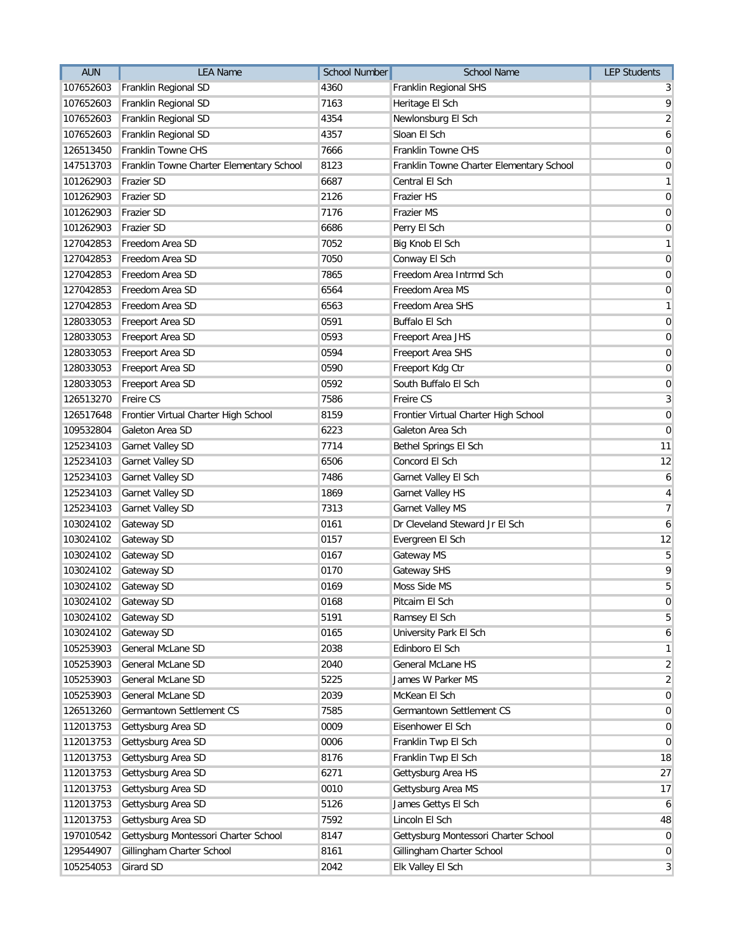| <b>AUN</b> | <b>LEA Name</b>                          | School Number | <b>School Name</b>                       | <b>LEP Students</b> |
|------------|------------------------------------------|---------------|------------------------------------------|---------------------|
| 107652603  | Franklin Regional SD                     | 4360          | Franklin Regional SHS                    | 3                   |
| 107652603  | Franklin Regional SD                     | 7163          | Heritage El Sch                          | 9                   |
| 107652603  | Franklin Regional SD                     | 4354          | Newlonsburg El Sch                       | $\overline{2}$      |
| 107652603  | Franklin Regional SD                     | 4357          | Sloan El Sch                             | 6                   |
| 126513450  | Franklin Towne CHS                       | 7666          | Franklin Towne CHS                       | $\overline{0}$      |
| 147513703  | Franklin Towne Charter Elementary School | 8123          | Franklin Towne Charter Elementary School | $\overline{0}$      |
| 101262903  | Frazier SD                               | 6687          | Central El Sch                           | $\mathbf{1}$        |
| 101262903  | Frazier SD                               | 2126          | <b>Frazier HS</b>                        | $\pmb{0}$           |
| 101262903  | <b>Frazier SD</b>                        | 7176          | <b>Frazier MS</b>                        | $\pmb{0}$           |
| 101262903  | <b>Frazier SD</b>                        | 6686          | Perry El Sch                             | $\pmb{0}$           |
| 127042853  | Freedom Area SD                          | 7052          | Big Knob El Sch                          | $\mathbf{1}$        |
| 127042853  | Freedom Area SD                          | 7050          | Conway El Sch                            | $\overline{0}$      |
| 127042853  | Freedom Area SD                          | 7865          | Freedom Area Intrmd Sch                  | $\mathbf 0$         |
| 127042853  | Freedom Area SD                          | 6564          | Freedom Area MS                          | $\mathbf 0$         |
| 127042853  | Freedom Area SD                          | 6563          | Freedom Area SHS                         | $\mathbf{1}$        |
| 128033053  | Freeport Area SD                         | 0591          | <b>Buffalo El Sch</b>                    | $\pmb{0}$           |
| 128033053  | Freeport Area SD                         | 0593          | Freeport Area JHS                        | $\overline{0}$      |
| 128033053  | Freeport Area SD                         | 0594          | Freeport Area SHS                        | $\overline{0}$      |
| 128033053  | Freeport Area SD                         | 0590          | Freeport Kdg Ctr                         | $\mathbf 0$         |
| 128033053  | Freeport Area SD                         | 0592          | South Buffalo El Sch                     | $\mathbf 0$         |
| 126513270  | Freire CS                                | 7586          | Freire CS                                | $\mathbf{3}$        |
| 126517648  | Frontier Virtual Charter High School     | 8159          | Frontier Virtual Charter High School     | $\mathbf 0$         |
| 109532804  | Galeton Area SD                          | 6223          | Galeton Area Sch                         | $\mathbf{0}$        |
| 125234103  | Garnet Valley SD                         | 7714          | Bethel Springs El Sch                    | 11                  |
| 125234103  | <b>Garnet Valley SD</b>                  | 6506          | Concord El Sch                           | 12                  |
| 125234103  | <b>Garnet Valley SD</b>                  | 7486          | Garnet Valley El Sch                     | 6                   |
| 125234103  | Garnet Valley SD                         | 1869          | Garnet Valley HS                         | 4                   |
| 125234103  | Garnet Valley SD                         | 7313          | Garnet Valley MS                         | $\overline{7}$      |
| 103024102  | Gateway SD                               | 0161          | Dr Cleveland Steward Jr El Sch           | 6                   |
| 103024102  | Gateway SD                               | 0157          | Evergreen El Sch                         | 12                  |
| 103024102  | Gateway SD                               | 0167          | Gateway MS                               | $\sqrt{5}$          |
| 103024102  | Gateway SD                               | 0170          | Gateway SHS                              | 9                   |
| 103024102  | Gateway SD                               | 0169          | Moss Side MS                             | 5                   |
|            | 103024102 Gateway SD                     | 0168          | Pitcairn El Sch                          | $\pmb{0}$           |
| 103024102  | Gateway SD                               | 5191          | Ramsey El Sch                            | 5                   |
| 103024102  | Gateway SD                               | 0165          | University Park El Sch                   | 6                   |
| 105253903  | General McLane SD                        | 2038          | Edinboro El Sch                          | $\mathbf{1}$        |
| 105253903  | General McLane SD                        | 2040          | General McLane HS                        | $\overline{c}$      |
| 105253903  | General McLane SD                        | 5225          | James W Parker MS                        | $\overline{2}$      |
| 105253903  | <b>General McLane SD</b>                 | 2039          | McKean El Sch                            | $\overline{0}$      |
| 126513260  | <b>Germantown Settlement CS</b>          | 7585          | Germantown Settlement CS                 | $\mathbf 0$         |
| 112013753  | Gettysburg Area SD                       | 0009          | Eisenhower El Sch                        | $\overline{0}$      |
| 112013753  | Gettysburg Area SD                       | 0006          | Franklin Twp El Sch                      | $\overline{0}$      |
| 112013753  | Gettysburg Area SD                       | 8176          | Franklin Twp El Sch                      | 18                  |
| 112013753  | Gettysburg Area SD                       | 6271          | Gettysburg Area HS                       | 27                  |
| 112013753  | Gettysburg Area SD                       | 0010          | Gettysburg Area MS                       | 17                  |
| 112013753  | Gettysburg Area SD                       | 5126          | James Gettys El Sch                      | 6                   |
| 112013753  | Gettysburg Area SD                       | 7592          | Lincoln El Sch                           | 48                  |
| 197010542  | Gettysburg Montessori Charter School     | 8147          | Gettysburg Montessori Charter School     | $\mathbf 0$         |
| 129544907  | Gillingham Charter School                | 8161          | Gillingham Charter School                | 0                   |
| 105254053  | <b>Girard SD</b>                         | 2042          | Elk Valley El Sch                        | 3                   |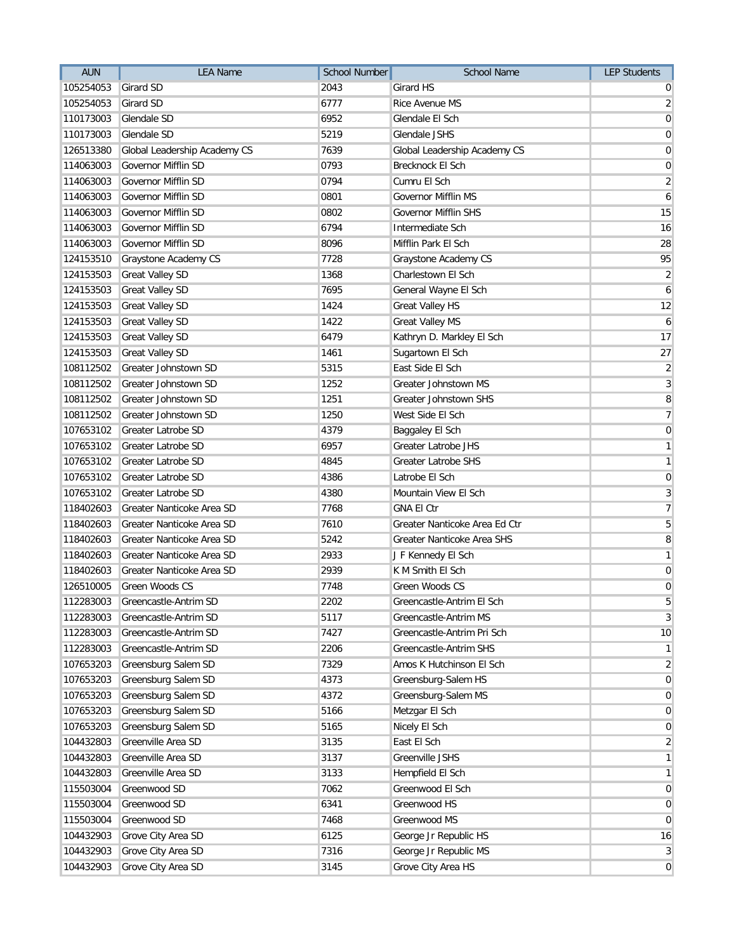| <b>AUN</b> | <b>LEA Name</b>              | <b>School Number</b> | School Name                   | <b>LEP Students</b> |
|------------|------------------------------|----------------------|-------------------------------|---------------------|
| 105254053  | Girard SD                    | 2043                 | Girard HS                     | 0                   |
| 105254053  | Girard SD                    | 6777                 | Rice Avenue MS                | $\overline{2}$      |
| 110173003  | Glendale SD                  | 6952                 | Glendale El Sch               | $\overline{0}$      |
| 110173003  | Glendale SD                  | 5219                 | Glendale JSHS                 | $\mathbf 0$         |
| 126513380  | Global Leadership Academy CS | 7639                 | Global Leadership Academy CS  | $\mathbf 0$         |
| 114063003  | Governor Mifflin SD          | 0793                 | Brecknock El Sch              | $\overline{0}$      |
| 114063003  | Governor Mifflin SD          | 0794                 | Cumru El Sch                  | $\overline{2}$      |
| 114063003  | Governor Mifflin SD          | 0801                 | <b>Governor Mifflin MS</b>    | $\boldsymbol{6}$    |
| 114063003  | Governor Mifflin SD          | 0802                 | <b>Governor Mifflin SHS</b>   | 15                  |
| 114063003  | Governor Mifflin SD          | 6794                 | Intermediate Sch              | 16                  |
| 114063003  | Governor Mifflin SD          | 8096                 | Mifflin Park El Sch           | 28                  |
| 124153510  | Graystone Academy CS         | 7728                 | Graystone Academy CS          | 95                  |
| 124153503  | <b>Great Valley SD</b>       | 1368                 | Charlestown El Sch            | $\overline{2}$      |
| 124153503  | <b>Great Valley SD</b>       | 7695                 | General Wayne El Sch          | $\mathfrak{b}$      |
| 124153503  | <b>Great Valley SD</b>       | 1424                 | <b>Great Valley HS</b>        | 12                  |
| 124153503  | <b>Great Valley SD</b>       | 1422                 | <b>Great Valley MS</b>        | 6                   |
| 124153503  | <b>Great Valley SD</b>       | 6479                 | Kathryn D. Markley El Sch     | 17                  |
| 124153503  | <b>Great Valley SD</b>       | 1461                 | Sugartown El Sch              | 27                  |
| 108112502  | Greater Johnstown SD         | 5315                 | East Side El Sch              | $\overline{2}$      |
| 108112502  | Greater Johnstown SD         | 1252                 | Greater Johnstown MS          | 3                   |
| 108112502  | Greater Johnstown SD         | 1251                 | <b>Greater Johnstown SHS</b>  | $\, 8$              |
| 108112502  | Greater Johnstown SD         | 1250                 | West Side El Sch              | $\overline{7}$      |
| 107653102  | Greater Latrobe SD           | 4379                 | Baggaley El Sch               | $\mathbf 0$         |
| 107653102  | <b>Greater Latrobe SD</b>    | 6957                 | <b>Greater Latrobe JHS</b>    | $\mathbf{1}$        |
| 107653102  | <b>Greater Latrobe SD</b>    | 4845                 | <b>Greater Latrobe SHS</b>    | $\mathbf{1}$        |
| 107653102  | <b>Greater Latrobe SD</b>    | 4386                 | Latrobe El Sch                | $\mathbf 0$         |
| 107653102  | <b>Greater Latrobe SD</b>    | 4380                 | Mountain View El Sch          | 3                   |
| 118402603  | Greater Nanticoke Area SD    | 7768                 | <b>GNA El Ctr</b>             | $\overline{7}$      |
| 118402603  | Greater Nanticoke Area SD    | 7610                 | Greater Nanticoke Area Ed Ctr | $\sqrt{5}$          |
| 118402603  | Greater Nanticoke Area SD    | 5242                 | Greater Nanticoke Area SHS    | 8                   |
| 118402603  | Greater Nanticoke Area SD    | 2933                 | J F Kennedy El Sch            | $\mathbf{1}$        |
| 118402603  | Greater Nanticoke Area SD    | 2939                 | K M Smith El Sch              | $\pmb{0}$           |
| 126510005  | Green Woods CS               | 7748                 | Green Woods CS                | $\pmb{0}$           |
| 112283003  | Greencastle-Antrim SD        | 2202                 | Greencastle-Antrim El Sch     | $\overline{5}$      |
| 112283003  | Greencastle-Antrim SD        | 5117                 | Greencastle-Antrim MS         | $\mathbf{3}$        |
| 112283003  | Greencastle-Antrim SD        | 7427                 | Greencastle-Antrim Pri Sch    | 10                  |
| 112283003  | Greencastle-Antrim SD        | 2206                 | Greencastle-Antrim SHS        | $\mathbf{1}$        |
| 107653203  | Greensburg Salem SD          | 7329                 | Amos K Hutchinson El Sch      | $\overline{2}$      |
| 107653203  | Greensburg Salem SD          | 4373                 | Greensburg-Salem HS           | $\mathbf 0$         |
| 107653203  | Greensburg Salem SD          | 4372                 | Greensburg-Salem MS           | $\mathbf 0$         |
| 107653203  | Greensburg Salem SD          | 5166                 | Metzgar El Sch                | $\pmb{0}$           |
| 107653203  | Greensburg Salem SD          | 5165                 | Nicely El Sch                 | $\mathbf 0$         |
| 104432803  | Greenville Area SD           | 3135                 | East El Sch                   | $\overline{2}$      |
| 104432803  | Greenville Area SD           | 3137                 | Greenville JSHS               | $\mathbf{1}$        |
| 104432803  | Greenville Area SD           | 3133                 | Hempfield El Sch              | $\mathbf{1}$        |
| 115503004  | Greenwood SD                 | 7062                 | Greenwood El Sch              | $\mathbf 0$         |
| 115503004  | Greenwood SD                 | 6341                 | Greenwood HS                  | $\mathbf 0$         |
| 115503004  | Greenwood SD                 | 7468                 | Greenwood MS                  | $\mathbf 0$         |
| 104432903  | Grove City Area SD           | 6125                 | George Jr Republic HS         | 16                  |
| 104432903  | Grove City Area SD           | 7316                 | George Jr Republic MS         | 3                   |
| 104432903  | Grove City Area SD           | 3145                 | Grove City Area HS            | $\mathbf 0$         |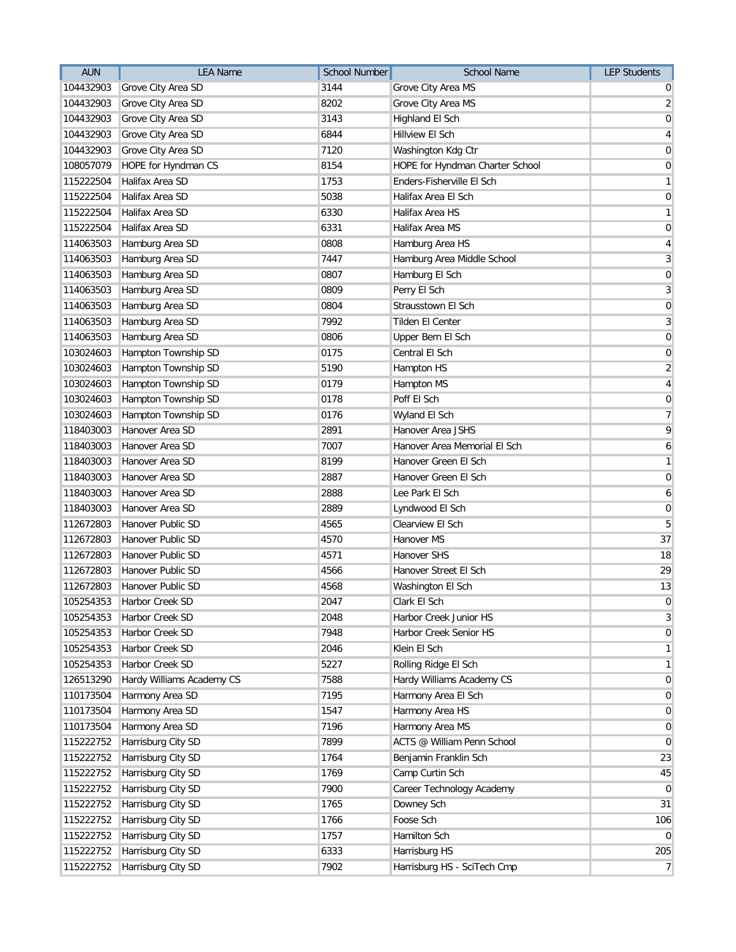| <b>AUN</b> | <b>LEA Name</b>           | <b>School Number</b> | <b>School Name</b>              | <b>LEP Students</b> |
|------------|---------------------------|----------------------|---------------------------------|---------------------|
| 104432903  | Grove City Area SD        | 3144                 | Grove City Area MS              | 0                   |
| 104432903  | Grove City Area SD        | 8202                 | Grove City Area MS              | $\overline{2}$      |
| 104432903  | Grove City Area SD        | 3143                 | Highland El Sch                 | $\mathbf 0$         |
| 104432903  | Grove City Area SD        | 6844                 | Hillview El Sch                 | $\overline{4}$      |
| 104432903  | Grove City Area SD        | 7120                 | Washington Kdg Ctr              | $\mathbf 0$         |
| 108057079  | HOPE for Hyndman CS       | 8154                 | HOPE for Hyndman Charter School | $\mathbf 0$         |
| 115222504  | Halifax Area SD           | 1753                 | Enders-Fisherville El Sch       | $\mathbf{1}$        |
| 115222504  | Halifax Area SD           | 5038                 | Halifax Area El Sch             | $\pmb{0}$           |
| 115222504  | Halifax Area SD           | 6330                 | Halifax Area HS                 | $\mathbf{1}$        |
| 115222504  | Halifax Area SD           | 6331                 | <b>Halifax Area MS</b>          | $\overline{0}$      |
| 114063503  | Hamburg Area SD           | 0808                 | Hamburg Area HS                 | 4                   |
| 114063503  | Hamburg Area SD           | 7447                 | Hamburg Area Middle School      | 3                   |
| 114063503  | Hamburg Area SD           | 0807                 | Hamburg El Sch                  | $\mathbf 0$         |
| 114063503  | Hamburg Area SD           | 0809                 | Perry El Sch                    | 3                   |
| 114063503  | Hamburg Area SD           | 0804                 | Strausstown El Sch              | $\mathbf 0$         |
| 114063503  | Hamburg Area SD           | 7992                 | Tilden El Center                | $\mathbf{3}$        |
| 114063503  | Hamburg Area SD           | 0806                 | Upper Bern El Sch               | $\pmb{0}$           |
| 103024603  | Hampton Township SD       | 0175                 | Central El Sch                  | $\mathbf 0$         |
| 103024603  | Hampton Township SD       | 5190                 | Hampton HS                      | $\overline{2}$      |
| 103024603  | Hampton Township SD       | 0179                 | Hampton MS                      | $\overline{4}$      |
| 103024603  | Hampton Township SD       | 0178                 | Poff El Sch                     | $\pmb{0}$           |
| 103024603  | Hampton Township SD       | 0176                 | Wyland El Sch                   | $\overline{7}$      |
| 118403003  | Hanover Area SD           | 2891                 | Hanover Area JSHS               | 9                   |
| 118403003  | Hanover Area SD           | 7007                 | Hanover Area Memorial El Sch    | 6                   |
| 118403003  | Hanover Area SD           | 8199                 | Hanover Green El Sch            | $\mathbf{1}$        |
| 118403003  | Hanover Area SD           | 2887                 | Hanover Green El Sch            | $\mathbf 0$         |
| 118403003  | Hanover Area SD           | 2888                 | Lee Park El Sch                 | 6                   |
| 118403003  | Hanover Area SD           | 2889                 | Lyndwood El Sch                 | $\pmb{0}$           |
| 112672803  | Hanover Public SD         | 4565                 | Clearview El Sch                | 5                   |
| 112672803  | Hanover Public SD         | 4570                 | Hanover MS                      | 37                  |
| 112672803  | Hanover Public SD         | 4571                 | Hanover SHS                     | 18                  |
| 112672803  | Hanover Public SD         | 4566                 | Hanover Street El Sch           | 29                  |
| 112672803  | Hanover Public SD         | 4568                 | Washington El Sch               | 13                  |
| 105254353  | Harbor Creek SD           | 2047                 | Clark El Sch                    | $\pmb{0}$           |
| 105254353  | Harbor Creek SD           | 2048                 | Harbor Creek Junior HS          | 3                   |
| 105254353  | Harbor Creek SD           | 7948                 | Harbor Creek Senior HS          | $\mathbf 0$         |
| 105254353  | Harbor Creek SD           | 2046                 | Klein El Sch                    | $\mathbf{1}$        |
| 105254353  | Harbor Creek SD           | 5227                 | Rolling Ridge El Sch            | $\mathbf{1}$        |
| 126513290  | Hardy Williams Academy CS | 7588                 | Hardy Williams Academy CS       | $\overline{0}$      |
| 110173504  | Harmony Area SD           | 7195                 | Harmony Area El Sch             | $\mathbf 0$         |
| 110173504  | Harmony Area SD           | 1547                 | Harmony Area HS                 | $\overline{0}$      |
| 110173504  | Harmony Area SD           | 7196                 | Harmony Area MS                 | $\mathbf 0$         |
| 115222752  | Harrisburg City SD        | 7899                 | ACTS @ William Penn School      | $\overline{0}$      |
| 115222752  | Harrisburg City SD        | 1764                 | Benjamin Franklin Sch           | 23                  |
| 115222752  | Harrisburg City SD        | 1769                 | Camp Curtin Sch                 | 45                  |
| 115222752  | Harrisburg City SD        | 7900                 | Career Technology Academy       | $\overline{0}$      |
| 115222752  | Harrisburg City SD        | 1765                 | Downey Sch                      | 31                  |
| 115222752  | Harrisburg City SD        | 1766                 | Foose Sch                       | 106                 |
| 115222752  | Harrisburg City SD        | 1757                 | Hamilton Sch                    | $\overline{0}$      |
| 115222752  | Harrisburg City SD        | 6333                 | Harrisburg HS                   | 205                 |
| 115222752  | Harrisburg City SD        | 7902                 | Harrisburg HS - SciTech Cmp     | $\overline{7}$      |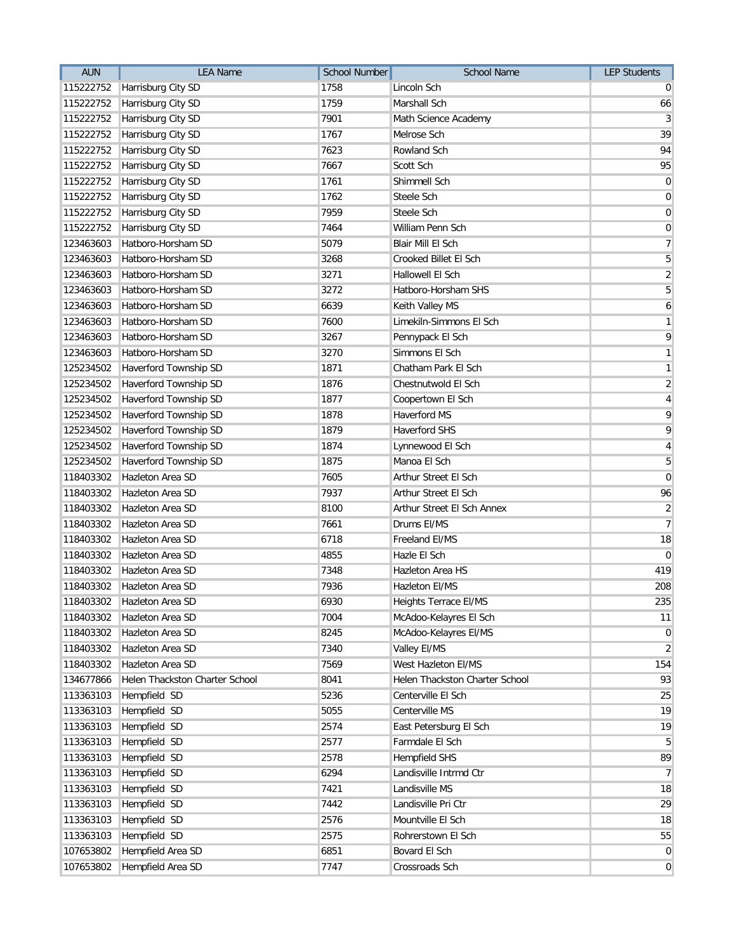| <b>AUN</b> | <b>LEA Name</b>                | <b>School Number</b> | School Name                    | <b>LEP Students</b> |
|------------|--------------------------------|----------------------|--------------------------------|---------------------|
| 115222752  | Harrisburg City SD             | 1758                 | Lincoln Sch                    | $\Omega$            |
| 115222752  | Harrisburg City SD             | 1759                 | Marshall Sch                   | 66                  |
| 115222752  | Harrisburg City SD             | 7901                 | Math Science Academy           | $\mathbf{3}$        |
| 115222752  | Harrisburg City SD             | 1767                 | Melrose Sch                    | 39                  |
| 115222752  | Harrisburg City SD             | 7623                 | Rowland Sch                    | 94                  |
| 115222752  | Harrisburg City SD             | 7667                 | Scott Sch                      | 95                  |
| 115222752  | Harrisburg City SD             | 1761                 | Shimmell Sch                   | $\overline{0}$      |
| 115222752  | Harrisburg City SD             | 1762                 | Steele Sch                     | $\overline{0}$      |
| 115222752  | Harrisburg City SD             | 7959                 | Steele Sch                     | 0                   |
| 115222752  | Harrisburg City SD             | 7464                 | William Penn Sch               | $\overline{0}$      |
| 123463603  | Hatboro-Horsham SD             | 5079                 | Blair Mill El Sch              | $\overline{7}$      |
| 123463603  | Hatboro-Horsham SD             | 3268                 | <b>Crooked Billet El Sch</b>   | 5                   |
| 123463603  | Hatboro-Horsham SD             | 3271                 | Hallowell El Sch               | $\overline{2}$      |
| 123463603  | Hatboro-Horsham SD             | 3272                 | Hatboro-Horsham SHS            | $\overline{5}$      |
| 123463603  | Hatboro-Horsham SD             | 6639                 | Keith Valley MS                | $6 \mid$            |
| 123463603  | Hatboro-Horsham SD             | 7600                 | Limekiln-Simmons El Sch        | $\mathbf{1}$        |
| 123463603  | Hatboro-Horsham SD             | 3267                 | Pennypack El Sch               | 9                   |
| 123463603  | Hatboro-Horsham SD             | 3270                 | Simmons El Sch                 | 1                   |
| 125234502  | Haverford Township SD          | 1871                 | Chatham Park El Sch            | $\mathbf{1}$        |
| 125234502  | Haverford Township SD          | 1876                 | Chestnutwold El Sch            | $\overline{2}$      |
| 125234502  | Haverford Township SD          | 1877                 | Coopertown El Sch              | $\vert 4 \vert$     |
| 125234502  | Haverford Township SD          | 1878                 | Haverford MS                   | 9                   |
| 125234502  | Haverford Township SD          | 1879                 | <b>Haverford SHS</b>           | 9                   |
| 125234502  | Haverford Township SD          | 1874                 | Lynnewood El Sch               | $\vert 4 \vert$     |
| 125234502  | Haverford Township SD          | 1875                 | Manoa El Sch                   | $5\overline{)}$     |
| 118403302  | Hazleton Area SD               | 7605                 | Arthur Street El Sch           | $\overline{0}$      |
| 118403302  | Hazleton Area SD               | 7937                 | Arthur Street El Sch           | 96                  |
| 118403302  | Hazleton Area SD               | 8100                 | Arthur Street El Sch Annex     | $\overline{2}$      |
| 118403302  | Hazleton Area SD               | 7661                 | Drums EI/MS                    | 7 <sup>1</sup>      |
| 118403302  | Hazleton Area SD               | 6718                 | Freeland EI/MS                 | 18                  |
| 118403302  | Hazleton Area SD               | 4855                 | Hazle El Sch                   | $\boldsymbol{0}$    |
| 118403302  | Hazleton Area SD               | 7348                 | Hazleton Area HS               | 419                 |
| 118403302  | Hazleton Area SD               | 7936                 | Hazleton El/MS                 | 208                 |
| 118403302  | Hazleton Area SD               | 6930                 | Heights Terrace El/MS          | 235                 |
| 118403302  | Hazleton Area SD               | 7004                 | McAdoo-Kelayres El Sch         | 11                  |
| 118403302  | Hazleton Area SD               | 8245                 | McAdoo-Kelayres El/MS          | $\overline{0}$      |
| 118403302  | Hazleton Area SD               | 7340                 | Valley El/MS                   | $\overline{2}$      |
| 118403302  | Hazleton Area SD               | 7569                 | West Hazleton EI/MS            | 154                 |
| 134677866  | Helen Thackston Charter School | 8041                 | Helen Thackston Charter School | 93                  |
| 113363103  | Hempfield SD                   | 5236                 | Centerville El Sch             | 25                  |
| 113363103  | Hempfield SD                   | 5055                 | Centerville MS                 | 19                  |
| 113363103  | Hempfield SD                   | 2574                 | East Petersburg El Sch         | 19                  |
| 113363103  | Hempfield SD                   | 2577                 | Farmdale El Sch                | 5 <sup>1</sup>      |
| 113363103  | Hempfield SD                   | 2578                 | <b>Hempfield SHS</b>           | 89                  |
| 113363103  | Hempfield SD                   | 6294                 | Landisville Intrmd Ctr         | $\overline{7}$      |
| 113363103  | Hempfield SD                   | 7421                 | Landisville MS                 | 18                  |
| 113363103  | Hempfield SD                   | 7442                 | Landisville Pri Ctr            | 29                  |
| 113363103  | Hempfield SD                   | 2576                 | Mountville El Sch              | 18                  |
| 113363103  | Hempfield SD                   | 2575                 | Rohrerstown El Sch             | 55                  |
| 107653802  | Hempfield Area SD              | 6851                 | Bovard El Sch                  | $\overline{0}$      |
| 107653802  | Hempfield Area SD              | 7747                 | Crossroads Sch                 | 0                   |
|            |                                |                      |                                |                     |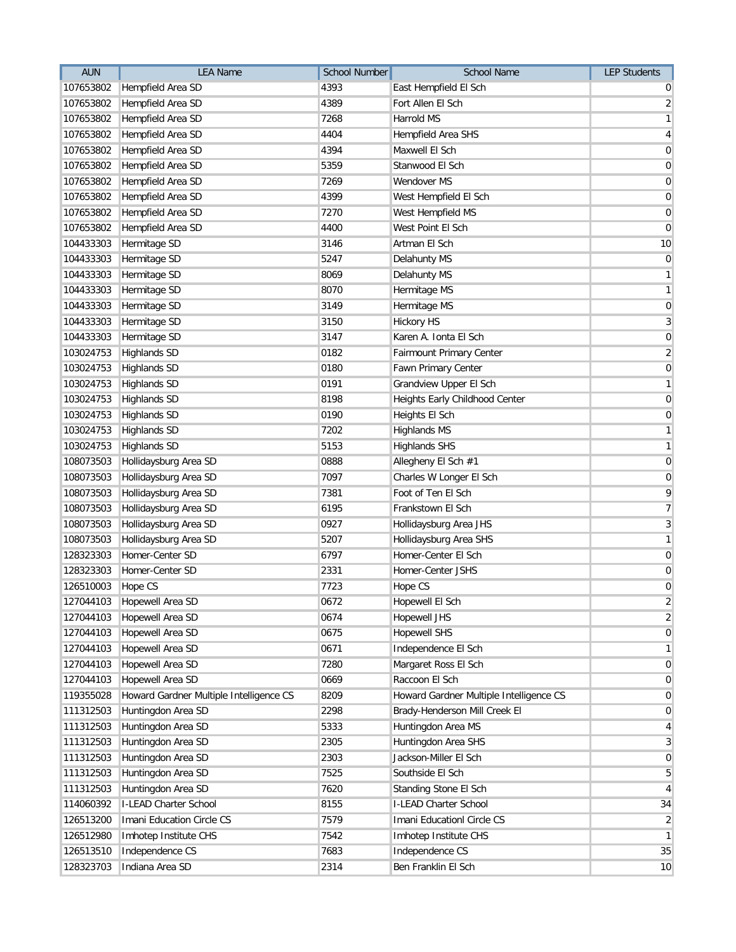| <b>AUN</b> | <b>LEA Name</b>                         | School Number | School Name                             | <b>LEP Students</b> |
|------------|-----------------------------------------|---------------|-----------------------------------------|---------------------|
| 107653802  | Hempfield Area SD                       | 4393          | East Hempfield El Sch                   | 0                   |
| 107653802  | Hempfield Area SD                       | 4389          | Fort Allen El Sch                       | $\overline{2}$      |
| 107653802  | Hempfield Area SD                       | 7268          | Harrold MS                              | $\mathbf{1}$        |
| 107653802  | Hempfield Area SD                       | 4404          | Hempfield Area SHS                      | $\overline{4}$      |
| 107653802  | Hempfield Area SD                       | 4394          | Maxwell El Sch                          | $\pmb{0}$           |
| 107653802  | Hempfield Area SD                       | 5359          | Stanwood El Sch                         | $\mathbf 0$         |
| 107653802  | Hempfield Area SD                       | 7269          | Wendover MS                             | $\pmb{0}$           |
| 107653802  | Hempfield Area SD                       | 4399          | West Hempfield El Sch                   | $\pmb{0}$           |
| 107653802  | Hempfield Area SD                       | 7270          | West Hempfield MS                       | $\pmb{0}$           |
| 107653802  | Hempfield Area SD                       | 4400          | West Point El Sch                       | $\pmb{0}$           |
| 104433303  | Hermitage SD                            | 3146          | Artman El Sch                           | 10                  |
| 104433303  | Hermitage SD                            | 5247          | Delahunty MS                            | $\mathbf 0$         |
| 104433303  | Hermitage SD                            | 8069          | Delahunty MS                            | $\mathbf{1}$        |
| 104433303  | Hermitage SD                            | 8070          | Hermitage MS                            | $\mathbf{1}$        |
| 104433303  | Hermitage SD                            | 3149          | Hermitage MS                            | $\mathbf 0$         |
| 104433303  | Hermitage SD                            | 3150          | <b>Hickory HS</b>                       | $\sqrt{3}$          |
| 104433303  | Hermitage SD                            | 3147          | Karen A. Ionta El Sch                   | $\pmb{0}$           |
| 103024753  | <b>Highlands SD</b>                     | 0182          | Fairmount Primary Center                | $\overline{2}$      |
| 103024753  | <b>Highlands SD</b>                     | 0180          | Fawn Primary Center                     | $\pmb{0}$           |
| 103024753  | <b>Highlands SD</b>                     | 0191          | Grandview Upper El Sch                  | $\mathbf{1}$        |
| 103024753  | <b>Highlands SD</b>                     | 8198          | Heights Early Childhood Center          | $\boldsymbol{0}$    |
| 103024753  | <b>Highlands SD</b>                     | 0190          | Heights El Sch                          | $\pmb{0}$           |
| 103024753  | <b>Highlands SD</b>                     | 7202          | <b>Highlands MS</b>                     | $\mathbf{1}$        |
| 103024753  | <b>Highlands SD</b>                     | 5153          | <b>Highlands SHS</b>                    | $\mathbf{1}$        |
| 108073503  | Hollidaysburg Area SD                   | 0888          | Allegheny El Sch #1                     | $\mathbf 0$         |
| 108073503  | Hollidaysburg Area SD                   | 7097          | Charles W Longer El Sch                 | $\mathbf 0$         |
| 108073503  | Hollidaysburg Area SD                   | 7381          | Foot of Ten El Sch                      | 9                   |
| 108073503  | Hollidaysburg Area SD                   | 6195          | Frankstown El Sch                       | $\overline{7}$      |
| 108073503  | Hollidaysburg Area SD                   | 0927          | Hollidaysburg Area JHS                  | 3                   |
| 108073503  | Hollidaysburg Area SD                   | 5207          | Hollidaysburg Area SHS                  | $\mathbf{1}$        |
| 128323303  | Homer-Center SD                         | 6797          | Homer-Center El Sch                     | $\mathbf 0$         |
| 128323303  | Homer-Center SD                         | 2331          | Homer-Center JSHS                       | $\pmb{0}$           |
| 126510003  | Hope CS                                 | 7723          | Hope CS                                 | $\pmb{0}$           |
|            | 127044103 Hopewell Area SD              | 0672          | <b>Hopewell El Sch</b>                  | $\overline{c}$      |
| 127044103  | Hopewell Area SD                        | 0674          | <b>Hopewell JHS</b>                     | $\overline{2}$      |
| 127044103  | Hopewell Area SD                        | 0675          | <b>Hopewell SHS</b>                     | $\mathbf 0$         |
| 127044103  | Hopewell Area SD                        | 0671          | Independence El Sch                     | $\mathbf{1}$        |
| 127044103  | <b>Hopewell Area SD</b>                 | 7280          | Margaret Ross El Sch                    | $\pmb{0}$           |
| 127044103  | Hopewell Area SD                        | 0669          | Raccoon El Sch                          | $\mathbf 0$         |
| 119355028  | Howard Gardner Multiple Intelligence CS | 8209          | Howard Gardner Multiple Intelligence CS | $\mathbf 0$         |
| 111312503  | Huntingdon Area SD                      | 2298          | Brady-Henderson Mill Creek El           | $\mathbf 0$         |
| 111312503  | Huntingdon Area SD                      | 5333          | Huntingdon Area MS                      | 4                   |
| 111312503  | Huntingdon Area SD                      | 2305          | Huntingdon Area SHS                     | 3                   |
| 111312503  | Huntingdon Area SD                      | 2303          | Jackson-Miller El Sch                   | $\mathbf 0$         |
| 111312503  | Huntingdon Area SD                      | 7525          | Southside El Sch                        | 5                   |
| 111312503  | Huntingdon Area SD                      | 7620          | Standing Stone El Sch                   | $\overline{4}$      |
| 114060392  | I-LEAD Charter School                   | 8155          | I-LEAD Charter School                   | 34                  |
| 126513200  | Imani Education Circle CS               | 7579          | Imani Educationl Circle CS              | $\overline{2}$      |
| 126512980  | Imhotep Institute CHS                   | 7542          | Imhotep Institute CHS                   | $\mathbf{1}$        |
| 126513510  | Independence CS                         | 7683          | Independence CS                         | 35                  |
| 128323703  | Indiana Area SD                         | 2314          | Ben Franklin El Sch                     | 10                  |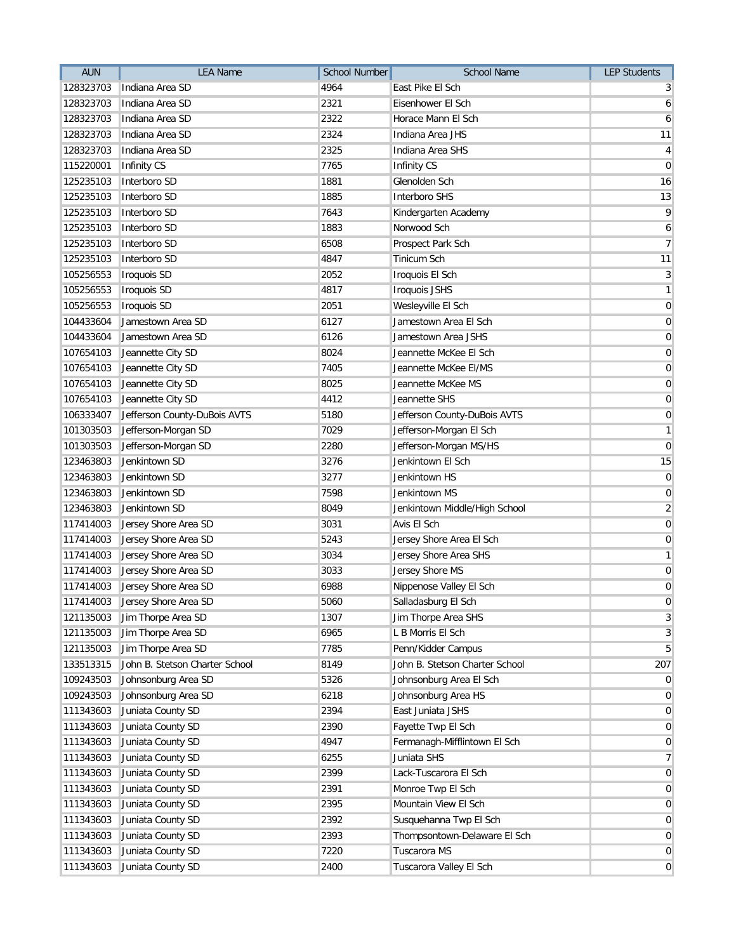| <b>AUN</b> | <b>LEA Name</b>                | <b>School Number</b> | <b>School Name</b>             | <b>LEP Students</b> |
|------------|--------------------------------|----------------------|--------------------------------|---------------------|
| 128323703  | Indiana Area SD                | 4964                 | East Pike El Sch               | 3                   |
| 128323703  | Indiana Area SD                | 2321                 | Eisenhower El Sch              | 6                   |
| 128323703  | Indiana Area SD                | 2322                 | Horace Mann El Sch             | 6                   |
| 128323703  | Indiana Area SD                | 2324                 | Indiana Area JHS               | 11                  |
| 128323703  | Indiana Area SD                | 2325                 | Indiana Area SHS               | 4                   |
| 115220001  | Infinity CS                    | 7765                 | Infinity CS                    | $\mathbf 0$         |
| 125235103  | Interboro SD                   | 1881                 | Glenolden Sch                  | 16                  |
| 125235103  | Interboro SD                   | 1885                 | <b>Interboro SHS</b>           | 13                  |
| 125235103  | Interboro SD                   | 7643                 | Kindergarten Academy           | 9                   |
| 125235103  | Interboro SD                   | 1883                 | Norwood Sch                    | 6                   |
| 125235103  | Interboro SD                   | 6508                 | Prospect Park Sch              | $\overline{7}$      |
| 125235103  | Interboro SD                   | 4847                 | <b>Tinicum Sch</b>             | 11                  |
| 105256553  | <b>Iroquois SD</b>             | 2052                 | Iroquois El Sch                | $\mathbf{3}$        |
| 105256553  | <b>Iroquois SD</b>             | 4817                 | Iroquois JSHS                  | $\mathbf{1}$        |
| 105256553  | Iroquois SD                    | 2051                 | Wesleyville El Sch             | $\mathbf 0$         |
| 104433604  | Jamestown Area SD              | 6127                 | Jamestown Area El Sch          | $\pmb{0}$           |
| 104433604  | Jamestown Area SD              | 6126                 | Jamestown Area JSHS            | $\mathbf 0$         |
| 107654103  | Jeannette City SD              | 8024                 | Jeannette McKee El Sch         | $\mathbf 0$         |
| 107654103  | Jeannette City SD              | 7405                 | Jeannette McKee El/MS          | $\mathbf 0$         |
| 107654103  | Jeannette City SD              | 8025                 | Jeannette McKee MS             | $\pmb{0}$           |
| 107654103  | Jeannette City SD              | 4412                 | Jeannette SHS                  | $\pmb{0}$           |
| 106333407  | Jefferson County-DuBois AVTS   | 5180                 | Jefferson County-DuBois AVTS   | $\pmb{0}$           |
| 101303503  | Jefferson-Morgan SD            | 7029                 | Jefferson-Morgan El Sch        | $\mathbf{1}$        |
| 101303503  | Jefferson-Morgan SD            | 2280                 | Jefferson-Morgan MS/HS         | $\mathbf 0$         |
| 123463803  | Jenkintown SD                  | 3276                 | Jenkintown El Sch              | 15                  |
| 123463803  | Jenkintown SD                  | 3277                 | Jenkintown HS                  | $\mathbf 0$         |
| 123463803  | Jenkintown SD                  | 7598                 | Jenkintown MS                  | $\mathbf 0$         |
| 123463803  | Jenkintown SD                  | 8049                 | Jenkintown Middle/High School  | $\overline{2}$      |
| 117414003  | Jersey Shore Area SD           | 3031                 | Avis El Sch                    | $\mathbf 0$         |
| 117414003  | Jersey Shore Area SD           | 5243                 | Jersey Shore Area El Sch       | $\mathbf 0$         |
| 117414003  | Jersey Shore Area SD           | 3034                 | Jersey Shore Area SHS          | $\mathbf{1}$        |
| 117414003  | Jersey Shore Area SD           | 3033                 | Jersey Shore MS                | $\pmb{0}$           |
| 117414003  | Jersey Shore Area SD           | 6988                 | Nippenose Valley El Sch        | $\pmb{0}$           |
|            | 117414003 Jersey Shore Area SD | 5060                 | Salladasburg El Sch            | $\pmb{0}$           |
| 121135003  | Jim Thorpe Area SD             | 1307                 | Jim Thorpe Area SHS            | 3                   |
| 121135003  | Jim Thorpe Area SD             | 6965                 | L B Morris El Sch              | 3                   |
| 121135003  | Jim Thorpe Area SD             | 7785                 | Penn/Kidder Campus             | $\overline{5}$      |
| 133513315  | John B. Stetson Charter School | 8149                 | John B. Stetson Charter School | 207                 |
| 109243503  | Johnsonburg Area SD            | 5326                 | Johnsonburg Area El Sch        | $\mathbf 0$         |
| 109243503  | Johnsonburg Area SD            | 6218                 | Johnsonburg Area HS            | $\mathbf 0$         |
| 111343603  | Juniata County SD              | 2394                 | East Juniata JSHS              | $\mathbf 0$         |
| 111343603  | Juniata County SD              | 2390                 | Fayette Twp El Sch             | $\mathbf 0$         |
| 111343603  | Juniata County SD              | 4947                 | Fermanagh-Mifflintown El Sch   | $\mathbf 0$         |
| 111343603  | Juniata County SD              | 6255                 | Juniata SHS                    | $\overline{7}$      |
| 111343603  | Juniata County SD              | 2399                 | Lack-Tuscarora El Sch          | $\mathbf 0$         |
| 111343603  | Juniata County SD              | 2391                 | Monroe Twp El Sch              | $\mathbf 0$         |
| 111343603  | Juniata County SD              | 2395                 | Mountain View El Sch           | $\mathbf 0$         |
| 111343603  | Juniata County SD              | 2392                 | Susquehanna Twp El Sch         | $\mathbf 0$         |
| 111343603  | Juniata County SD              | 2393                 | Thompsontown-Delaware El Sch   | $\mathbf 0$         |
| 111343603  | Juniata County SD              | 7220                 | Tuscarora MS                   | 0                   |
| 111343603  | Juniata County SD              | 2400                 | Tuscarora Valley El Sch        | $\mathbf 0$         |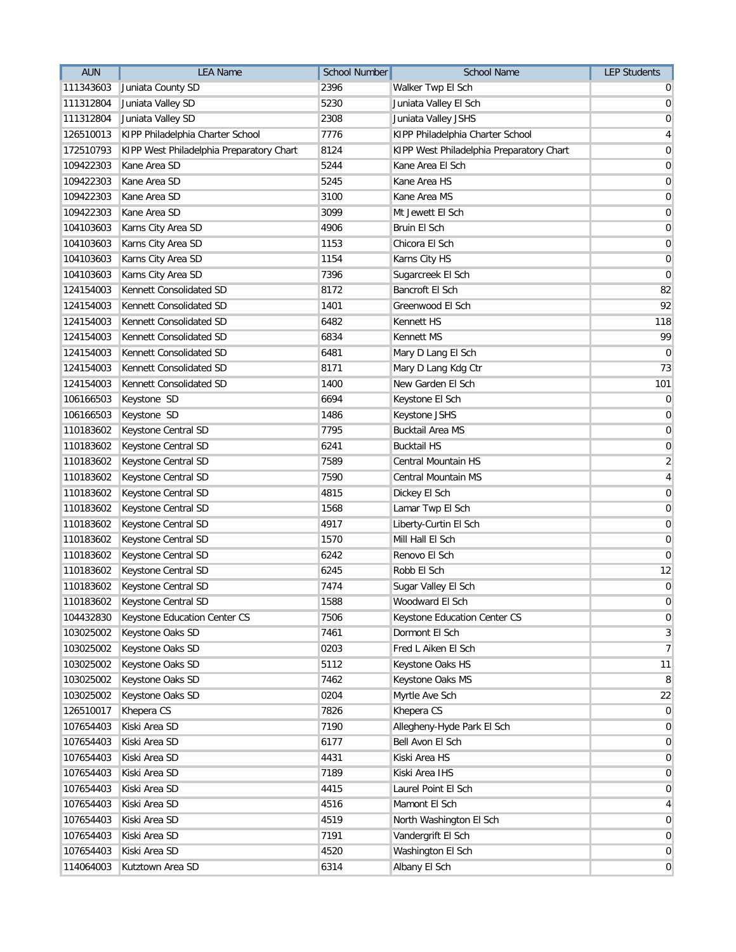| <b>AUN</b> | <b>LEA Name</b>                          | <b>School Number</b> | <b>School Name</b>                       | <b>LEP Students</b> |
|------------|------------------------------------------|----------------------|------------------------------------------|---------------------|
| 111343603  | Juniata County SD                        | 2396                 | Walker Twp El Sch                        | $\overline{0}$      |
| 111312804  | Juniata Valley SD                        | 5230                 | Juniata Valley El Sch                    | $\overline{0}$      |
| 111312804  | Juniata Valley SD                        | 2308                 | Juniata Valley JSHS                      | 0                   |
| 126510013  | KIPP Philadelphia Charter School         | 7776                 | KIPP Philadelphia Charter School         | $\vert 4 \vert$     |
| 172510793  | KIPP West Philadelphia Preparatory Chart | 8124                 | KIPP West Philadelphia Preparatory Chart | $\overline{0}$      |
| 109422303  | Kane Area SD                             | 5244                 | Kane Area El Sch                         | $\overline{0}$      |
| 109422303  | Kane Area SD                             | 5245                 | Kane Area HS                             | $\boldsymbol{0}$    |
| 109422303  | Kane Area SD                             | 3100                 | Kane Area MS                             | $\boldsymbol{0}$    |
| 109422303  | Kane Area SD                             | 3099                 | Mt Jewett El Sch                         | $\overline{0}$      |
| 104103603  | Karns City Area SD                       | 4906                 | Bruin El Sch                             | $\overline{0}$      |
| 104103603  | Karns City Area SD                       | 1153                 | Chicora El Sch                           | 0                   |
| 104103603  | Karns City Area SD                       | 1154                 | Karns City HS                            | $\mathbf 0$         |
| 104103603  | Karns City Area SD                       | 7396                 | Sugarcreek El Sch                        | $\overline{0}$      |
| 124154003  | Kennett Consolidated SD                  | 8172                 | Bancroft El Sch                          | 82                  |
| 124154003  | Kennett Consolidated SD                  | 1401                 | Greenwood El Sch                         | 92                  |
| 124154003  | Kennett Consolidated SD                  | 6482                 | <b>Kennett HS</b>                        | 118                 |
| 124154003  | Kennett Consolidated SD                  | 6834                 | Kennett MS                               | 99                  |
| 124154003  | Kennett Consolidated SD                  | 6481                 | Mary D Lang El Sch                       | $\mathbf 0$         |
| 124154003  | Kennett Consolidated SD                  | 8171                 | Mary D Lang Kdg Ctr                      | 73                  |
| 124154003  | Kennett Consolidated SD                  | 1400                 | New Garden El Sch                        | 101                 |
| 106166503  | Keystone SD                              | 6694                 | Keystone El Sch                          | $\overline{0}$      |
| 106166503  | Keystone SD                              | 1486                 | Keystone JSHS                            | $\boldsymbol{0}$    |
| 110183602  | Keystone Central SD                      | 7795                 | <b>Bucktail Area MS</b>                  | $\overline{0}$      |
| 110183602  | Keystone Central SD                      | 6241                 | <b>Bucktail HS</b>                       | $\boldsymbol{0}$    |
| 110183602  | Keystone Central SD                      | 7589                 | Central Mountain HS                      | $\overline{2}$      |
| 110183602  | Keystone Central SD                      | 7590                 | Central Mountain MS                      | $\vert 4 \vert$     |
| 110183602  | Keystone Central SD                      | 4815                 | Dickey El Sch                            | $\boldsymbol{0}$    |
| 110183602  | Keystone Central SD                      | 1568                 | Lamar Twp El Sch                         | 0                   |
| 110183602  | Keystone Central SD                      | 4917                 | Liberty-Curtin El Sch                    | $\boldsymbol{0}$    |
| 110183602  | Keystone Central SD                      | 1570                 | Mill Hall El Sch                         | 0                   |
| 110183602  | Keystone Central SD                      | 6242                 | Renovo El Sch                            | $\mathbf 0$         |
| 110183602  | Keystone Central SD                      | 6245                 | Robb El Sch                              | 12                  |
| 110183602  | Keystone Central SD                      | 7474                 | Sugar Valley El Sch                      | $\boldsymbol{0}$    |
|            | 110183602 Keystone Central SD            | 1588                 | Woodward El Sch                          | $\boldsymbol{0}$    |
| 104432830  | Keystone Education Center CS             | 7506                 | Keystone Education Center CS             | $\overline{0}$      |
| 103025002  | Keystone Oaks SD                         | 7461                 | Dormont El Sch                           | $\mathbf{3}$        |
| 103025002  | Keystone Oaks SD                         | 0203                 | Fred L Aiken El Sch                      | $\overline{7}$      |
| 103025002  | Keystone Oaks SD                         | 5112                 | Keystone Oaks HS                         | 11                  |
| 103025002  | Keystone Oaks SD                         | 7462                 | Keystone Oaks MS                         | $^{\rm 8}$          |
| 103025002  | Keystone Oaks SD                         | 0204                 | Myrtle Ave Sch                           | 22                  |
| 126510017  | Khepera CS                               | 7826                 | Khepera CS                               | $\overline{0}$      |
| 107654403  | Kiski Area SD                            | 7190                 | Allegheny-Hyde Park El Sch               | $\overline{0}$      |
| 107654403  | Kiski Area SD                            | 6177                 | Bell Avon El Sch                         | $\overline{0}$      |
| 107654403  | Kiski Area SD                            | 4431                 | Kiski Area HS                            | $\overline{0}$      |
| 107654403  | Kiski Area SD                            | 7189                 | Kiski Area IHS                           | $\overline{0}$      |
| 107654403  | Kiski Area SD                            | 4415                 | Laurel Point El Sch                      | $\overline{0}$      |
| 107654403  | Kiski Area SD                            | 4516                 | Mamont El Sch                            | $\overline{4}$      |
| 107654403  | Kiski Area SD                            | 4519                 | North Washington El Sch                  | $\overline{0}$      |
| 107654403  | Kiski Area SD                            | 7191                 | Vandergrift El Sch                       | $\overline{0}$      |
| 107654403  | Kiski Area SD                            | 4520                 | Washington El Sch                        | $\overline{0}$      |
| 114064003  | Kutztown Area SD                         | 6314                 | Albany El Sch                            | $\overline{0}$      |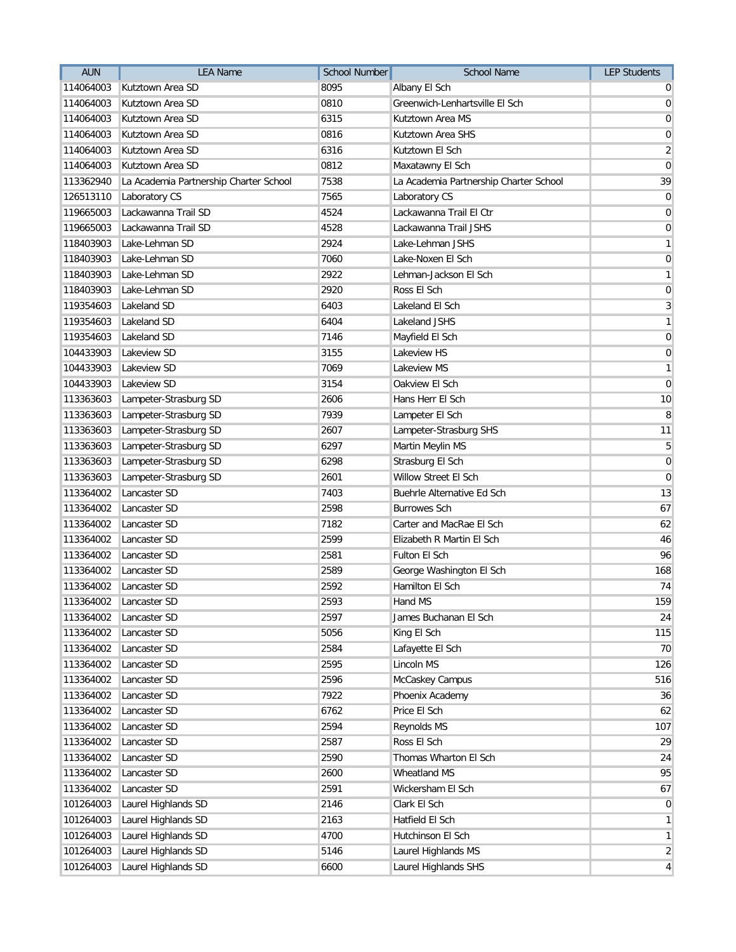| <b>AUN</b> | <b>LEA Name</b>                        | School Number | School Name                            | <b>LEP Students</b>     |
|------------|----------------------------------------|---------------|----------------------------------------|-------------------------|
| 114064003  | Kutztown Area SD                       | 8095          | Albany El Sch                          | $\overline{0}$          |
| 114064003  | Kutztown Area SD                       | 0810          | Greenwich-Lenhartsville El Sch         | $\overline{0}$          |
| 114064003  | Kutztown Area SD                       | 6315          | Kutztown Area MS                       | $\mathbf 0$             |
| 114064003  | Kutztown Area SD                       | 0816          | Kutztown Area SHS                      | $\mathbf 0$             |
| 114064003  | Kutztown Area SD                       | 6316          | Kutztown El Sch                        | $\overline{2}$          |
| 114064003  | Kutztown Area SD                       | 0812          | Maxatawny El Sch                       | $\mathbf 0$             |
| 113362940  | La Academia Partnership Charter School | 7538          | La Academia Partnership Charter School | 39                      |
| 126513110  | Laboratory CS                          | 7565          | Laboratory CS                          | $\mathbf 0$             |
| 119665003  | Lackawanna Trail SD                    | 4524          | Lackawanna Trail El Ctr                | $\mathbf 0$             |
| 119665003  | Lackawanna Trail SD                    | 4528          | Lackawanna Trail JSHS                  | $\mathbf 0$             |
| 118403903  | Lake-Lehman SD                         | 2924          | Lake-Lehman JSHS                       | $\mathbf{1}$            |
| 118403903  | Lake-Lehman SD                         | 7060          | Lake-Noxen El Sch                      | $\mathbf 0$             |
| 118403903  | Lake-Lehman SD                         | 2922          | Lehman-Jackson El Sch                  | $\mathbf{1}$            |
| 118403903  | Lake-Lehman SD                         | 2920          | Ross El Sch                            | $\mathbf 0$             |
| 119354603  | Lakeland SD                            | 6403          | Lakeland El Sch                        | 3                       |
| 119354603  | Lakeland SD                            | 6404          | Lakeland JSHS                          | $\mathbf{1}$            |
| 119354603  | Lakeland SD                            | 7146          | Mayfield El Sch                        | $\mathbf 0$             |
| 104433903  | Lakeview SD                            | 3155          | Lakeview HS                            | $\mathbf 0$             |
| 104433903  | Lakeview SD                            | 7069          | Lakeview MS                            | $\mathbf{1}$            |
| 104433903  | Lakeview SD                            | 3154          | Oakview El Sch                         | $\mathbf 0$             |
| 113363603  | Lampeter-Strasburg SD                  | 2606          | Hans Herr El Sch                       | 10                      |
| 113363603  | Lampeter-Strasburg SD                  | 7939          | Lampeter El Sch                        | 8                       |
| 113363603  | Lampeter-Strasburg SD                  | 2607          | Lampeter-Strasburg SHS                 | 11                      |
| 113363603  | Lampeter-Strasburg SD                  | 6297          | Martin Meylin MS                       | 5                       |
| 113363603  | Lampeter-Strasburg SD                  | 6298          | Strasburg El Sch                       | $\mathbf 0$             |
| 113363603  | Lampeter-Strasburg SD                  | 2601          | Willow Street El Sch                   | $\mathbf{0}$            |
| 113364002  | Lancaster SD                           | 7403          | Buehrle Alternative Ed Sch             | 13                      |
| 113364002  | Lancaster SD                           | 2598          | <b>Burrowes Sch</b>                    | 67                      |
| 113364002  | Lancaster SD                           | 7182          | Carter and MacRae El Sch               | 62                      |
| 113364002  | Lancaster SD                           | 2599          | Elizabeth R Martin El Sch              | 46                      |
| 113364002  | Lancaster SD                           | 2581          | Fulton El Sch                          | 96                      |
| 113364002  | Lancaster SD                           | 2589          | George Washington El Sch               | 168                     |
| 113364002  | Lancaster SD                           | 2592          | Hamilton El Sch                        | 74                      |
| 113364002  | Lancaster SD                           | 2593          | Hand MS                                | 159                     |
| 113364002  | Lancaster SD                           | 2597          | James Buchanan El Sch                  | 24                      |
| 113364002  | Lancaster SD                           | 5056          | King El Sch                            | 115                     |
| 113364002  | Lancaster SD                           | 2584          | Lafayette El Sch                       | 70                      |
| 113364002  | Lancaster SD                           | 2595          | Lincoln MS                             | 126                     |
| 113364002  | Lancaster SD                           | 2596          | McCaskey Campus                        | 516                     |
| 113364002  | Lancaster SD                           | 7922          | Phoenix Academy                        | 36                      |
| 113364002  | Lancaster SD                           | 6762          | Price El Sch                           | 62                      |
| 113364002  | Lancaster SD                           | 2594          | Reynolds MS                            | 107                     |
| 113364002  | Lancaster SD                           | 2587          | Ross El Sch                            | 29                      |
| 113364002  | Lancaster SD                           | 2590          | Thomas Wharton El Sch                  | 24                      |
| 113364002  | Lancaster SD                           | 2600          | Wheatland MS                           | 95                      |
| 113364002  | Lancaster SD                           | 2591          | Wickersham El Sch                      | 67                      |
| 101264003  | Laurel Highlands SD                    | 2146          | Clark El Sch                           | $\mathbf 0$             |
| 101264003  | Laurel Highlands SD                    | 2163          | Hatfield El Sch                        | $\mathbf{1}$            |
| 101264003  | Laurel Highlands SD                    | 4700          | Hutchinson El Sch                      | $\mathbf{1}$            |
| 101264003  | Laurel Highlands SD                    | 5146          | Laurel Highlands MS                    | $\overline{\mathbf{c}}$ |
| 101264003  | Laurel Highlands SD                    | 6600          | Laurel Highlands SHS                   | 4                       |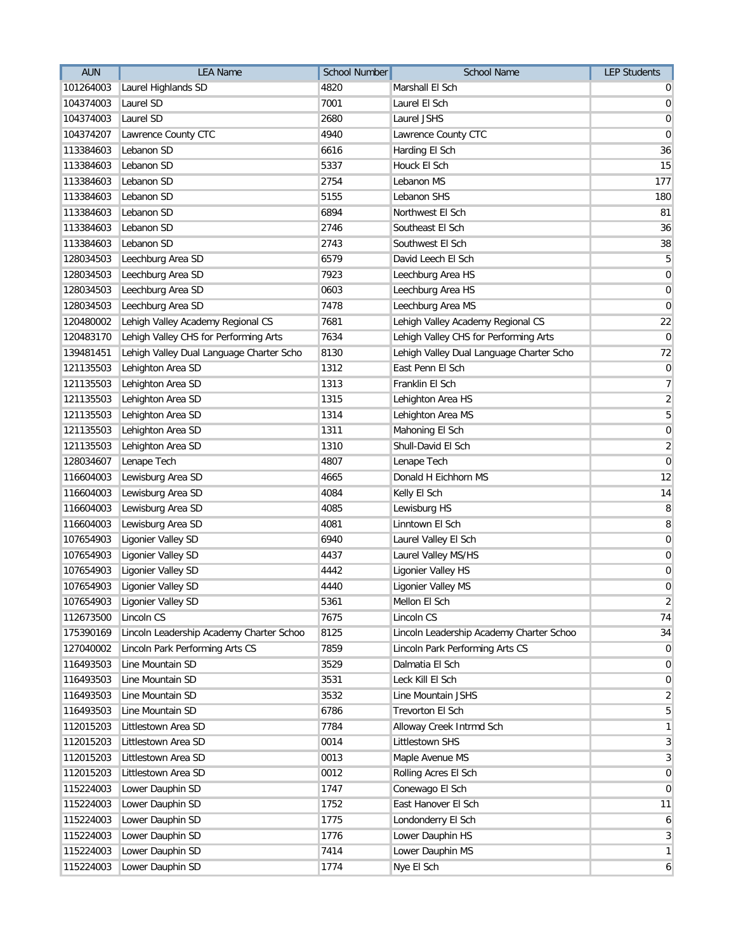| <b>AUN</b> | <b>LEA Name</b>                          | <b>School Number</b> | <b>School Name</b>                       | <b>LEP Students</b> |
|------------|------------------------------------------|----------------------|------------------------------------------|---------------------|
| 101264003  | Laurel Highlands SD                      | 4820                 | Marshall El Sch                          | $\overline{0}$      |
| 104374003  | Laurel SD                                | 7001                 | Laurel El Sch                            | $\overline{0}$      |
| 104374003  | Laurel SD                                | 2680                 | Laurel JSHS                              | $\boldsymbol{0}$    |
| 104374207  | Lawrence County CTC                      | 4940                 | Lawrence County CTC                      | $\boldsymbol{0}$    |
| 113384603  | Lebanon SD                               | 6616                 | Harding El Sch                           | 36                  |
| 113384603  | Lebanon SD                               | 5337                 | Houck El Sch                             | 15                  |
| 113384603  | Lebanon SD                               | 2754                 | Lebanon MS                               | 177                 |
| 113384603  | Lebanon SD                               | 5155                 | Lebanon SHS                              | 180                 |
| 113384603  | Lebanon SD                               | 6894                 | Northwest El Sch                         | 81                  |
| 113384603  | Lebanon SD                               | 2746                 | Southeast El Sch                         | 36                  |
| 113384603  | Lebanon SD                               | 2743                 | Southwest El Sch                         | 38                  |
| 128034503  | Leechburg Area SD                        | 6579                 | David Leech El Sch                       | 5                   |
| 128034503  | Leechburg Area SD                        | 7923                 | Leechburg Area HS                        | $\overline{0}$      |
| 128034503  | Leechburg Area SD                        | 0603                 | Leechburg Area HS                        | $\overline{0}$      |
| 128034503  | Leechburg Area SD                        | 7478                 | Leechburg Area MS                        | $\overline{0}$      |
| 120480002  | Lehigh Valley Academy Regional CS        | 7681                 | Lehigh Valley Academy Regional CS        | 22                  |
| 120483170  | Lehigh Valley CHS for Performing Arts    | 7634                 | Lehigh Valley CHS for Performing Arts    | $\overline{0}$      |
| 139481451  | Lehigh Valley Dual Language Charter Scho | 8130                 | Lehigh Valley Dual Language Charter Scho | 72                  |
| 121135503  | Lehighton Area SD                        | 1312                 | East Penn El Sch                         | $\boldsymbol{0}$    |
| 121135503  | Lehighton Area SD                        | 1313                 | Franklin El Sch                          | $\overline{7}$      |
| 121135503  | Lehighton Area SD                        | 1315                 | Lehighton Area HS                        | $\overline{2}$      |
| 121135503  | Lehighton Area SD                        | 1314                 | Lehighton Area MS                        | $5\overline{)}$     |
| 121135503  | Lehighton Area SD                        | 1311                 | Mahoning El Sch                          | $\boldsymbol{0}$    |
| 121135503  | Lehighton Area SD                        | 1310                 | Shull-David El Sch                       | $\overline{2}$      |
| 128034607  | Lenape Tech                              | 4807                 | Lenape Tech                              | $\overline{0}$      |
| 116604003  | Lewisburg Area SD                        | 4665                 | Donald H Eichhorn MS                     | 12                  |
| 116604003  | Lewisburg Area SD                        | 4084                 | Kelly El Sch                             | 14                  |
| 116604003  | Lewisburg Area SD                        | 4085                 | Lewisburg HS                             | 8                   |
| 116604003  | Lewisburg Area SD                        | 4081                 | Linntown El Sch                          | 8                   |
| 107654903  | Ligonier Valley SD                       | 6940                 | Laurel Valley El Sch                     | 0                   |
| 107654903  | Ligonier Valley SD                       | 4437                 | Laurel Valley MS/HS                      | $\boldsymbol{0}$    |
| 107654903  | Ligonier Valley SD                       | 4442                 | Ligonier Valley HS                       | $\boldsymbol{0}$    |
| 107654903  | Ligonier Valley SD                       | 4440                 | Ligonier Valley MS                       | $\overline{0}$      |
|            | 107654903 Ligonier Valley SD             | 5361                 | Mellon El Sch                            | $\overline{2}$      |
| 112673500  | Lincoln CS                               | 7675                 | Lincoln CS                               | 74                  |
| 175390169  | Lincoln Leadership Academy Charter Schoo | 8125                 | Lincoln Leadership Academy Charter Schoo | 34                  |
| 127040002  | Lincoln Park Performing Arts CS          | 7859                 | Lincoln Park Performing Arts CS          | $\overline{0}$      |
| 116493503  | Line Mountain SD                         | 3529                 | Dalmatia El Sch                          | $\overline{0}$      |
| 116493503  | Line Mountain SD                         | 3531                 | Leck Kill El Sch                         | $\overline{0}$      |
| 116493503  | Line Mountain SD                         | 3532                 | Line Mountain JSHS                       | $\overline{2}$      |
| 116493503  | Line Mountain SD                         | 6786                 | <b>Trevorton El Sch</b>                  | $\overline{5}$      |
| 112015203  | Littlestown Area SD                      | 7784                 | Alloway Creek Intrmd Sch                 | $\mathbf{1}$        |
| 112015203  | Littlestown Area SD                      | 0014                 | Littlestown SHS                          | $\mathbf{3}$        |
| 112015203  | Littlestown Area SD                      | 0013                 | Maple Avenue MS                          | $\overline{3}$      |
| 112015203  | Littlestown Area SD                      | 0012                 | Rolling Acres El Sch                     | $\overline{0}$      |
| 115224003  | Lower Dauphin SD                         | 1747                 | Conewago El Sch                          | $\overline{0}$      |
| 115224003  | Lower Dauphin SD                         | 1752                 | East Hanover El Sch                      | 11                  |
| 115224003  | Lower Dauphin SD                         | 1775                 | Londonderry El Sch                       | 6                   |
| 115224003  | Lower Dauphin SD                         | 1776                 | Lower Dauphin HS                         | $\mathbf{3}$        |
| 115224003  | Lower Dauphin SD                         | 7414                 | Lower Dauphin MS                         | $\mathbf{1}$        |
| 115224003  | Lower Dauphin SD                         | 1774                 | Nye El Sch                               | 6                   |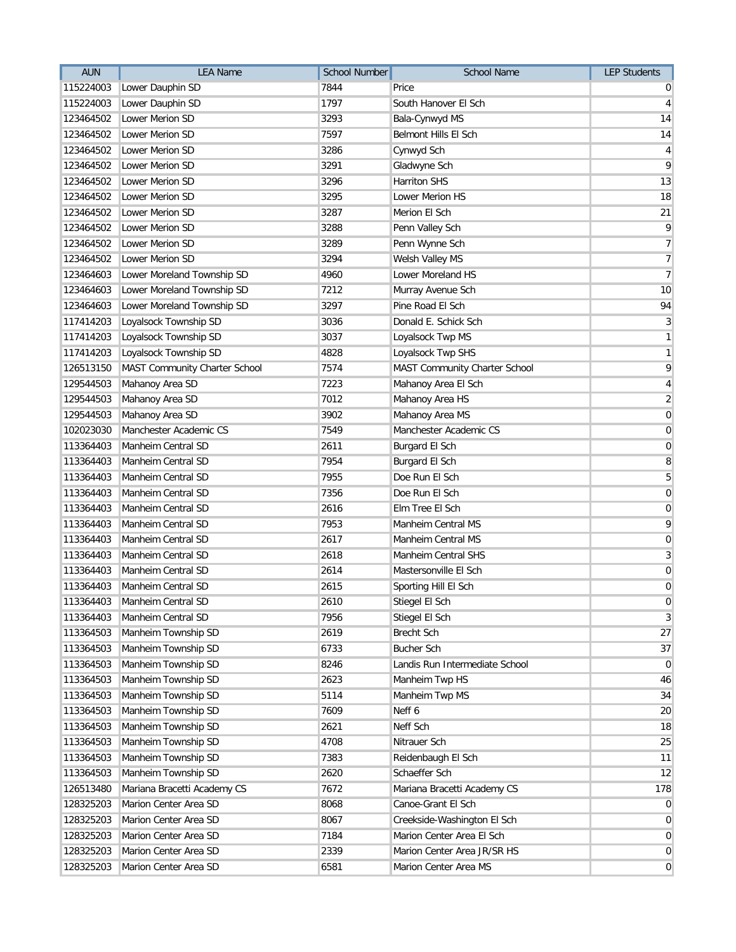| 7844<br>115224003<br>Lower Dauphin SD<br>Price<br>Lower Dauphin SD<br>1797<br>South Hanover El Sch<br>115224003<br>123464502<br>Lower Merion SD<br>3293 | 0<br>$\vert 4 \vert$<br>14 |
|---------------------------------------------------------------------------------------------------------------------------------------------------------|----------------------------|
|                                                                                                                                                         |                            |
|                                                                                                                                                         |                            |
| Bala-Cynwyd MS                                                                                                                                          |                            |
| <b>Lower Merion SD</b><br>7597<br>Belmont Hills El Sch<br>123464502                                                                                     | 14                         |
| Lower Merion SD<br>3286<br>Cynwyd Sch<br>123464502                                                                                                      | $\overline{4}$             |
| Lower Merion SD<br>3291<br>Gladwyne Sch<br>123464502                                                                                                    | 9                          |
| 3296<br>Lower Merion SD<br><b>Harriton SHS</b><br>123464502                                                                                             | 13                         |
| 123464502<br>Lower Merion SD<br>3295<br><b>Lower Merion HS</b>                                                                                          | 18                         |
| 3287<br>123464502<br>Lower Merion SD<br>Merion El Sch                                                                                                   | 21                         |
| 3288<br>123464502<br>Lower Merion SD<br>Penn Valley Sch                                                                                                 | 9                          |
| 123464502<br>Lower Merion SD<br>3289<br>Penn Wynne Sch                                                                                                  | 7 <sup>1</sup>             |
| Lower Merion SD<br>3294<br>Welsh Valley MS<br>123464502                                                                                                 | 7 <sup>1</sup>             |
| Lower Moreland Township SD<br>4960<br>Lower Moreland HS<br>123464603                                                                                    | $\overline{7}$             |
| Lower Moreland Township SD<br>7212<br>Murray Avenue Sch<br>123464603                                                                                    | 10 <sup>°</sup>            |
| 3297<br>Lower Moreland Township SD<br>Pine Road El Sch<br>123464603                                                                                     | 94                         |
| 3036<br>Loyalsock Township SD<br>Donald E. Schick Sch<br>117414203                                                                                      | $\overline{3}$             |
| Loyalsock Township SD<br>3037<br>117414203<br>Loyalsock Twp MS                                                                                          | 1                          |
| Loyalsock Township SD<br>4828<br>117414203<br>Loyalsock Twp SHS                                                                                         | 1                          |
| 7574<br>126513150<br>MAST Community Charter School<br>MAST Community Charter School                                                                     | 9                          |
| 129544503<br>Mahanoy Area SD<br>7223<br>Mahanoy Area El Sch                                                                                             | $\vert 4 \vert$            |
| 129544503<br>Mahanoy Area SD<br>7012<br>Mahanoy Area HS                                                                                                 | $\overline{2}$             |
| 3902<br>129544503<br>Mahanoy Area SD<br>Mahanoy Area MS                                                                                                 | $\overline{0}$             |
| 7549<br>102023030<br>Manchester Academic CS<br>Manchester Academic CS                                                                                   | 0                          |
| Manheim Central SD<br>2611<br>Burgard El Sch<br>113364403                                                                                               | $\overline{0}$             |
| 7954<br>Manheim Central SD<br>Burgard El Sch<br>113364403                                                                                               | 8                          |
| 7955<br>Doe Run El Sch<br>113364403<br>Manheim Central SD                                                                                               | 5 <sup>1</sup>             |
| 113364403<br>Manheim Central SD<br>7356<br>Doe Run El Sch                                                                                               | $\overline{0}$             |
| Manheim Central SD<br>2616<br>Elm Tree El Sch<br>113364403                                                                                              | $\boldsymbol{0}$           |
| 7953<br>113364403<br>Manheim Central SD<br>Manheim Central MS                                                                                           | 9                          |
| 2617<br>113364403<br>Manheim Central SD<br>Manheim Central MS                                                                                           | $\overline{0}$             |
| 2618<br>113364403<br>Manheim Central SD<br><b>Manheim Central SHS</b>                                                                                   | $\overline{3}$             |
| 2614<br>Mastersonville El Sch<br>113364403<br>Manheim Central SD                                                                                        | $\boldsymbol{0}$           |
| 113364403<br>2615<br>Manheim Central SD<br>Sporting Hill El Sch                                                                                         | $\overline{0}$             |
| 2610<br>113364403<br>Manheim Central SD<br>Stiegel El Sch                                                                                               | $\overline{0}$             |
| Manheim Central SD<br>7956<br>Stiegel El Sch<br>113364403                                                                                               | $\overline{3}$             |
| Manheim Township SD<br>2619<br>113364503<br><b>Brecht Sch</b>                                                                                           | 27                         |
| 113364503<br>Manheim Township SD<br>6733<br><b>Bucher Sch</b>                                                                                           | 37                         |
| 113364503<br>Manheim Township SD<br>8246<br>Landis Run Intermediate School                                                                              | $\overline{0}$             |
| 2623<br>113364503<br>Manheim Township SD<br>Manheim Twp HS                                                                                              | 46                         |
| 113364503<br>Manheim Township SD<br>5114<br>Manheim Twp MS                                                                                              | 34                         |
| 113364503<br>Manheim Township SD<br>7609<br>Neff 6                                                                                                      | 20                         |
| Manheim Township SD<br>2621<br>113364503<br>Neff Sch                                                                                                    | 18                         |
| 113364503<br>Manheim Township SD<br>4708<br>Nitrauer Sch                                                                                                | 25                         |
| 7383<br>113364503<br>Manheim Township SD<br>Reidenbaugh El Sch                                                                                          | 11                         |
| 2620<br>Schaeffer Sch<br>113364503<br>Manheim Township SD                                                                                               | 12                         |
| 7672<br>126513480<br>Mariana Bracetti Academy CS<br>Mariana Bracetti Academy CS                                                                         | 178                        |
| Marion Center Area SD<br>8068<br>Canoe-Grant El Sch<br>128325203                                                                                        | $\overline{0}$             |
| Marion Center Area SD<br>8067<br>128325203<br>Creekside-Washington El Sch                                                                               | $\overline{0}$             |
| Marion Center Area SD<br>7184<br>Marion Center Area El Sch<br>128325203                                                                                 | $\overline{0}$             |
| Marion Center Area SD<br>2339<br>128325203<br>Marion Center Area JR/SR HS                                                                               | $\overline{0}$             |
| 128325203<br>6581<br>Marion Center Area SD<br>Marion Center Area MS                                                                                     | $\overline{0}$             |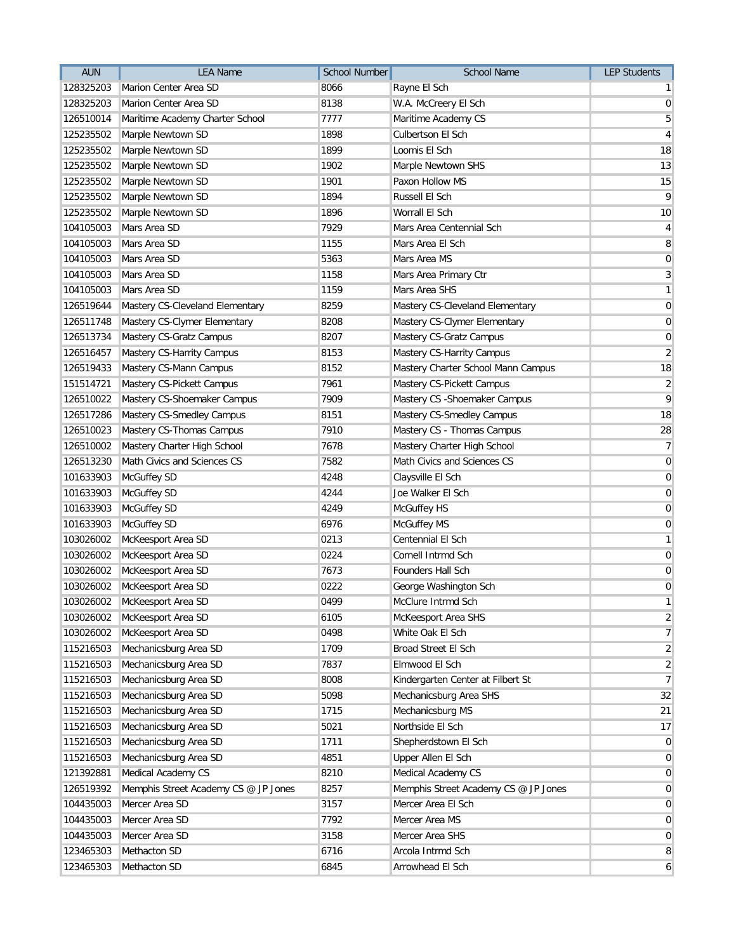| <b>AUN</b> | <b>LEA Name</b>                      | <b>School Number</b> | <b>School Name</b>                   | <b>LEP Students</b> |
|------------|--------------------------------------|----------------------|--------------------------------------|---------------------|
| 128325203  | Marion Center Area SD                | 8066                 | Rayne El Sch                         | $\mathbf{1}$        |
| 128325203  | Marion Center Area SD                | 8138                 | W.A. McCreery El Sch                 | $\overline{0}$      |
| 126510014  | Maritime Academy Charter School      | 7777                 | Maritime Academy CS                  | $\sqrt{5}$          |
| 125235502  | Marple Newtown SD                    | 1898                 | Culbertson El Sch                    | $\overline{4}$      |
| 125235502  | Marple Newtown SD                    | 1899                 | Loomis El Sch                        | 18                  |
| 125235502  | Marple Newtown SD                    | 1902                 | Marple Newtown SHS                   | 13                  |
| 125235502  | Marple Newtown SD                    | 1901                 | Paxon Hollow MS                      | 15                  |
| 125235502  | Marple Newtown SD                    | 1894                 | Russell El Sch                       | $\overline{9}$      |
| 125235502  | Marple Newtown SD                    | 1896                 | Worrall El Sch                       | 10                  |
| 104105003  | Mars Area SD                         | 7929                 | Mars Area Centennial Sch             | 4                   |
| 104105003  | Mars Area SD                         | 1155                 | Mars Area El Sch                     | 8                   |
| 104105003  | Mars Area SD                         | 5363                 | Mars Area MS                         | $\mathbf 0$         |
| 104105003  | Mars Area SD                         | 1158                 | Mars Area Primary Ctr                | 3                   |
| 104105003  | Mars Area SD                         | 1159                 | Mars Area SHS                        | $\mathbf{1}$        |
| 126519644  | Mastery CS-Cleveland Elementary      | 8259                 | Mastery CS-Cleveland Elementary      | $\mathbf 0$         |
| 126511748  | Mastery CS-Clymer Elementary         | 8208                 | Mastery CS-Clymer Elementary         | $\pmb{0}$           |
| 126513734  | Mastery CS-Gratz Campus              | 8207                 | Mastery CS-Gratz Campus              | $\pmb{0}$           |
| 126516457  | Mastery CS-Harrity Campus            | 8153                 | Mastery CS-Harrity Campus            | $\overline{2}$      |
| 126519433  | Mastery CS-Mann Campus               | 8152                 | Mastery Charter School Mann Campus   | 18                  |
| 151514721  | Mastery CS-Pickett Campus            | 7961                 | Mastery CS-Pickett Campus            | $\boldsymbol{2}$    |
| 126510022  | Mastery CS-Shoemaker Campus          | 7909                 | Mastery CS - Shoemaker Campus        | 9                   |
| 126517286  | Mastery CS-Smedley Campus            | 8151                 | Mastery CS-Smedley Campus            | 18                  |
| 126510023  | Mastery CS-Thomas Campus             | 7910                 | Mastery CS - Thomas Campus           | 28                  |
| 126510002  | Mastery Charter High School          | 7678                 | Mastery Charter High School          | $\overline{7}$      |
| 126513230  | Math Civics and Sciences CS          | 7582                 | Math Civics and Sciences CS          | $\mathbf 0$         |
| 101633903  | McGuffey SD                          | 4248                 | Claysville El Sch                    | $\mathbf 0$         |
| 101633903  | McGuffey SD                          | 4244                 | Joe Walker El Sch                    | $\mathbf 0$         |
| 101633903  | McGuffey SD                          | 4249                 | McGuffey HS                          | $\boldsymbol{0}$    |
| 101633903  | McGuffey SD                          | 6976                 | McGuffey MS                          | $\boldsymbol{0}$    |
| 103026002  | McKeesport Area SD                   | 0213                 | Centennial El Sch                    | $\mathbf{1}$        |
| 103026002  | McKeesport Area SD                   | 0224                 | Cornell Intrmd Sch                   | $\mathbf 0$         |
| 103026002  | McKeesport Area SD                   | 7673                 | Founders Hall Sch                    | $\pmb{0}$           |
| 103026002  | McKeesport Area SD                   | 0222                 | George Washington Sch                | $\boldsymbol{0}$    |
|            | 103026002 McKeesport Area SD         | 0499                 | McClure Intrmd Sch                   | $\mathbf{1}$        |
| 103026002  | McKeesport Area SD                   | 6105                 | McKeesport Area SHS                  | $\overline{2}$      |
| 103026002  | McKeesport Area SD                   | 0498                 | White Oak El Sch                     | $\overline{7}$      |
| 115216503  | Mechanicsburg Area SD                | 1709                 | Broad Street El Sch                  | $\overline{2}$      |
| 115216503  | Mechanicsburg Area SD                | 7837                 | Elmwood El Sch                       | $\overline{2}$      |
| 115216503  | Mechanicsburg Area SD                | 8008                 | Kindergarten Center at Filbert St    | $\overline{7}$      |
| 115216503  | Mechanicsburg Area SD                | 5098                 | Mechanicsburg Area SHS               | 32                  |
| 115216503  | Mechanicsburg Area SD                | 1715                 | Mechanicsburg MS                     | 21                  |
| 115216503  | Mechanicsburg Area SD                | 5021                 | Northside El Sch                     | 17                  |
| 115216503  | Mechanicsburg Area SD                | 1711                 | Shepherdstown El Sch                 | 0                   |
| 115216503  | Mechanicsburg Area SD                | 4851                 | Upper Allen El Sch                   | $\overline{0}$      |
| 121392881  | Medical Academy CS                   | 8210                 | Medical Academy CS                   | $\overline{0}$      |
| 126519392  | Memphis Street Academy CS @ JP Jones | 8257                 | Memphis Street Academy CS @ JP Jones | $\overline{0}$      |
| 104435003  | Mercer Area SD                       | 3157                 | Mercer Area El Sch                   | $\mathbf 0$         |
| 104435003  | Mercer Area SD                       | 7792                 | Mercer Area MS                       | $\mathbf 0$         |
| 104435003  | Mercer Area SD                       | 3158                 | Mercer Area SHS                      | $\mathbf 0$         |
| 123465303  | Methacton SD                         | 6716                 | Arcola Intrmd Sch                    | 8                   |
| 123465303  | Methacton SD                         | 6845                 | Arrowhead El Sch                     | 6                   |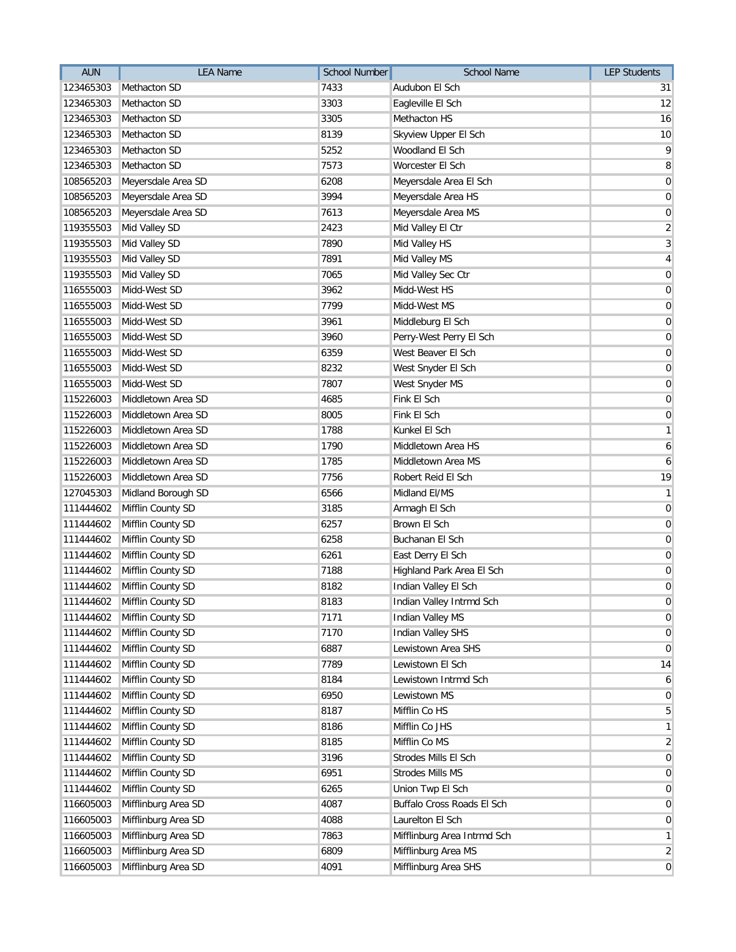| <b>AUN</b> | <b>LEA Name</b>             | <b>School Number</b> | <b>School Name</b>          | <b>LEP Students</b> |
|------------|-----------------------------|----------------------|-----------------------------|---------------------|
| 123465303  | Methacton SD                | 7433                 | Audubon El Sch              | 31                  |
| 123465303  | Methacton SD                | 3303                 | Eagleville El Sch           | 12                  |
| 123465303  | Methacton SD                | 3305                 | Methacton HS                | 16                  |
| 123465303  | Methacton SD                | 8139                 | Skyview Upper El Sch        | 10                  |
| 123465303  | Methacton SD                | 5252                 | Woodland El Sch             | 9                   |
| 123465303  | Methacton SD                | 7573                 | Worcester El Sch            | 8                   |
| 108565203  | Meyersdale Area SD          | 6208                 | Meyersdale Area El Sch      | $\pmb{0}$           |
| 108565203  | Meyersdale Area SD          | 3994                 | Meyersdale Area HS          | $\pmb{0}$           |
| 108565203  | Meyersdale Area SD          | 7613                 | Meyersdale Area MS          | $\pmb{0}$           |
| 119355503  | Mid Valley SD               | 2423                 | Mid Valley El Ctr           | $\overline{2}$      |
| 119355503  | Mid Valley SD               | 7890                 | Mid Valley HS               | $\mathbf{3}$        |
| 119355503  | Mid Valley SD               | 7891                 | Mid Valley MS               | 4                   |
| 119355503  | Mid Valley SD               | 7065                 | Mid Valley Sec Ctr          | $\overline{0}$      |
| 116555003  | Midd-West SD                | 3962                 | Midd-West HS                | $\pmb{0}$           |
| 116555003  | Midd-West SD                | 7799                 | Midd-West MS                | $\mathbf 0$         |
| 116555003  | Midd-West SD                | 3961                 | Middleburg El Sch           | $\pmb{0}$           |
| 116555003  | Midd-West SD                | 3960                 | Perry-West Perry El Sch     | $\pmb{0}$           |
| 116555003  | Midd-West SD                | 6359                 | West Beaver El Sch          | $\mathbf 0$         |
| 116555003  | Midd-West SD                | 8232                 | West Snyder El Sch          | $\pmb{0}$           |
| 116555003  | Midd-West SD                | 7807                 | West Snyder MS              | $\pmb{0}$           |
| 115226003  | Middletown Area SD          | 4685                 | Fink El Sch                 | $\pmb{0}$           |
| 115226003  | Middletown Area SD          | 8005                 | Fink El Sch                 | $\pmb{0}$           |
| 115226003  | Middletown Area SD          | 1788                 | Kunkel El Sch               | $\mathbf{1}$        |
| 115226003  | Middletown Area SD          | 1790                 | Middletown Area HS          | 6                   |
| 115226003  | Middletown Area SD          | 1785                 | Middletown Area MS          | 6                   |
| 115226003  | Middletown Area SD          | 7756                 | Robert Reid El Sch          | 19                  |
| 127045303  | Midland Borough SD          | 6566                 | Midland El/MS               | $\mathbf{1}$        |
| 111444602  | Mifflin County SD           | 3185                 | Armagh El Sch               | $\boldsymbol{0}$    |
| 111444602  | Mifflin County SD           | 6257                 | Brown El Sch                | $\boldsymbol{0}$    |
| 111444602  | Mifflin County SD           | 6258                 | Buchanan El Sch             | $\boldsymbol{0}$    |
| 111444602  | Mifflin County SD           | 6261                 | East Derry El Sch           | $\mathbf 0$         |
| 111444602  | Mifflin County SD           | 7188                 | Highland Park Area El Sch   | $\mathbf 0$         |
| 111444602  | Mifflin County SD           | 8182                 | Indian Valley El Sch        | $\boldsymbol{0}$    |
|            | 111444602 Mifflin County SD | 8183                 | Indian Valley Intrmd Sch    | $\pmb{0}$           |
| 111444602  | Mifflin County SD           | 7171                 | <b>Indian Valley MS</b>     | $\overline{0}$      |
| 111444602  | Mifflin County SD           | 7170                 | <b>Indian Valley SHS</b>    | $\overline{0}$      |
| 111444602  | Mifflin County SD           | 6887                 | Lewistown Area SHS          | $\overline{0}$      |
| 111444602  | Mifflin County SD           | 7789                 | Lewistown El Sch            | 14                  |
| 111444602  | Mifflin County SD           | 8184                 | Lewistown Intrmd Sch        | 6                   |
| 111444602  | Mifflin County SD           | 6950                 | Lewistown MS                | $\overline{0}$      |
| 111444602  | Mifflin County SD           | 8187                 | Mifflin Co HS               | 5                   |
| 111444602  | Mifflin County SD           | 8186                 | Mifflin Co JHS              | $\mathbf{1}$        |
| 111444602  | Mifflin County SD           | 8185                 | Mifflin Co MS               | $\overline{2}$      |
| 111444602  | Mifflin County SD           | 3196                 | Strodes Mills El Sch        | $\overline{0}$      |
| 111444602  | Mifflin County SD           | 6951                 | Strodes Mills MS            | $\mathbf 0$         |
| 111444602  | Mifflin County SD           | 6265                 | Union Twp El Sch            | $\mathbf 0$         |
| 116605003  | Mifflinburg Area SD         | 4087                 | Buffalo Cross Roads El Sch  | $\mathbf 0$         |
| 116605003  | Mifflinburg Area SD         | 4088                 | Laurelton El Sch            | $\mathbf 0$         |
| 116605003  | Mifflinburg Area SD         | 7863                 | Mifflinburg Area Intrmd Sch | $\mathbf{1}$        |
| 116605003  | Mifflinburg Area SD         | 6809                 | Mifflinburg Area MS         | $\overline{2}$      |
| 116605003  | Mifflinburg Area SD         | 4091                 | Mifflinburg Area SHS        | $\mathbf 0$         |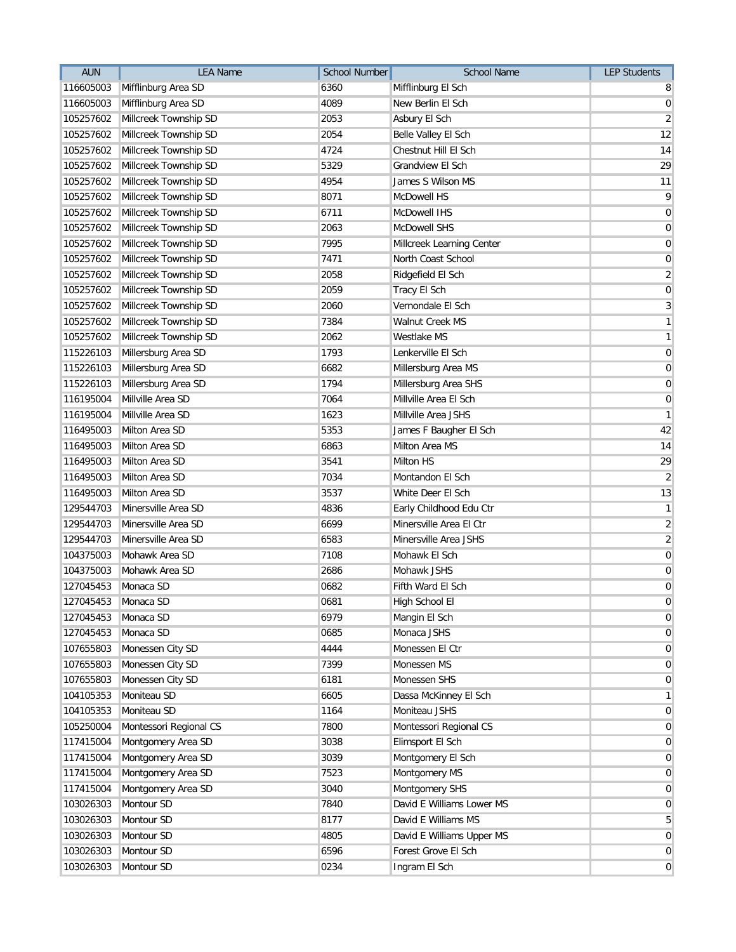| <b>AUN</b>          | <b>LEA Name</b>        | School Number | School Name               | <b>LEP Students</b> |
|---------------------|------------------------|---------------|---------------------------|---------------------|
| 116605003           | Mifflinburg Area SD    | 6360          | Mifflinburg El Sch        | 8                   |
| 116605003           | Mifflinburg Area SD    | 4089          | New Berlin El Sch         | $\boldsymbol{0}$    |
| 105257602           | Millcreek Township SD  | 2053          | Asbury El Sch             | $\overline{2}$      |
| 105257602           | Millcreek Township SD  | 2054          | Belle Valley El Sch       | 12                  |
| 105257602           | Millcreek Township SD  | 4724          | Chestnut Hill El Sch      | 14                  |
| 105257602           | Millcreek Township SD  | 5329          | Grandview El Sch          | 29                  |
| 105257602           | Millcreek Township SD  | 4954          | James S Wilson MS         | 11                  |
| 105257602           | Millcreek Township SD  | 8071          | McDowell HS               | 9                   |
| 105257602           | Millcreek Township SD  | 6711          | McDowell IHS              | $\mathbf 0$         |
| 105257602           | Millcreek Township SD  | 2063          | McDowell SHS              | $\mathbf 0$         |
| 105257602           | Millcreek Township SD  | 7995          | Millcreek Learning Center | $\overline{0}$      |
| 105257602           | Millcreek Township SD  | 7471          | North Coast School        | $\mathbf 0$         |
| 105257602           | Millcreek Township SD  | 2058          | Ridgefield El Sch         | $\overline{c}$      |
| 105257602           | Millcreek Township SD  | 2059          | Tracy El Sch              | $\pmb{0}$           |
| 105257602           | Millcreek Township SD  | 2060          | Vernondale El Sch         | $\mathbf{3}$        |
| 105257602           | Millcreek Township SD  | 7384          | Walnut Creek MS           | $\mathbf{1}$        |
| 105257602           | Millcreek Township SD  | 2062          | Westlake MS               | $\mathbf{1}$        |
| 115226103           | Millersburg Area SD    | 1793          | Lenkerville El Sch        | $\pmb{0}$           |
| 115226103           | Millersburg Area SD    | 6682          | Millersburg Area MS       | $\pmb{0}$           |
| 115226103           | Millersburg Area SD    | 1794          | Millersburg Area SHS      | $\pmb{0}$           |
| 116195004           | Millville Area SD      | 7064          | Millville Area El Sch     | $\boldsymbol{0}$    |
| 116195004           | Millville Area SD      | 1623          | Millville Area JSHS       | $\mathbf{1}$        |
| 116495003           | Milton Area SD         | 5353          | James F Baugher El Sch    | 42                  |
| 116495003           | Milton Area SD         | 6863          | Milton Area MS            | 14                  |
| 116495003           | Milton Area SD         | 3541          | Milton HS                 | 29                  |
| 116495003           | Milton Area SD         | 7034          | Montandon El Sch          | $\overline{2}$      |
| 116495003           | Milton Area SD         | 3537          | White Deer El Sch         | 13                  |
| 129544703           | Minersville Area SD    | 4836          | Early Childhood Edu Ctr   | $\mathbf{1}$        |
| 129544703           | Minersville Area SD    | 6699          | Minersville Area El Ctr   | $\overline{2}$      |
| 129544703           | Minersville Area SD    | 6583          | Minersville Area JSHS     | $\overline{2}$      |
| 104375003           | Mohawk Area SD         | 7108          | Mohawk El Sch             | $\pmb{0}$           |
| 104375003           | Mohawk Area SD         | 2686          | Mohawk JSHS               | $\pmb{0}$           |
| 127045453           | Monaca SD              | 0682          | Fifth Ward El Sch         | $\pmb{0}$           |
| 127045453 Monaca SD |                        | 0681          | High School El            | $\mathbf 0$         |
| 127045453           | Monaca SD              | 6979          | Mangin El Sch             | $\pmb{0}$           |
| 127045453           | Monaca SD              | 0685          | Monaca JSHS               | $\overline{0}$      |
| 107655803           | Monessen City SD       | 4444          | Monessen El Ctr           | $\mathbf 0$         |
| 107655803           | Monessen City SD       | 7399          | Monessen MS               | $\pmb{0}$           |
| 107655803           | Monessen City SD       | 6181          | Monessen SHS              | $\pmb{0}$           |
| 104105353           | Moniteau SD            | 6605          | Dassa McKinney El Sch     | $\mathbf{1}$        |
| 104105353           | Moniteau SD            | 1164          | Moniteau JSHS             | $\pmb{0}$           |
| 105250004           | Montessori Regional CS | 7800          | Montessori Regional CS    | $\mathbf 0$         |
| 117415004           | Montgomery Area SD     | 3038          | Elimsport El Sch          | $\overline{0}$      |
| 117415004           | Montgomery Area SD     | 3039          | Montgomery El Sch         | $\mathbf 0$         |
| 117415004           | Montgomery Area SD     | 7523          | Montgomery MS             | $\overline{0}$      |
| 117415004           | Montgomery Area SD     | 3040          | Montgomery SHS            | $\overline{0}$      |
| 103026303           | Montour SD             | 7840          | David E Williams Lower MS | $\mathbf 0$         |
| 103026303           | Montour SD             | 8177          | David E Williams MS       | 5                   |
| 103026303           | Montour SD             | 4805          | David E Williams Upper MS | $\mathbf 0$         |
| 103026303           | Montour SD             | 6596          | Forest Grove El Sch       | $\mathbf 0$         |
| 103026303           | Montour SD             | 0234          | Ingram El Sch             | $\mathbf 0$         |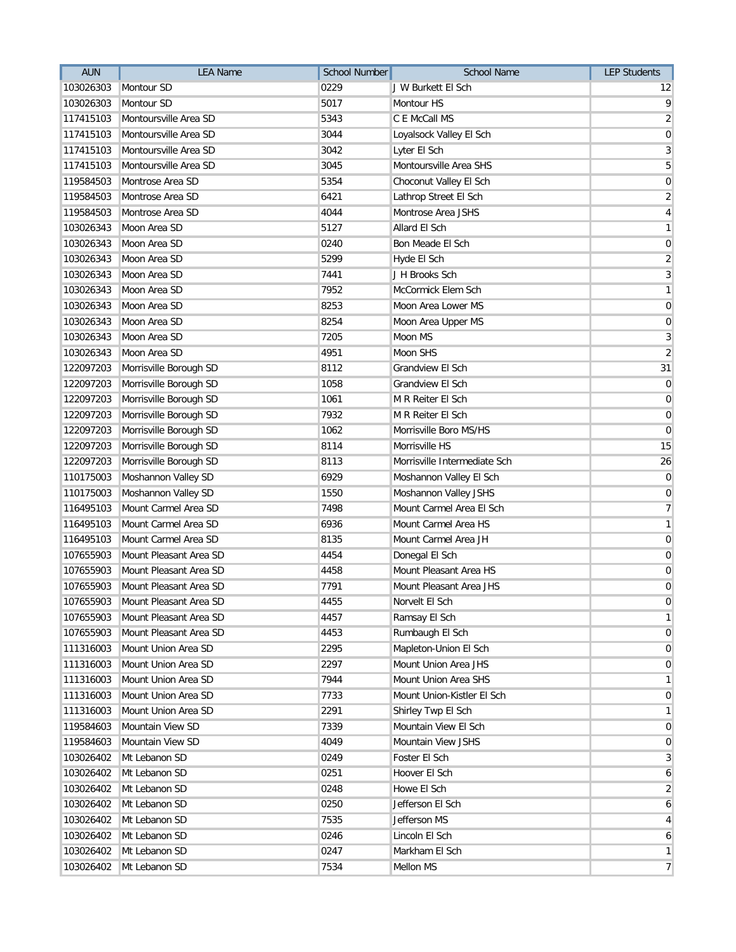| <b>AUN</b> | <b>LEA Name</b>                  | School Number | <b>School Name</b>           | <b>LEP Students</b> |
|------------|----------------------------------|---------------|------------------------------|---------------------|
| 103026303  | Montour SD                       | 0229          | J W Burkett El Sch           | $12 \overline{ }$   |
| 103026303  | Montour SD                       | 5017          | Montour HS                   | $\mathsf{q}$        |
| 117415103  | Montoursville Area SD            | 5343          | C E McCall MS                | $\overline{2}$      |
| 117415103  | Montoursville Area SD            | 3044          | Loyalsock Valley El Sch      | $\overline{0}$      |
| 117415103  | Montoursville Area SD            | 3042          | Lyter El Sch                 | $\overline{3}$      |
| 117415103  | Montoursville Area SD            | 3045          | Montoursville Area SHS       | 5 <sup>1</sup>      |
| 119584503  | Montrose Area SD                 | 5354          | Choconut Valley El Sch       | $\boldsymbol{0}$    |
| 119584503  | Montrose Area SD                 | 6421          | Lathrop Street El Sch        | $\overline{2}$      |
| 119584503  | Montrose Area SD                 | 4044          | Montrose Area JSHS           | $\overline{4}$      |
| 103026343  | Moon Area SD                     | 5127          | Allard El Sch                | $\overline{1}$      |
| 103026343  | Moon Area SD                     | 0240          | Bon Meade El Sch             | $\boldsymbol{0}$    |
| 103026343  | Moon Area SD                     | 5299          | Hyde El Sch                  | $\overline{2}$      |
| 103026343  | Moon Area SD                     | 7441          | J H Brooks Sch               | $\overline{3}$      |
| 103026343  | Moon Area SD                     | 7952          | McCormick Elem Sch           | $\overline{1}$      |
| 103026343  | Moon Area SD                     | 8253          | Moon Area Lower MS           | $\boldsymbol{0}$    |
| 103026343  | Moon Area SD                     | 8254          | Moon Area Upper MS           | $\boldsymbol{0}$    |
| 103026343  | Moon Area SD                     | 7205          | Moon MS                      | $\mathbf{3}$        |
| 103026343  | Moon Area SD                     | 4951          | <b>Moon SHS</b>              | $\overline{2}$      |
| 122097203  | Morrisville Borough SD           | 8112          | <b>Grandview El Sch</b>      | 31                  |
| 122097203  | Morrisville Borough SD           | 1058          | Grandview El Sch             | $\overline{0}$      |
| 122097203  | Morrisville Borough SD           | 1061          | M R Reiter El Sch            | $\overline{0}$      |
| 122097203  | Morrisville Borough SD           | 7932          | M R Reiter El Sch            | $\mathbf 0$         |
| 122097203  | Morrisville Borough SD           | 1062          | Morrisville Boro MS/HS       | $\overline{0}$      |
| 122097203  | Morrisville Borough SD           | 8114          | Morrisville HS               | 15                  |
| 122097203  | Morrisville Borough SD           | 8113          | Morrisville Intermediate Sch | 26                  |
| 110175003  | Moshannon Valley SD              | 6929          | Moshannon Valley El Sch      | $\overline{0}$      |
| 110175003  | Moshannon Valley SD              | 1550          | Moshannon Valley JSHS        | $\overline{0}$      |
| 116495103  | Mount Carmel Area SD             | 7498          | Mount Carmel Area El Sch     | $\overline{7}$      |
| 116495103  | Mount Carmel Area SD             | 6936          | Mount Carmel Area HS         | $\mathbf{1}$        |
| 116495103  | Mount Carmel Area SD             | 8135          | Mount Carmel Area JH         | $\overline{0}$      |
| 107655903  | Mount Pleasant Area SD           | 4454          | Donegal El Sch               | $\overline{0}$      |
| 107655903  | Mount Pleasant Area SD           | 4458          | Mount Pleasant Area HS       | $\boldsymbol{0}$    |
| 107655903  | Mount Pleasant Area SD           | 7791          | Mount Pleasant Area JHS      | $\boldsymbol{0}$    |
|            | 107655903 Mount Pleasant Area SD | 4455          | Norvelt El Sch               | $\boldsymbol{0}$    |
| 107655903  | Mount Pleasant Area SD           | 4457          | Ramsay El Sch                | $\mathbf{1}$        |
| 107655903  | Mount Pleasant Area SD           | 4453          | Rumbaugh El Sch              | $\overline{0}$      |
| 111316003  | Mount Union Area SD              | 2295          | Mapleton-Union El Sch        | $\overline{0}$      |
| 111316003  | Mount Union Area SD              | 2297          | Mount Union Area JHS         | $\overline{0}$      |
| 111316003  | Mount Union Area SD              | 7944          | Mount Union Area SHS         | $\mathbf{1}$        |
| 111316003  | Mount Union Area SD              | 7733          | Mount Union-Kistler El Sch   | $\overline{0}$      |
| 111316003  | Mount Union Area SD              | 2291          | Shirley Twp El Sch           | $\mathbf{1}$        |
| 119584603  | Mountain View SD                 | 7339          | Mountain View El Sch         | $\overline{0}$      |
| 119584603  | Mountain View SD                 | 4049          | Mountain View JSHS           | $\overline{0}$      |
| 103026402  | Mt Lebanon SD                    | 0249          | Foster El Sch                | $\overline{3}$      |
| 103026402  | Mt Lebanon SD                    | 0251          | Hoover El Sch                | $\mathbf{6}$        |
| 103026402  | Mt Lebanon SD                    | 0248          | Howe El Sch                  | $\overline{2}$      |
| 103026402  | Mt Lebanon SD                    | 0250          | Jefferson El Sch             | 6                   |
| 103026402  | Mt Lebanon SD                    | 7535          | Jefferson MS                 | $\vert$             |
| 103026402  | Mt Lebanon SD                    | 0246          | Lincoln El Sch               | $\overline{6}$      |
| 103026402  | Mt Lebanon SD                    | 0247          | Markham El Sch               | $\mathbf{1}$        |
| 103026402  | Mt Lebanon SD                    | 7534          | Mellon MS                    | $\overline{7}$      |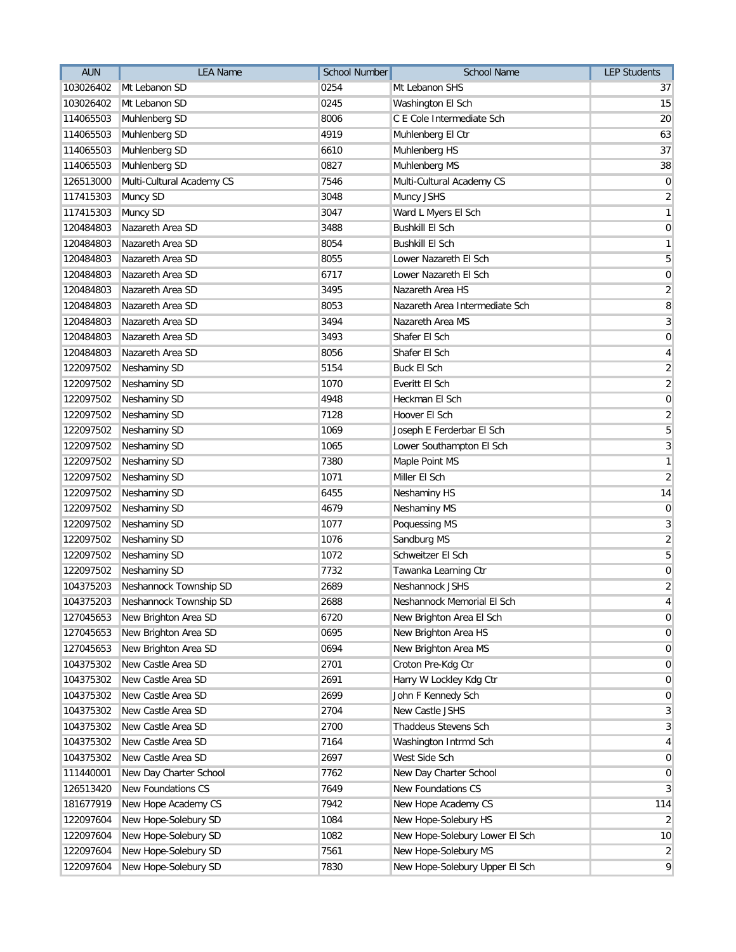| <b>AUN</b> | <b>LEA Name</b>           | <b>School Number</b> | <b>School Name</b>             | <b>LEP Students</b> |
|------------|---------------------------|----------------------|--------------------------------|---------------------|
| 103026402  | Mt Lebanon SD             | 0254                 | Mt Lebanon SHS                 | 37                  |
| 103026402  | Mt Lebanon SD             | 0245                 | Washington El Sch              | 15                  |
| 114065503  | Muhlenberg SD             | 8006                 | C E Cole Intermediate Sch      | 20                  |
| 114065503  | Muhlenberg SD             | 4919                 | Muhlenberg El Ctr              | 63                  |
| 114065503  | Muhlenberg SD             | 6610                 | Muhlenberg HS                  | 37                  |
| 114065503  | Muhlenberg SD             | 0827                 | Muhlenberg MS                  | 38                  |
| 126513000  | Multi-Cultural Academy CS | 7546                 | Multi-Cultural Academy CS      | $\overline{0}$      |
| 117415303  | Muncy SD                  | 3048                 | Muncy JSHS                     | $\overline{2}$      |
| 117415303  | Muncy SD                  | 3047                 | Ward L Myers El Sch            | $\mathbf{1}$        |
| 120484803  | Nazareth Area SD          | 3488                 | <b>Bushkill El Sch</b>         | $\overline{0}$      |
| 120484803  | Nazareth Area SD          | 8054                 | <b>Bushkill El Sch</b>         | $\mathbf{1}$        |
| 120484803  | Nazareth Area SD          | 8055                 | Lower Nazareth El Sch          | 5 <sup>1</sup>      |
| 120484803  | Nazareth Area SD          | 6717                 | Lower Nazareth El Sch          | $\boldsymbol{0}$    |
| 120484803  | Nazareth Area SD          | 3495                 | Nazareth Area HS               | $\overline{2}$      |
| 120484803  | Nazareth Area SD          | 8053                 | Nazareth Area Intermediate Sch | 8                   |
| 120484803  | Nazareth Area SD          | 3494                 | Nazareth Area MS               | $\overline{3}$      |
| 120484803  | Nazareth Area SD          | 3493                 | Shafer El Sch                  | $\overline{0}$      |
| 120484803  | Nazareth Area SD          | 8056                 | Shafer El Sch                  | $\vert 4 \vert$     |
| 122097502  | Neshaminy SD              | 5154                 | <b>Buck El Sch</b>             | $\overline{2}$      |
| 122097502  | Neshaminy SD              | 1070                 | Everitt El Sch                 | $\overline{2}$      |
| 122097502  | Neshaminy SD              | 4948                 | Heckman El Sch                 | $\boldsymbol{0}$    |
| 122097502  | Neshaminy SD              | 7128                 | Hoover El Sch                  | $\overline{2}$      |
| 122097502  | Neshaminy SD              | 1069                 | Joseph E Ferderbar El Sch      | 5                   |
| 122097502  | Neshaminy SD              | 1065                 | Lower Southampton El Sch       | $\mathbf{3}$        |
| 122097502  | <b>Neshaminy SD</b>       | 7380                 | Maple Point MS                 | $\mathbf{1}$        |
| 122097502  | Neshaminy SD              | 1071                 | Miller El Sch                  | $\overline{2}$      |
| 122097502  | Neshaminy SD              | 6455                 | Neshaminy HS                   | 14                  |
| 122097502  | Neshaminy SD              | 4679                 | <b>Neshaminy MS</b>            | 0                   |
| 122097502  | Neshaminy SD              | 1077                 | Poquessing MS                  | $\overline{3}$      |
| 122097502  | <b>Neshaminy SD</b>       | 1076                 | Sandburg MS                    | $\overline{2}$      |
| 122097502  | Neshaminy SD              | 1072                 | Schweitzer El Sch              | 5 <sup>1</sup>      |
| 122097502  | Neshaminy SD              | 7732                 | Tawanka Learning Ctr           | $\overline{0}$      |
| 104375203  | Neshannock Township SD    | 2689                 | Neshannock JSHS                | $\overline{2}$      |
| 104375203  | Neshannock Township SD    | 2688                 | Neshannock Memorial El Sch     | $\vert$             |
| 127045653  | New Brighton Area SD      | 6720                 | New Brighton Area El Sch       | $\boldsymbol{0}$    |
| 127045653  | New Brighton Area SD      | 0695                 | New Brighton Area HS           | $\overline{0}$      |
| 127045653  | New Brighton Area SD      | 0694                 | New Brighton Area MS           | $\boldsymbol{0}$    |
| 104375302  | New Castle Area SD        | 2701                 | Croton Pre-Kdg Ctr             | $\overline{0}$      |
| 104375302  | New Castle Area SD        | 2691                 | Harry W Lockley Kdg Ctr        | $\overline{0}$      |
| 104375302  | New Castle Area SD        | 2699                 | John F Kennedy Sch             | 0                   |
| 104375302  | New Castle Area SD        | 2704                 | New Castle JSHS                | $\mathbf{3}$        |
| 104375302  | New Castle Area SD        | 2700                 | Thaddeus Stevens Sch           | 3                   |
| 104375302  | New Castle Area SD        | 7164                 | Washington Intrmd Sch          | $\vert 4 \vert$     |
| 104375302  | New Castle Area SD        | 2697                 | West Side Sch                  | $\overline{0}$      |
| 111440001  | New Day Charter School    | 7762                 | New Day Charter School         | $\overline{0}$      |
| 126513420  | New Foundations CS        | 7649                 | New Foundations CS             | $\mathbf{3}$        |
| 181677919  | New Hope Academy CS       | 7942                 | New Hope Academy CS            | 114                 |
| 122097604  | New Hope-Solebury SD      | 1084                 | New Hope-Solebury HS           | $\overline{2}$      |
| 122097604  | New Hope-Solebury SD      | 1082                 | New Hope-Solebury Lower El Sch | 10                  |
| 122097604  | New Hope-Solebury SD      | 7561                 | New Hope-Solebury MS           | $\overline{2}$      |
| 122097604  | New Hope-Solebury SD      | 7830                 | New Hope-Solebury Upper El Sch | 9                   |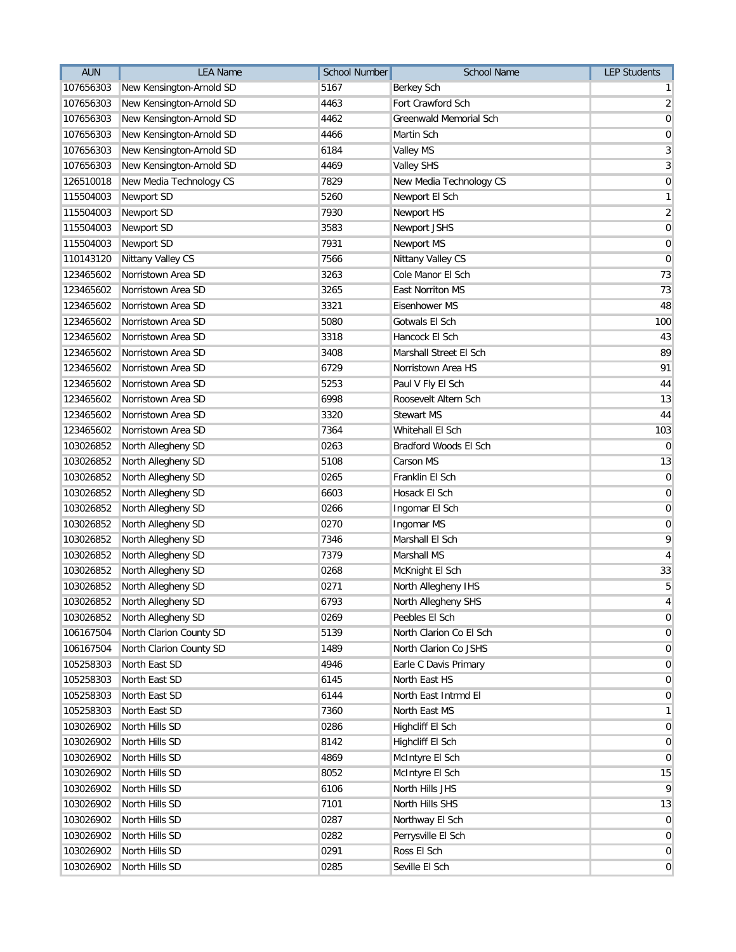| 5167<br>107656303<br>New Kensington-Arnold SD<br><b>Berkey Sch</b><br>4463<br>Fort Crawford Sch<br>107656303<br>New Kensington-Arnold SD<br>Greenwald Memorial Sch<br>107656303<br>New Kensington-Arnold SD<br>4462<br>4466<br>107656303<br>New Kensington-Arnold SD<br>Martin Sch<br>107656303<br>New Kensington-Arnold SD<br>6184<br><b>Valley MS</b><br>New Kensington-Arnold SD<br>4469<br>107656303<br>Valley SHS | 1 <sup>1</sup><br>$\overline{2}$<br>$\mathbf 0$<br>$\overline{0}$<br>3<br>$\overline{3}$<br>$\overline{0}$<br>$\mathbf{1}$<br>$\overline{2}$ |
|------------------------------------------------------------------------------------------------------------------------------------------------------------------------------------------------------------------------------------------------------------------------------------------------------------------------------------------------------------------------------------------------------------------------|----------------------------------------------------------------------------------------------------------------------------------------------|
|                                                                                                                                                                                                                                                                                                                                                                                                                        |                                                                                                                                              |
|                                                                                                                                                                                                                                                                                                                                                                                                                        |                                                                                                                                              |
|                                                                                                                                                                                                                                                                                                                                                                                                                        |                                                                                                                                              |
|                                                                                                                                                                                                                                                                                                                                                                                                                        |                                                                                                                                              |
|                                                                                                                                                                                                                                                                                                                                                                                                                        |                                                                                                                                              |
|                                                                                                                                                                                                                                                                                                                                                                                                                        |                                                                                                                                              |
| New Media Technology CS<br>7829<br>126510018<br>New Media Technology CS                                                                                                                                                                                                                                                                                                                                                |                                                                                                                                              |
| 5260<br>115504003<br>Newport SD<br>Newport El Sch                                                                                                                                                                                                                                                                                                                                                                      |                                                                                                                                              |
| 7930<br>115504003<br>Newport SD<br>Newport HS                                                                                                                                                                                                                                                                                                                                                                          |                                                                                                                                              |
| 3583<br>Newport JSHS<br>115504003<br>Newport SD                                                                                                                                                                                                                                                                                                                                                                        | $\overline{0}$                                                                                                                               |
| 7931<br>115504003<br>Newport SD<br>Newport MS                                                                                                                                                                                                                                                                                                                                                                          | $\mathbf 0$                                                                                                                                  |
| 7566<br>110143120<br>Nittany Valley CS<br>Nittany Valley CS                                                                                                                                                                                                                                                                                                                                                            | $\overline{0}$                                                                                                                               |
| Norristown Area SD<br>3263<br>Cole Manor El Sch<br>123465602                                                                                                                                                                                                                                                                                                                                                           | 73                                                                                                                                           |
| Norristown Area SD<br>3265<br>East Norriton MS<br>123465602                                                                                                                                                                                                                                                                                                                                                            | 73                                                                                                                                           |
| 3321<br>123465602<br>Norristown Area SD<br><b>Eisenhower MS</b>                                                                                                                                                                                                                                                                                                                                                        | 48                                                                                                                                           |
| 5080<br>123465602<br>Norristown Area SD<br>Gotwals El Sch                                                                                                                                                                                                                                                                                                                                                              | 100                                                                                                                                          |
| Norristown Area SD<br>123465602<br>3318<br>Hancock El Sch                                                                                                                                                                                                                                                                                                                                                              | 43                                                                                                                                           |
| Norristown Area SD<br>3408<br>Marshall Street El Sch<br>123465602                                                                                                                                                                                                                                                                                                                                                      | 89                                                                                                                                           |
| 6729<br>123465602<br>Norristown Area SD<br>Norristown Area HS                                                                                                                                                                                                                                                                                                                                                          | 91                                                                                                                                           |
| 123465602<br>Norristown Area SD<br>5253<br>Paul V Fly El Sch                                                                                                                                                                                                                                                                                                                                                           | 44                                                                                                                                           |
| 6998<br>123465602<br>Norristown Area SD<br>Roosevelt Altern Sch                                                                                                                                                                                                                                                                                                                                                        | 13                                                                                                                                           |
| 3320<br><b>Stewart MS</b><br>123465602<br>Norristown Area SD                                                                                                                                                                                                                                                                                                                                                           | 44                                                                                                                                           |
| 7364<br>123465602<br>Norristown Area SD<br>Whitehall El Sch                                                                                                                                                                                                                                                                                                                                                            | 103                                                                                                                                          |
| 103026852<br>North Allegheny SD<br>0263<br>Bradford Woods El Sch                                                                                                                                                                                                                                                                                                                                                       | $\overline{0}$                                                                                                                               |
| 5108<br>103026852<br>North Allegheny SD<br>Carson MS                                                                                                                                                                                                                                                                                                                                                                   | 13                                                                                                                                           |
| North Allegheny SD<br>0265<br>Franklin El Sch<br>103026852                                                                                                                                                                                                                                                                                                                                                             | $\overline{0}$                                                                                                                               |
| North Allegheny SD<br>6603<br>Hosack El Sch<br>103026852                                                                                                                                                                                                                                                                                                                                                               | $\overline{0}$                                                                                                                               |
| North Allegheny SD<br>0266<br>Ingomar El Sch<br>103026852                                                                                                                                                                                                                                                                                                                                                              | 0                                                                                                                                            |
| North Allegheny SD<br>0270<br>103026852<br>Ingomar MS                                                                                                                                                                                                                                                                                                                                                                  | 0                                                                                                                                            |
| North Allegheny SD<br>7346<br>Marshall El Sch<br>103026852                                                                                                                                                                                                                                                                                                                                                             | 9                                                                                                                                            |
| North Allegheny SD<br>7379<br>Marshall MS<br>103026852                                                                                                                                                                                                                                                                                                                                                                 | $\vert 4 \vert$                                                                                                                              |
| North Allegheny SD<br>0268<br>103026852<br>McKnight El Sch                                                                                                                                                                                                                                                                                                                                                             | 33                                                                                                                                           |
| 103026852<br>North Allegheny SD<br>0271<br>North Allegheny IHS                                                                                                                                                                                                                                                                                                                                                         | 5                                                                                                                                            |
| 6793<br>103026852 North Allegheny SD<br>North Allegheny SHS                                                                                                                                                                                                                                                                                                                                                            | $\overline{4}$                                                                                                                               |
| North Allegheny SD<br>103026852<br>0269<br>Peebles El Sch                                                                                                                                                                                                                                                                                                                                                              | $\overline{0}$                                                                                                                               |
| North Clarion County SD<br>5139<br>North Clarion Co El Sch<br>106167504                                                                                                                                                                                                                                                                                                                                                | $\overline{0}$                                                                                                                               |
| North Clarion Co JSHS<br>106167504<br>North Clarion County SD<br>1489                                                                                                                                                                                                                                                                                                                                                  | $\overline{0}$                                                                                                                               |
| North East SD<br>105258303<br>4946<br>Earle C Davis Primary                                                                                                                                                                                                                                                                                                                                                            | $\overline{0}$                                                                                                                               |
| 105258303<br>North East SD<br>6145<br>North East HS                                                                                                                                                                                                                                                                                                                                                                    | $\overline{0}$                                                                                                                               |
| 105258303<br>North East SD<br>6144<br>North East Intrmd El                                                                                                                                                                                                                                                                                                                                                             | $\overline{0}$                                                                                                                               |
| North East SD<br>North East MS<br>105258303<br>7360                                                                                                                                                                                                                                                                                                                                                                    | $\mathbf{1}$                                                                                                                                 |
| 103026902<br>North Hills SD<br>0286<br>Highcliff El Sch                                                                                                                                                                                                                                                                                                                                                                | $\overline{0}$                                                                                                                               |
| 103026902<br>North Hills SD<br>8142<br>Highcliff El Sch                                                                                                                                                                                                                                                                                                                                                                | $\overline{0}$                                                                                                                               |
| 103026902<br>North Hills SD<br>4869<br>McIntyre El Sch                                                                                                                                                                                                                                                                                                                                                                 | $\overline{0}$                                                                                                                               |
| 103026902<br>North Hills SD<br>8052<br>McIntyre El Sch                                                                                                                                                                                                                                                                                                                                                                 | 15                                                                                                                                           |
| 6106<br>103026902<br>North Hills SD<br>North Hills JHS                                                                                                                                                                                                                                                                                                                                                                 | 9                                                                                                                                            |
| 7101<br>North Hills SHS<br>103026902<br>North Hills SD                                                                                                                                                                                                                                                                                                                                                                 | 13                                                                                                                                           |
| Northway El Sch<br>103026902<br>North Hills SD<br>0287                                                                                                                                                                                                                                                                                                                                                                 | $\overline{0}$                                                                                                                               |
| Perrysville El Sch<br>103026902<br>North Hills SD<br>0282                                                                                                                                                                                                                                                                                                                                                              | $\overline{0}$                                                                                                                               |
| North Hills SD<br>0291<br>Ross El Sch<br>103026902                                                                                                                                                                                                                                                                                                                                                                     | $\overline{0}$                                                                                                                               |
| 103026902<br>North Hills SD<br>0285<br>Seville El Sch                                                                                                                                                                                                                                                                                                                                                                  | $\overline{0}$                                                                                                                               |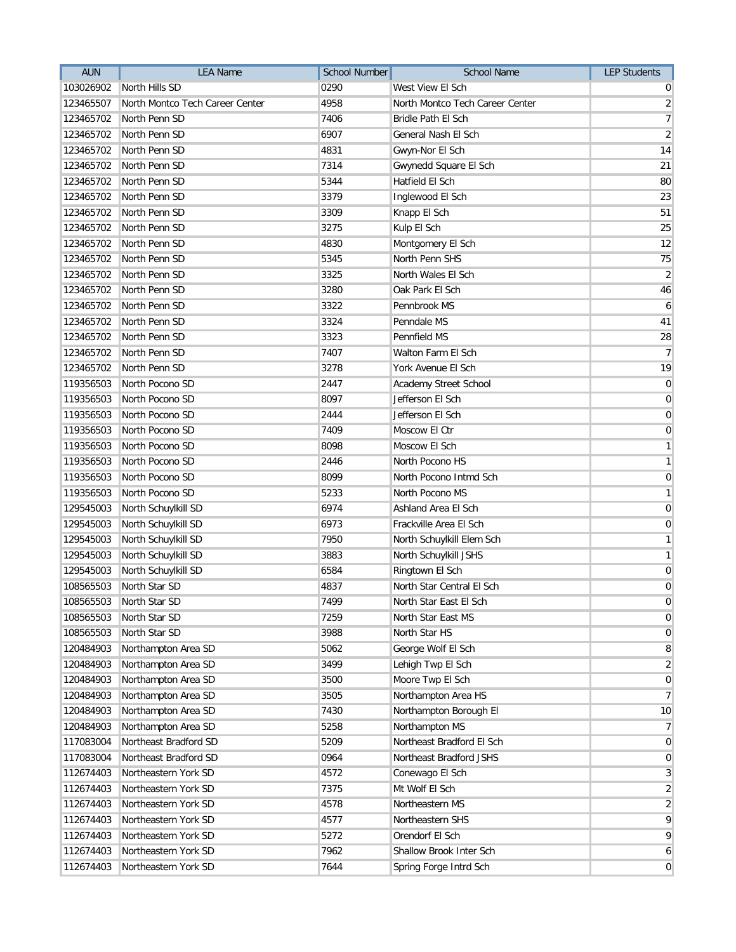| <b>AUN</b> | <b>LEA Name</b>                 | <b>School Number</b> | <b>School Name</b>              | <b>LEP Students</b> |
|------------|---------------------------------|----------------------|---------------------------------|---------------------|
| 103026902  | North Hills SD                  | 0290                 | West View El Sch                | 0                   |
| 123465507  | North Montco Tech Career Center | 4958                 | North Montco Tech Career Center | $\overline{2}$      |
| 123465702  | North Penn SD                   | 7406                 | <b>Bridle Path El Sch</b>       | $\overline{7}$      |
| 123465702  | North Penn SD                   | 6907                 | General Nash El Sch             | $\overline{2}$      |
| 123465702  | North Penn SD                   | 4831                 | Gwyn-Nor El Sch                 | 14                  |
| 123465702  | North Penn SD                   | 7314                 | Gwynedd Square El Sch           | 21                  |
| 123465702  | North Penn SD                   | 5344                 | Hatfield El Sch                 | 80                  |
| 123465702  | North Penn SD                   | 3379                 | Inglewood El Sch                | 23                  |
| 123465702  | North Penn SD                   | 3309                 | Knapp El Sch                    | 51                  |
| 123465702  | North Penn SD                   | 3275                 | Kulp El Sch                     | 25                  |
| 123465702  | North Penn SD                   | 4830                 | Montgomery El Sch               | 12                  |
| 123465702  | North Penn SD                   | 5345                 | North Penn SHS                  | 75                  |
| 123465702  | North Penn SD                   | 3325                 | North Wales El Sch              | $\overline{2}$      |
| 123465702  | North Penn SD                   | 3280                 | Oak Park El Sch                 | 46                  |
| 123465702  | North Penn SD                   | 3322                 | Pennbrook MS                    | 6                   |
| 123465702  | North Penn SD                   | 3324                 | Penndale MS                     | 41                  |
| 123465702  | North Penn SD                   | 3323                 | Pennfield MS                    | 28                  |
| 123465702  | North Penn SD                   | 7407                 | Walton Farm El Sch              | $\overline{7}$      |
| 123465702  | North Penn SD                   | 3278                 | York Avenue El Sch              | 19                  |
| 119356503  | North Pocono SD                 | 2447                 | Academy Street School           | $\pmb{0}$           |
| 119356503  | North Pocono SD                 | 8097                 | Jefferson El Sch                | $\mathbf 0$         |
| 119356503  | North Pocono SD                 | 2444                 | Jefferson El Sch                | $\mathbf 0$         |
| 119356503  | North Pocono SD                 | 7409                 | Moscow El Ctr                   | $\mathbf 0$         |
| 119356503  | North Pocono SD                 | 8098                 | Moscow El Sch                   | $\mathbf{1}$        |
| 119356503  | North Pocono SD                 | 2446                 | North Pocono HS                 | $\mathbf{1}$        |
| 119356503  | North Pocono SD                 | 8099                 | North Pocono Intmd Sch          | $\mathbf 0$         |
| 119356503  | North Pocono SD                 | 5233                 | North Pocono MS                 | $\mathbf{1}$        |
| 129545003  | North Schuylkill SD             | 6974                 | Ashland Area El Sch             | $\boldsymbol{0}$    |
| 129545003  | North Schuylkill SD             | 6973                 | Frackville Area El Sch          | $\boldsymbol{0}$    |
| 129545003  | North Schuylkill SD             | 7950                 | North Schuylkill Elem Sch       | $\mathbf{1}$        |
| 129545003  | North Schuylkill SD             | 3883                 | North Schuylkill JSHS           | $\mathbf{1}$        |
| 129545003  | North Schuylkill SD             | 6584                 | Ringtown El Sch                 | $\pmb{0}$           |
| 108565503  | North Star SD                   | 4837                 | North Star Central El Sch       | $\boldsymbol{0}$    |
|            | 108565503 North Star SD         | 7499                 | North Star East El Sch          | $\pmb{0}$           |
| 108565503  | North Star SD                   | 7259                 | North Star East MS              | $\mathbf 0$         |
| 108565503  | North Star SD                   | 3988                 | North Star HS                   | $\mathbf 0$         |
| 120484903  | Northampton Area SD             | 5062                 | George Wolf El Sch              | 8                   |
| 120484903  | Northampton Area SD             | 3499                 | Lehigh Twp El Sch               | $\overline{2}$      |
| 120484903  | Northampton Area SD             | 3500                 | Moore Twp El Sch                | $\pmb{0}$           |
| 120484903  | Northampton Area SD             | 3505                 | Northampton Area HS             | $\overline{7}$      |
| 120484903  | Northampton Area SD             | 7430                 | Northampton Borough El          | 10                  |
| 120484903  | Northampton Area SD             | 5258                 | Northampton MS                  | $\overline{7}$      |
| 117083004  | Northeast Bradford SD           | 5209                 | Northeast Bradford El Sch       | $\mathbf 0$         |
| 117083004  | Northeast Bradford SD           | 0964                 | Northeast Bradford JSHS         | $\mathbf 0$         |
| 112674403  | Northeastern York SD            | 4572                 | Conewago El Sch                 | 3                   |
| 112674403  | Northeastern York SD            | 7375                 | Mt Wolf El Sch                  | $\overline{2}$      |
| 112674403  | Northeastern York SD            | 4578                 | Northeastern MS                 | $\boldsymbol{2}$    |
| 112674403  | Northeastern York SD            | 4577                 | Northeastern SHS                | 9                   |
| 112674403  | Northeastern York SD            | 5272                 | Orendorf El Sch                 | 9                   |
| 112674403  | Northeastern York SD            | 7962                 | Shallow Brook Inter Sch         | 6                   |
| 112674403  | Northeastern York SD            | 7644                 | Spring Forge Intrd Sch          | $\mathbf 0$         |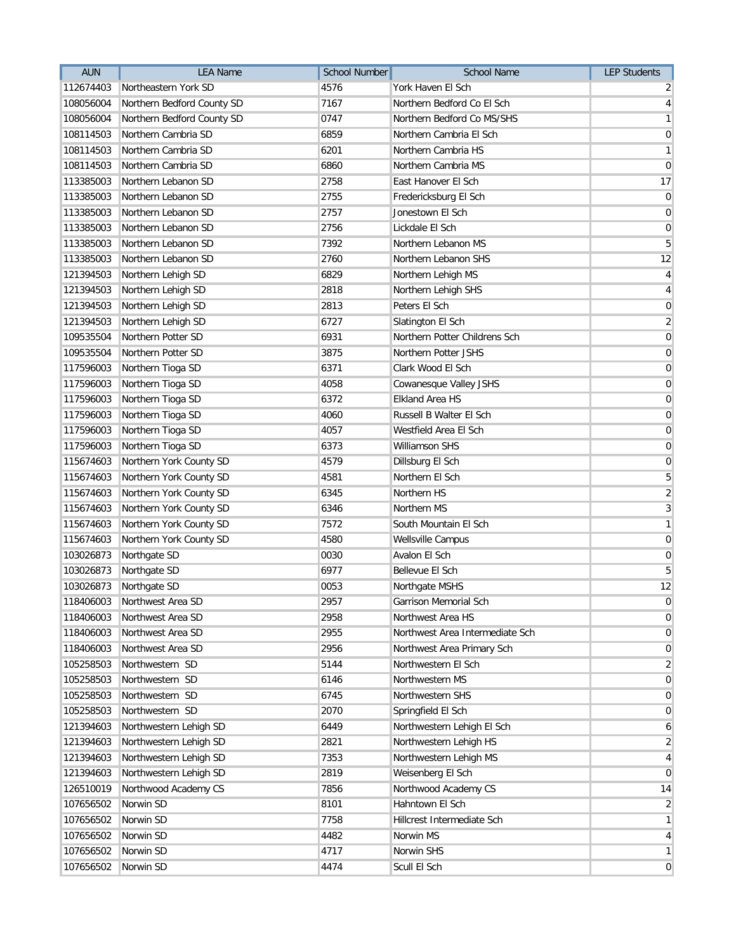| <b>AUN</b> | <b>LEA Name</b>            | <b>School Number</b> | <b>School Name</b>              | <b>LEP Students</b> |
|------------|----------------------------|----------------------|---------------------------------|---------------------|
| 112674403  | Northeastern York SD       | 4576                 | York Haven El Sch               | $\overline{2}$      |
| 108056004  | Northern Bedford County SD | 7167                 | Northern Bedford Co El Sch      | $\overline{4}$      |
| 108056004  | Northern Bedford County SD | 0747                 | Northern Bedford Co MS/SHS      | $\mathbf{1}$        |
| 108114503  | Northern Cambria SD        | 6859                 | Northern Cambria El Sch         | 0                   |
| 108114503  | Northern Cambria SD        | 6201                 | Northern Cambria HS             | $\mathbf{1}$        |
| 108114503  | Northern Cambria SD        | 6860                 | Northern Cambria MS             | $\mathbf 0$         |
| 113385003  | Northern Lebanon SD        | 2758                 | East Hanover El Sch             | 17                  |
| 113385003  | Northern Lebanon SD        | 2755                 | Fredericksburg El Sch           | $\mathbf 0$         |
| 113385003  | Northern Lebanon SD        | 2757                 | Jonestown El Sch                | $\pmb{0}$           |
| 113385003  | Northern Lebanon SD        | 2756                 | Lickdale El Sch                 | $\mathbf 0$         |
| 113385003  | Northern Lebanon SD        | 7392                 | Northern Lebanon MS             | 5                   |
| 113385003  | Northern Lebanon SD        | 2760                 | Northern Lebanon SHS            | 12                  |
| 121394503  | Northern Lehigh SD         | 6829                 | Northern Lehigh MS              | $\overline{4}$      |
| 121394503  | Northern Lehigh SD         | 2818                 | Northern Lehigh SHS             | $\overline{4}$      |
| 121394503  | Northern Lehigh SD         | 2813                 | Peters El Sch                   | $\pmb{0}$           |
| 121394503  | Northern Lehigh SD         | 6727                 | Slatington El Sch               | $\overline{2}$      |
| 109535504  | Northern Potter SD         | 6931                 | Northern Potter Childrens Sch   | $\mathbf 0$         |
| 109535504  | Northern Potter SD         | 3875                 | Northern Potter JSHS            | $\mathbf 0$         |
| 117596003  | Northern Tioga SD          | 6371                 | Clark Wood El Sch               | $\pmb{0}$           |
| 117596003  | Northern Tioga SD          | 4058                 | Cowanesque Valley JSHS          | $\pmb{0}$           |
| 117596003  | Northern Tioga SD          | 6372                 | <b>Elkland Area HS</b>          | $\pmb{0}$           |
| 117596003  | Northern Tioga SD          | 4060                 | Russell B Walter El Sch         | $\mathbf 0$         |
| 117596003  | Northern Tioga SD          | 4057                 | Westfield Area El Sch           | $\mathbf 0$         |
| 117596003  | Northern Tioga SD          | 6373                 | Williamson SHS                  | $\mathbf 0$         |
| 115674603  | Northern York County SD    | 4579                 | Dillsburg El Sch                | $\mathbf 0$         |
| 115674603  | Northern York County SD    | 4581                 | Northern El Sch                 | 5                   |
| 115674603  | Northern York County SD    | 6345                 | Northern HS                     | $\overline{2}$      |
| 115674603  | Northern York County SD    | 6346                 | Northern MS                     | 3                   |
| 115674603  | Northern York County SD    | 7572                 | South Mountain El Sch           | $\mathbf{1}$        |
| 115674603  | Northern York County SD    | 4580                 | <b>Wellsville Campus</b>        | $\boldsymbol{0}$    |
| 103026873  | Northgate SD               | 0030                 | Avalon El Sch                   | $\pmb{0}$           |
| 103026873  | Northgate SD               | 6977                 | <b>Bellevue El Sch</b>          | $\overline{5}$      |
| 103026873  | Northgate SD               | 0053                 | Northgate MSHS                  | 12                  |
| 118406003  | Northwest Area SD          | 2957                 | Garrison Memorial Sch           | $\pmb{0}$           |
| 118406003  | Northwest Area SD          | 2958                 | Northwest Area HS               | 0                   |
| 118406003  | Northwest Area SD          | 2955                 | Northwest Area Intermediate Sch | $\mathbf 0$         |
| 118406003  | Northwest Area SD          | 2956                 | Northwest Area Primary Sch      | $\mathbf 0$         |
| 105258503  | Northwestern SD            | 5144                 | Northwestern El Sch             | $\overline{2}$      |
| 105258503  | Northwestern SD            | 6146                 | Northwestern MS                 | $\overline{0}$      |
| 105258503  | Northwestern SD            | 6745                 | Northwestern SHS                | 0                   |
| 105258503  | Northwestern SD            | 2070                 | Springfield El Sch              | $\overline{0}$      |
| 121394603  | Northwestern Lehigh SD     | 6449                 | Northwestern Lehigh El Sch      | 6                   |
| 121394603  | Northwestern Lehigh SD     | 2821                 | Northwestern Lehigh HS          | $\overline{2}$      |
| 121394603  | Northwestern Lehigh SD     | 7353                 | Northwestern Lehigh MS          | 4                   |
| 121394603  | Northwestern Lehigh SD     | 2819                 | Weisenberg El Sch               | $\overline{0}$      |
| 126510019  | Northwood Academy CS       | 7856                 | Northwood Academy CS            | 14                  |
| 107656502  | Norwin SD                  | 8101                 | Hahntown El Sch                 | $\overline{a}$      |
| 107656502  | Norwin SD                  | 7758                 | Hillcrest Intermediate Sch      | $\mathbf{1}$        |
| 107656502  | Norwin SD                  | 4482                 | Norwin MS                       | $\overline{4}$      |
| 107656502  | Norwin SD                  | 4717                 | Norwin SHS                      | $\mathbf{1}$        |
| 107656502  | Norwin SD                  | 4474                 | Scull El Sch                    | 0                   |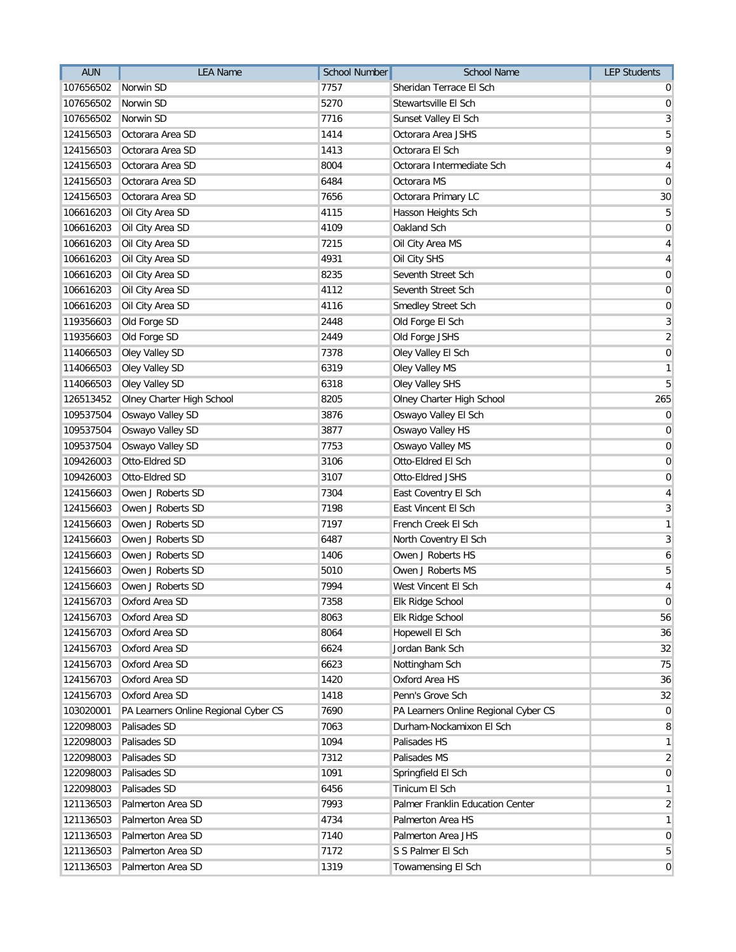| 7757<br>Sheridan Terrace El Sch<br>107656502<br>Norwin SD<br>0<br>Norwin SD<br>5270<br>Stewartsville El Sch<br>107656502<br>$\boldsymbol{0}$<br>107656502<br>Norwin SD<br>7716<br>Sunset Valley El Sch<br>Octorara Area SD<br>1414<br>Octorara Area JSHS<br>5<br>124156503<br>Octorara Area SD<br>Octorara El Sch<br>124156503<br>1413<br>Octorara Area SD<br>8004<br>Octorara Intermediate Sch<br>124156503<br>Octorara Area SD<br>6484<br>Octorara MS<br>124156503<br>7656<br>124156503<br>Octorara Area SD<br>Octorara Primary LC<br>106616203<br>Oil City Area SD<br>4115<br>Hasson Heights Sch<br>106616203<br>Oil City Area SD<br>4109<br>Oakland Sch<br>Oil City Area SD<br>Oil City Area MS<br>106616203<br>7215<br>Oil City Area SD<br>4931<br>Oil City SHS<br>106616203<br>Oil City Area SD<br>8235<br>Seventh Street Sch<br>106616203<br>Oil City Area SD<br>4112<br>Seventh Street Sch<br>106616203<br>106616203<br>Oil City Area SD<br>4116<br>Smedley Street Sch<br>Old Forge SD<br>119356603<br>2448<br>Old Forge El Sch<br>Old Forge SD<br>2449<br>119356603<br>Old Forge JSHS<br>Oley Valley SD<br>7378<br>114066503<br>Oley Valley El Sch<br>114066503<br>Oley Valley SD<br>6319<br>Oley Valley MS<br>114066503<br>Oley Valley SD<br>6318<br>Oley Valley SHS<br>126513452<br>Olney Charter High School<br>8205<br>Olney Charter High School<br>265<br>Oswayo Valley SD<br>Oswayo Valley El Sch<br>109537504<br>3876<br>Oswayo Valley SD<br>3877<br>Oswayo Valley HS<br>109537504<br>Oswayo Valley SD<br>7753<br>Oswayo Valley MS<br>109537504<br>109426003<br>Otto-Eldred SD<br>3106<br>Otto-Eldred El Sch<br>Otto-Eldred SD<br>3107<br>Otto-Eldred JSHS<br>109426003<br>124156603<br>Owen J Roberts SD<br>7304<br>East Coventry El Sch<br>Owen J Roberts SD<br>7198<br>East Vincent El Sch<br>124156603<br>7197<br>124156603<br>Owen J Roberts SD<br>French Creek El Sch<br>Owen J Roberts SD<br>6487<br>124156603<br>North Coventry El Sch<br>Owen J Roberts SD<br>1406<br>Owen J Roberts HS<br>124156603<br>5010<br>124156603<br>Owen J Roberts SD<br>Owen J Roberts MS<br>124156603<br>Owen J Roberts SD<br>7994<br>West Vincent El Sch<br>7358<br>124156703<br>Elk Ridge School<br>Oxford Area SD<br>Oxford Area SD<br>124156703<br>8063<br>Elk Ridge School<br>Oxford Area SD<br>8064<br>124156703<br>Hopewell El Sch<br>Oxford Area SD<br>124156703<br>6624<br>Jordan Bank Sch<br>Oxford Area SD<br>6623<br>124156703<br>Nottingham Sch<br>Oxford Area SD<br>Oxford Area HS<br>124156703<br>1420<br>Oxford Area SD<br>124156703<br>1418<br>Penn's Grove Sch<br>7690<br>103020001<br>PA Learners Online Regional Cyber CS<br>PA Learners Online Regional Cyber CS<br>122098003<br>Palisades SD<br>7063<br>Durham-Nockamixon El Sch<br>Palisades SD<br>122098003<br>1094<br>Palisades HS<br>Palisades SD<br>7312<br>122098003<br>Palisades MS<br>122098003<br>Palisades SD<br>1091<br>Springfield El Sch<br>122098003<br>Palisades SD<br>6456<br>Tinicum El Sch<br>7993<br>121136503<br>Palmerton Area SD<br>Palmer Franklin Education Center<br>Palmerton Area SD<br>Palmerton Area HS<br>121136503<br>4734<br>Palmerton Area SD<br>7140<br>Palmerton Area JHS<br>121136503<br>Palmerton Area SD<br>7172<br>S S Palmer El Sch<br>121136503 | <b>AUN</b> | <b>LEA Name</b>   | <b>School Number</b> | <b>School Name</b> | <b>LEP Students</b> |
|--------------------------------------------------------------------------------------------------------------------------------------------------------------------------------------------------------------------------------------------------------------------------------------------------------------------------------------------------------------------------------------------------------------------------------------------------------------------------------------------------------------------------------------------------------------------------------------------------------------------------------------------------------------------------------------------------------------------------------------------------------------------------------------------------------------------------------------------------------------------------------------------------------------------------------------------------------------------------------------------------------------------------------------------------------------------------------------------------------------------------------------------------------------------------------------------------------------------------------------------------------------------------------------------------------------------------------------------------------------------------------------------------------------------------------------------------------------------------------------------------------------------------------------------------------------------------------------------------------------------------------------------------------------------------------------------------------------------------------------------------------------------------------------------------------------------------------------------------------------------------------------------------------------------------------------------------------------------------------------------------------------------------------------------------------------------------------------------------------------------------------------------------------------------------------------------------------------------------------------------------------------------------------------------------------------------------------------------------------------------------------------------------------------------------------------------------------------------------------------------------------------------------------------------------------------------------------------------------------------------------------------------------------------------------------------------------------------------------------------------------------------------------------------------------------------------------------------------------------------------------------------------------------------------------------------------------------------------------------------------------------------------------------------------------------------------------------------------------------------------------------------------------------------------------------------------------------------------------------------------------------------------|------------|-------------------|----------------------|--------------------|---------------------|
|                                                                                                                                                                                                                                                                                                                                                                                                                                                                                                                                                                                                                                                                                                                                                                                                                                                                                                                                                                                                                                                                                                                                                                                                                                                                                                                                                                                                                                                                                                                                                                                                                                                                                                                                                                                                                                                                                                                                                                                                                                                                                                                                                                                                                                                                                                                                                                                                                                                                                                                                                                                                                                                                                                                                                                                                                                                                                                                                                                                                                                                                                                                                                                                                                                                                    |            |                   |                      |                    |                     |
|                                                                                                                                                                                                                                                                                                                                                                                                                                                                                                                                                                                                                                                                                                                                                                                                                                                                                                                                                                                                                                                                                                                                                                                                                                                                                                                                                                                                                                                                                                                                                                                                                                                                                                                                                                                                                                                                                                                                                                                                                                                                                                                                                                                                                                                                                                                                                                                                                                                                                                                                                                                                                                                                                                                                                                                                                                                                                                                                                                                                                                                                                                                                                                                                                                                                    |            |                   |                      |                    |                     |
| 9<br>4<br>$\mathbf 0$<br>30<br>5<br>$\mathbf 0$<br>4<br>4<br>$\mathbf 0$<br>$\pmb{0}$<br>$\mathbf 0$<br>$\mathbf{3}$<br>$\overline{2}$<br>$\pmb{0}$<br>$\mathbf{1}$<br>5<br>$\mathbf 0$<br>$\mathbf 0$<br>$\mathbf 0$<br>$\mathbf 0$<br>$\mathbf 0$<br>4<br>$\mathbf{3}$<br>$\mathbf{1}$<br>$\mathbf{3}$<br>6<br>5<br>$\overline{4}$<br>$\mathbf 0$<br>56<br>36<br>32<br>75<br>36<br>32<br>$\mathbf 0$<br>8<br>$\mathbf{1}$<br>$\overline{2}$<br>$\pmb{0}$<br>$\mathbf{1}$<br>$\overline{a}$<br>$\mathbf{1}$<br>$\mathbf 0$<br>5                                                                                                                                                                                                                                                                                                                                                                                                                                                                                                                                                                                                                                                                                                                                                                                                                                                                                                                                                                                                                                                                                                                                                                                                                                                                                                                                                                                                                                                                                                                                                                                                                                                                                                                                                                                                                                                                                                                                                                                                                                                                                                                                                                                                                                                                                                                                                                                                                                                                                                                                                                                                                                                                                                                                   |            |                   |                      |                    | $\mathbf{3}$        |
|                                                                                                                                                                                                                                                                                                                                                                                                                                                                                                                                                                                                                                                                                                                                                                                                                                                                                                                                                                                                                                                                                                                                                                                                                                                                                                                                                                                                                                                                                                                                                                                                                                                                                                                                                                                                                                                                                                                                                                                                                                                                                                                                                                                                                                                                                                                                                                                                                                                                                                                                                                                                                                                                                                                                                                                                                                                                                                                                                                                                                                                                                                                                                                                                                                                                    |            |                   |                      |                    |                     |
|                                                                                                                                                                                                                                                                                                                                                                                                                                                                                                                                                                                                                                                                                                                                                                                                                                                                                                                                                                                                                                                                                                                                                                                                                                                                                                                                                                                                                                                                                                                                                                                                                                                                                                                                                                                                                                                                                                                                                                                                                                                                                                                                                                                                                                                                                                                                                                                                                                                                                                                                                                                                                                                                                                                                                                                                                                                                                                                                                                                                                                                                                                                                                                                                                                                                    |            |                   |                      |                    |                     |
|                                                                                                                                                                                                                                                                                                                                                                                                                                                                                                                                                                                                                                                                                                                                                                                                                                                                                                                                                                                                                                                                                                                                                                                                                                                                                                                                                                                                                                                                                                                                                                                                                                                                                                                                                                                                                                                                                                                                                                                                                                                                                                                                                                                                                                                                                                                                                                                                                                                                                                                                                                                                                                                                                                                                                                                                                                                                                                                                                                                                                                                                                                                                                                                                                                                                    |            |                   |                      |                    |                     |
|                                                                                                                                                                                                                                                                                                                                                                                                                                                                                                                                                                                                                                                                                                                                                                                                                                                                                                                                                                                                                                                                                                                                                                                                                                                                                                                                                                                                                                                                                                                                                                                                                                                                                                                                                                                                                                                                                                                                                                                                                                                                                                                                                                                                                                                                                                                                                                                                                                                                                                                                                                                                                                                                                                                                                                                                                                                                                                                                                                                                                                                                                                                                                                                                                                                                    |            |                   |                      |                    |                     |
|                                                                                                                                                                                                                                                                                                                                                                                                                                                                                                                                                                                                                                                                                                                                                                                                                                                                                                                                                                                                                                                                                                                                                                                                                                                                                                                                                                                                                                                                                                                                                                                                                                                                                                                                                                                                                                                                                                                                                                                                                                                                                                                                                                                                                                                                                                                                                                                                                                                                                                                                                                                                                                                                                                                                                                                                                                                                                                                                                                                                                                                                                                                                                                                                                                                                    |            |                   |                      |                    |                     |
|                                                                                                                                                                                                                                                                                                                                                                                                                                                                                                                                                                                                                                                                                                                                                                                                                                                                                                                                                                                                                                                                                                                                                                                                                                                                                                                                                                                                                                                                                                                                                                                                                                                                                                                                                                                                                                                                                                                                                                                                                                                                                                                                                                                                                                                                                                                                                                                                                                                                                                                                                                                                                                                                                                                                                                                                                                                                                                                                                                                                                                                                                                                                                                                                                                                                    |            |                   |                      |                    |                     |
|                                                                                                                                                                                                                                                                                                                                                                                                                                                                                                                                                                                                                                                                                                                                                                                                                                                                                                                                                                                                                                                                                                                                                                                                                                                                                                                                                                                                                                                                                                                                                                                                                                                                                                                                                                                                                                                                                                                                                                                                                                                                                                                                                                                                                                                                                                                                                                                                                                                                                                                                                                                                                                                                                                                                                                                                                                                                                                                                                                                                                                                                                                                                                                                                                                                                    |            |                   |                      |                    |                     |
|                                                                                                                                                                                                                                                                                                                                                                                                                                                                                                                                                                                                                                                                                                                                                                                                                                                                                                                                                                                                                                                                                                                                                                                                                                                                                                                                                                                                                                                                                                                                                                                                                                                                                                                                                                                                                                                                                                                                                                                                                                                                                                                                                                                                                                                                                                                                                                                                                                                                                                                                                                                                                                                                                                                                                                                                                                                                                                                                                                                                                                                                                                                                                                                                                                                                    |            |                   |                      |                    |                     |
|                                                                                                                                                                                                                                                                                                                                                                                                                                                                                                                                                                                                                                                                                                                                                                                                                                                                                                                                                                                                                                                                                                                                                                                                                                                                                                                                                                                                                                                                                                                                                                                                                                                                                                                                                                                                                                                                                                                                                                                                                                                                                                                                                                                                                                                                                                                                                                                                                                                                                                                                                                                                                                                                                                                                                                                                                                                                                                                                                                                                                                                                                                                                                                                                                                                                    |            |                   |                      |                    |                     |
|                                                                                                                                                                                                                                                                                                                                                                                                                                                                                                                                                                                                                                                                                                                                                                                                                                                                                                                                                                                                                                                                                                                                                                                                                                                                                                                                                                                                                                                                                                                                                                                                                                                                                                                                                                                                                                                                                                                                                                                                                                                                                                                                                                                                                                                                                                                                                                                                                                                                                                                                                                                                                                                                                                                                                                                                                                                                                                                                                                                                                                                                                                                                                                                                                                                                    |            |                   |                      |                    |                     |
|                                                                                                                                                                                                                                                                                                                                                                                                                                                                                                                                                                                                                                                                                                                                                                                                                                                                                                                                                                                                                                                                                                                                                                                                                                                                                                                                                                                                                                                                                                                                                                                                                                                                                                                                                                                                                                                                                                                                                                                                                                                                                                                                                                                                                                                                                                                                                                                                                                                                                                                                                                                                                                                                                                                                                                                                                                                                                                                                                                                                                                                                                                                                                                                                                                                                    |            |                   |                      |                    |                     |
|                                                                                                                                                                                                                                                                                                                                                                                                                                                                                                                                                                                                                                                                                                                                                                                                                                                                                                                                                                                                                                                                                                                                                                                                                                                                                                                                                                                                                                                                                                                                                                                                                                                                                                                                                                                                                                                                                                                                                                                                                                                                                                                                                                                                                                                                                                                                                                                                                                                                                                                                                                                                                                                                                                                                                                                                                                                                                                                                                                                                                                                                                                                                                                                                                                                                    |            |                   |                      |                    |                     |
|                                                                                                                                                                                                                                                                                                                                                                                                                                                                                                                                                                                                                                                                                                                                                                                                                                                                                                                                                                                                                                                                                                                                                                                                                                                                                                                                                                                                                                                                                                                                                                                                                                                                                                                                                                                                                                                                                                                                                                                                                                                                                                                                                                                                                                                                                                                                                                                                                                                                                                                                                                                                                                                                                                                                                                                                                                                                                                                                                                                                                                                                                                                                                                                                                                                                    |            |                   |                      |                    |                     |
|                                                                                                                                                                                                                                                                                                                                                                                                                                                                                                                                                                                                                                                                                                                                                                                                                                                                                                                                                                                                                                                                                                                                                                                                                                                                                                                                                                                                                                                                                                                                                                                                                                                                                                                                                                                                                                                                                                                                                                                                                                                                                                                                                                                                                                                                                                                                                                                                                                                                                                                                                                                                                                                                                                                                                                                                                                                                                                                                                                                                                                                                                                                                                                                                                                                                    |            |                   |                      |                    |                     |
|                                                                                                                                                                                                                                                                                                                                                                                                                                                                                                                                                                                                                                                                                                                                                                                                                                                                                                                                                                                                                                                                                                                                                                                                                                                                                                                                                                                                                                                                                                                                                                                                                                                                                                                                                                                                                                                                                                                                                                                                                                                                                                                                                                                                                                                                                                                                                                                                                                                                                                                                                                                                                                                                                                                                                                                                                                                                                                                                                                                                                                                                                                                                                                                                                                                                    |            |                   |                      |                    |                     |
|                                                                                                                                                                                                                                                                                                                                                                                                                                                                                                                                                                                                                                                                                                                                                                                                                                                                                                                                                                                                                                                                                                                                                                                                                                                                                                                                                                                                                                                                                                                                                                                                                                                                                                                                                                                                                                                                                                                                                                                                                                                                                                                                                                                                                                                                                                                                                                                                                                                                                                                                                                                                                                                                                                                                                                                                                                                                                                                                                                                                                                                                                                                                                                                                                                                                    |            |                   |                      |                    |                     |
|                                                                                                                                                                                                                                                                                                                                                                                                                                                                                                                                                                                                                                                                                                                                                                                                                                                                                                                                                                                                                                                                                                                                                                                                                                                                                                                                                                                                                                                                                                                                                                                                                                                                                                                                                                                                                                                                                                                                                                                                                                                                                                                                                                                                                                                                                                                                                                                                                                                                                                                                                                                                                                                                                                                                                                                                                                                                                                                                                                                                                                                                                                                                                                                                                                                                    |            |                   |                      |                    |                     |
|                                                                                                                                                                                                                                                                                                                                                                                                                                                                                                                                                                                                                                                                                                                                                                                                                                                                                                                                                                                                                                                                                                                                                                                                                                                                                                                                                                                                                                                                                                                                                                                                                                                                                                                                                                                                                                                                                                                                                                                                                                                                                                                                                                                                                                                                                                                                                                                                                                                                                                                                                                                                                                                                                                                                                                                                                                                                                                                                                                                                                                                                                                                                                                                                                                                                    |            |                   |                      |                    |                     |
|                                                                                                                                                                                                                                                                                                                                                                                                                                                                                                                                                                                                                                                                                                                                                                                                                                                                                                                                                                                                                                                                                                                                                                                                                                                                                                                                                                                                                                                                                                                                                                                                                                                                                                                                                                                                                                                                                                                                                                                                                                                                                                                                                                                                                                                                                                                                                                                                                                                                                                                                                                                                                                                                                                                                                                                                                                                                                                                                                                                                                                                                                                                                                                                                                                                                    |            |                   |                      |                    |                     |
|                                                                                                                                                                                                                                                                                                                                                                                                                                                                                                                                                                                                                                                                                                                                                                                                                                                                                                                                                                                                                                                                                                                                                                                                                                                                                                                                                                                                                                                                                                                                                                                                                                                                                                                                                                                                                                                                                                                                                                                                                                                                                                                                                                                                                                                                                                                                                                                                                                                                                                                                                                                                                                                                                                                                                                                                                                                                                                                                                                                                                                                                                                                                                                                                                                                                    |            |                   |                      |                    |                     |
|                                                                                                                                                                                                                                                                                                                                                                                                                                                                                                                                                                                                                                                                                                                                                                                                                                                                                                                                                                                                                                                                                                                                                                                                                                                                                                                                                                                                                                                                                                                                                                                                                                                                                                                                                                                                                                                                                                                                                                                                                                                                                                                                                                                                                                                                                                                                                                                                                                                                                                                                                                                                                                                                                                                                                                                                                                                                                                                                                                                                                                                                                                                                                                                                                                                                    |            |                   |                      |                    |                     |
|                                                                                                                                                                                                                                                                                                                                                                                                                                                                                                                                                                                                                                                                                                                                                                                                                                                                                                                                                                                                                                                                                                                                                                                                                                                                                                                                                                                                                                                                                                                                                                                                                                                                                                                                                                                                                                                                                                                                                                                                                                                                                                                                                                                                                                                                                                                                                                                                                                                                                                                                                                                                                                                                                                                                                                                                                                                                                                                                                                                                                                                                                                                                                                                                                                                                    |            |                   |                      |                    |                     |
|                                                                                                                                                                                                                                                                                                                                                                                                                                                                                                                                                                                                                                                                                                                                                                                                                                                                                                                                                                                                                                                                                                                                                                                                                                                                                                                                                                                                                                                                                                                                                                                                                                                                                                                                                                                                                                                                                                                                                                                                                                                                                                                                                                                                                                                                                                                                                                                                                                                                                                                                                                                                                                                                                                                                                                                                                                                                                                                                                                                                                                                                                                                                                                                                                                                                    |            |                   |                      |                    |                     |
|                                                                                                                                                                                                                                                                                                                                                                                                                                                                                                                                                                                                                                                                                                                                                                                                                                                                                                                                                                                                                                                                                                                                                                                                                                                                                                                                                                                                                                                                                                                                                                                                                                                                                                                                                                                                                                                                                                                                                                                                                                                                                                                                                                                                                                                                                                                                                                                                                                                                                                                                                                                                                                                                                                                                                                                                                                                                                                                                                                                                                                                                                                                                                                                                                                                                    |            |                   |                      |                    |                     |
|                                                                                                                                                                                                                                                                                                                                                                                                                                                                                                                                                                                                                                                                                                                                                                                                                                                                                                                                                                                                                                                                                                                                                                                                                                                                                                                                                                                                                                                                                                                                                                                                                                                                                                                                                                                                                                                                                                                                                                                                                                                                                                                                                                                                                                                                                                                                                                                                                                                                                                                                                                                                                                                                                                                                                                                                                                                                                                                                                                                                                                                                                                                                                                                                                                                                    |            |                   |                      |                    |                     |
|                                                                                                                                                                                                                                                                                                                                                                                                                                                                                                                                                                                                                                                                                                                                                                                                                                                                                                                                                                                                                                                                                                                                                                                                                                                                                                                                                                                                                                                                                                                                                                                                                                                                                                                                                                                                                                                                                                                                                                                                                                                                                                                                                                                                                                                                                                                                                                                                                                                                                                                                                                                                                                                                                                                                                                                                                                                                                                                                                                                                                                                                                                                                                                                                                                                                    |            |                   |                      |                    |                     |
|                                                                                                                                                                                                                                                                                                                                                                                                                                                                                                                                                                                                                                                                                                                                                                                                                                                                                                                                                                                                                                                                                                                                                                                                                                                                                                                                                                                                                                                                                                                                                                                                                                                                                                                                                                                                                                                                                                                                                                                                                                                                                                                                                                                                                                                                                                                                                                                                                                                                                                                                                                                                                                                                                                                                                                                                                                                                                                                                                                                                                                                                                                                                                                                                                                                                    |            |                   |                      |                    |                     |
|                                                                                                                                                                                                                                                                                                                                                                                                                                                                                                                                                                                                                                                                                                                                                                                                                                                                                                                                                                                                                                                                                                                                                                                                                                                                                                                                                                                                                                                                                                                                                                                                                                                                                                                                                                                                                                                                                                                                                                                                                                                                                                                                                                                                                                                                                                                                                                                                                                                                                                                                                                                                                                                                                                                                                                                                                                                                                                                                                                                                                                                                                                                                                                                                                                                                    |            |                   |                      |                    |                     |
|                                                                                                                                                                                                                                                                                                                                                                                                                                                                                                                                                                                                                                                                                                                                                                                                                                                                                                                                                                                                                                                                                                                                                                                                                                                                                                                                                                                                                                                                                                                                                                                                                                                                                                                                                                                                                                                                                                                                                                                                                                                                                                                                                                                                                                                                                                                                                                                                                                                                                                                                                                                                                                                                                                                                                                                                                                                                                                                                                                                                                                                                                                                                                                                                                                                                    |            |                   |                      |                    |                     |
|                                                                                                                                                                                                                                                                                                                                                                                                                                                                                                                                                                                                                                                                                                                                                                                                                                                                                                                                                                                                                                                                                                                                                                                                                                                                                                                                                                                                                                                                                                                                                                                                                                                                                                                                                                                                                                                                                                                                                                                                                                                                                                                                                                                                                                                                                                                                                                                                                                                                                                                                                                                                                                                                                                                                                                                                                                                                                                                                                                                                                                                                                                                                                                                                                                                                    |            |                   |                      |                    |                     |
|                                                                                                                                                                                                                                                                                                                                                                                                                                                                                                                                                                                                                                                                                                                                                                                                                                                                                                                                                                                                                                                                                                                                                                                                                                                                                                                                                                                                                                                                                                                                                                                                                                                                                                                                                                                                                                                                                                                                                                                                                                                                                                                                                                                                                                                                                                                                                                                                                                                                                                                                                                                                                                                                                                                                                                                                                                                                                                                                                                                                                                                                                                                                                                                                                                                                    |            |                   |                      |                    |                     |
|                                                                                                                                                                                                                                                                                                                                                                                                                                                                                                                                                                                                                                                                                                                                                                                                                                                                                                                                                                                                                                                                                                                                                                                                                                                                                                                                                                                                                                                                                                                                                                                                                                                                                                                                                                                                                                                                                                                                                                                                                                                                                                                                                                                                                                                                                                                                                                                                                                                                                                                                                                                                                                                                                                                                                                                                                                                                                                                                                                                                                                                                                                                                                                                                                                                                    |            |                   |                      |                    |                     |
|                                                                                                                                                                                                                                                                                                                                                                                                                                                                                                                                                                                                                                                                                                                                                                                                                                                                                                                                                                                                                                                                                                                                                                                                                                                                                                                                                                                                                                                                                                                                                                                                                                                                                                                                                                                                                                                                                                                                                                                                                                                                                                                                                                                                                                                                                                                                                                                                                                                                                                                                                                                                                                                                                                                                                                                                                                                                                                                                                                                                                                                                                                                                                                                                                                                                    |            |                   |                      |                    |                     |
|                                                                                                                                                                                                                                                                                                                                                                                                                                                                                                                                                                                                                                                                                                                                                                                                                                                                                                                                                                                                                                                                                                                                                                                                                                                                                                                                                                                                                                                                                                                                                                                                                                                                                                                                                                                                                                                                                                                                                                                                                                                                                                                                                                                                                                                                                                                                                                                                                                                                                                                                                                                                                                                                                                                                                                                                                                                                                                                                                                                                                                                                                                                                                                                                                                                                    |            |                   |                      |                    |                     |
|                                                                                                                                                                                                                                                                                                                                                                                                                                                                                                                                                                                                                                                                                                                                                                                                                                                                                                                                                                                                                                                                                                                                                                                                                                                                                                                                                                                                                                                                                                                                                                                                                                                                                                                                                                                                                                                                                                                                                                                                                                                                                                                                                                                                                                                                                                                                                                                                                                                                                                                                                                                                                                                                                                                                                                                                                                                                                                                                                                                                                                                                                                                                                                                                                                                                    |            |                   |                      |                    |                     |
|                                                                                                                                                                                                                                                                                                                                                                                                                                                                                                                                                                                                                                                                                                                                                                                                                                                                                                                                                                                                                                                                                                                                                                                                                                                                                                                                                                                                                                                                                                                                                                                                                                                                                                                                                                                                                                                                                                                                                                                                                                                                                                                                                                                                                                                                                                                                                                                                                                                                                                                                                                                                                                                                                                                                                                                                                                                                                                                                                                                                                                                                                                                                                                                                                                                                    |            |                   |                      |                    |                     |
|                                                                                                                                                                                                                                                                                                                                                                                                                                                                                                                                                                                                                                                                                                                                                                                                                                                                                                                                                                                                                                                                                                                                                                                                                                                                                                                                                                                                                                                                                                                                                                                                                                                                                                                                                                                                                                                                                                                                                                                                                                                                                                                                                                                                                                                                                                                                                                                                                                                                                                                                                                                                                                                                                                                                                                                                                                                                                                                                                                                                                                                                                                                                                                                                                                                                    |            |                   |                      |                    |                     |
|                                                                                                                                                                                                                                                                                                                                                                                                                                                                                                                                                                                                                                                                                                                                                                                                                                                                                                                                                                                                                                                                                                                                                                                                                                                                                                                                                                                                                                                                                                                                                                                                                                                                                                                                                                                                                                                                                                                                                                                                                                                                                                                                                                                                                                                                                                                                                                                                                                                                                                                                                                                                                                                                                                                                                                                                                                                                                                                                                                                                                                                                                                                                                                                                                                                                    |            |                   |                      |                    |                     |
|                                                                                                                                                                                                                                                                                                                                                                                                                                                                                                                                                                                                                                                                                                                                                                                                                                                                                                                                                                                                                                                                                                                                                                                                                                                                                                                                                                                                                                                                                                                                                                                                                                                                                                                                                                                                                                                                                                                                                                                                                                                                                                                                                                                                                                                                                                                                                                                                                                                                                                                                                                                                                                                                                                                                                                                                                                                                                                                                                                                                                                                                                                                                                                                                                                                                    |            |                   |                      |                    |                     |
|                                                                                                                                                                                                                                                                                                                                                                                                                                                                                                                                                                                                                                                                                                                                                                                                                                                                                                                                                                                                                                                                                                                                                                                                                                                                                                                                                                                                                                                                                                                                                                                                                                                                                                                                                                                                                                                                                                                                                                                                                                                                                                                                                                                                                                                                                                                                                                                                                                                                                                                                                                                                                                                                                                                                                                                                                                                                                                                                                                                                                                                                                                                                                                                                                                                                    |            |                   |                      |                    |                     |
|                                                                                                                                                                                                                                                                                                                                                                                                                                                                                                                                                                                                                                                                                                                                                                                                                                                                                                                                                                                                                                                                                                                                                                                                                                                                                                                                                                                                                                                                                                                                                                                                                                                                                                                                                                                                                                                                                                                                                                                                                                                                                                                                                                                                                                                                                                                                                                                                                                                                                                                                                                                                                                                                                                                                                                                                                                                                                                                                                                                                                                                                                                                                                                                                                                                                    |            |                   |                      |                    |                     |
|                                                                                                                                                                                                                                                                                                                                                                                                                                                                                                                                                                                                                                                                                                                                                                                                                                                                                                                                                                                                                                                                                                                                                                                                                                                                                                                                                                                                                                                                                                                                                                                                                                                                                                                                                                                                                                                                                                                                                                                                                                                                                                                                                                                                                                                                                                                                                                                                                                                                                                                                                                                                                                                                                                                                                                                                                                                                                                                                                                                                                                                                                                                                                                                                                                                                    |            |                   |                      |                    |                     |
|                                                                                                                                                                                                                                                                                                                                                                                                                                                                                                                                                                                                                                                                                                                                                                                                                                                                                                                                                                                                                                                                                                                                                                                                                                                                                                                                                                                                                                                                                                                                                                                                                                                                                                                                                                                                                                                                                                                                                                                                                                                                                                                                                                                                                                                                                                                                                                                                                                                                                                                                                                                                                                                                                                                                                                                                                                                                                                                                                                                                                                                                                                                                                                                                                                                                    |            |                   |                      |                    |                     |
|                                                                                                                                                                                                                                                                                                                                                                                                                                                                                                                                                                                                                                                                                                                                                                                                                                                                                                                                                                                                                                                                                                                                                                                                                                                                                                                                                                                                                                                                                                                                                                                                                                                                                                                                                                                                                                                                                                                                                                                                                                                                                                                                                                                                                                                                                                                                                                                                                                                                                                                                                                                                                                                                                                                                                                                                                                                                                                                                                                                                                                                                                                                                                                                                                                                                    |            |                   |                      |                    |                     |
|                                                                                                                                                                                                                                                                                                                                                                                                                                                                                                                                                                                                                                                                                                                                                                                                                                                                                                                                                                                                                                                                                                                                                                                                                                                                                                                                                                                                                                                                                                                                                                                                                                                                                                                                                                                                                                                                                                                                                                                                                                                                                                                                                                                                                                                                                                                                                                                                                                                                                                                                                                                                                                                                                                                                                                                                                                                                                                                                                                                                                                                                                                                                                                                                                                                                    |            |                   |                      |                    |                     |
|                                                                                                                                                                                                                                                                                                                                                                                                                                                                                                                                                                                                                                                                                                                                                                                                                                                                                                                                                                                                                                                                                                                                                                                                                                                                                                                                                                                                                                                                                                                                                                                                                                                                                                                                                                                                                                                                                                                                                                                                                                                                                                                                                                                                                                                                                                                                                                                                                                                                                                                                                                                                                                                                                                                                                                                                                                                                                                                                                                                                                                                                                                                                                                                                                                                                    |            |                   |                      |                    |                     |
|                                                                                                                                                                                                                                                                                                                                                                                                                                                                                                                                                                                                                                                                                                                                                                                                                                                                                                                                                                                                                                                                                                                                                                                                                                                                                                                                                                                                                                                                                                                                                                                                                                                                                                                                                                                                                                                                                                                                                                                                                                                                                                                                                                                                                                                                                                                                                                                                                                                                                                                                                                                                                                                                                                                                                                                                                                                                                                                                                                                                                                                                                                                                                                                                                                                                    |            |                   |                      |                    |                     |
|                                                                                                                                                                                                                                                                                                                                                                                                                                                                                                                                                                                                                                                                                                                                                                                                                                                                                                                                                                                                                                                                                                                                                                                                                                                                                                                                                                                                                                                                                                                                                                                                                                                                                                                                                                                                                                                                                                                                                                                                                                                                                                                                                                                                                                                                                                                                                                                                                                                                                                                                                                                                                                                                                                                                                                                                                                                                                                                                                                                                                                                                                                                                                                                                                                                                    | 121136503  | Palmerton Area SD | 1319                 | Towamensing El Sch | $\mathbf 0$         |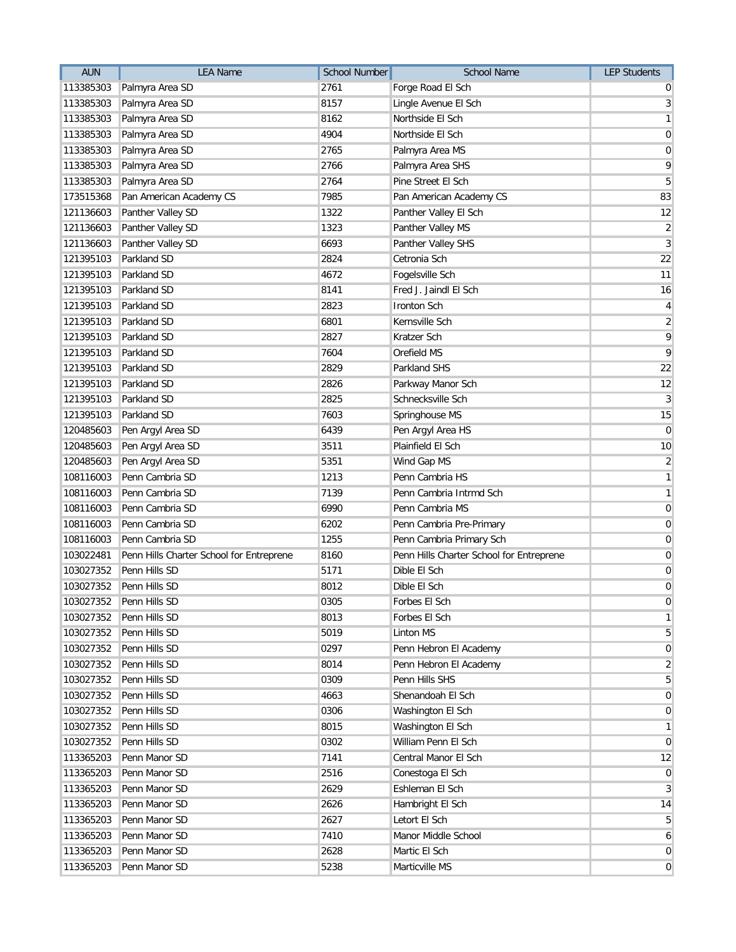| <b>AUN</b> | <b>LEA Name</b>                          | <b>School Number</b> | <b>School Name</b>                       | <b>LEP Students</b> |
|------------|------------------------------------------|----------------------|------------------------------------------|---------------------|
| 113385303  | Palmyra Area SD                          | 2761                 | Forge Road El Sch                        | 0                   |
| 113385303  | Palmyra Area SD                          | 8157                 | Lingle Avenue El Sch                     | $\mathbf{3}$        |
| 113385303  | Palmyra Area SD                          | 8162                 | Northside El Sch                         | $\mathbf{1}$        |
| 113385303  | Palmyra Area SD                          | 4904                 | Northside El Sch                         | $\overline{0}$      |
| 113385303  | Palmyra Area SD                          | 2765                 | Palmyra Area MS                          | $\overline{0}$      |
| 113385303  | Palmyra Area SD                          | 2766                 | Palmyra Area SHS                         | 9                   |
| 113385303  | Palmyra Area SD                          | 2764                 | Pine Street El Sch                       | 5                   |
| 173515368  | Pan American Academy CS                  | 7985                 | Pan American Academy CS                  | 83                  |
| 121136603  | Panther Valley SD                        | 1322                 | Panther Valley El Sch                    | 12                  |
| 121136603  | Panther Valley SD                        | 1323                 | Panther Valley MS                        | $\overline{2}$      |
| 121136603  | Panther Valley SD                        | 6693                 | Panther Valley SHS                       | $\overline{3}$      |
| 121395103  | Parkland SD                              | 2824                 | Cetronia Sch                             | 22                  |
| 121395103  | Parkland SD                              | 4672                 | Fogelsville Sch                          | 11                  |
| 121395103  | Parkland SD                              | 8141                 | Fred J. Jaindl El Sch                    | 16                  |
| 121395103  | Parkland SD                              | 2823                 | <b>Ironton Sch</b>                       | 4                   |
| 121395103  | Parkland SD                              | 6801                 | Kernsville Sch                           | $\overline{2}$      |
| 121395103  | Parkland SD                              | 2827                 | Kratzer Sch                              | 9                   |
| 121395103  | Parkland SD                              | 7604                 | Orefield MS                              | 9                   |
| 121395103  | Parkland SD                              | 2829                 | Parkland SHS                             | 22                  |
| 121395103  | Parkland SD                              | 2826                 | Parkway Manor Sch                        | 12                  |
| 121395103  | Parkland SD                              | 2825                 | Schnecksville Sch                        | $\mathbf{3}$        |
| 121395103  | Parkland SD                              | 7603                 | Springhouse MS                           | 15                  |
| 120485603  | Pen Argyl Area SD                        | 6439                 | Pen Argyl Area HS                        | $\mathbf 0$         |
| 120485603  | Pen Argyl Area SD                        | 3511                 | Plainfield El Sch                        | 10                  |
| 120485603  | Pen Argyl Area SD                        | 5351                 | Wind Gap MS                              | $\overline{2}$      |
| 108116003  | Penn Cambria SD                          | 1213                 | Penn Cambria HS                          | $\mathbf{1}$        |
| 108116003  | Penn Cambria SD                          | 7139                 | Penn Cambria Intrmd Sch                  | $\mathbf{1}$        |
| 108116003  | Penn Cambria SD                          | 6990                 | Penn Cambria MS                          | $\boldsymbol{0}$    |
| 108116003  | Penn Cambria SD                          | 6202                 | Penn Cambria Pre-Primary                 | $\mathbf 0$         |
| 108116003  | Penn Cambria SD                          | 1255                 | Penn Cambria Primary Sch                 | $\boldsymbol{0}$    |
| 103022481  | Penn Hills Charter School for Entreprene | 8160                 | Penn Hills Charter School for Entreprene | $\mathbf 0$         |
| 103027352  | Penn Hills SD                            | 5171                 | Dible El Sch                             | $\pmb{0}$           |
| 103027352  | Penn Hills SD                            | 8012                 | Dible El Sch                             | $\boldsymbol{0}$    |
|            | 103027352 Penn Hills SD                  | 0305                 | Forbes El Sch                            | $\pmb{0}$           |
| 103027352  | Penn Hills SD                            | 8013                 | Forbes El Sch                            | $\mathbf{1}$        |
| 103027352  | Penn Hills SD                            | 5019                 | Linton MS                                | 5                   |
| 103027352  | Penn Hills SD                            | 0297                 | Penn Hebron El Academy                   | $\mathbf 0$         |
| 103027352  | Penn Hills SD                            | 8014                 | Penn Hebron El Academy                   | $\overline{2}$      |
| 103027352  | Penn Hills SD                            | 0309                 | Penn Hills SHS                           | 5                   |
| 103027352  | Penn Hills SD                            | 4663                 | Shenandoah El Sch                        | $\mathbf 0$         |
| 103027352  | Penn Hills SD                            | 0306                 | Washington El Sch                        | $\overline{0}$      |
| 103027352  | Penn Hills SD                            | 8015                 | Washington El Sch                        | $\mathbf{1}$        |
| 103027352  | Penn Hills SD                            | 0302                 | William Penn El Sch                      | $\overline{0}$      |
| 113365203  | Penn Manor SD                            | 7141                 | Central Manor El Sch                     | 12                  |
| 113365203  | Penn Manor SD                            | 2516                 | Conestoga El Sch                         | $\mathbf 0$         |
| 113365203  | Penn Manor SD                            | 2629                 | Eshleman El Sch                          | $\mathbf{3}$        |
| 113365203  | Penn Manor SD                            | 2626                 | Hambright El Sch                         | 14                  |
| 113365203  | Penn Manor SD                            | 2627                 | Letort El Sch                            | 5                   |
| 113365203  | Penn Manor SD                            | 7410                 | Manor Middle School                      | 6                   |
| 113365203  | Penn Manor SD                            | 2628                 | Martic El Sch                            | $\mathbf 0$         |
| 113365203  | Penn Manor SD                            | 5238                 | Marticville MS                           | $\mathbf 0$         |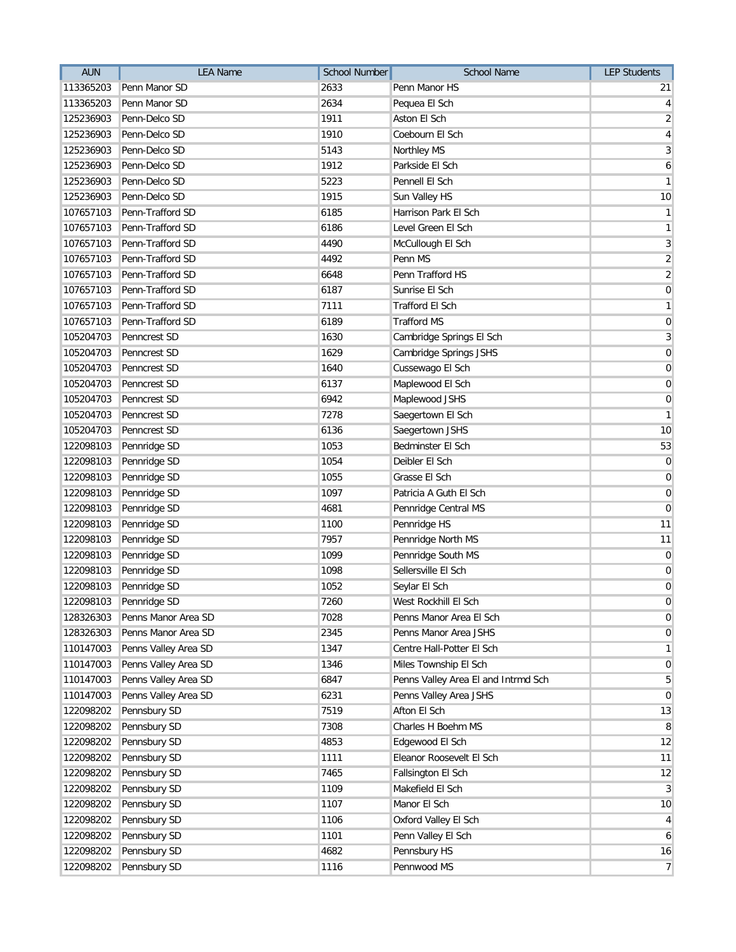| <b>AUN</b> | <b>LEA Name</b>        | <b>School Number</b> | School Name                         | <b>LEP Students</b> |
|------------|------------------------|----------------------|-------------------------------------|---------------------|
| 113365203  | Penn Manor SD          | 2633                 | Penn Manor HS                       | 21                  |
| 113365203  | Penn Manor SD          | 2634                 | Pequea El Sch                       | $\vert$             |
| 125236903  | Penn-Delco SD          | 1911                 | Aston El Sch                        | $\overline{2}$      |
| 125236903  | Penn-Delco SD          | 1910                 | Coebourn El Sch                     | $\vert 4 \vert$     |
| 125236903  | Penn-Delco SD          | 5143                 | Northley MS                         | $\mathbf{3}$        |
| 125236903  | Penn-Delco SD          | 1912                 | Parkside El Sch                     | 6                   |
| 125236903  | Penn-Delco SD          | 5223                 | Pennell El Sch                      | $\mathbf{1}$        |
| 125236903  | Penn-Delco SD          | 1915                 | Sun Valley HS                       | 10                  |
| 107657103  | Penn-Trafford SD       | 6185                 | <b>Harrison Park El Sch</b>         | $\mathbf{1}$        |
| 107657103  | Penn-Trafford SD       | 6186                 | Level Green El Sch                  | $\mathbf{1}$        |
| 107657103  | Penn-Trafford SD       | 4490                 | McCullough El Sch                   | $\mathbf{3}$        |
| 107657103  | Penn-Trafford SD       | 4492                 | Penn MS                             | $\overline{2}$      |
| 107657103  | Penn-Trafford SD       | 6648                 | Penn Trafford HS                    | $\overline{2}$      |
| 107657103  | Penn-Trafford SD       | 6187                 | Sunrise El Sch                      | $\overline{0}$      |
| 107657103  | Penn-Trafford SD       | 7111                 | <b>Trafford El Sch</b>              | $\mathbf{1}$        |
| 107657103  | Penn-Trafford SD       | 6189                 | <b>Trafford MS</b>                  | $\overline{0}$      |
| 105204703  | Penncrest SD           | 1630                 | Cambridge Springs El Sch            | $\mathbf{3}$        |
| 105204703  | Penncrest SD           | 1629                 | Cambridge Springs JSHS              | $\overline{0}$      |
| 105204703  | Penncrest SD           | 1640                 | Cussewago El Sch                    | $\overline{0}$      |
| 105204703  | Penncrest SD           | 6137                 | Maplewood El Sch                    | $\boldsymbol{0}$    |
| 105204703  | Penncrest SD           | 6942                 | Maplewood JSHS                      | $\boldsymbol{0}$    |
| 105204703  | Penncrest SD           | 7278                 | Saegertown El Sch                   | $\overline{1}$      |
| 105204703  | Penncrest SD           | 6136                 | Saegertown JSHS                     | 10                  |
| 122098103  | Pennridge SD           | 1053                 | Bedminster El Sch                   | 53                  |
| 122098103  | Pennridge SD           | 1054                 | Deibler El Sch                      | $\boldsymbol{0}$    |
| 122098103  | Pennridge SD           | 1055                 | Grasse El Sch                       | $\overline{0}$      |
| 122098103  | Pennridge SD           | 1097                 | Patricia A Guth El Sch              | $\overline{0}$      |
| 122098103  | Pennridge SD           | 4681                 | Pennridge Central MS                | 0                   |
| 122098103  | Pennridge SD           | 1100                 | Pennridge HS                        | 11                  |
| 122098103  | Pennridge SD           | 7957                 | Pennridge North MS                  | 11                  |
| 122098103  | Pennridge SD           | 1099                 | Pennridge South MS                  | $\mathbf 0$         |
| 122098103  | Pennridge SD           | 1098                 | Sellersville El Sch                 | $\overline{0}$      |
| 122098103  | Pennridge SD           | 1052                 | Seylar El Sch                       | $\overline{0}$      |
|            | 122098103 Pennridge SD | 7260                 | West Rockhill El Sch                | $\boldsymbol{0}$    |
| 128326303  | Penns Manor Area SD    | 7028                 | Penns Manor Area El Sch             | $\overline{0}$      |
| 128326303  | Penns Manor Area SD    | 2345                 | Penns Manor Area JSHS               | $\overline{0}$      |
| 110147003  | Penns Valley Area SD   | 1347                 | Centre Hall-Potter El Sch           | $\mathbf{1}$        |
| 110147003  | Penns Valley Area SD   | 1346                 | Miles Township El Sch               | $\overline{0}$      |
| 110147003  | Penns Valley Area SD   | 6847                 | Penns Valley Area El and Intrmd Sch | $\overline{5}$      |
| 110147003  | Penns Valley Area SD   | 6231                 | Penns Valley Area JSHS              | $\overline{0}$      |
| 122098202  | Pennsbury SD           | 7519                 | Afton El Sch                        | 13                  |
| 122098202  | Pennsbury SD           | 7308                 | Charles H Boehm MS                  | 8                   |
| 122098202  | Pennsbury SD           | 4853                 | Edgewood El Sch                     | 12                  |
| 122098202  | Pennsbury SD           | 1111                 | Eleanor Roosevelt El Sch            | 11                  |
| 122098202  | Pennsbury SD           | 7465                 | Fallsington El Sch                  | 12                  |
| 122098202  | Pennsbury SD           | 1109                 | Makefield El Sch                    | $\mathbf{3}$        |
| 122098202  | Pennsbury SD           | 1107                 | Manor El Sch                        | 10                  |
| 122098202  | Pennsbury SD           | 1106                 | Oxford Valley El Sch                | $\vert 4 \vert$     |
| 122098202  | Pennsbury SD           | 1101                 | Penn Valley El Sch                  | 6                   |
| 122098202  | Pennsbury SD           | 4682                 | Pennsbury HS                        | 16                  |
| 122098202  | Pennsbury SD           | 1116                 | Pennwood MS                         | $\overline{7}$      |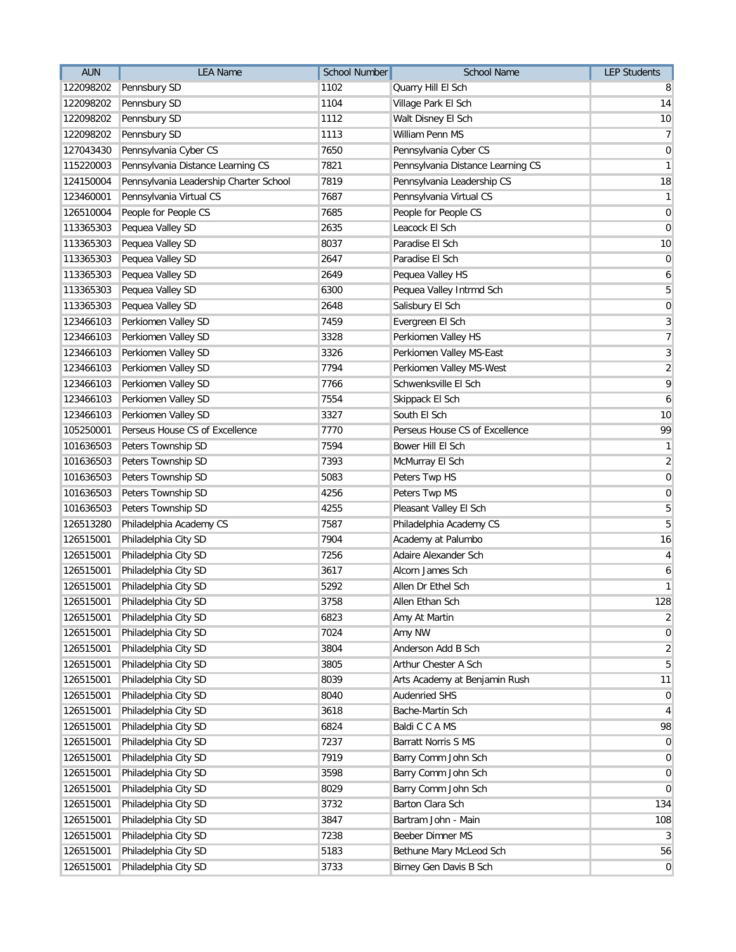| <b>AUN</b> | <b>LEA Name</b>                        | <b>School Number</b> | <b>School Name</b>                | <b>LEP Students</b> |
|------------|----------------------------------------|----------------------|-----------------------------------|---------------------|
| 122098202  | Pennsbury SD                           | 1102                 | Quarry Hill El Sch                | 8                   |
| 122098202  | Pennsbury SD                           | 1104                 | Village Park El Sch               | 14                  |
| 122098202  | Pennsbury SD                           | 1112                 | Walt Disney El Sch                | 10                  |
| 122098202  | Pennsbury SD                           | 1113                 | William Penn MS                   | $\overline{7}$      |
| 127043430  | Pennsylvania Cyber CS                  | 7650                 | Pennsylvania Cyber CS             | $\overline{0}$      |
| 115220003  | Pennsylvania Distance Learning CS      | 7821                 | Pennsylvania Distance Learning CS | $\mathbf{1}$        |
| 124150004  | Pennsylvania Leadership Charter School | 7819                 | Pennsylvania Leadership CS        | 18                  |
| 123460001  | Pennsylvania Virtual CS                | 7687                 | Pennsylvania Virtual CS           | $\mathbf{1}$        |
| 126510004  | People for People CS                   | 7685                 | People for People CS              | $\mathbf 0$         |
| 113365303  | Pequea Valley SD                       | 2635                 | Leacock El Sch                    | $\mathbf 0$         |
| 113365303  | Pequea Valley SD                       | 8037                 | Paradise El Sch                   | 10                  |
| 113365303  | Pequea Valley SD                       | 2647                 | Paradise El Sch                   | $\overline{0}$      |
| 113365303  | Pequea Valley SD                       | 2649                 | Pequea Valley HS                  | 6                   |
| 113365303  | Pequea Valley SD                       | 6300                 | Pequea Valley Intrmd Sch          | $\sqrt{5}$          |
| 113365303  | Pequea Valley SD                       | 2648                 | Salisbury El Sch                  | $\overline{0}$      |
| 123466103  | Perkiomen Valley SD                    | 7459                 | Evergreen El Sch                  | $\overline{3}$      |
| 123466103  | Perkiomen Valley SD                    | 3328                 | Perkiomen Valley HS               | $\overline{7}$      |
| 123466103  | Perkiomen Valley SD                    | 3326                 | Perkiomen Valley MS-East          | $\mathbf{3}$        |
| 123466103  | Perkiomen Valley SD                    | 7794                 | Perkiomen Valley MS-West          | $\overline{2}$      |
| 123466103  | Perkiomen Valley SD                    | 7766                 | Schwenksville El Sch              | 9                   |
| 123466103  | Perkiomen Valley SD                    | 7554                 | Skippack El Sch                   | $\boldsymbol{6}$    |
| 123466103  | Perkiomen Valley SD                    | 3327                 | South El Sch                      | 10                  |
| 105250001  | Perseus House CS of Excellence         | 7770                 | Perseus House CS of Excellence    | 99                  |
| 101636503  | Peters Township SD                     | 7594                 | Bower Hill El Sch                 | $\mathbf{1}$        |
| 101636503  | Peters Township SD                     | 7393                 | McMurray El Sch                   | $\overline{2}$      |
| 101636503  | Peters Township SD                     | 5083                 | Peters Twp HS                     | $\overline{0}$      |
| 101636503  | Peters Township SD                     | 4256                 | Peters Twp MS                     | $\overline{0}$      |
| 101636503  | Peters Township SD                     | 4255                 | Pleasant Valley El Sch            | $\overline{5}$      |
| 126513280  | Philadelphia Academy CS                | 7587                 | Philadelphia Academy CS           | 5                   |
| 126515001  | Philadelphia City SD                   | 7904                 | Academy at Palumbo                | 16                  |
| 126515001  | Philadelphia City SD                   | 7256                 | Adaire Alexander Sch              | $\vert 4 \vert$     |
| 126515001  | Philadelphia City SD                   | 3617                 | Alcorn James Sch                  | $\boldsymbol{6}$    |
| 126515001  | Philadelphia City SD                   | 5292                 | Allen Dr Ethel Sch                | $\overline{1}$      |
|            | 126515001 Philadelphia City SD         | 3758                 | Allen Ethan Sch                   | 128                 |
| 126515001  | Philadelphia City SD                   | 6823                 | Amy At Martin                     | $\overline{2}$      |
| 126515001  | Philadelphia City SD                   | 7024                 | Amy NW                            | $\overline{0}$      |
| 126515001  | Philadelphia City SD                   | 3804                 | Anderson Add B Sch                | $\overline{2}$      |
| 126515001  | Philadelphia City SD                   | 3805                 | Arthur Chester A Sch              | $\overline{5}$      |
| 126515001  | Philadelphia City SD                   | 8039                 | Arts Academy at Benjamin Rush     | 11                  |
| 126515001  | Philadelphia City SD                   | 8040                 | <b>Audenried SHS</b>              | $\boldsymbol{0}$    |
| 126515001  | Philadelphia City SD                   | 3618                 | Bache-Martin Sch                  | $\vert 4 \vert$     |
| 126515001  | Philadelphia City SD                   | 6824                 | Baldi C C A MS                    | 98                  |
| 126515001  | Philadelphia City SD                   | 7237                 | Barratt Norris S MS               | $\overline{0}$      |
| 126515001  | Philadelphia City SD                   | 7919                 | Barry Comm John Sch               | $\overline{0}$      |
| 126515001  | Philadelphia City SD                   | 3598                 | Barry Comm John Sch               | $\overline{0}$      |
| 126515001  | Philadelphia City SD                   | 8029                 | Barry Comm John Sch               | $\overline{0}$      |
| 126515001  | Philadelphia City SD                   | 3732                 | Barton Clara Sch                  | 134                 |
| 126515001  | Philadelphia City SD                   | 3847                 | Bartram John - Main               | 108                 |
| 126515001  | Philadelphia City SD                   | 7238                 | Beeber Dimner MS                  | $\mathbf{3}$        |
| 126515001  | Philadelphia City SD                   | 5183                 | Bethune Mary McLeod Sch           | 56                  |
| 126515001  | Philadelphia City SD                   | 3733                 | Birney Gen Davis B Sch            | $\overline{0}$      |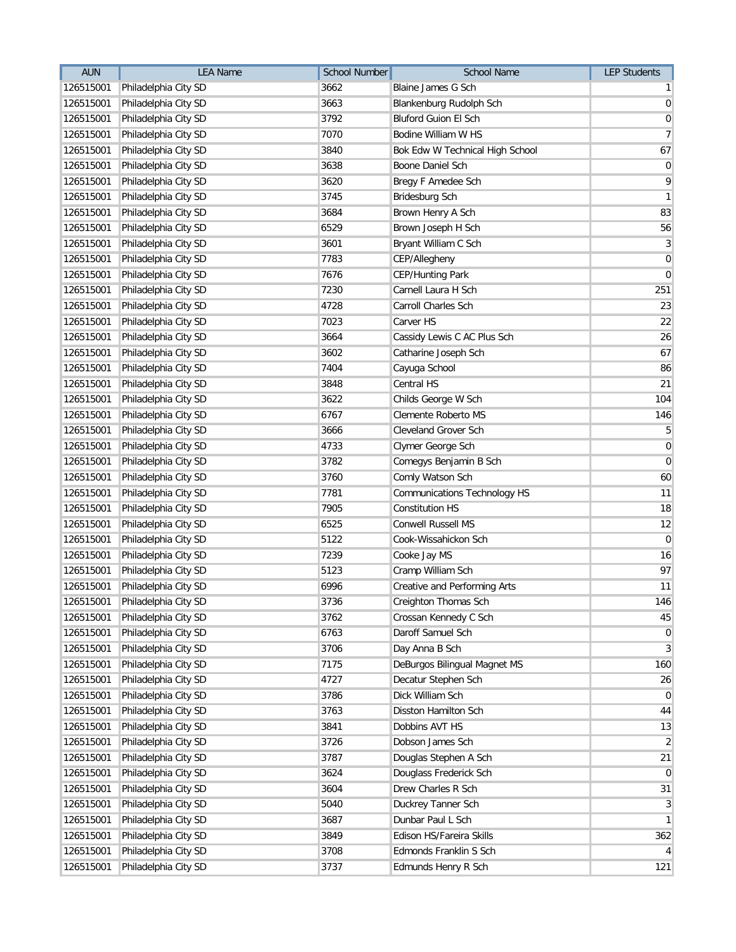| <b>AUN</b> | <b>LEA Name</b>                | <b>School Number</b> | <b>School Name</b>                  | <b>LEP Students</b> |
|------------|--------------------------------|----------------------|-------------------------------------|---------------------|
| 126515001  | Philadelphia City SD           | 3662                 | Blaine James G Sch                  | $\mathbf{1}$        |
| 126515001  | Philadelphia City SD           | 3663                 | Blankenburg Rudolph Sch             | $\overline{0}$      |
| 126515001  | Philadelphia City SD           | 3792                 | <b>Bluford Guion El Sch</b>         | $\overline{0}$      |
| 126515001  | Philadelphia City SD           | 7070                 | Bodine William W HS                 | $\overline{7}$      |
| 126515001  | Philadelphia City SD           | 3840                 | Bok Edw W Technical High School     | 67                  |
| 126515001  | Philadelphia City SD           | 3638                 | Boone Daniel Sch                    | $\boldsymbol{0}$    |
| 126515001  | Philadelphia City SD           | 3620                 | Bregy F Amedee Sch                  | 9                   |
| 126515001  | Philadelphia City SD           | 3745                 | Bridesburg Sch                      | $\mathbf{1}$        |
| 126515001  | Philadelphia City SD           | 3684                 | Brown Henry A Sch                   | 83                  |
| 126515001  | Philadelphia City SD           | 6529                 | Brown Joseph H Sch                  | 56                  |
| 126515001  | Philadelphia City SD           | 3601                 | Bryant William C Sch                | $\mathbf{3}$        |
| 126515001  | Philadelphia City SD           | 7783                 | CEP/Allegheny                       | $\mathbf 0$         |
| 126515001  | Philadelphia City SD           | 7676                 | CEP/Hunting Park                    | $\overline{0}$      |
| 126515001  | Philadelphia City SD           | 7230                 | Carnell Laura H Sch                 | 251                 |
| 126515001  | Philadelphia City SD           | 4728                 | <b>Carroll Charles Sch</b>          | 23                  |
| 126515001  | Philadelphia City SD           | 7023                 | Carver HS                           | 22                  |
| 126515001  | Philadelphia City SD           | 3664                 | Cassidy Lewis C AC Plus Sch         | 26                  |
| 126515001  | Philadelphia City SD           | 3602                 | Catharine Joseph Sch                | 67                  |
| 126515001  | Philadelphia City SD           | 7404                 | Cayuga School                       | 86                  |
| 126515001  | Philadelphia City SD           | 3848                 | Central HS                          | 21                  |
| 126515001  | Philadelphia City SD           | 3622                 | Childs George W Sch                 | 104                 |
| 126515001  | Philadelphia City SD           | 6767                 | Clemente Roberto MS                 | 146                 |
| 126515001  | Philadelphia City SD           | 3666                 | Cleveland Grover Sch                | 5                   |
| 126515001  | Philadelphia City SD           | 4733                 | Clymer George Sch                   | $\boldsymbol{0}$    |
| 126515001  | Philadelphia City SD           | 3782                 | Comegys Benjamin B Sch              | $\overline{0}$      |
| 126515001  | Philadelphia City SD           | 3760                 | Comly Watson Sch                    | 60                  |
| 126515001  | Philadelphia City SD           | 7781                 | <b>Communications Technology HS</b> | 11                  |
| 126515001  | Philadelphia City SD           | 7905                 | <b>Constitution HS</b>              | 18                  |
| 126515001  | Philadelphia City SD           | 6525                 | <b>Conwell Russell MS</b>           | 12                  |
| 126515001  | Philadelphia City SD           | 5122                 | Cook-Wissahickon Sch                | $\mathbf 0$         |
| 126515001  | Philadelphia City SD           | 7239                 | Cooke Jay MS                        | 16                  |
| 126515001  | Philadelphia City SD           | 5123                 | Cramp William Sch                   | 97                  |
| 126515001  | Philadelphia City SD           | 6996                 | Creative and Performing Arts        | 11                  |
|            | 126515001 Philadelphia City SD | 3736                 | Creighton Thomas Sch                | 146                 |
| 126515001  | Philadelphia City SD           | 3762                 | Crossan Kennedy C Sch               | 45                  |
| 126515001  | Philadelphia City SD           | 6763                 | Daroff Samuel Sch                   | $\boldsymbol{0}$    |
| 126515001  | Philadelphia City SD           | 3706                 | Day Anna B Sch                      | $\overline{3}$      |
| 126515001  | Philadelphia City SD           | 7175                 | DeBurgos Bilingual Magnet MS        | 160                 |
| 126515001  | Philadelphia City SD           | 4727                 | Decatur Stephen Sch                 | 26                  |
| 126515001  | Philadelphia City SD           | 3786                 | Dick William Sch                    | $\overline{0}$      |
| 126515001  | Philadelphia City SD           | 3763                 | Disston Hamilton Sch                | 44                  |
| 126515001  | Philadelphia City SD           | 3841                 | Dobbins AVT HS                      | 13                  |
| 126515001  | Philadelphia City SD           | 3726                 | Dobson James Sch                    | $\overline{2}$      |
| 126515001  | Philadelphia City SD           | 3787                 | Douglas Stephen A Sch               | 21                  |
| 126515001  | Philadelphia City SD           | 3624                 | Douglass Frederick Sch              | $\overline{0}$      |
| 126515001  | Philadelphia City SD           | 3604                 | Drew Charles R Sch                  | 31                  |
| 126515001  | Philadelphia City SD           | 5040                 | Duckrey Tanner Sch                  | $\overline{3}$      |
| 126515001  | Philadelphia City SD           | 3687                 | Dunbar Paul L Sch                   | $\mathbf{1}$        |
| 126515001  | Philadelphia City SD           | 3849                 | Edison HS/Fareira Skills            | 362                 |
| 126515001  | Philadelphia City SD           | 3708                 | Edmonds Franklin S Sch              | $\overline{4}$      |
| 126515001  | Philadelphia City SD           | 3737                 | Edmunds Henry R Sch                 | 121                 |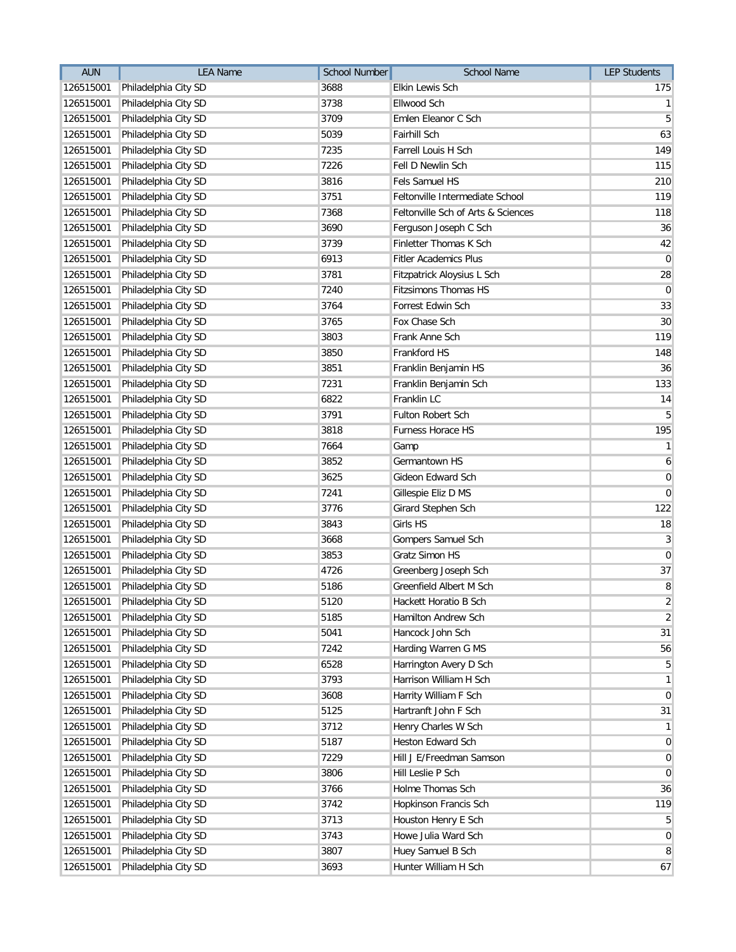| <b>AUN</b> | <b>LEA Name</b>                | <b>School Number</b> | School Name                        | <b>LEP Students</b> |
|------------|--------------------------------|----------------------|------------------------------------|---------------------|
| 126515001  | Philadelphia City SD           | 3688                 | Elkin Lewis Sch                    | 175                 |
| 126515001  | Philadelphia City SD           | 3738                 | Ellwood Sch                        | $\mathbf{1}$        |
| 126515001  | Philadelphia City SD           | 3709                 | Emlen Eleanor C Sch                | 5                   |
| 126515001  | Philadelphia City SD           | 5039                 | <b>Fairhill Sch</b>                | 63                  |
| 126515001  | Philadelphia City SD           | 7235                 | <b>Farrell Louis H Sch</b>         | 149                 |
| 126515001  | Philadelphia City SD           | 7226                 | Fell D Newlin Sch                  | 115                 |
| 126515001  | Philadelphia City SD           | 3816                 | Fels Samuel HS                     | 210                 |
| 126515001  | Philadelphia City SD           | 3751                 | Feltonville Intermediate School    | 119                 |
| 126515001  | Philadelphia City SD           | 7368                 | Feltonville Sch of Arts & Sciences | 118                 |
| 126515001  | Philadelphia City SD           | 3690                 | Ferguson Joseph C Sch              | 36                  |
| 126515001  | Philadelphia City SD           | 3739                 | Finletter Thomas K Sch             | 42                  |
| 126515001  | Philadelphia City SD           | 6913                 | <b>Fitler Academics Plus</b>       | $\overline{0}$      |
| 126515001  | Philadelphia City SD           | 3781                 | Fitzpatrick Aloysius L Sch         | 28                  |
| 126515001  | Philadelphia City SD           | 7240                 | <b>Fitzsimons Thomas HS</b>        | $\overline{0}$      |
| 126515001  | Philadelphia City SD           | 3764                 | Forrest Edwin Sch                  | 33                  |
| 126515001  | Philadelphia City SD           | 3765                 | Fox Chase Sch                      | 30 <sup>°</sup>     |
| 126515001  | Philadelphia City SD           | 3803                 | Frank Anne Sch                     | 119                 |
| 126515001  | Philadelphia City SD           | 3850                 | Frankford HS                       | 148                 |
| 126515001  | Philadelphia City SD           | 3851                 | Franklin Benjamin HS               | 36                  |
| 126515001  | Philadelphia City SD           | 7231                 | Franklin Benjamin Sch              | 133                 |
| 126515001  | Philadelphia City SD           | 6822                 | Franklin LC                        | 14                  |
| 126515001  | Philadelphia City SD           | 3791                 | <b>Fulton Robert Sch</b>           | 5                   |
| 126515001  | Philadelphia City SD           | 3818                 | Furness Horace HS                  | 195                 |
| 126515001  | Philadelphia City SD           | 7664                 | Gamp                               | 1                   |
| 126515001  | Philadelphia City SD           | 3852                 | Germantown HS                      | $\boldsymbol{6}$    |
| 126515001  | Philadelphia City SD           | 3625                 | Gideon Edward Sch                  | $\overline{0}$      |
| 126515001  | Philadelphia City SD           | 7241                 | Gillespie Eliz D MS                | $\overline{0}$      |
| 126515001  | Philadelphia City SD           | 3776                 | Girard Stephen Sch                 | 122                 |
| 126515001  | Philadelphia City SD           | 3843                 | Girls HS                           | 18                  |
| 126515001  | Philadelphia City SD           | 3668                 | Gompers Samuel Sch                 | $\overline{3}$      |
| 126515001  | Philadelphia City SD           | 3853                 | <b>Gratz Simon HS</b>              | $\overline{0}$      |
| 126515001  | Philadelphia City SD           | 4726                 | Greenberg Joseph Sch               | 37                  |
| 126515001  | Philadelphia City SD           | 5186                 | Greenfield Albert M Sch            | 8                   |
|            | 126515001 Philadelphia City SD | 5120                 | Hackett Horatio B Sch              | $\overline{2}$      |
| 126515001  | Philadelphia City SD           | 5185                 | Hamilton Andrew Sch                | $\overline{2}$      |
| 126515001  | Philadelphia City SD           | 5041                 | Hancock John Sch                   | 31                  |
| 126515001  | Philadelphia City SD           | 7242                 | Harding Warren G MS                | 56                  |
| 126515001  | Philadelphia City SD           | 6528                 | Harrington Avery D Sch             | 5 <sup>1</sup>      |
| 126515001  | Philadelphia City SD           | 3793                 | Harrison William H Sch             | $\overline{1}$      |
| 126515001  | Philadelphia City SD           | 3608                 | Harrity William F Sch              | $\overline{0}$      |
| 126515001  | Philadelphia City SD           | 5125                 | Hartranft John F Sch               | 31                  |
| 126515001  | Philadelphia City SD           | 3712                 | Henry Charles W Sch                | 1 <sup>1</sup>      |
| 126515001  | Philadelphia City SD           | 5187                 | <b>Heston Edward Sch</b>           | $\overline{0}$      |
| 126515001  | Philadelphia City SD           | 7229                 | Hill J E/Freedman Samson           | $\overline{0}$      |
| 126515001  | Philadelphia City SD           | 3806                 | Hill Leslie P Sch                  | $\overline{0}$      |
| 126515001  | Philadelphia City SD           | 3766                 | Holme Thomas Sch                   | 36                  |
| 126515001  | Philadelphia City SD           | 3742                 | Hopkinson Francis Sch              | 119                 |
| 126515001  | Philadelphia City SD           | 3713                 | Houston Henry E Sch                | 5                   |
| 126515001  | Philadelphia City SD           | 3743                 | Howe Julia Ward Sch                | $\boldsymbol{0}$    |
| 126515001  | Philadelphia City SD           | 3807                 | Huey Samuel B Sch                  | 8                   |
| 126515001  | Philadelphia City SD           | 3693                 | Hunter William H Sch               | 67                  |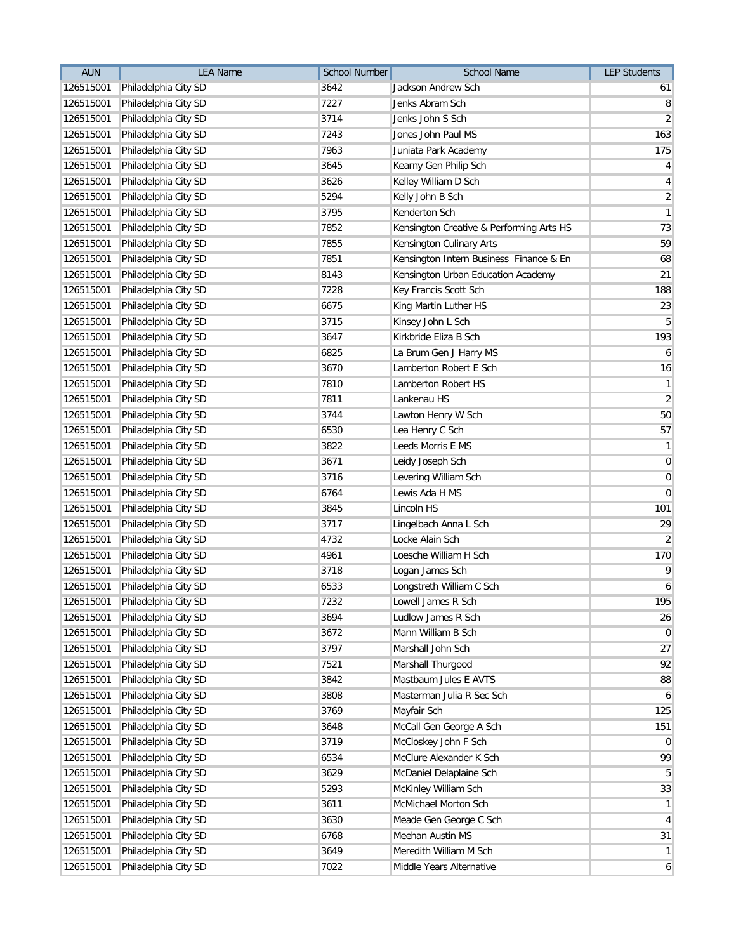| <b>AUN</b> | <b>LEA Name</b>                | <b>School Number</b> | School Name                              | <b>LEP Students</b> |
|------------|--------------------------------|----------------------|------------------------------------------|---------------------|
| 126515001  | Philadelphia City SD           | 3642                 | Jackson Andrew Sch                       | 61                  |
| 126515001  | Philadelphia City SD           | 7227                 | Jenks Abram Sch                          | 8                   |
| 126515001  | Philadelphia City SD           | 3714                 | Jenks John S Sch                         | $\overline{2}$      |
| 126515001  | Philadelphia City SD           | 7243                 | Jones John Paul MS                       | 163                 |
| 126515001  | Philadelphia City SD           | 7963                 | Juniata Park Academy                     | 175                 |
| 126515001  | Philadelphia City SD           | 3645                 | Kearny Gen Philip Sch                    | $\vert 4 \vert$     |
| 126515001  | Philadelphia City SD           | 3626                 | Kelley William D Sch                     | $\vert 4 \vert$     |
| 126515001  | Philadelphia City SD           | 5294                 | Kelly John B Sch                         | $\overline{2}$      |
| 126515001  | Philadelphia City SD           | 3795                 | Kenderton Sch                            | $\mathbf{1}$        |
| 126515001  | Philadelphia City SD           | 7852                 | Kensington Creative & Performing Arts HS | 73                  |
| 126515001  | Philadelphia City SD           | 7855                 | Kensington Culinary Arts                 | 59                  |
| 126515001  | Philadelphia City SD           | 7851                 | Kensington Intern Business Finance & En  | 68                  |
| 126515001  | Philadelphia City SD           | 8143                 | Kensington Urban Education Academy       | 21                  |
| 126515001  | Philadelphia City SD           | 7228                 | Key Francis Scott Sch                    | 188                 |
| 126515001  | Philadelphia City SD           | 6675                 | King Martin Luther HS                    | 23                  |
| 126515001  | Philadelphia City SD           | 3715                 | Kinsey John L Sch                        | $\overline{5}$      |
| 126515001  | Philadelphia City SD           | 3647                 | Kirkbride Eliza B Sch                    | 193                 |
| 126515001  | Philadelphia City SD           | 6825                 | La Brum Gen J Harry MS                   | $\mathbf{6}$        |
| 126515001  | Philadelphia City SD           | 3670                 | Lamberton Robert E Sch                   | 16                  |
| 126515001  | Philadelphia City SD           | 7810                 | Lamberton Robert HS                      | $\mathbf{1}$        |
| 126515001  | Philadelphia City SD           | 7811                 | Lankenau HS                              | $\overline{2}$      |
| 126515001  | Philadelphia City SD           | 3744                 | Lawton Henry W Sch                       | 50                  |
| 126515001  | Philadelphia City SD           | 6530                 | Lea Henry C Sch                          | 57                  |
| 126515001  | Philadelphia City SD           | 3822                 | Leeds Morris E MS                        | $\mathbf{1}$        |
| 126515001  | Philadelphia City SD           | 3671                 | Leidy Joseph Sch                         | $\boldsymbol{0}$    |
| 126515001  | Philadelphia City SD           | 3716                 | Levering William Sch                     | $\boldsymbol{0}$    |
| 126515001  | Philadelphia City SD           | 6764                 | Lewis Ada H MS                           | $\overline{0}$      |
| 126515001  | Philadelphia City SD           | 3845                 | Lincoln HS                               | 101                 |
| 126515001  | Philadelphia City SD           | 3717                 | Lingelbach Anna L Sch                    | 29                  |
| 126515001  | Philadelphia City SD           | 4732                 | Locke Alain Sch                          | $\overline{2}$      |
| 126515001  | Philadelphia City SD           | 4961                 | Loesche William H Sch                    | 170                 |
| 126515001  | Philadelphia City SD           | 3718                 | Logan James Sch                          | $\mathsf{g}$        |
| 126515001  | Philadelphia City SD           | 6533                 | Longstreth William C Sch                 | $\boldsymbol{6}$    |
|            | 126515001 Philadelphia City SD | 7232                 | Lowell James R Sch                       | 195                 |
| 126515001  | Philadelphia City SD           | 3694                 | Ludlow James R Sch                       | 26                  |
| 126515001  | Philadelphia City SD           | 3672                 | Mann William B Sch                       | $\overline{0}$      |
| 126515001  | Philadelphia City SD           | 3797                 | Marshall John Sch                        | 27                  |
| 126515001  | Philadelphia City SD           | 7521                 | Marshall Thurgood                        | 92                  |
| 126515001  | Philadelphia City SD           | 3842                 | Mastbaum Jules E AVTS                    | 88                  |
| 126515001  | Philadelphia City SD           | 3808                 | Masterman Julia R Sec Sch                | 6                   |
| 126515001  | Philadelphia City SD           | 3769                 | Mayfair Sch                              | 125                 |
| 126515001  | Philadelphia City SD           | 3648                 | McCall Gen George A Sch                  | 151                 |
| 126515001  | Philadelphia City SD           | 3719                 | McCloskey John F Sch                     | $\overline{0}$      |
| 126515001  | Philadelphia City SD           | 6534                 | McClure Alexander K Sch                  | 99                  |
| 126515001  | Philadelphia City SD           | 3629                 | McDaniel Delaplaine Sch                  | 5 <sup>5</sup>      |
| 126515001  | Philadelphia City SD           | 5293                 | McKinley William Sch                     | 33                  |
| 126515001  | Philadelphia City SD           | 3611                 | McMichael Morton Sch                     | $\mathbf{1}$        |
| 126515001  | Philadelphia City SD           | 3630                 | Meade Gen George C Sch                   | $\vert$             |
| 126515001  | Philadelphia City SD           | 6768                 | Meehan Austin MS                         | 31                  |
| 126515001  | Philadelphia City SD           | 3649                 | Meredith William M Sch                   | $\mathbf{1}$        |
| 126515001  | Philadelphia City SD           | 7022                 | Middle Years Alternative                 | 6                   |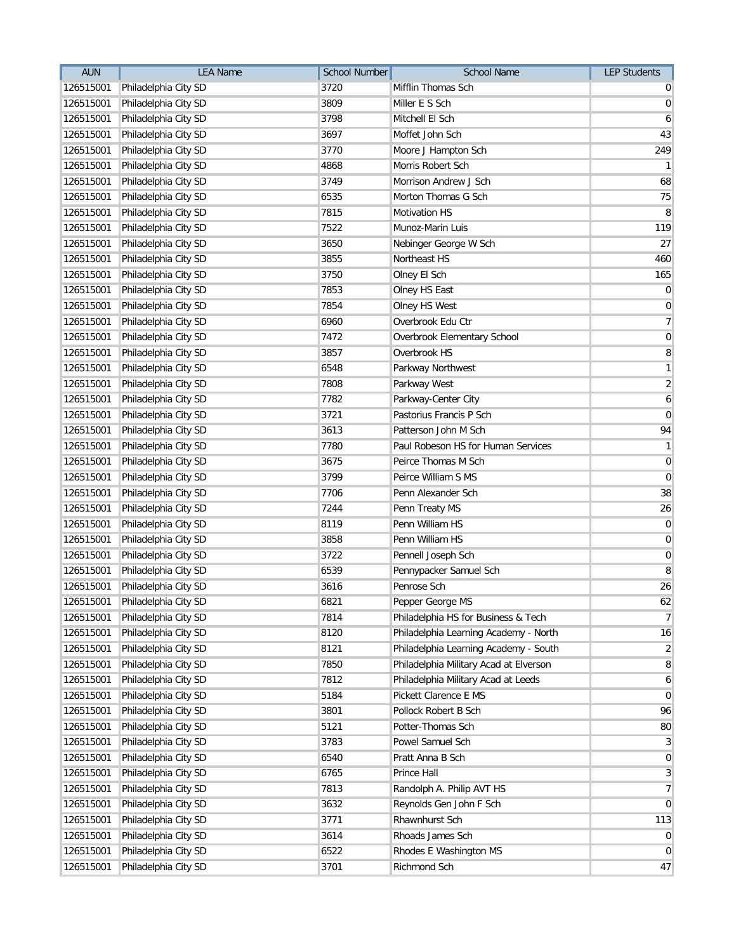| <b>AUN</b> | <b>LEA Name</b>                | <b>School Number</b> | <b>School Name</b>                     | <b>LEP Students</b> |
|------------|--------------------------------|----------------------|----------------------------------------|---------------------|
| 126515001  | Philadelphia City SD           | 3720                 | Mifflin Thomas Sch                     | $\overline{0}$      |
| 126515001  | Philadelphia City SD           | 3809                 | Miller E S Sch                         | $\overline{0}$      |
| 126515001  | Philadelphia City SD           | 3798                 | Mitchell El Sch                        | 6                   |
| 126515001  | Philadelphia City SD           | 3697                 | Moffet John Sch                        | 43                  |
| 126515001  | Philadelphia City SD           | 3770                 | Moore J Hampton Sch                    | 249                 |
| 126515001  | Philadelphia City SD           | 4868                 | Morris Robert Sch                      | $\mathbf{1}$        |
| 126515001  | Philadelphia City SD           | 3749                 | Morrison Andrew J Sch                  | 68                  |
| 126515001  | Philadelphia City SD           | 6535                 | Morton Thomas G Sch                    | 75                  |
| 126515001  | Philadelphia City SD           | 7815                 | Motivation HS                          | 8                   |
| 126515001  | Philadelphia City SD           | 7522                 | Munoz-Marin Luis                       | 119                 |
| 126515001  | Philadelphia City SD           | 3650                 | Nebinger George W Sch                  | 27                  |
| 126515001  | Philadelphia City SD           | 3855                 | Northeast HS                           | 460                 |
| 126515001  | Philadelphia City SD           | 3750                 | Olney El Sch                           | 165                 |
| 126515001  | Philadelphia City SD           | 7853                 | Olney HS East                          | $\boldsymbol{0}$    |
| 126515001  | Philadelphia City SD           | 7854                 | Olney HS West                          | $\boldsymbol{0}$    |
| 126515001  | Philadelphia City SD           | 6960                 | Overbrook Edu Ctr                      | $\overline{7}$      |
| 126515001  | Philadelphia City SD           | 7472                 | Overbrook Elementary School            | $\overline{0}$      |
| 126515001  | Philadelphia City SD           | 3857                 | Overbrook HS                           | 8                   |
| 126515001  | Philadelphia City SD           | 6548                 | Parkway Northwest                      | $\mathbf{1}$        |
| 126515001  | Philadelphia City SD           | 7808                 | Parkway West                           | $\overline{2}$      |
| 126515001  | Philadelphia City SD           | 7782                 | Parkway-Center City                    | $\boldsymbol{6}$    |
| 126515001  | Philadelphia City SD           | 3721                 | Pastorius Francis P Sch                | $\boldsymbol{0}$    |
| 126515001  | Philadelphia City SD           | 3613                 | Patterson John M Sch                   | 94                  |
| 126515001  | Philadelphia City SD           | 7780                 | Paul Robeson HS for Human Services     | $\mathbf{1}$        |
| 126515001  | Philadelphia City SD           | 3675                 | Peirce Thomas M Sch                    | $\overline{0}$      |
| 126515001  | Philadelphia City SD           | 3799                 | Peirce William S MS                    | $\overline{0}$      |
| 126515001  | Philadelphia City SD           | 7706                 | Penn Alexander Sch                     | 38                  |
| 126515001  | Philadelphia City SD           | 7244                 | Penn Treaty MS                         | 26                  |
| 126515001  | Philadelphia City SD           | 8119                 | Penn William HS                        | $\mathbf 0$         |
| 126515001  | Philadelphia City SD           | 3858                 | Penn William HS                        | 0                   |
| 126515001  | Philadelphia City SD           | 3722                 | Pennell Joseph Sch                     | $\boldsymbol{0}$    |
| 126515001  | Philadelphia City SD           | 6539                 | Pennypacker Samuel Sch                 | 8                   |
| 126515001  | Philadelphia City SD           | 3616                 | Penrose Sch                            | 26                  |
|            | 126515001 Philadelphia City SD | 6821                 | Pepper George MS                       | 62                  |
| 126515001  | Philadelphia City SD           | 7814                 | Philadelphia HS for Business & Tech    | $\overline{7}$      |
| 126515001  | Philadelphia City SD           | 8120                 | Philadelphia Learning Academy - North  | 16                  |
| 126515001  | Philadelphia City SD           | 8121                 | Philadelphia Learning Academy - South  | $\overline{2}$      |
| 126515001  | Philadelphia City SD           | 7850                 | Philadelphia Military Acad at Elverson | 8                   |
| 126515001  | Philadelphia City SD           | 7812                 | Philadelphia Military Acad at Leeds    | $\mathbf{6}$        |
| 126515001  | Philadelphia City SD           | 5184                 | Pickett Clarence E MS                  | $\overline{0}$      |
| 126515001  | Philadelphia City SD           | 3801                 | Pollock Robert B Sch                   | 96                  |
| 126515001  | Philadelphia City SD           | 5121                 | Potter-Thomas Sch                      | 80                  |
| 126515001  | Philadelphia City SD           | 3783                 | Powel Samuel Sch                       | $\mathbf{3}$        |
| 126515001  | Philadelphia City SD           | 6540                 | Pratt Anna B Sch                       | $\overline{0}$      |
| 126515001  | Philadelphia City SD           | 6765                 | Prince Hall                            | $\mathbf{3}$        |
| 126515001  | Philadelphia City SD           | 7813                 | Randolph A. Philip AVT HS              | $\overline{7}$      |
| 126515001  | Philadelphia City SD           | 3632                 | Reynolds Gen John F Sch                | $\overline{0}$      |
| 126515001  | Philadelphia City SD           | 3771                 | Rhawnhurst Sch                         | 113                 |
| 126515001  | Philadelphia City SD           | 3614                 | Rhoads James Sch                       | $\boldsymbol{0}$    |
| 126515001  | Philadelphia City SD           | 6522                 | Rhodes E Washington MS                 | $\overline{0}$      |
| 126515001  | Philadelphia City SD           | 3701                 | Richmond Sch                           | 47                  |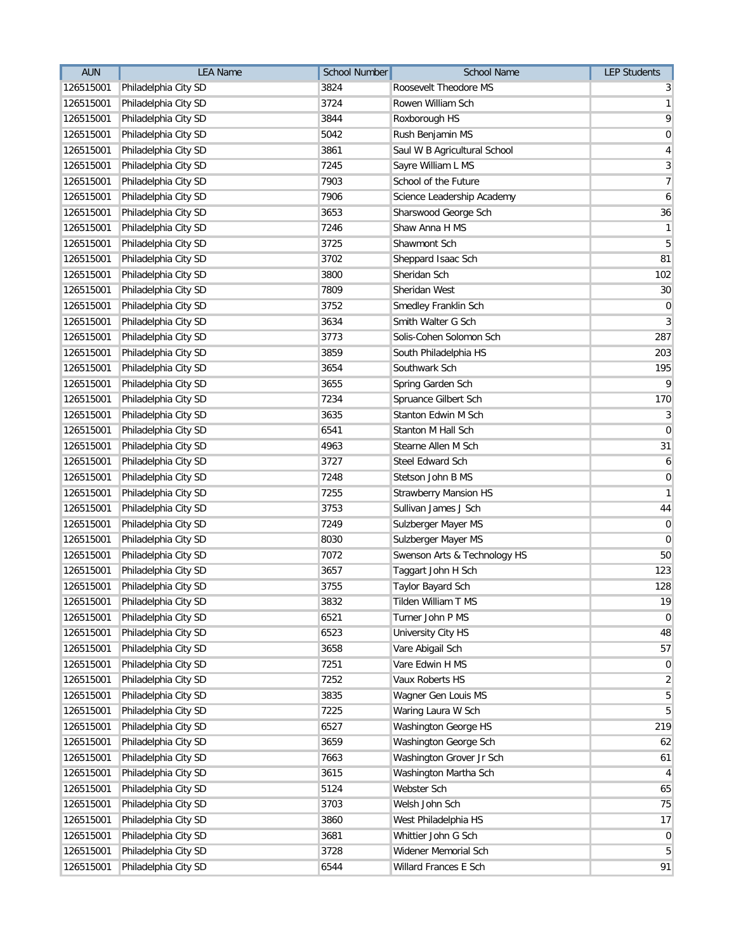| <b>AUN</b> | <b>LEA Name</b>                | <b>School Number</b> | <b>School Name</b>           | <b>LEP Students</b> |
|------------|--------------------------------|----------------------|------------------------------|---------------------|
| 126515001  | Philadelphia City SD           | 3824                 | Roosevelt Theodore MS        | 3                   |
| 126515001  | Philadelphia City SD           | 3724                 | Rowen William Sch            | $\mathbf{1}$        |
| 126515001  | Philadelphia City SD           | 3844                 | Roxborough HS                | 9                   |
| 126515001  | Philadelphia City SD           | 5042                 | Rush Benjamin MS             | $\boldsymbol{0}$    |
| 126515001  | Philadelphia City SD           | 3861                 | Saul W B Agricultural School | 4                   |
| 126515001  | Philadelphia City SD           | 7245                 | Sayre William L MS           | 3                   |
| 126515001  | Philadelphia City SD           | 7903                 | School of the Future         | $\overline{7}$      |
| 126515001  | Philadelphia City SD           | 7906                 | Science Leadership Academy   | $\boldsymbol{6}$    |
| 126515001  | Philadelphia City SD           | 3653                 | Sharswood George Sch         | 36                  |
| 126515001  | Philadelphia City SD           | 7246                 | Shaw Anna H MS               | $\mathbf{1}$        |
| 126515001  | Philadelphia City SD           | 3725                 | Shawmont Sch                 | 5                   |
| 126515001  | Philadelphia City SD           | 3702                 | Sheppard Isaac Sch           | 81                  |
| 126515001  | Philadelphia City SD           | 3800                 | Sheridan Sch                 | 102                 |
| 126515001  | Philadelphia City SD           | 7809                 | Sheridan West                | 30                  |
| 126515001  | Philadelphia City SD           | 3752                 | Smedley Franklin Sch         | $\mathbf 0$         |
| 126515001  | Philadelphia City SD           | 3634                 | Smith Walter G Sch           | 3                   |
| 126515001  | Philadelphia City SD           | 3773                 | Solis-Cohen Solomon Sch      | 287                 |
| 126515001  | Philadelphia City SD           | 3859                 | South Philadelphia HS        | 203                 |
| 126515001  | Philadelphia City SD           | 3654                 | Southwark Sch                | 195                 |
| 126515001  | Philadelphia City SD           | 3655                 | Spring Garden Sch            | $\overline{9}$      |
| 126515001  | Philadelphia City SD           | 7234                 | Spruance Gilbert Sch         | 170                 |
| 126515001  | Philadelphia City SD           | 3635                 | Stanton Edwin M Sch          | $\mathbf{3}$        |
| 126515001  | Philadelphia City SD           | 6541                 | Stanton M Hall Sch           | $\mathbf 0$         |
| 126515001  | Philadelphia City SD           | 4963                 | Stearne Allen M Sch          | 31                  |
| 126515001  | Philadelphia City SD           | 3727                 | Steel Edward Sch             | 6                   |
| 126515001  | Philadelphia City SD           | 7248                 | Stetson John B MS            | $\mathbf 0$         |
| 126515001  | Philadelphia City SD           | 7255                 | <b>Strawberry Mansion HS</b> | $\mathbf{1}$        |
| 126515001  | Philadelphia City SD           | 3753                 | Sullivan James J Sch         | 44                  |
| 126515001  | Philadelphia City SD           | 7249                 | Sulzberger Mayer MS          | $\mathbf 0$         |
| 126515001  | Philadelphia City SD           | 8030                 | Sulzberger Mayer MS          | $\overline{0}$      |
| 126515001  | Philadelphia City SD           | 7072                 | Swenson Arts & Technology HS | 50                  |
| 126515001  | Philadelphia City SD           | 3657                 | Taggart John H Sch           | 123                 |
| 126515001  | Philadelphia City SD           | 3755                 | Taylor Bayard Sch            | 128                 |
|            | 126515001 Philadelphia City SD | 3832                 | Tilden William T MS          | 19                  |
| 126515001  | Philadelphia City SD           | 6521                 | Turner John P MS             | $\mathbf 0$         |
| 126515001  | Philadelphia City SD           | 6523                 | University City HS           | 48                  |
| 126515001  | Philadelphia City SD           | 3658                 | Vare Abigail Sch             | 57                  |
| 126515001  | Philadelphia City SD           | 7251                 | Vare Edwin H MS              | $\mathbf 0$         |
| 126515001  | Philadelphia City SD           | 7252                 | Vaux Roberts HS              | $\overline{c}$      |
| 126515001  | Philadelphia City SD           | 3835                 | Wagner Gen Louis MS          | 5                   |
| 126515001  | Philadelphia City SD           | 7225                 | Waring Laura W Sch           | 5                   |
| 126515001  | Philadelphia City SD           | 6527                 | Washington George HS         | 219                 |
| 126515001  | Philadelphia City SD           | 3659                 | Washington George Sch        | 62                  |
| 126515001  | Philadelphia City SD           | 7663                 | Washington Grover Jr Sch     | 61                  |
| 126515001  | Philadelphia City SD           | 3615                 | Washington Martha Sch        | 4                   |
| 126515001  | Philadelphia City SD           | 5124                 | Webster Sch                  | 65                  |
| 126515001  | Philadelphia City SD           | 3703                 | Welsh John Sch               | 75                  |
| 126515001  | Philadelphia City SD           | 3860                 | West Philadelphia HS         | 17                  |
| 126515001  | Philadelphia City SD           | 3681                 | Whittier John G Sch          | $\mathbf 0$         |
| 126515001  | Philadelphia City SD           | 3728                 | Widener Memorial Sch         | 5                   |
| 126515001  | Philadelphia City SD           | 6544                 | Willard Frances E Sch        | 91                  |
|            |                                |                      |                              |                     |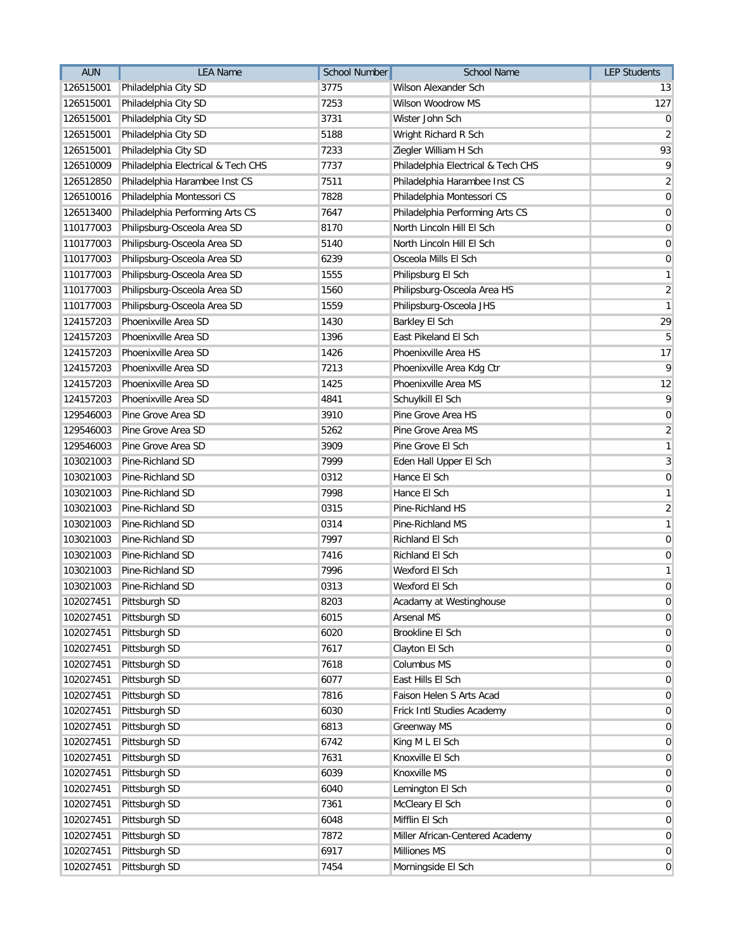| 3775<br>Wilson Alexander Sch<br>126515001<br>Philadelphia City SD<br>13<br>7253<br>Wilson Woodrow MS<br>127<br>126515001<br>Philadelphia City SD<br>Philadelphia City SD<br>3731<br>Wister John Sch<br>126515001<br>5188<br>126515001<br>Philadelphia City SD<br>Wright Richard R Sch<br>126515001<br>Philadelphia City SD<br>7233<br>Ziegler William H Sch<br>7737<br>126510009<br>Philadelphia Electrical & Tech CHS<br>Philadelphia Electrical & Tech CHS<br>Philadelphia Harambee Inst CS<br>7511<br>Philadelphia Harambee Inst CS<br>126512850<br>126510016<br>Philadelphia Montessori CS<br>7828<br>Philadelphia Montessori CS<br>Philadelphia Performing Arts CS<br>7647<br>126513400<br>Philadelphia Performing Arts CS<br>Philipsburg-Osceola Area SD<br>110177003<br>8170<br>North Lincoln Hill El Sch<br>Philipsburg-Osceola Area SD<br>5140<br>110177003<br>North Lincoln Hill El Sch<br>110177003<br>Philipsburg-Osceola Area SD<br>6239<br>Osceola Mills El Sch<br>1555<br>110177003<br>Philipsburg-Osceola Area SD<br>Philipsburg El Sch<br>Philipsburg-Osceola Area SD<br>1560<br>Philipsburg-Osceola Area HS<br>110177003<br>Philipsburg-Osceola JHS<br>Philipsburg-Osceola Area SD<br>1559<br>110177003<br>124157203<br>Phoenixville Area SD<br>1430<br>Barkley El Sch<br>Phoenixville Area SD<br>1396<br>124157203<br>East Pikeland El Sch<br>Phoenixville Area SD<br>1426<br>Phoenixville Area HS<br>124157203<br>Phoenixville Area SD<br>7213<br>Phoenixville Area Kdg Ctr<br>124157203<br>Phoenixville Area SD<br>1425<br>Phoenixville Area MS<br>124157203<br>124157203<br>Phoenixville Area SD<br>4841<br>Schuylkill El Sch<br>129546003<br>Pine Grove Area SD<br>3910<br>Pine Grove Area HS<br>Pine Grove Area SD<br>5262<br>Pine Grove Area MS<br>129546003<br>129546003<br>Pine Grove Area SD<br>3909<br>Pine Grove El Sch<br>Pine-Richland SD<br>7999<br>Eden Hall Upper El Sch<br>103021003<br>103021003<br>Pine-Richland SD<br>0312<br>Hance El Sch<br>103021003<br>Pine-Richland SD<br>7998<br>Hance El Sch<br>Pine-Richland SD<br>0315<br>Pine-Richland HS<br>103021003<br>0314<br>Pine-Richland SD<br>Pine-Richland MS<br>103021003<br>7997<br>Richland El Sch<br>103021003<br>Pine-Richland SD<br>Pine-Richland SD<br>7416<br>103021003<br>Richland El Sch<br>Pine-Richland SD<br>7996<br>Wexford El Sch<br>103021003<br>Pine-Richland SD<br>0313<br>103021003<br>Wexford El Sch<br>8203<br>102027451 Pittsburgh SD<br>Acadamy at Westinghouse<br>Pittsburgh SD<br>102027451<br>6015<br><b>Arsenal MS</b><br>Pittsburgh SD<br>6020<br>Brookline El Sch<br>102027451<br>102027451<br>Pittsburgh SD<br>7617<br>Clayton El Sch<br>Pittsburgh SD<br>Columbus MS<br>102027451<br>7618<br>6077<br>East Hills El Sch<br>102027451<br>Pittsburgh SD<br>Pittsburgh SD<br>102027451<br>7816<br>Faison Helen S Arts Acad<br>102027451<br>Pittsburgh SD<br>6030<br>Frick Intl Studies Academy<br>102027451<br>Pittsburgh SD<br>6813<br>Greenway MS<br>Pittsburgh SD<br>King M L El Sch<br>102027451<br>6742<br>Pittsburgh SD<br>7631<br>Knoxville El Sch<br>102027451<br>Knoxville MS<br>102027451<br>Pittsburgh SD<br>6039<br>Pittsburgh SD<br>Lemington El Sch<br>102027451<br>6040<br>Pittsburgh SD<br>102027451<br>7361<br>McCleary El Sch<br>Pittsburgh SD<br>6048<br>Mifflin El Sch<br>102027451<br>Pittsburgh SD<br>102027451<br>7872<br>Miller African-Centered Academy<br>Pittsburgh SD<br><b>Milliones MS</b><br>102027451<br>6917 | <b>AUN</b> | <b>LEA Name</b> | <b>School Number</b> | <b>School Name</b> | <b>LEP Students</b> |
|--------------------------------------------------------------------------------------------------------------------------------------------------------------------------------------------------------------------------------------------------------------------------------------------------------------------------------------------------------------------------------------------------------------------------------------------------------------------------------------------------------------------------------------------------------------------------------------------------------------------------------------------------------------------------------------------------------------------------------------------------------------------------------------------------------------------------------------------------------------------------------------------------------------------------------------------------------------------------------------------------------------------------------------------------------------------------------------------------------------------------------------------------------------------------------------------------------------------------------------------------------------------------------------------------------------------------------------------------------------------------------------------------------------------------------------------------------------------------------------------------------------------------------------------------------------------------------------------------------------------------------------------------------------------------------------------------------------------------------------------------------------------------------------------------------------------------------------------------------------------------------------------------------------------------------------------------------------------------------------------------------------------------------------------------------------------------------------------------------------------------------------------------------------------------------------------------------------------------------------------------------------------------------------------------------------------------------------------------------------------------------------------------------------------------------------------------------------------------------------------------------------------------------------------------------------------------------------------------------------------------------------------------------------------------------------------------------------------------------------------------------------------------------------------------------------------------------------------------------------------------------------------------------------------------------------------------------------------------------------------------------------------------------------------------------------------------------------------------------------------------------------------------------------------------------------------------------------------------------------------------------------------------------------------------------------------------------------------------------------------------------------------------------------------------------------------------------------------|------------|-----------------|----------------------|--------------------|---------------------|
|                                                                                                                                                                                                                                                                                                                                                                                                                                                                                                                                                                                                                                                                                                                                                                                                                                                                                                                                                                                                                                                                                                                                                                                                                                                                                                                                                                                                                                                                                                                                                                                                                                                                                                                                                                                                                                                                                                                                                                                                                                                                                                                                                                                                                                                                                                                                                                                                                                                                                                                                                                                                                                                                                                                                                                                                                                                                                                                                                                                                                                                                                                                                                                                                                                                                                                                                                                                                                                                                    |            |                 |                      |                    |                     |
|                                                                                                                                                                                                                                                                                                                                                                                                                                                                                                                                                                                                                                                                                                                                                                                                                                                                                                                                                                                                                                                                                                                                                                                                                                                                                                                                                                                                                                                                                                                                                                                                                                                                                                                                                                                                                                                                                                                                                                                                                                                                                                                                                                                                                                                                                                                                                                                                                                                                                                                                                                                                                                                                                                                                                                                                                                                                                                                                                                                                                                                                                                                                                                                                                                                                                                                                                                                                                                                                    |            |                 |                      |                    |                     |
| $\overline{2}$<br>93<br>9<br>$\overline{2}$<br>$\boldsymbol{0}$<br>$\pmb{0}$<br>$\pmb{0}$<br>$\mathbf 0$<br>$\mathbf 0$<br>$\mathbf{1}$<br>$\overline{2}$<br>$\mathbf{1}$<br>29<br>$5\overline{)}$<br>17<br>$\overline{9}$<br>12<br>$\overline{9}$<br>$\pmb{0}$<br>$\overline{2}$<br>$\mathbf{1}$<br>3<br>$\mathbf 0$<br>$\mathbf{1}$<br>$\overline{2}$<br>$\mathbf{1}$<br>$\mathbf 0$<br>$\mathbf 0$<br>$\mathbf{1}$<br>$\pmb{0}$<br>$\pmb{0}$<br>$\mathbf 0$<br>$\mathbf 0$<br>$\mathbf 0$<br>$\mathbf 0$<br>$\mathbf 0$<br>$\mathbf 0$<br>$\pmb{0}$<br>$\mathbf 0$<br>$\mathbf 0$<br>$\mathbf 0$<br>$\mathbf 0$<br>$\mathbf 0$<br>$\mathbf 0$<br>$\mathbf 0$<br>$\mathbf 0$<br>0                                                                                                                                                                                                                                                                                                                                                                                                                                                                                                                                                                                                                                                                                                                                                                                                                                                                                                                                                                                                                                                                                                                                                                                                                                                                                                                                                                                                                                                                                                                                                                                                                                                                                                                                                                                                                                                                                                                                                                                                                                                                                                                                                                                                                                                                                                                                                                                                                                                                                                                                                                                                                                                                                                                                                                                |            |                 |                      |                    | $\overline{0}$      |
|                                                                                                                                                                                                                                                                                                                                                                                                                                                                                                                                                                                                                                                                                                                                                                                                                                                                                                                                                                                                                                                                                                                                                                                                                                                                                                                                                                                                                                                                                                                                                                                                                                                                                                                                                                                                                                                                                                                                                                                                                                                                                                                                                                                                                                                                                                                                                                                                                                                                                                                                                                                                                                                                                                                                                                                                                                                                                                                                                                                                                                                                                                                                                                                                                                                                                                                                                                                                                                                                    |            |                 |                      |                    |                     |
|                                                                                                                                                                                                                                                                                                                                                                                                                                                                                                                                                                                                                                                                                                                                                                                                                                                                                                                                                                                                                                                                                                                                                                                                                                                                                                                                                                                                                                                                                                                                                                                                                                                                                                                                                                                                                                                                                                                                                                                                                                                                                                                                                                                                                                                                                                                                                                                                                                                                                                                                                                                                                                                                                                                                                                                                                                                                                                                                                                                                                                                                                                                                                                                                                                                                                                                                                                                                                                                                    |            |                 |                      |                    |                     |
|                                                                                                                                                                                                                                                                                                                                                                                                                                                                                                                                                                                                                                                                                                                                                                                                                                                                                                                                                                                                                                                                                                                                                                                                                                                                                                                                                                                                                                                                                                                                                                                                                                                                                                                                                                                                                                                                                                                                                                                                                                                                                                                                                                                                                                                                                                                                                                                                                                                                                                                                                                                                                                                                                                                                                                                                                                                                                                                                                                                                                                                                                                                                                                                                                                                                                                                                                                                                                                                                    |            |                 |                      |                    |                     |
|                                                                                                                                                                                                                                                                                                                                                                                                                                                                                                                                                                                                                                                                                                                                                                                                                                                                                                                                                                                                                                                                                                                                                                                                                                                                                                                                                                                                                                                                                                                                                                                                                                                                                                                                                                                                                                                                                                                                                                                                                                                                                                                                                                                                                                                                                                                                                                                                                                                                                                                                                                                                                                                                                                                                                                                                                                                                                                                                                                                                                                                                                                                                                                                                                                                                                                                                                                                                                                                                    |            |                 |                      |                    |                     |
|                                                                                                                                                                                                                                                                                                                                                                                                                                                                                                                                                                                                                                                                                                                                                                                                                                                                                                                                                                                                                                                                                                                                                                                                                                                                                                                                                                                                                                                                                                                                                                                                                                                                                                                                                                                                                                                                                                                                                                                                                                                                                                                                                                                                                                                                                                                                                                                                                                                                                                                                                                                                                                                                                                                                                                                                                                                                                                                                                                                                                                                                                                                                                                                                                                                                                                                                                                                                                                                                    |            |                 |                      |                    |                     |
|                                                                                                                                                                                                                                                                                                                                                                                                                                                                                                                                                                                                                                                                                                                                                                                                                                                                                                                                                                                                                                                                                                                                                                                                                                                                                                                                                                                                                                                                                                                                                                                                                                                                                                                                                                                                                                                                                                                                                                                                                                                                                                                                                                                                                                                                                                                                                                                                                                                                                                                                                                                                                                                                                                                                                                                                                                                                                                                                                                                                                                                                                                                                                                                                                                                                                                                                                                                                                                                                    |            |                 |                      |                    |                     |
|                                                                                                                                                                                                                                                                                                                                                                                                                                                                                                                                                                                                                                                                                                                                                                                                                                                                                                                                                                                                                                                                                                                                                                                                                                                                                                                                                                                                                                                                                                                                                                                                                                                                                                                                                                                                                                                                                                                                                                                                                                                                                                                                                                                                                                                                                                                                                                                                                                                                                                                                                                                                                                                                                                                                                                                                                                                                                                                                                                                                                                                                                                                                                                                                                                                                                                                                                                                                                                                                    |            |                 |                      |                    |                     |
|                                                                                                                                                                                                                                                                                                                                                                                                                                                                                                                                                                                                                                                                                                                                                                                                                                                                                                                                                                                                                                                                                                                                                                                                                                                                                                                                                                                                                                                                                                                                                                                                                                                                                                                                                                                                                                                                                                                                                                                                                                                                                                                                                                                                                                                                                                                                                                                                                                                                                                                                                                                                                                                                                                                                                                                                                                                                                                                                                                                                                                                                                                                                                                                                                                                                                                                                                                                                                                                                    |            |                 |                      |                    |                     |
|                                                                                                                                                                                                                                                                                                                                                                                                                                                                                                                                                                                                                                                                                                                                                                                                                                                                                                                                                                                                                                                                                                                                                                                                                                                                                                                                                                                                                                                                                                                                                                                                                                                                                                                                                                                                                                                                                                                                                                                                                                                                                                                                                                                                                                                                                                                                                                                                                                                                                                                                                                                                                                                                                                                                                                                                                                                                                                                                                                                                                                                                                                                                                                                                                                                                                                                                                                                                                                                                    |            |                 |                      |                    |                     |
|                                                                                                                                                                                                                                                                                                                                                                                                                                                                                                                                                                                                                                                                                                                                                                                                                                                                                                                                                                                                                                                                                                                                                                                                                                                                                                                                                                                                                                                                                                                                                                                                                                                                                                                                                                                                                                                                                                                                                                                                                                                                                                                                                                                                                                                                                                                                                                                                                                                                                                                                                                                                                                                                                                                                                                                                                                                                                                                                                                                                                                                                                                                                                                                                                                                                                                                                                                                                                                                                    |            |                 |                      |                    |                     |
|                                                                                                                                                                                                                                                                                                                                                                                                                                                                                                                                                                                                                                                                                                                                                                                                                                                                                                                                                                                                                                                                                                                                                                                                                                                                                                                                                                                                                                                                                                                                                                                                                                                                                                                                                                                                                                                                                                                                                                                                                                                                                                                                                                                                                                                                                                                                                                                                                                                                                                                                                                                                                                                                                                                                                                                                                                                                                                                                                                                                                                                                                                                                                                                                                                                                                                                                                                                                                                                                    |            |                 |                      |                    |                     |
|                                                                                                                                                                                                                                                                                                                                                                                                                                                                                                                                                                                                                                                                                                                                                                                                                                                                                                                                                                                                                                                                                                                                                                                                                                                                                                                                                                                                                                                                                                                                                                                                                                                                                                                                                                                                                                                                                                                                                                                                                                                                                                                                                                                                                                                                                                                                                                                                                                                                                                                                                                                                                                                                                                                                                                                                                                                                                                                                                                                                                                                                                                                                                                                                                                                                                                                                                                                                                                                                    |            |                 |                      |                    |                     |
|                                                                                                                                                                                                                                                                                                                                                                                                                                                                                                                                                                                                                                                                                                                                                                                                                                                                                                                                                                                                                                                                                                                                                                                                                                                                                                                                                                                                                                                                                                                                                                                                                                                                                                                                                                                                                                                                                                                                                                                                                                                                                                                                                                                                                                                                                                                                                                                                                                                                                                                                                                                                                                                                                                                                                                                                                                                                                                                                                                                                                                                                                                                                                                                                                                                                                                                                                                                                                                                                    |            |                 |                      |                    |                     |
|                                                                                                                                                                                                                                                                                                                                                                                                                                                                                                                                                                                                                                                                                                                                                                                                                                                                                                                                                                                                                                                                                                                                                                                                                                                                                                                                                                                                                                                                                                                                                                                                                                                                                                                                                                                                                                                                                                                                                                                                                                                                                                                                                                                                                                                                                                                                                                                                                                                                                                                                                                                                                                                                                                                                                                                                                                                                                                                                                                                                                                                                                                                                                                                                                                                                                                                                                                                                                                                                    |            |                 |                      |                    |                     |
|                                                                                                                                                                                                                                                                                                                                                                                                                                                                                                                                                                                                                                                                                                                                                                                                                                                                                                                                                                                                                                                                                                                                                                                                                                                                                                                                                                                                                                                                                                                                                                                                                                                                                                                                                                                                                                                                                                                                                                                                                                                                                                                                                                                                                                                                                                                                                                                                                                                                                                                                                                                                                                                                                                                                                                                                                                                                                                                                                                                                                                                                                                                                                                                                                                                                                                                                                                                                                                                                    |            |                 |                      |                    |                     |
|                                                                                                                                                                                                                                                                                                                                                                                                                                                                                                                                                                                                                                                                                                                                                                                                                                                                                                                                                                                                                                                                                                                                                                                                                                                                                                                                                                                                                                                                                                                                                                                                                                                                                                                                                                                                                                                                                                                                                                                                                                                                                                                                                                                                                                                                                                                                                                                                                                                                                                                                                                                                                                                                                                                                                                                                                                                                                                                                                                                                                                                                                                                                                                                                                                                                                                                                                                                                                                                                    |            |                 |                      |                    |                     |
|                                                                                                                                                                                                                                                                                                                                                                                                                                                                                                                                                                                                                                                                                                                                                                                                                                                                                                                                                                                                                                                                                                                                                                                                                                                                                                                                                                                                                                                                                                                                                                                                                                                                                                                                                                                                                                                                                                                                                                                                                                                                                                                                                                                                                                                                                                                                                                                                                                                                                                                                                                                                                                                                                                                                                                                                                                                                                                                                                                                                                                                                                                                                                                                                                                                                                                                                                                                                                                                                    |            |                 |                      |                    |                     |
|                                                                                                                                                                                                                                                                                                                                                                                                                                                                                                                                                                                                                                                                                                                                                                                                                                                                                                                                                                                                                                                                                                                                                                                                                                                                                                                                                                                                                                                                                                                                                                                                                                                                                                                                                                                                                                                                                                                                                                                                                                                                                                                                                                                                                                                                                                                                                                                                                                                                                                                                                                                                                                                                                                                                                                                                                                                                                                                                                                                                                                                                                                                                                                                                                                                                                                                                                                                                                                                                    |            |                 |                      |                    |                     |
|                                                                                                                                                                                                                                                                                                                                                                                                                                                                                                                                                                                                                                                                                                                                                                                                                                                                                                                                                                                                                                                                                                                                                                                                                                                                                                                                                                                                                                                                                                                                                                                                                                                                                                                                                                                                                                                                                                                                                                                                                                                                                                                                                                                                                                                                                                                                                                                                                                                                                                                                                                                                                                                                                                                                                                                                                                                                                                                                                                                                                                                                                                                                                                                                                                                                                                                                                                                                                                                                    |            |                 |                      |                    |                     |
|                                                                                                                                                                                                                                                                                                                                                                                                                                                                                                                                                                                                                                                                                                                                                                                                                                                                                                                                                                                                                                                                                                                                                                                                                                                                                                                                                                                                                                                                                                                                                                                                                                                                                                                                                                                                                                                                                                                                                                                                                                                                                                                                                                                                                                                                                                                                                                                                                                                                                                                                                                                                                                                                                                                                                                                                                                                                                                                                                                                                                                                                                                                                                                                                                                                                                                                                                                                                                                                                    |            |                 |                      |                    |                     |
|                                                                                                                                                                                                                                                                                                                                                                                                                                                                                                                                                                                                                                                                                                                                                                                                                                                                                                                                                                                                                                                                                                                                                                                                                                                                                                                                                                                                                                                                                                                                                                                                                                                                                                                                                                                                                                                                                                                                                                                                                                                                                                                                                                                                                                                                                                                                                                                                                                                                                                                                                                                                                                                                                                                                                                                                                                                                                                                                                                                                                                                                                                                                                                                                                                                                                                                                                                                                                                                                    |            |                 |                      |                    |                     |
|                                                                                                                                                                                                                                                                                                                                                                                                                                                                                                                                                                                                                                                                                                                                                                                                                                                                                                                                                                                                                                                                                                                                                                                                                                                                                                                                                                                                                                                                                                                                                                                                                                                                                                                                                                                                                                                                                                                                                                                                                                                                                                                                                                                                                                                                                                                                                                                                                                                                                                                                                                                                                                                                                                                                                                                                                                                                                                                                                                                                                                                                                                                                                                                                                                                                                                                                                                                                                                                                    |            |                 |                      |                    |                     |
|                                                                                                                                                                                                                                                                                                                                                                                                                                                                                                                                                                                                                                                                                                                                                                                                                                                                                                                                                                                                                                                                                                                                                                                                                                                                                                                                                                                                                                                                                                                                                                                                                                                                                                                                                                                                                                                                                                                                                                                                                                                                                                                                                                                                                                                                                                                                                                                                                                                                                                                                                                                                                                                                                                                                                                                                                                                                                                                                                                                                                                                                                                                                                                                                                                                                                                                                                                                                                                                                    |            |                 |                      |                    |                     |
|                                                                                                                                                                                                                                                                                                                                                                                                                                                                                                                                                                                                                                                                                                                                                                                                                                                                                                                                                                                                                                                                                                                                                                                                                                                                                                                                                                                                                                                                                                                                                                                                                                                                                                                                                                                                                                                                                                                                                                                                                                                                                                                                                                                                                                                                                                                                                                                                                                                                                                                                                                                                                                                                                                                                                                                                                                                                                                                                                                                                                                                                                                                                                                                                                                                                                                                                                                                                                                                                    |            |                 |                      |                    |                     |
|                                                                                                                                                                                                                                                                                                                                                                                                                                                                                                                                                                                                                                                                                                                                                                                                                                                                                                                                                                                                                                                                                                                                                                                                                                                                                                                                                                                                                                                                                                                                                                                                                                                                                                                                                                                                                                                                                                                                                                                                                                                                                                                                                                                                                                                                                                                                                                                                                                                                                                                                                                                                                                                                                                                                                                                                                                                                                                                                                                                                                                                                                                                                                                                                                                                                                                                                                                                                                                                                    |            |                 |                      |                    |                     |
|                                                                                                                                                                                                                                                                                                                                                                                                                                                                                                                                                                                                                                                                                                                                                                                                                                                                                                                                                                                                                                                                                                                                                                                                                                                                                                                                                                                                                                                                                                                                                                                                                                                                                                                                                                                                                                                                                                                                                                                                                                                                                                                                                                                                                                                                                                                                                                                                                                                                                                                                                                                                                                                                                                                                                                                                                                                                                                                                                                                                                                                                                                                                                                                                                                                                                                                                                                                                                                                                    |            |                 |                      |                    |                     |
|                                                                                                                                                                                                                                                                                                                                                                                                                                                                                                                                                                                                                                                                                                                                                                                                                                                                                                                                                                                                                                                                                                                                                                                                                                                                                                                                                                                                                                                                                                                                                                                                                                                                                                                                                                                                                                                                                                                                                                                                                                                                                                                                                                                                                                                                                                                                                                                                                                                                                                                                                                                                                                                                                                                                                                                                                                                                                                                                                                                                                                                                                                                                                                                                                                                                                                                                                                                                                                                                    |            |                 |                      |                    |                     |
|                                                                                                                                                                                                                                                                                                                                                                                                                                                                                                                                                                                                                                                                                                                                                                                                                                                                                                                                                                                                                                                                                                                                                                                                                                                                                                                                                                                                                                                                                                                                                                                                                                                                                                                                                                                                                                                                                                                                                                                                                                                                                                                                                                                                                                                                                                                                                                                                                                                                                                                                                                                                                                                                                                                                                                                                                                                                                                                                                                                                                                                                                                                                                                                                                                                                                                                                                                                                                                                                    |            |                 |                      |                    |                     |
|                                                                                                                                                                                                                                                                                                                                                                                                                                                                                                                                                                                                                                                                                                                                                                                                                                                                                                                                                                                                                                                                                                                                                                                                                                                                                                                                                                                                                                                                                                                                                                                                                                                                                                                                                                                                                                                                                                                                                                                                                                                                                                                                                                                                                                                                                                                                                                                                                                                                                                                                                                                                                                                                                                                                                                                                                                                                                                                                                                                                                                                                                                                                                                                                                                                                                                                                                                                                                                                                    |            |                 |                      |                    |                     |
|                                                                                                                                                                                                                                                                                                                                                                                                                                                                                                                                                                                                                                                                                                                                                                                                                                                                                                                                                                                                                                                                                                                                                                                                                                                                                                                                                                                                                                                                                                                                                                                                                                                                                                                                                                                                                                                                                                                                                                                                                                                                                                                                                                                                                                                                                                                                                                                                                                                                                                                                                                                                                                                                                                                                                                                                                                                                                                                                                                                                                                                                                                                                                                                                                                                                                                                                                                                                                                                                    |            |                 |                      |                    |                     |
|                                                                                                                                                                                                                                                                                                                                                                                                                                                                                                                                                                                                                                                                                                                                                                                                                                                                                                                                                                                                                                                                                                                                                                                                                                                                                                                                                                                                                                                                                                                                                                                                                                                                                                                                                                                                                                                                                                                                                                                                                                                                                                                                                                                                                                                                                                                                                                                                                                                                                                                                                                                                                                                                                                                                                                                                                                                                                                                                                                                                                                                                                                                                                                                                                                                                                                                                                                                                                                                                    |            |                 |                      |                    |                     |
|                                                                                                                                                                                                                                                                                                                                                                                                                                                                                                                                                                                                                                                                                                                                                                                                                                                                                                                                                                                                                                                                                                                                                                                                                                                                                                                                                                                                                                                                                                                                                                                                                                                                                                                                                                                                                                                                                                                                                                                                                                                                                                                                                                                                                                                                                                                                                                                                                                                                                                                                                                                                                                                                                                                                                                                                                                                                                                                                                                                                                                                                                                                                                                                                                                                                                                                                                                                                                                                                    |            |                 |                      |                    |                     |
|                                                                                                                                                                                                                                                                                                                                                                                                                                                                                                                                                                                                                                                                                                                                                                                                                                                                                                                                                                                                                                                                                                                                                                                                                                                                                                                                                                                                                                                                                                                                                                                                                                                                                                                                                                                                                                                                                                                                                                                                                                                                                                                                                                                                                                                                                                                                                                                                                                                                                                                                                                                                                                                                                                                                                                                                                                                                                                                                                                                                                                                                                                                                                                                                                                                                                                                                                                                                                                                                    |            |                 |                      |                    |                     |
|                                                                                                                                                                                                                                                                                                                                                                                                                                                                                                                                                                                                                                                                                                                                                                                                                                                                                                                                                                                                                                                                                                                                                                                                                                                                                                                                                                                                                                                                                                                                                                                                                                                                                                                                                                                                                                                                                                                                                                                                                                                                                                                                                                                                                                                                                                                                                                                                                                                                                                                                                                                                                                                                                                                                                                                                                                                                                                                                                                                                                                                                                                                                                                                                                                                                                                                                                                                                                                                                    |            |                 |                      |                    |                     |
|                                                                                                                                                                                                                                                                                                                                                                                                                                                                                                                                                                                                                                                                                                                                                                                                                                                                                                                                                                                                                                                                                                                                                                                                                                                                                                                                                                                                                                                                                                                                                                                                                                                                                                                                                                                                                                                                                                                                                                                                                                                                                                                                                                                                                                                                                                                                                                                                                                                                                                                                                                                                                                                                                                                                                                                                                                                                                                                                                                                                                                                                                                                                                                                                                                                                                                                                                                                                                                                                    |            |                 |                      |                    |                     |
|                                                                                                                                                                                                                                                                                                                                                                                                                                                                                                                                                                                                                                                                                                                                                                                                                                                                                                                                                                                                                                                                                                                                                                                                                                                                                                                                                                                                                                                                                                                                                                                                                                                                                                                                                                                                                                                                                                                                                                                                                                                                                                                                                                                                                                                                                                                                                                                                                                                                                                                                                                                                                                                                                                                                                                                                                                                                                                                                                                                                                                                                                                                                                                                                                                                                                                                                                                                                                                                                    |            |                 |                      |                    |                     |
|                                                                                                                                                                                                                                                                                                                                                                                                                                                                                                                                                                                                                                                                                                                                                                                                                                                                                                                                                                                                                                                                                                                                                                                                                                                                                                                                                                                                                                                                                                                                                                                                                                                                                                                                                                                                                                                                                                                                                                                                                                                                                                                                                                                                                                                                                                                                                                                                                                                                                                                                                                                                                                                                                                                                                                                                                                                                                                                                                                                                                                                                                                                                                                                                                                                                                                                                                                                                                                                                    |            |                 |                      |                    |                     |
|                                                                                                                                                                                                                                                                                                                                                                                                                                                                                                                                                                                                                                                                                                                                                                                                                                                                                                                                                                                                                                                                                                                                                                                                                                                                                                                                                                                                                                                                                                                                                                                                                                                                                                                                                                                                                                                                                                                                                                                                                                                                                                                                                                                                                                                                                                                                                                                                                                                                                                                                                                                                                                                                                                                                                                                                                                                                                                                                                                                                                                                                                                                                                                                                                                                                                                                                                                                                                                                                    |            |                 |                      |                    |                     |
|                                                                                                                                                                                                                                                                                                                                                                                                                                                                                                                                                                                                                                                                                                                                                                                                                                                                                                                                                                                                                                                                                                                                                                                                                                                                                                                                                                                                                                                                                                                                                                                                                                                                                                                                                                                                                                                                                                                                                                                                                                                                                                                                                                                                                                                                                                                                                                                                                                                                                                                                                                                                                                                                                                                                                                                                                                                                                                                                                                                                                                                                                                                                                                                                                                                                                                                                                                                                                                                                    |            |                 |                      |                    |                     |
|                                                                                                                                                                                                                                                                                                                                                                                                                                                                                                                                                                                                                                                                                                                                                                                                                                                                                                                                                                                                                                                                                                                                                                                                                                                                                                                                                                                                                                                                                                                                                                                                                                                                                                                                                                                                                                                                                                                                                                                                                                                                                                                                                                                                                                                                                                                                                                                                                                                                                                                                                                                                                                                                                                                                                                                                                                                                                                                                                                                                                                                                                                                                                                                                                                                                                                                                                                                                                                                                    |            |                 |                      |                    |                     |
|                                                                                                                                                                                                                                                                                                                                                                                                                                                                                                                                                                                                                                                                                                                                                                                                                                                                                                                                                                                                                                                                                                                                                                                                                                                                                                                                                                                                                                                                                                                                                                                                                                                                                                                                                                                                                                                                                                                                                                                                                                                                                                                                                                                                                                                                                                                                                                                                                                                                                                                                                                                                                                                                                                                                                                                                                                                                                                                                                                                                                                                                                                                                                                                                                                                                                                                                                                                                                                                                    |            |                 |                      |                    |                     |
|                                                                                                                                                                                                                                                                                                                                                                                                                                                                                                                                                                                                                                                                                                                                                                                                                                                                                                                                                                                                                                                                                                                                                                                                                                                                                                                                                                                                                                                                                                                                                                                                                                                                                                                                                                                                                                                                                                                                                                                                                                                                                                                                                                                                                                                                                                                                                                                                                                                                                                                                                                                                                                                                                                                                                                                                                                                                                                                                                                                                                                                                                                                                                                                                                                                                                                                                                                                                                                                                    |            |                 |                      |                    |                     |
|                                                                                                                                                                                                                                                                                                                                                                                                                                                                                                                                                                                                                                                                                                                                                                                                                                                                                                                                                                                                                                                                                                                                                                                                                                                                                                                                                                                                                                                                                                                                                                                                                                                                                                                                                                                                                                                                                                                                                                                                                                                                                                                                                                                                                                                                                                                                                                                                                                                                                                                                                                                                                                                                                                                                                                                                                                                                                                                                                                                                                                                                                                                                                                                                                                                                                                                                                                                                                                                                    |            |                 |                      |                    |                     |
|                                                                                                                                                                                                                                                                                                                                                                                                                                                                                                                                                                                                                                                                                                                                                                                                                                                                                                                                                                                                                                                                                                                                                                                                                                                                                                                                                                                                                                                                                                                                                                                                                                                                                                                                                                                                                                                                                                                                                                                                                                                                                                                                                                                                                                                                                                                                                                                                                                                                                                                                                                                                                                                                                                                                                                                                                                                                                                                                                                                                                                                                                                                                                                                                                                                                                                                                                                                                                                                                    |            |                 |                      |                    |                     |
|                                                                                                                                                                                                                                                                                                                                                                                                                                                                                                                                                                                                                                                                                                                                                                                                                                                                                                                                                                                                                                                                                                                                                                                                                                                                                                                                                                                                                                                                                                                                                                                                                                                                                                                                                                                                                                                                                                                                                                                                                                                                                                                                                                                                                                                                                                                                                                                                                                                                                                                                                                                                                                                                                                                                                                                                                                                                                                                                                                                                                                                                                                                                                                                                                                                                                                                                                                                                                                                                    |            |                 |                      |                    |                     |
|                                                                                                                                                                                                                                                                                                                                                                                                                                                                                                                                                                                                                                                                                                                                                                                                                                                                                                                                                                                                                                                                                                                                                                                                                                                                                                                                                                                                                                                                                                                                                                                                                                                                                                                                                                                                                                                                                                                                                                                                                                                                                                                                                                                                                                                                                                                                                                                                                                                                                                                                                                                                                                                                                                                                                                                                                                                                                                                                                                                                                                                                                                                                                                                                                                                                                                                                                                                                                                                                    |            |                 |                      |                    |                     |
|                                                                                                                                                                                                                                                                                                                                                                                                                                                                                                                                                                                                                                                                                                                                                                                                                                                                                                                                                                                                                                                                                                                                                                                                                                                                                                                                                                                                                                                                                                                                                                                                                                                                                                                                                                                                                                                                                                                                                                                                                                                                                                                                                                                                                                                                                                                                                                                                                                                                                                                                                                                                                                                                                                                                                                                                                                                                                                                                                                                                                                                                                                                                                                                                                                                                                                                                                                                                                                                                    |            |                 |                      |                    |                     |
| Pittsburgh SD<br>102027451<br>7454<br>Morningside El Sch<br>$\mathbf 0$                                                                                                                                                                                                                                                                                                                                                                                                                                                                                                                                                                                                                                                                                                                                                                                                                                                                                                                                                                                                                                                                                                                                                                                                                                                                                                                                                                                                                                                                                                                                                                                                                                                                                                                                                                                                                                                                                                                                                                                                                                                                                                                                                                                                                                                                                                                                                                                                                                                                                                                                                                                                                                                                                                                                                                                                                                                                                                                                                                                                                                                                                                                                                                                                                                                                                                                                                                                            |            |                 |                      |                    |                     |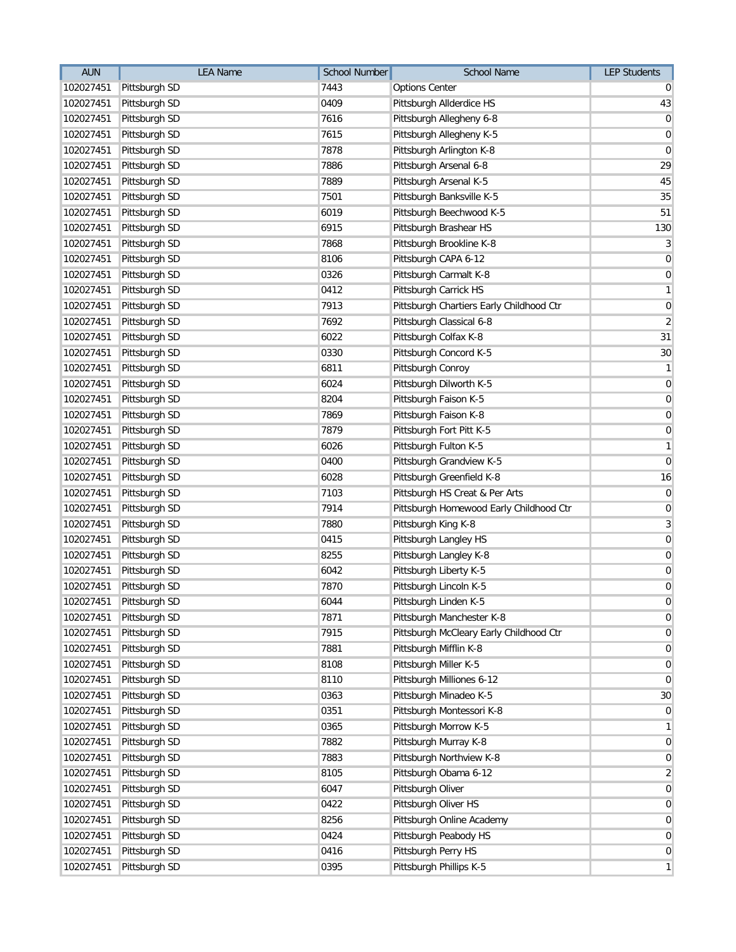| <b>AUN</b> | <b>LEA Name</b>         | <b>School Number</b> | School Name                              | <b>LEP Students</b> |
|------------|-------------------------|----------------------|------------------------------------------|---------------------|
| 102027451  | Pittsburgh SD           | 7443                 | <b>Options Center</b>                    | 0                   |
| 102027451  | Pittsburgh SD           | 0409                 | Pittsburgh Allderdice HS                 | 43                  |
| 102027451  | Pittsburgh SD           | 7616                 | Pittsburgh Allegheny 6-8                 | 0                   |
| 102027451  | Pittsburgh SD           | 7615                 | Pittsburgh Allegheny K-5                 | $\mathbf 0$         |
| 102027451  | Pittsburgh SD           | 7878                 | Pittsburgh Arlington K-8                 | $\mathbf 0$         |
| 102027451  | Pittsburgh SD           | 7886                 | Pittsburgh Arsenal 6-8                   | 29                  |
| 102027451  | Pittsburgh SD           | 7889                 | Pittsburgh Arsenal K-5                   | 45                  |
| 102027451  | Pittsburgh SD           | 7501                 | Pittsburgh Banksville K-5                | 35                  |
| 102027451  | Pittsburgh SD           | 6019                 | Pittsburgh Beechwood K-5                 | 51                  |
| 102027451  | Pittsburgh SD           | 6915                 | Pittsburgh Brashear HS                   | 130                 |
| 102027451  | Pittsburgh SD           | 7868                 | Pittsburgh Brookline K-8                 | 3                   |
| 102027451  | Pittsburgh SD           | 8106                 | Pittsburgh CAPA 6-12                     | 0                   |
| 102027451  | Pittsburgh SD           | 0326                 | Pittsburgh Carmalt K-8                   | 0                   |
| 102027451  | Pittsburgh SD           | 0412                 | Pittsburgh Carrick HS                    | 1                   |
| 102027451  | Pittsburgh SD           | 7913                 | Pittsburgh Chartiers Early Childhood Ctr | 0                   |
| 102027451  | Pittsburgh SD           | 7692                 | Pittsburgh Classical 6-8                 | $\overline{2}$      |
| 102027451  | Pittsburgh SD           | 6022                 | Pittsburgh Colfax K-8                    | 31                  |
| 102027451  | Pittsburgh SD           | 0330                 | Pittsburgh Concord K-5                   | 30                  |
| 102027451  | Pittsburgh SD           | 6811                 | Pittsburgh Conroy                        | 1                   |
| 102027451  | Pittsburgh SD           | 6024                 | Pittsburgh Dilworth K-5                  | $\mathbf 0$         |
| 102027451  | Pittsburgh SD           | 8204                 | Pittsburgh Faison K-5                    | $\mathbf 0$         |
| 102027451  | Pittsburgh SD           | 7869                 | Pittsburgh Faison K-8                    | $\mathbf 0$         |
| 102027451  | Pittsburgh SD           | 7879                 | Pittsburgh Fort Pitt K-5                 | 0                   |
| 102027451  | Pittsburgh SD           | 6026                 | Pittsburgh Fulton K-5                    | 1                   |
| 102027451  | Pittsburgh SD           | 0400                 | Pittsburgh Grandview K-5                 | 0                   |
| 102027451  | Pittsburgh SD           | 6028                 | Pittsburgh Greenfield K-8                | 16                  |
| 102027451  | Pittsburgh SD           | 7103                 | Pittsburgh HS Creat & Per Arts           | $\mathbf 0$         |
| 102027451  | Pittsburgh SD           | 7914                 | Pittsburgh Homewood Early Childhood Ctr  | $\mathbf 0$         |
| 102027451  | Pittsburgh SD           | 7880                 | Pittsburgh King K-8                      | 3                   |
| 102027451  | Pittsburgh SD           | 0415                 | Pittsburgh Langley HS                    | $\mathbf 0$         |
| 102027451  | Pittsburgh SD           | 8255                 | Pittsburgh Langley K-8                   | $\boldsymbol{0}$    |
| 102027451  | Pittsburgh SD           | 6042                 | Pittsburgh Liberty K-5                   | $\mathbf 0$         |
| 102027451  | Pittsburgh SD           | 7870                 | Pittsburgh Lincoln K-5                   | $\mathbf 0$         |
|            | 102027451 Pittsburgh SD | 6044                 | Pittsburgh Linden K-5                    | $\mathbf 0$         |
| 102027451  | Pittsburgh SD           | 7871                 | Pittsburgh Manchester K-8                | 0                   |
| 102027451  | Pittsburgh SD           | 7915                 | Pittsburgh McCleary Early Childhood Ctr  | 0                   |
| 102027451  | Pittsburgh SD           | 7881                 | Pittsburgh Mifflin K-8                   | 0                   |
| 102027451  | Pittsburgh SD           | 8108                 | Pittsburgh Miller K-5                    | 0                   |
| 102027451  | Pittsburgh SD           | 8110                 | Pittsburgh Milliones 6-12                | 0                   |
| 102027451  | Pittsburgh SD           | 0363                 | Pittsburgh Minadeo K-5                   | 30                  |
| 102027451  | Pittsburgh SD           | 0351                 | Pittsburgh Montessori K-8                | 0                   |
| 102027451  | Pittsburgh SD           | 0365                 | Pittsburgh Morrow K-5                    | 1                   |
| 102027451  | Pittsburgh SD           | 7882                 | Pittsburgh Murray K-8                    | 0                   |
| 102027451  | Pittsburgh SD           | 7883                 | Pittsburgh Northview K-8                 | 0                   |
| 102027451  | Pittsburgh SD           | 8105                 | Pittsburgh Obama 6-12                    | $\overline{2}$      |
| 102027451  | Pittsburgh SD           | 6047                 | Pittsburgh Oliver                        | 0                   |
| 102027451  | Pittsburgh SD           | 0422                 | Pittsburgh Oliver HS                     | 0                   |
| 102027451  | Pittsburgh SD           | 8256                 | Pittsburgh Online Academy                | 0                   |
| 102027451  | Pittsburgh SD           | 0424                 | Pittsburgh Peabody HS                    | 0                   |
| 102027451  | Pittsburgh SD           | 0416                 | Pittsburgh Perry HS                      | 0                   |
| 102027451  | Pittsburgh SD           | 0395                 | Pittsburgh Phillips K-5                  | 1                   |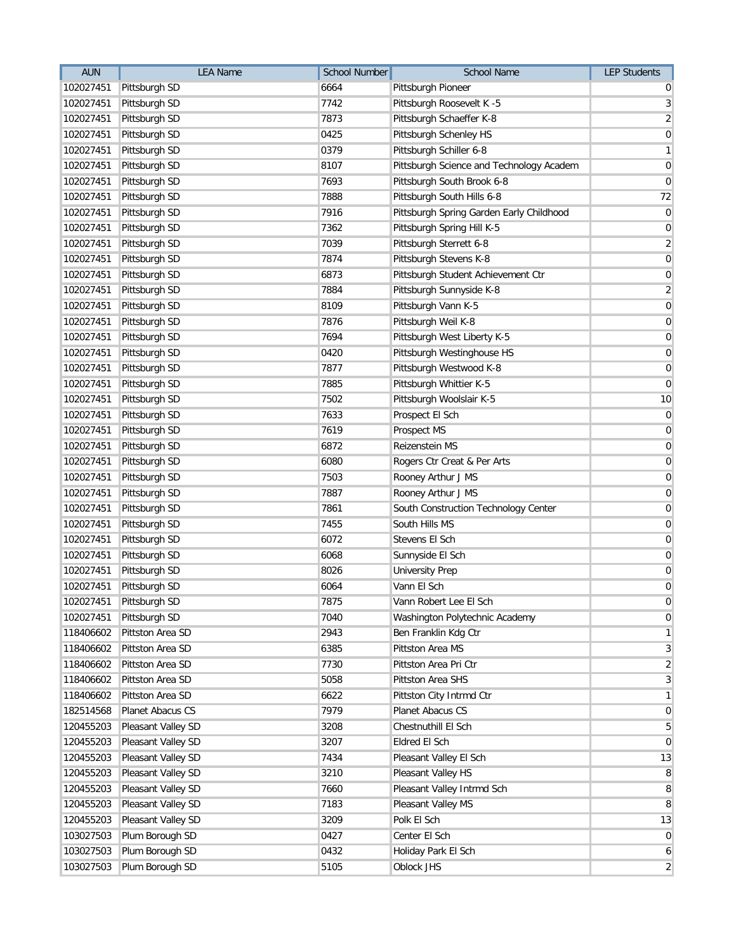| <b>AUN</b> | <b>LEA Name</b>         | <b>School Number</b> | School Name                              | <b>LEP Students</b> |
|------------|-------------------------|----------------------|------------------------------------------|---------------------|
| 102027451  | Pittsburgh SD           | 6664                 | Pittsburgh Pioneer                       | 0                   |
| 102027451  | Pittsburgh SD           | 7742                 | Pittsburgh Roosevelt K -5                | 3                   |
| 102027451  | Pittsburgh SD           | 7873                 | Pittsburgh Schaeffer K-8                 | $\overline{2}$      |
| 102027451  | Pittsburgh SD           | 0425                 | Pittsburgh Schenley HS                   | $\mathbf 0$         |
| 102027451  | Pittsburgh SD           | 0379                 | Pittsburgh Schiller 6-8                  | $\mathbf{1}$        |
| 102027451  | Pittsburgh SD           | 8107                 | Pittsburgh Science and Technology Academ | $\mathbf 0$         |
| 102027451  | Pittsburgh SD           | 7693                 | Pittsburgh South Brook 6-8               | $\mathbf 0$         |
| 102027451  | Pittsburgh SD           | 7888                 | Pittsburgh South Hills 6-8               | 72                  |
| 102027451  | Pittsburgh SD           | 7916                 | Pittsburgh Spring Garden Early Childhood | $\pmb{0}$           |
| 102027451  | Pittsburgh SD           | 7362                 | Pittsburgh Spring Hill K-5               | $\mathbf 0$         |
| 102027451  | Pittsburgh SD           | 7039                 | Pittsburgh Sterrett 6-8                  | $\overline{2}$      |
| 102027451  | Pittsburgh SD           | 7874                 | Pittsburgh Stevens K-8                   | $\mathbf 0$         |
| 102027451  | Pittsburgh SD           | 6873                 | Pittsburgh Student Achievement Ctr       | $\pmb{0}$           |
| 102027451  | Pittsburgh SD           | 7884                 | Pittsburgh Sunnyside K-8                 | $\overline{2}$      |
| 102027451  | Pittsburgh SD           | 8109                 | Pittsburgh Vann K-5                      | $\mathbf 0$         |
| 102027451  | Pittsburgh SD           | 7876                 | Pittsburgh Weil K-8                      | $\pmb{0}$           |
| 102027451  | Pittsburgh SD           | 7694                 | Pittsburgh West Liberty K-5              | $\mathbf 0$         |
| 102027451  | Pittsburgh SD           | 0420                 | Pittsburgh Westinghouse HS               | $\mathbf 0$         |
| 102027451  | Pittsburgh SD           | 7877                 | Pittsburgh Westwood K-8                  | $\pmb{0}$           |
| 102027451  | Pittsburgh SD           | 7885                 | Pittsburgh Whittier K-5                  | $\mathbf 0$         |
| 102027451  | Pittsburgh SD           | 7502                 | Pittsburgh Woolslair K-5                 | 10                  |
| 102027451  | Pittsburgh SD           | 7633                 | Prospect El Sch                          | $\pmb{0}$           |
| 102027451  | Pittsburgh SD           | 7619                 | Prospect MS                              | $\mathbf 0$         |
| 102027451  | Pittsburgh SD           | 6872                 | Reizenstein MS                           | $\mathbf 0$         |
| 102027451  | Pittsburgh SD           | 6080                 | Rogers Ctr Creat & Per Arts              | $\mathbf 0$         |
| 102027451  | Pittsburgh SD           | 7503                 | Rooney Arthur J MS                       | $\mathbf 0$         |
| 102027451  | Pittsburgh SD           | 7887                 | Rooney Arthur J MS                       | $\pmb{0}$           |
| 102027451  | Pittsburgh SD           | 7861                 | South Construction Technology Center     | $\mathbf 0$         |
| 102027451  | Pittsburgh SD           | 7455                 | South Hills MS                           | $\pmb{0}$           |
| 102027451  | Pittsburgh SD           | 6072                 | Stevens El Sch                           | $\mathbf 0$         |
| 102027451  | Pittsburgh SD           | 6068                 | Sunnyside El Sch                         | $\mathbf 0$         |
| 102027451  | Pittsburgh SD           | 8026                 | <b>University Prep</b>                   | $\pmb{0}$           |
| 102027451  | Pittsburgh SD           | 6064                 | Vann El Sch                              | $\pmb{0}$           |
|            | 102027451 Pittsburgh SD | 7875                 | Vann Robert Lee El Sch                   | $\mathbf 0$         |
| 102027451  | Pittsburgh SD           | 7040                 | Washington Polytechnic Academy           | $\mathbf 0$         |
| 118406602  | Pittston Area SD        | 2943                 | Ben Franklin Kdg Ctr                     | $\mathbf{1}$        |
| 118406602  | Pittston Area SD        | 6385                 | Pittston Area MS                         | $\overline{3}$      |
| 118406602  | Pittston Area SD        | 7730                 | Pittston Area Pri Ctr                    | $\overline{c}$      |
| 118406602  | Pittston Area SD        | 5058                 | Pittston Area SHS                        | 3                   |
| 118406602  | Pittston Area SD        | 6622                 | Pittston City Intrmd Ctr                 | $\mathbf{1}$        |
| 182514568  | Planet Abacus CS        | 7979                 | Planet Abacus CS                         | $\mathbf 0$         |
| 120455203  | Pleasant Valley SD      | 3208                 | Chestnuthill El Sch                      | 5                   |
| 120455203  | Pleasant Valley SD      | 3207                 | Eldred El Sch                            | $\mathbf 0$         |
| 120455203  | Pleasant Valley SD      | 7434                 | Pleasant Valley El Sch                   | 13                  |
| 120455203  | Pleasant Valley SD      | 3210                 | Pleasant Valley HS                       | 8                   |
| 120455203  | Pleasant Valley SD      | 7660                 | Pleasant Valley Intrmd Sch               | 8                   |
| 120455203  | Pleasant Valley SD      | 7183                 | Pleasant Valley MS                       | 8                   |
| 120455203  | Pleasant Valley SD      | 3209                 | Polk El Sch                              | 13                  |
| 103027503  | Plum Borough SD         | 0427                 | Center El Sch                            | $\mathbf 0$         |
| 103027503  | Plum Borough SD         | 0432                 | Holiday Park El Sch                      | 6                   |
| 103027503  | Plum Borough SD         | 5105                 | Oblock JHS                               | $\overline{2}$      |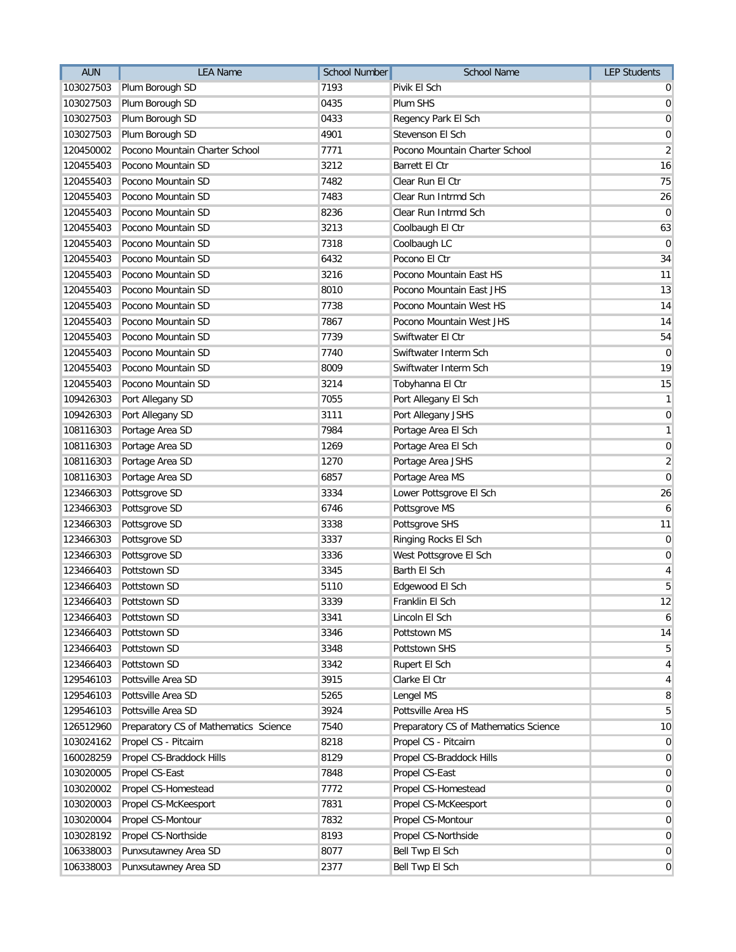| 7193<br>103027503<br>Plum Borough SD<br>Pivik El Sch<br>$\overline{0}$<br>0435<br>103027503<br>Plum Borough SD<br>Plum SHS<br>$\overline{0}$<br>103027503<br>Plum Borough SD<br>0433<br>Regency Park El Sch<br>0<br>4901<br>103027503<br>Plum Borough SD<br>Stevenson El Sch<br>$\boldsymbol{0}$<br>Pocono Mountain Charter School<br>$\overline{2}$<br>120450002<br>7771<br>Pocono Mountain Charter School<br>Pocono Mountain SD<br>3212<br><b>Barrett El Ctr</b><br>16<br>120455403<br>75<br>Pocono Mountain SD<br>7482<br>Clear Run El Ctr<br>120455403<br>Pocono Mountain SD<br>7483<br>Clear Run Intrmd Sch<br>26<br>120455403<br>Pocono Mountain SD<br>8236<br>Clear Run Intrmd Sch<br>120455403<br>3213<br>120455403<br>Pocono Mountain SD<br>Coolbaugh El Ctr<br>7318<br>120455403<br>Pocono Mountain SD<br>Coolbaugh LC<br>$\mathbf 0$<br>Pocono Mountain SD<br>6432<br>Pocono El Ctr<br>120455403<br>3216<br>Pocono Mountain SD<br>Pocono Mountain East HS<br>120455403<br>Pocono Mountain SD<br>8010<br>120455403<br>Pocono Mountain East JHS<br>Pocono Mountain SD<br>7738<br>120455403<br>Pocono Mountain West HS<br>7867<br>120455403<br>Pocono Mountain SD<br>Pocono Mountain West JHS<br>7739<br>120455403<br>Pocono Mountain SD<br>Swiftwater El Ctr<br>Pocono Mountain SD<br>7740<br>$\mathbf 0$<br>120455403<br>Swiftwater Interm Sch<br>Pocono Mountain SD<br>8009<br>Swiftwater Interm Sch<br>120455403<br>Pocono Mountain SD<br>3214<br>15<br>120455403<br>Tobyhanna El Ctr<br>109426303<br>7055<br>Port Allegany SD<br>Port Allegany El Sch<br>109426303<br>Port Allegany SD<br>3111<br>Port Allegany JSHS<br>Portage Area SD<br>7984<br>Portage Area El Sch<br>108116303<br>Portage Area SD<br>1269<br>108116303<br>Portage Area El Sch<br>Portage Area SD<br>1270<br>108116303<br>Portage Area JSHS<br>6857<br>Portage Area SD<br>108116303<br>Portage Area MS<br>123466303<br>Pottsgrove SD<br>3334<br>Lower Pottsgrove El Sch<br>Pottsgrove SD<br>6746<br>Pottsgrove MS<br>6<br>123466303<br>3338<br>Pottsgrove SD<br>Pottsgrove SHS<br>123466303<br>Pottsgrove SD<br>3337<br>123466303<br>Ringing Rocks El Sch<br>0<br>Pottsgrove SD<br>3336<br>123466303<br>West Pottsgrove El Sch<br>0<br>Pottstown SD<br>3345<br>Barth El Sch<br>123466403<br>5<br>5110<br>123466403<br>Pottstown SD<br>Edgewood El Sch<br>3339<br>123466403<br>Pottstown SD<br>Franklin El Sch<br>123466403<br>Pottstown SD<br>3341<br>Lincoln El Sch<br>123466403<br>Pottstown SD<br>3346<br>Pottstown MS<br>123466403<br>Pottstown SD<br>3348<br>Pottstown SHS<br>Pottstown SD<br>123466403<br>3342<br>Rupert El Sch<br>129546103<br>Pottsville Area SD<br>3915<br>Clarke El Ctr<br>Pottsville Area SD<br>129546103<br>5265<br>Lengel MS<br>129546103<br>Pottsville Area SD<br>3924<br>Pottsville Area HS<br>7540<br>126512960<br>Preparatory CS of Mathematics Science<br>Preparatory CS of Mathematics Science<br>103024162<br>Propel CS - Pitcairn<br>8218<br>Propel CS - Pitcairn<br>8129<br>160028259<br>Propel CS-Braddock Hills<br>Propel CS-Braddock Hills<br>103020005<br>7848<br>Propel CS-East<br>Propel CS-East<br>7772<br>103020002<br>Propel CS-Homestead<br>Propel CS-Homestead<br>103020003<br>Propel CS-McKeesport<br>7831<br>Propel CS-McKeesport<br>Propel CS-Montour<br>7832<br>Propel CS-Montour<br>103020004<br>Propel CS-Northside<br>8193<br>Propel CS-Northside<br>103028192<br>8077<br>106338003<br>Punxsutawney Area SD<br>Bell Twp El Sch | <b>AUN</b> | <b>LEA Name</b>      | School Number | School Name     | <b>LEP Students</b> |
|-------------------------------------------------------------------------------------------------------------------------------------------------------------------------------------------------------------------------------------------------------------------------------------------------------------------------------------------------------------------------------------------------------------------------------------------------------------------------------------------------------------------------------------------------------------------------------------------------------------------------------------------------------------------------------------------------------------------------------------------------------------------------------------------------------------------------------------------------------------------------------------------------------------------------------------------------------------------------------------------------------------------------------------------------------------------------------------------------------------------------------------------------------------------------------------------------------------------------------------------------------------------------------------------------------------------------------------------------------------------------------------------------------------------------------------------------------------------------------------------------------------------------------------------------------------------------------------------------------------------------------------------------------------------------------------------------------------------------------------------------------------------------------------------------------------------------------------------------------------------------------------------------------------------------------------------------------------------------------------------------------------------------------------------------------------------------------------------------------------------------------------------------------------------------------------------------------------------------------------------------------------------------------------------------------------------------------------------------------------------------------------------------------------------------------------------------------------------------------------------------------------------------------------------------------------------------------------------------------------------------------------------------------------------------------------------------------------------------------------------------------------------------------------------------------------------------------------------------------------------------------------------------------------------------------------------------------------------------------------------------------------------------------------------------------------------------------------------------------------------------------------------------------------------------------------------------------------------------------------------------------------------------------------------------------------------------------------------------------------------------------------------------------------------------------------------------------------------------|------------|----------------------|---------------|-----------------|---------------------|
|                                                                                                                                                                                                                                                                                                                                                                                                                                                                                                                                                                                                                                                                                                                                                                                                                                                                                                                                                                                                                                                                                                                                                                                                                                                                                                                                                                                                                                                                                                                                                                                                                                                                                                                                                                                                                                                                                                                                                                                                                                                                                                                                                                                                                                                                                                                                                                                                                                                                                                                                                                                                                                                                                                                                                                                                                                                                                                                                                                                                                                                                                                                                                                                                                                                                                                                                                                                                                                                                         |            |                      |               |                 |                     |
|                                                                                                                                                                                                                                                                                                                                                                                                                                                                                                                                                                                                                                                                                                                                                                                                                                                                                                                                                                                                                                                                                                                                                                                                                                                                                                                                                                                                                                                                                                                                                                                                                                                                                                                                                                                                                                                                                                                                                                                                                                                                                                                                                                                                                                                                                                                                                                                                                                                                                                                                                                                                                                                                                                                                                                                                                                                                                                                                                                                                                                                                                                                                                                                                                                                                                                                                                                                                                                                                         |            |                      |               |                 |                     |
|                                                                                                                                                                                                                                                                                                                                                                                                                                                                                                                                                                                                                                                                                                                                                                                                                                                                                                                                                                                                                                                                                                                                                                                                                                                                                                                                                                                                                                                                                                                                                                                                                                                                                                                                                                                                                                                                                                                                                                                                                                                                                                                                                                                                                                                                                                                                                                                                                                                                                                                                                                                                                                                                                                                                                                                                                                                                                                                                                                                                                                                                                                                                                                                                                                                                                                                                                                                                                                                                         |            |                      |               |                 |                     |
|                                                                                                                                                                                                                                                                                                                                                                                                                                                                                                                                                                                                                                                                                                                                                                                                                                                                                                                                                                                                                                                                                                                                                                                                                                                                                                                                                                                                                                                                                                                                                                                                                                                                                                                                                                                                                                                                                                                                                                                                                                                                                                                                                                                                                                                                                                                                                                                                                                                                                                                                                                                                                                                                                                                                                                                                                                                                                                                                                                                                                                                                                                                                                                                                                                                                                                                                                                                                                                                                         |            |                      |               |                 |                     |
|                                                                                                                                                                                                                                                                                                                                                                                                                                                                                                                                                                                                                                                                                                                                                                                                                                                                                                                                                                                                                                                                                                                                                                                                                                                                                                                                                                                                                                                                                                                                                                                                                                                                                                                                                                                                                                                                                                                                                                                                                                                                                                                                                                                                                                                                                                                                                                                                                                                                                                                                                                                                                                                                                                                                                                                                                                                                                                                                                                                                                                                                                                                                                                                                                                                                                                                                                                                                                                                                         |            |                      |               |                 |                     |
|                                                                                                                                                                                                                                                                                                                                                                                                                                                                                                                                                                                                                                                                                                                                                                                                                                                                                                                                                                                                                                                                                                                                                                                                                                                                                                                                                                                                                                                                                                                                                                                                                                                                                                                                                                                                                                                                                                                                                                                                                                                                                                                                                                                                                                                                                                                                                                                                                                                                                                                                                                                                                                                                                                                                                                                                                                                                                                                                                                                                                                                                                                                                                                                                                                                                                                                                                                                                                                                                         |            |                      |               |                 |                     |
|                                                                                                                                                                                                                                                                                                                                                                                                                                                                                                                                                                                                                                                                                                                                                                                                                                                                                                                                                                                                                                                                                                                                                                                                                                                                                                                                                                                                                                                                                                                                                                                                                                                                                                                                                                                                                                                                                                                                                                                                                                                                                                                                                                                                                                                                                                                                                                                                                                                                                                                                                                                                                                                                                                                                                                                                                                                                                                                                                                                                                                                                                                                                                                                                                                                                                                                                                                                                                                                                         |            |                      |               |                 |                     |
|                                                                                                                                                                                                                                                                                                                                                                                                                                                                                                                                                                                                                                                                                                                                                                                                                                                                                                                                                                                                                                                                                                                                                                                                                                                                                                                                                                                                                                                                                                                                                                                                                                                                                                                                                                                                                                                                                                                                                                                                                                                                                                                                                                                                                                                                                                                                                                                                                                                                                                                                                                                                                                                                                                                                                                                                                                                                                                                                                                                                                                                                                                                                                                                                                                                                                                                                                                                                                                                                         |            |                      |               |                 |                     |
| 63<br>34<br>11<br>13<br>14<br>14<br>54<br>19<br>$\mathbf{1}$<br>$\overline{0}$<br>$\mathbf{1}$<br>$\overline{0}$<br>$\overline{2}$<br>$\overline{0}$<br>26<br>11<br>$\vert 4 \vert$<br>12<br>6<br>14<br>$\sqrt{5}$<br>$\vert 4 \vert$<br>$\vert 4 \vert$<br>8<br>$\overline{5}$<br>10<br>$\overline{0}$<br>$\overline{0}$<br>$\overline{0}$<br>$\overline{0}$<br>$\overline{0}$<br>$\overline{0}$<br>$\overline{0}$<br>$\overline{0}$                                                                                                                                                                                                                                                                                                                                                                                                                                                                                                                                                                                                                                                                                                                                                                                                                                                                                                                                                                                                                                                                                                                                                                                                                                                                                                                                                                                                                                                                                                                                                                                                                                                                                                                                                                                                                                                                                                                                                                                                                                                                                                                                                                                                                                                                                                                                                                                                                                                                                                                                                                                                                                                                                                                                                                                                                                                                                                                                                                                                                                   |            |                      |               |                 | $\overline{0}$      |
|                                                                                                                                                                                                                                                                                                                                                                                                                                                                                                                                                                                                                                                                                                                                                                                                                                                                                                                                                                                                                                                                                                                                                                                                                                                                                                                                                                                                                                                                                                                                                                                                                                                                                                                                                                                                                                                                                                                                                                                                                                                                                                                                                                                                                                                                                                                                                                                                                                                                                                                                                                                                                                                                                                                                                                                                                                                                                                                                                                                                                                                                                                                                                                                                                                                                                                                                                                                                                                                                         |            |                      |               |                 |                     |
|                                                                                                                                                                                                                                                                                                                                                                                                                                                                                                                                                                                                                                                                                                                                                                                                                                                                                                                                                                                                                                                                                                                                                                                                                                                                                                                                                                                                                                                                                                                                                                                                                                                                                                                                                                                                                                                                                                                                                                                                                                                                                                                                                                                                                                                                                                                                                                                                                                                                                                                                                                                                                                                                                                                                                                                                                                                                                                                                                                                                                                                                                                                                                                                                                                                                                                                                                                                                                                                                         |            |                      |               |                 |                     |
|                                                                                                                                                                                                                                                                                                                                                                                                                                                                                                                                                                                                                                                                                                                                                                                                                                                                                                                                                                                                                                                                                                                                                                                                                                                                                                                                                                                                                                                                                                                                                                                                                                                                                                                                                                                                                                                                                                                                                                                                                                                                                                                                                                                                                                                                                                                                                                                                                                                                                                                                                                                                                                                                                                                                                                                                                                                                                                                                                                                                                                                                                                                                                                                                                                                                                                                                                                                                                                                                         |            |                      |               |                 |                     |
|                                                                                                                                                                                                                                                                                                                                                                                                                                                                                                                                                                                                                                                                                                                                                                                                                                                                                                                                                                                                                                                                                                                                                                                                                                                                                                                                                                                                                                                                                                                                                                                                                                                                                                                                                                                                                                                                                                                                                                                                                                                                                                                                                                                                                                                                                                                                                                                                                                                                                                                                                                                                                                                                                                                                                                                                                                                                                                                                                                                                                                                                                                                                                                                                                                                                                                                                                                                                                                                                         |            |                      |               |                 |                     |
|                                                                                                                                                                                                                                                                                                                                                                                                                                                                                                                                                                                                                                                                                                                                                                                                                                                                                                                                                                                                                                                                                                                                                                                                                                                                                                                                                                                                                                                                                                                                                                                                                                                                                                                                                                                                                                                                                                                                                                                                                                                                                                                                                                                                                                                                                                                                                                                                                                                                                                                                                                                                                                                                                                                                                                                                                                                                                                                                                                                                                                                                                                                                                                                                                                                                                                                                                                                                                                                                         |            |                      |               |                 |                     |
|                                                                                                                                                                                                                                                                                                                                                                                                                                                                                                                                                                                                                                                                                                                                                                                                                                                                                                                                                                                                                                                                                                                                                                                                                                                                                                                                                                                                                                                                                                                                                                                                                                                                                                                                                                                                                                                                                                                                                                                                                                                                                                                                                                                                                                                                                                                                                                                                                                                                                                                                                                                                                                                                                                                                                                                                                                                                                                                                                                                                                                                                                                                                                                                                                                                                                                                                                                                                                                                                         |            |                      |               |                 |                     |
|                                                                                                                                                                                                                                                                                                                                                                                                                                                                                                                                                                                                                                                                                                                                                                                                                                                                                                                                                                                                                                                                                                                                                                                                                                                                                                                                                                                                                                                                                                                                                                                                                                                                                                                                                                                                                                                                                                                                                                                                                                                                                                                                                                                                                                                                                                                                                                                                                                                                                                                                                                                                                                                                                                                                                                                                                                                                                                                                                                                                                                                                                                                                                                                                                                                                                                                                                                                                                                                                         |            |                      |               |                 |                     |
|                                                                                                                                                                                                                                                                                                                                                                                                                                                                                                                                                                                                                                                                                                                                                                                                                                                                                                                                                                                                                                                                                                                                                                                                                                                                                                                                                                                                                                                                                                                                                                                                                                                                                                                                                                                                                                                                                                                                                                                                                                                                                                                                                                                                                                                                                                                                                                                                                                                                                                                                                                                                                                                                                                                                                                                                                                                                                                                                                                                                                                                                                                                                                                                                                                                                                                                                                                                                                                                                         |            |                      |               |                 |                     |
|                                                                                                                                                                                                                                                                                                                                                                                                                                                                                                                                                                                                                                                                                                                                                                                                                                                                                                                                                                                                                                                                                                                                                                                                                                                                                                                                                                                                                                                                                                                                                                                                                                                                                                                                                                                                                                                                                                                                                                                                                                                                                                                                                                                                                                                                                                                                                                                                                                                                                                                                                                                                                                                                                                                                                                                                                                                                                                                                                                                                                                                                                                                                                                                                                                                                                                                                                                                                                                                                         |            |                      |               |                 |                     |
|                                                                                                                                                                                                                                                                                                                                                                                                                                                                                                                                                                                                                                                                                                                                                                                                                                                                                                                                                                                                                                                                                                                                                                                                                                                                                                                                                                                                                                                                                                                                                                                                                                                                                                                                                                                                                                                                                                                                                                                                                                                                                                                                                                                                                                                                                                                                                                                                                                                                                                                                                                                                                                                                                                                                                                                                                                                                                                                                                                                                                                                                                                                                                                                                                                                                                                                                                                                                                                                                         |            |                      |               |                 |                     |
|                                                                                                                                                                                                                                                                                                                                                                                                                                                                                                                                                                                                                                                                                                                                                                                                                                                                                                                                                                                                                                                                                                                                                                                                                                                                                                                                                                                                                                                                                                                                                                                                                                                                                                                                                                                                                                                                                                                                                                                                                                                                                                                                                                                                                                                                                                                                                                                                                                                                                                                                                                                                                                                                                                                                                                                                                                                                                                                                                                                                                                                                                                                                                                                                                                                                                                                                                                                                                                                                         |            |                      |               |                 |                     |
|                                                                                                                                                                                                                                                                                                                                                                                                                                                                                                                                                                                                                                                                                                                                                                                                                                                                                                                                                                                                                                                                                                                                                                                                                                                                                                                                                                                                                                                                                                                                                                                                                                                                                                                                                                                                                                                                                                                                                                                                                                                                                                                                                                                                                                                                                                                                                                                                                                                                                                                                                                                                                                                                                                                                                                                                                                                                                                                                                                                                                                                                                                                                                                                                                                                                                                                                                                                                                                                                         |            |                      |               |                 |                     |
|                                                                                                                                                                                                                                                                                                                                                                                                                                                                                                                                                                                                                                                                                                                                                                                                                                                                                                                                                                                                                                                                                                                                                                                                                                                                                                                                                                                                                                                                                                                                                                                                                                                                                                                                                                                                                                                                                                                                                                                                                                                                                                                                                                                                                                                                                                                                                                                                                                                                                                                                                                                                                                                                                                                                                                                                                                                                                                                                                                                                                                                                                                                                                                                                                                                                                                                                                                                                                                                                         |            |                      |               |                 |                     |
|                                                                                                                                                                                                                                                                                                                                                                                                                                                                                                                                                                                                                                                                                                                                                                                                                                                                                                                                                                                                                                                                                                                                                                                                                                                                                                                                                                                                                                                                                                                                                                                                                                                                                                                                                                                                                                                                                                                                                                                                                                                                                                                                                                                                                                                                                                                                                                                                                                                                                                                                                                                                                                                                                                                                                                                                                                                                                                                                                                                                                                                                                                                                                                                                                                                                                                                                                                                                                                                                         |            |                      |               |                 |                     |
|                                                                                                                                                                                                                                                                                                                                                                                                                                                                                                                                                                                                                                                                                                                                                                                                                                                                                                                                                                                                                                                                                                                                                                                                                                                                                                                                                                                                                                                                                                                                                                                                                                                                                                                                                                                                                                                                                                                                                                                                                                                                                                                                                                                                                                                                                                                                                                                                                                                                                                                                                                                                                                                                                                                                                                                                                                                                                                                                                                                                                                                                                                                                                                                                                                                                                                                                                                                                                                                                         |            |                      |               |                 |                     |
|                                                                                                                                                                                                                                                                                                                                                                                                                                                                                                                                                                                                                                                                                                                                                                                                                                                                                                                                                                                                                                                                                                                                                                                                                                                                                                                                                                                                                                                                                                                                                                                                                                                                                                                                                                                                                                                                                                                                                                                                                                                                                                                                                                                                                                                                                                                                                                                                                                                                                                                                                                                                                                                                                                                                                                                                                                                                                                                                                                                                                                                                                                                                                                                                                                                                                                                                                                                                                                                                         |            |                      |               |                 |                     |
|                                                                                                                                                                                                                                                                                                                                                                                                                                                                                                                                                                                                                                                                                                                                                                                                                                                                                                                                                                                                                                                                                                                                                                                                                                                                                                                                                                                                                                                                                                                                                                                                                                                                                                                                                                                                                                                                                                                                                                                                                                                                                                                                                                                                                                                                                                                                                                                                                                                                                                                                                                                                                                                                                                                                                                                                                                                                                                                                                                                                                                                                                                                                                                                                                                                                                                                                                                                                                                                                         |            |                      |               |                 |                     |
|                                                                                                                                                                                                                                                                                                                                                                                                                                                                                                                                                                                                                                                                                                                                                                                                                                                                                                                                                                                                                                                                                                                                                                                                                                                                                                                                                                                                                                                                                                                                                                                                                                                                                                                                                                                                                                                                                                                                                                                                                                                                                                                                                                                                                                                                                                                                                                                                                                                                                                                                                                                                                                                                                                                                                                                                                                                                                                                                                                                                                                                                                                                                                                                                                                                                                                                                                                                                                                                                         |            |                      |               |                 |                     |
|                                                                                                                                                                                                                                                                                                                                                                                                                                                                                                                                                                                                                                                                                                                                                                                                                                                                                                                                                                                                                                                                                                                                                                                                                                                                                                                                                                                                                                                                                                                                                                                                                                                                                                                                                                                                                                                                                                                                                                                                                                                                                                                                                                                                                                                                                                                                                                                                                                                                                                                                                                                                                                                                                                                                                                                                                                                                                                                                                                                                                                                                                                                                                                                                                                                                                                                                                                                                                                                                         |            |                      |               |                 |                     |
|                                                                                                                                                                                                                                                                                                                                                                                                                                                                                                                                                                                                                                                                                                                                                                                                                                                                                                                                                                                                                                                                                                                                                                                                                                                                                                                                                                                                                                                                                                                                                                                                                                                                                                                                                                                                                                                                                                                                                                                                                                                                                                                                                                                                                                                                                                                                                                                                                                                                                                                                                                                                                                                                                                                                                                                                                                                                                                                                                                                                                                                                                                                                                                                                                                                                                                                                                                                                                                                                         |            |                      |               |                 |                     |
|                                                                                                                                                                                                                                                                                                                                                                                                                                                                                                                                                                                                                                                                                                                                                                                                                                                                                                                                                                                                                                                                                                                                                                                                                                                                                                                                                                                                                                                                                                                                                                                                                                                                                                                                                                                                                                                                                                                                                                                                                                                                                                                                                                                                                                                                                                                                                                                                                                                                                                                                                                                                                                                                                                                                                                                                                                                                                                                                                                                                                                                                                                                                                                                                                                                                                                                                                                                                                                                                         |            |                      |               |                 |                     |
|                                                                                                                                                                                                                                                                                                                                                                                                                                                                                                                                                                                                                                                                                                                                                                                                                                                                                                                                                                                                                                                                                                                                                                                                                                                                                                                                                                                                                                                                                                                                                                                                                                                                                                                                                                                                                                                                                                                                                                                                                                                                                                                                                                                                                                                                                                                                                                                                                                                                                                                                                                                                                                                                                                                                                                                                                                                                                                                                                                                                                                                                                                                                                                                                                                                                                                                                                                                                                                                                         |            |                      |               |                 |                     |
|                                                                                                                                                                                                                                                                                                                                                                                                                                                                                                                                                                                                                                                                                                                                                                                                                                                                                                                                                                                                                                                                                                                                                                                                                                                                                                                                                                                                                                                                                                                                                                                                                                                                                                                                                                                                                                                                                                                                                                                                                                                                                                                                                                                                                                                                                                                                                                                                                                                                                                                                                                                                                                                                                                                                                                                                                                                                                                                                                                                                                                                                                                                                                                                                                                                                                                                                                                                                                                                                         |            |                      |               |                 |                     |
|                                                                                                                                                                                                                                                                                                                                                                                                                                                                                                                                                                                                                                                                                                                                                                                                                                                                                                                                                                                                                                                                                                                                                                                                                                                                                                                                                                                                                                                                                                                                                                                                                                                                                                                                                                                                                                                                                                                                                                                                                                                                                                                                                                                                                                                                                                                                                                                                                                                                                                                                                                                                                                                                                                                                                                                                                                                                                                                                                                                                                                                                                                                                                                                                                                                                                                                                                                                                                                                                         |            |                      |               |                 |                     |
|                                                                                                                                                                                                                                                                                                                                                                                                                                                                                                                                                                                                                                                                                                                                                                                                                                                                                                                                                                                                                                                                                                                                                                                                                                                                                                                                                                                                                                                                                                                                                                                                                                                                                                                                                                                                                                                                                                                                                                                                                                                                                                                                                                                                                                                                                                                                                                                                                                                                                                                                                                                                                                                                                                                                                                                                                                                                                                                                                                                                                                                                                                                                                                                                                                                                                                                                                                                                                                                                         |            |                      |               |                 |                     |
|                                                                                                                                                                                                                                                                                                                                                                                                                                                                                                                                                                                                                                                                                                                                                                                                                                                                                                                                                                                                                                                                                                                                                                                                                                                                                                                                                                                                                                                                                                                                                                                                                                                                                                                                                                                                                                                                                                                                                                                                                                                                                                                                                                                                                                                                                                                                                                                                                                                                                                                                                                                                                                                                                                                                                                                                                                                                                                                                                                                                                                                                                                                                                                                                                                                                                                                                                                                                                                                                         |            |                      |               |                 |                     |
|                                                                                                                                                                                                                                                                                                                                                                                                                                                                                                                                                                                                                                                                                                                                                                                                                                                                                                                                                                                                                                                                                                                                                                                                                                                                                                                                                                                                                                                                                                                                                                                                                                                                                                                                                                                                                                                                                                                                                                                                                                                                                                                                                                                                                                                                                                                                                                                                                                                                                                                                                                                                                                                                                                                                                                                                                                                                                                                                                                                                                                                                                                                                                                                                                                                                                                                                                                                                                                                                         |            |                      |               |                 |                     |
|                                                                                                                                                                                                                                                                                                                                                                                                                                                                                                                                                                                                                                                                                                                                                                                                                                                                                                                                                                                                                                                                                                                                                                                                                                                                                                                                                                                                                                                                                                                                                                                                                                                                                                                                                                                                                                                                                                                                                                                                                                                                                                                                                                                                                                                                                                                                                                                                                                                                                                                                                                                                                                                                                                                                                                                                                                                                                                                                                                                                                                                                                                                                                                                                                                                                                                                                                                                                                                                                         |            |                      |               |                 |                     |
|                                                                                                                                                                                                                                                                                                                                                                                                                                                                                                                                                                                                                                                                                                                                                                                                                                                                                                                                                                                                                                                                                                                                                                                                                                                                                                                                                                                                                                                                                                                                                                                                                                                                                                                                                                                                                                                                                                                                                                                                                                                                                                                                                                                                                                                                                                                                                                                                                                                                                                                                                                                                                                                                                                                                                                                                                                                                                                                                                                                                                                                                                                                                                                                                                                                                                                                                                                                                                                                                         |            |                      |               |                 |                     |
|                                                                                                                                                                                                                                                                                                                                                                                                                                                                                                                                                                                                                                                                                                                                                                                                                                                                                                                                                                                                                                                                                                                                                                                                                                                                                                                                                                                                                                                                                                                                                                                                                                                                                                                                                                                                                                                                                                                                                                                                                                                                                                                                                                                                                                                                                                                                                                                                                                                                                                                                                                                                                                                                                                                                                                                                                                                                                                                                                                                                                                                                                                                                                                                                                                                                                                                                                                                                                                                                         |            |                      |               |                 |                     |
|                                                                                                                                                                                                                                                                                                                                                                                                                                                                                                                                                                                                                                                                                                                                                                                                                                                                                                                                                                                                                                                                                                                                                                                                                                                                                                                                                                                                                                                                                                                                                                                                                                                                                                                                                                                                                                                                                                                                                                                                                                                                                                                                                                                                                                                                                                                                                                                                                                                                                                                                                                                                                                                                                                                                                                                                                                                                                                                                                                                                                                                                                                                                                                                                                                                                                                                                                                                                                                                                         |            |                      |               |                 |                     |
|                                                                                                                                                                                                                                                                                                                                                                                                                                                                                                                                                                                                                                                                                                                                                                                                                                                                                                                                                                                                                                                                                                                                                                                                                                                                                                                                                                                                                                                                                                                                                                                                                                                                                                                                                                                                                                                                                                                                                                                                                                                                                                                                                                                                                                                                                                                                                                                                                                                                                                                                                                                                                                                                                                                                                                                                                                                                                                                                                                                                                                                                                                                                                                                                                                                                                                                                                                                                                                                                         |            |                      |               |                 |                     |
|                                                                                                                                                                                                                                                                                                                                                                                                                                                                                                                                                                                                                                                                                                                                                                                                                                                                                                                                                                                                                                                                                                                                                                                                                                                                                                                                                                                                                                                                                                                                                                                                                                                                                                                                                                                                                                                                                                                                                                                                                                                                                                                                                                                                                                                                                                                                                                                                                                                                                                                                                                                                                                                                                                                                                                                                                                                                                                                                                                                                                                                                                                                                                                                                                                                                                                                                                                                                                                                                         |            |                      |               |                 |                     |
|                                                                                                                                                                                                                                                                                                                                                                                                                                                                                                                                                                                                                                                                                                                                                                                                                                                                                                                                                                                                                                                                                                                                                                                                                                                                                                                                                                                                                                                                                                                                                                                                                                                                                                                                                                                                                                                                                                                                                                                                                                                                                                                                                                                                                                                                                                                                                                                                                                                                                                                                                                                                                                                                                                                                                                                                                                                                                                                                                                                                                                                                                                                                                                                                                                                                                                                                                                                                                                                                         |            |                      |               |                 |                     |
|                                                                                                                                                                                                                                                                                                                                                                                                                                                                                                                                                                                                                                                                                                                                                                                                                                                                                                                                                                                                                                                                                                                                                                                                                                                                                                                                                                                                                                                                                                                                                                                                                                                                                                                                                                                                                                                                                                                                                                                                                                                                                                                                                                                                                                                                                                                                                                                                                                                                                                                                                                                                                                                                                                                                                                                                                                                                                                                                                                                                                                                                                                                                                                                                                                                                                                                                                                                                                                                                         |            |                      |               |                 |                     |
|                                                                                                                                                                                                                                                                                                                                                                                                                                                                                                                                                                                                                                                                                                                                                                                                                                                                                                                                                                                                                                                                                                                                                                                                                                                                                                                                                                                                                                                                                                                                                                                                                                                                                                                                                                                                                                                                                                                                                                                                                                                                                                                                                                                                                                                                                                                                                                                                                                                                                                                                                                                                                                                                                                                                                                                                                                                                                                                                                                                                                                                                                                                                                                                                                                                                                                                                                                                                                                                                         |            |                      |               |                 |                     |
|                                                                                                                                                                                                                                                                                                                                                                                                                                                                                                                                                                                                                                                                                                                                                                                                                                                                                                                                                                                                                                                                                                                                                                                                                                                                                                                                                                                                                                                                                                                                                                                                                                                                                                                                                                                                                                                                                                                                                                                                                                                                                                                                                                                                                                                                                                                                                                                                                                                                                                                                                                                                                                                                                                                                                                                                                                                                                                                                                                                                                                                                                                                                                                                                                                                                                                                                                                                                                                                                         |            |                      |               |                 |                     |
|                                                                                                                                                                                                                                                                                                                                                                                                                                                                                                                                                                                                                                                                                                                                                                                                                                                                                                                                                                                                                                                                                                                                                                                                                                                                                                                                                                                                                                                                                                                                                                                                                                                                                                                                                                                                                                                                                                                                                                                                                                                                                                                                                                                                                                                                                                                                                                                                                                                                                                                                                                                                                                                                                                                                                                                                                                                                                                                                                                                                                                                                                                                                                                                                                                                                                                                                                                                                                                                                         |            |                      |               |                 |                     |
|                                                                                                                                                                                                                                                                                                                                                                                                                                                                                                                                                                                                                                                                                                                                                                                                                                                                                                                                                                                                                                                                                                                                                                                                                                                                                                                                                                                                                                                                                                                                                                                                                                                                                                                                                                                                                                                                                                                                                                                                                                                                                                                                                                                                                                                                                                                                                                                                                                                                                                                                                                                                                                                                                                                                                                                                                                                                                                                                                                                                                                                                                                                                                                                                                                                                                                                                                                                                                                                                         |            |                      |               |                 |                     |
|                                                                                                                                                                                                                                                                                                                                                                                                                                                                                                                                                                                                                                                                                                                                                                                                                                                                                                                                                                                                                                                                                                                                                                                                                                                                                                                                                                                                                                                                                                                                                                                                                                                                                                                                                                                                                                                                                                                                                                                                                                                                                                                                                                                                                                                                                                                                                                                                                                                                                                                                                                                                                                                                                                                                                                                                                                                                                                                                                                                                                                                                                                                                                                                                                                                                                                                                                                                                                                                                         |            |                      |               |                 |                     |
|                                                                                                                                                                                                                                                                                                                                                                                                                                                                                                                                                                                                                                                                                                                                                                                                                                                                                                                                                                                                                                                                                                                                                                                                                                                                                                                                                                                                                                                                                                                                                                                                                                                                                                                                                                                                                                                                                                                                                                                                                                                                                                                                                                                                                                                                                                                                                                                                                                                                                                                                                                                                                                                                                                                                                                                                                                                                                                                                                                                                                                                                                                                                                                                                                                                                                                                                                                                                                                                                         |            |                      |               |                 |                     |
|                                                                                                                                                                                                                                                                                                                                                                                                                                                                                                                                                                                                                                                                                                                                                                                                                                                                                                                                                                                                                                                                                                                                                                                                                                                                                                                                                                                                                                                                                                                                                                                                                                                                                                                                                                                                                                                                                                                                                                                                                                                                                                                                                                                                                                                                                                                                                                                                                                                                                                                                                                                                                                                                                                                                                                                                                                                                                                                                                                                                                                                                                                                                                                                                                                                                                                                                                                                                                                                                         | 106338003  | Punxsutawney Area SD | 2377          | Bell Twp El Sch | $\overline{0}$      |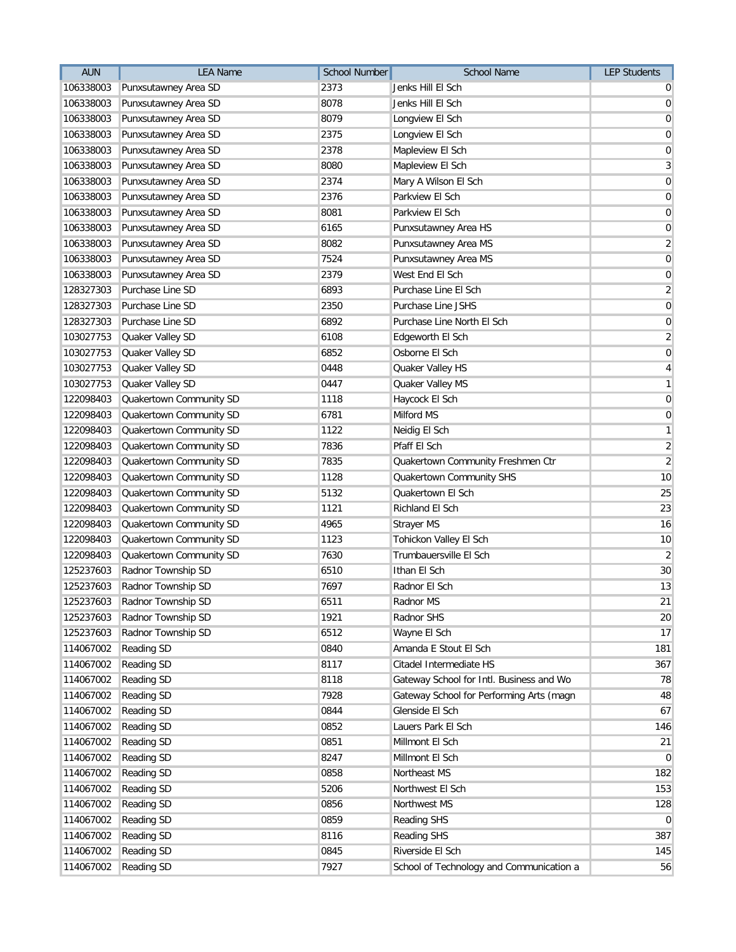| 2373<br>106338003<br>Punxsutawney Area SD<br>Jenks Hill El Sch<br>$\overline{0}$<br>8078<br>106338003<br>Punxsutawney Area SD<br>Jenks Hill El Sch<br>$\overline{0}$<br>8079<br>Punxsutawney Area SD<br>106338003<br>Longview El Sch<br>Punxsutawney Area SD<br>2375<br>106338003<br>Longview El Sch<br>2378<br>106338003<br>Punxsutawney Area SD<br>Mapleview El Sch<br>Punxsutawney Area SD<br>8080<br>106338003<br>Mapleview El Sch<br>2374<br>Mary A Wilson El Sch<br>106338003<br>Punxsutawney Area SD<br>2376<br>106338003<br>Punxsutawney Area SD<br>Parkview El Sch<br>106338003<br>Punxsutawney Area SD<br>8081<br>Parkview El Sch<br>Punxsutawney Area SD<br>Punxsutawney Area HS<br>106338003<br>6165<br>Punxsutawney Area SD<br>8082<br>Punxsutawney Area MS<br>106338003<br>Punxsutawney Area SD<br>7524<br>Punxsutawney Area MS<br>106338003<br>Punxsutawney Area SD<br>2379<br>West End El Sch<br>106338003<br>Purchase Line SD<br>6893<br>128327303<br>Purchase Line El Sch<br>Purchase Line SD<br>2350<br>Purchase Line JSHS<br>128327303<br>6892<br>128327303<br>Purchase Line SD<br>Purchase Line North El Sch<br>103027753<br>Quaker Valley SD<br>6108<br>Edgeworth El Sch<br>6852<br>Osborne El Sch<br>103027753<br>Quaker Valley SD<br>Quaker Valley SD<br>0448<br>Quaker Valley HS<br>103027753<br>Quaker Valley SD<br>0447<br>103027753<br>Quaker Valley MS<br>122098403<br>Quakertown Community SD<br>1118<br>Haycock El Sch<br>Quakertown Community SD<br>6781<br>Milford MS<br>122098403<br>Quakertown Community SD<br>1122<br>122098403<br>Neidig El Sch<br>Quakertown Community SD<br>7836<br>Pfaff El Sch<br>122098403<br>Quakertown Community SD<br>7835<br>Quakertown Community Freshmen Ctr<br>122098403<br>Quakertown Community SD<br>1128<br>Quakertown Community SHS<br>122098403<br>Quakertown Community SD<br>5132<br>Quakertown El Sch<br>122098403<br>Quakertown Community SD<br>1121<br>Richland El Sch<br>122098403<br>4965<br>122098403<br>Quakertown Community SD<br>Strayer MS<br>Quakertown Community SD<br>Tohickon Valley El Sch<br>122098403<br>1123<br>Quakertown Community SD<br>7630<br>Trumbauersville El Sch<br>122098403<br>6510<br>Ithan El Sch<br>125237603<br>Radnor Township SD<br>125237603<br>Radnor Township SD<br>7697<br>Radnor El Sch<br>6511<br>125237603 Radnor Township SD<br>Radnor MS |
|-------------------------------------------------------------------------------------------------------------------------------------------------------------------------------------------------------------------------------------------------------------------------------------------------------------------------------------------------------------------------------------------------------------------------------------------------------------------------------------------------------------------------------------------------------------------------------------------------------------------------------------------------------------------------------------------------------------------------------------------------------------------------------------------------------------------------------------------------------------------------------------------------------------------------------------------------------------------------------------------------------------------------------------------------------------------------------------------------------------------------------------------------------------------------------------------------------------------------------------------------------------------------------------------------------------------------------------------------------------------------------------------------------------------------------------------------------------------------------------------------------------------------------------------------------------------------------------------------------------------------------------------------------------------------------------------------------------------------------------------------------------------------------------------------------------------------------------------------------------------------------------------------------------------------------------------------------------------------------------------------------------------------------------------------------------------------------------------------------------------------------------------------------------------------------------------------------------------------------------------------------------------------------------------------------------------------------------------------------------|
|                                                                                                                                                                                                                                                                                                                                                                                                                                                                                                                                                                                                                                                                                                                                                                                                                                                                                                                                                                                                                                                                                                                                                                                                                                                                                                                                                                                                                                                                                                                                                                                                                                                                                                                                                                                                                                                                                                                                                                                                                                                                                                                                                                                                                                                                                                                                                             |
| $\boldsymbol{0}$<br>$\overline{0}$<br>$\mathbf 0$<br>3<br>$\pmb{0}$<br>$\boldsymbol{0}$                                                                                                                                                                                                                                                                                                                                                                                                                                                                                                                                                                                                                                                                                                                                                                                                                                                                                                                                                                                                                                                                                                                                                                                                                                                                                                                                                                                                                                                                                                                                                                                                                                                                                                                                                                                                                                                                                                                                                                                                                                                                                                                                                                                                                                                                     |
|                                                                                                                                                                                                                                                                                                                                                                                                                                                                                                                                                                                                                                                                                                                                                                                                                                                                                                                                                                                                                                                                                                                                                                                                                                                                                                                                                                                                                                                                                                                                                                                                                                                                                                                                                                                                                                                                                                                                                                                                                                                                                                                                                                                                                                                                                                                                                             |
|                                                                                                                                                                                                                                                                                                                                                                                                                                                                                                                                                                                                                                                                                                                                                                                                                                                                                                                                                                                                                                                                                                                                                                                                                                                                                                                                                                                                                                                                                                                                                                                                                                                                                                                                                                                                                                                                                                                                                                                                                                                                                                                                                                                                                                                                                                                                                             |
|                                                                                                                                                                                                                                                                                                                                                                                                                                                                                                                                                                                                                                                                                                                                                                                                                                                                                                                                                                                                                                                                                                                                                                                                                                                                                                                                                                                                                                                                                                                                                                                                                                                                                                                                                                                                                                                                                                                                                                                                                                                                                                                                                                                                                                                                                                                                                             |
|                                                                                                                                                                                                                                                                                                                                                                                                                                                                                                                                                                                                                                                                                                                                                                                                                                                                                                                                                                                                                                                                                                                                                                                                                                                                                                                                                                                                                                                                                                                                                                                                                                                                                                                                                                                                                                                                                                                                                                                                                                                                                                                                                                                                                                                                                                                                                             |
|                                                                                                                                                                                                                                                                                                                                                                                                                                                                                                                                                                                                                                                                                                                                                                                                                                                                                                                                                                                                                                                                                                                                                                                                                                                                                                                                                                                                                                                                                                                                                                                                                                                                                                                                                                                                                                                                                                                                                                                                                                                                                                                                                                                                                                                                                                                                                             |
| $\pmb{0}$<br>$\overline{0}$<br>$\overline{2}$<br>$\mathbf 0$<br>$\mathbf 0$<br>$\overline{2}$<br>$\mathbf 0$<br>$\pmb{0}$<br>$\overline{2}$<br>$\mathbf 0$<br>4<br>$\mathbf{1}$<br>$\pmb{0}$<br>$\mathbf 0$<br>$\mathbf{1}$<br>$\overline{2}$<br>$\overline{2}$<br>10<br>25<br>23<br>16<br>10<br>$\overline{2}$<br>30<br>13<br>21                                                                                                                                                                                                                                                                                                                                                                                                                                                                                                                                                                                                                                                                                                                                                                                                                                                                                                                                                                                                                                                                                                                                                                                                                                                                                                                                                                                                                                                                                                                                                                                                                                                                                                                                                                                                                                                                                                                                                                                                                           |
|                                                                                                                                                                                                                                                                                                                                                                                                                                                                                                                                                                                                                                                                                                                                                                                                                                                                                                                                                                                                                                                                                                                                                                                                                                                                                                                                                                                                                                                                                                                                                                                                                                                                                                                                                                                                                                                                                                                                                                                                                                                                                                                                                                                                                                                                                                                                                             |
|                                                                                                                                                                                                                                                                                                                                                                                                                                                                                                                                                                                                                                                                                                                                                                                                                                                                                                                                                                                                                                                                                                                                                                                                                                                                                                                                                                                                                                                                                                                                                                                                                                                                                                                                                                                                                                                                                                                                                                                                                                                                                                                                                                                                                                                                                                                                                             |
|                                                                                                                                                                                                                                                                                                                                                                                                                                                                                                                                                                                                                                                                                                                                                                                                                                                                                                                                                                                                                                                                                                                                                                                                                                                                                                                                                                                                                                                                                                                                                                                                                                                                                                                                                                                                                                                                                                                                                                                                                                                                                                                                                                                                                                                                                                                                                             |
|                                                                                                                                                                                                                                                                                                                                                                                                                                                                                                                                                                                                                                                                                                                                                                                                                                                                                                                                                                                                                                                                                                                                                                                                                                                                                                                                                                                                                                                                                                                                                                                                                                                                                                                                                                                                                                                                                                                                                                                                                                                                                                                                                                                                                                                                                                                                                             |
|                                                                                                                                                                                                                                                                                                                                                                                                                                                                                                                                                                                                                                                                                                                                                                                                                                                                                                                                                                                                                                                                                                                                                                                                                                                                                                                                                                                                                                                                                                                                                                                                                                                                                                                                                                                                                                                                                                                                                                                                                                                                                                                                                                                                                                                                                                                                                             |
|                                                                                                                                                                                                                                                                                                                                                                                                                                                                                                                                                                                                                                                                                                                                                                                                                                                                                                                                                                                                                                                                                                                                                                                                                                                                                                                                                                                                                                                                                                                                                                                                                                                                                                                                                                                                                                                                                                                                                                                                                                                                                                                                                                                                                                                                                                                                                             |
|                                                                                                                                                                                                                                                                                                                                                                                                                                                                                                                                                                                                                                                                                                                                                                                                                                                                                                                                                                                                                                                                                                                                                                                                                                                                                                                                                                                                                                                                                                                                                                                                                                                                                                                                                                                                                                                                                                                                                                                                                                                                                                                                                                                                                                                                                                                                                             |
|                                                                                                                                                                                                                                                                                                                                                                                                                                                                                                                                                                                                                                                                                                                                                                                                                                                                                                                                                                                                                                                                                                                                                                                                                                                                                                                                                                                                                                                                                                                                                                                                                                                                                                                                                                                                                                                                                                                                                                                                                                                                                                                                                                                                                                                                                                                                                             |
|                                                                                                                                                                                                                                                                                                                                                                                                                                                                                                                                                                                                                                                                                                                                                                                                                                                                                                                                                                                                                                                                                                                                                                                                                                                                                                                                                                                                                                                                                                                                                                                                                                                                                                                                                                                                                                                                                                                                                                                                                                                                                                                                                                                                                                                                                                                                                             |
|                                                                                                                                                                                                                                                                                                                                                                                                                                                                                                                                                                                                                                                                                                                                                                                                                                                                                                                                                                                                                                                                                                                                                                                                                                                                                                                                                                                                                                                                                                                                                                                                                                                                                                                                                                                                                                                                                                                                                                                                                                                                                                                                                                                                                                                                                                                                                             |
|                                                                                                                                                                                                                                                                                                                                                                                                                                                                                                                                                                                                                                                                                                                                                                                                                                                                                                                                                                                                                                                                                                                                                                                                                                                                                                                                                                                                                                                                                                                                                                                                                                                                                                                                                                                                                                                                                                                                                                                                                                                                                                                                                                                                                                                                                                                                                             |
|                                                                                                                                                                                                                                                                                                                                                                                                                                                                                                                                                                                                                                                                                                                                                                                                                                                                                                                                                                                                                                                                                                                                                                                                                                                                                                                                                                                                                                                                                                                                                                                                                                                                                                                                                                                                                                                                                                                                                                                                                                                                                                                                                                                                                                                                                                                                                             |
|                                                                                                                                                                                                                                                                                                                                                                                                                                                                                                                                                                                                                                                                                                                                                                                                                                                                                                                                                                                                                                                                                                                                                                                                                                                                                                                                                                                                                                                                                                                                                                                                                                                                                                                                                                                                                                                                                                                                                                                                                                                                                                                                                                                                                                                                                                                                                             |
|                                                                                                                                                                                                                                                                                                                                                                                                                                                                                                                                                                                                                                                                                                                                                                                                                                                                                                                                                                                                                                                                                                                                                                                                                                                                                                                                                                                                                                                                                                                                                                                                                                                                                                                                                                                                                                                                                                                                                                                                                                                                                                                                                                                                                                                                                                                                                             |
|                                                                                                                                                                                                                                                                                                                                                                                                                                                                                                                                                                                                                                                                                                                                                                                                                                                                                                                                                                                                                                                                                                                                                                                                                                                                                                                                                                                                                                                                                                                                                                                                                                                                                                                                                                                                                                                                                                                                                                                                                                                                                                                                                                                                                                                                                                                                                             |
|                                                                                                                                                                                                                                                                                                                                                                                                                                                                                                                                                                                                                                                                                                                                                                                                                                                                                                                                                                                                                                                                                                                                                                                                                                                                                                                                                                                                                                                                                                                                                                                                                                                                                                                                                                                                                                                                                                                                                                                                                                                                                                                                                                                                                                                                                                                                                             |
|                                                                                                                                                                                                                                                                                                                                                                                                                                                                                                                                                                                                                                                                                                                                                                                                                                                                                                                                                                                                                                                                                                                                                                                                                                                                                                                                                                                                                                                                                                                                                                                                                                                                                                                                                                                                                                                                                                                                                                                                                                                                                                                                                                                                                                                                                                                                                             |
|                                                                                                                                                                                                                                                                                                                                                                                                                                                                                                                                                                                                                                                                                                                                                                                                                                                                                                                                                                                                                                                                                                                                                                                                                                                                                                                                                                                                                                                                                                                                                                                                                                                                                                                                                                                                                                                                                                                                                                                                                                                                                                                                                                                                                                                                                                                                                             |
|                                                                                                                                                                                                                                                                                                                                                                                                                                                                                                                                                                                                                                                                                                                                                                                                                                                                                                                                                                                                                                                                                                                                                                                                                                                                                                                                                                                                                                                                                                                                                                                                                                                                                                                                                                                                                                                                                                                                                                                                                                                                                                                                                                                                                                                                                                                                                             |
|                                                                                                                                                                                                                                                                                                                                                                                                                                                                                                                                                                                                                                                                                                                                                                                                                                                                                                                                                                                                                                                                                                                                                                                                                                                                                                                                                                                                                                                                                                                                                                                                                                                                                                                                                                                                                                                                                                                                                                                                                                                                                                                                                                                                                                                                                                                                                             |
|                                                                                                                                                                                                                                                                                                                                                                                                                                                                                                                                                                                                                                                                                                                                                                                                                                                                                                                                                                                                                                                                                                                                                                                                                                                                                                                                                                                                                                                                                                                                                                                                                                                                                                                                                                                                                                                                                                                                                                                                                                                                                                                                                                                                                                                                                                                                                             |
|                                                                                                                                                                                                                                                                                                                                                                                                                                                                                                                                                                                                                                                                                                                                                                                                                                                                                                                                                                                                                                                                                                                                                                                                                                                                                                                                                                                                                                                                                                                                                                                                                                                                                                                                                                                                                                                                                                                                                                                                                                                                                                                                                                                                                                                                                                                                                             |
|                                                                                                                                                                                                                                                                                                                                                                                                                                                                                                                                                                                                                                                                                                                                                                                                                                                                                                                                                                                                                                                                                                                                                                                                                                                                                                                                                                                                                                                                                                                                                                                                                                                                                                                                                                                                                                                                                                                                                                                                                                                                                                                                                                                                                                                                                                                                                             |
|                                                                                                                                                                                                                                                                                                                                                                                                                                                                                                                                                                                                                                                                                                                                                                                                                                                                                                                                                                                                                                                                                                                                                                                                                                                                                                                                                                                                                                                                                                                                                                                                                                                                                                                                                                                                                                                                                                                                                                                                                                                                                                                                                                                                                                                                                                                                                             |
|                                                                                                                                                                                                                                                                                                                                                                                                                                                                                                                                                                                                                                                                                                                                                                                                                                                                                                                                                                                                                                                                                                                                                                                                                                                                                                                                                                                                                                                                                                                                                                                                                                                                                                                                                                                                                                                                                                                                                                                                                                                                                                                                                                                                                                                                                                                                                             |
|                                                                                                                                                                                                                                                                                                                                                                                                                                                                                                                                                                                                                                                                                                                                                                                                                                                                                                                                                                                                                                                                                                                                                                                                                                                                                                                                                                                                                                                                                                                                                                                                                                                                                                                                                                                                                                                                                                                                                                                                                                                                                                                                                                                                                                                                                                                                                             |
| Radnor Township SD<br>1921<br>Radnor SHS<br>20<br>125237603                                                                                                                                                                                                                                                                                                                                                                                                                                                                                                                                                                                                                                                                                                                                                                                                                                                                                                                                                                                                                                                                                                                                                                                                                                                                                                                                                                                                                                                                                                                                                                                                                                                                                                                                                                                                                                                                                                                                                                                                                                                                                                                                                                                                                                                                                                 |
| Radnor Township SD<br>17<br>125237603<br>6512<br>Wayne El Sch                                                                                                                                                                                                                                                                                                                                                                                                                                                                                                                                                                                                                                                                                                                                                                                                                                                                                                                                                                                                                                                                                                                                                                                                                                                                                                                                                                                                                                                                                                                                                                                                                                                                                                                                                                                                                                                                                                                                                                                                                                                                                                                                                                                                                                                                                               |
| 114067002<br><b>Reading SD</b><br>0840<br>Amanda E Stout El Sch<br>181                                                                                                                                                                                                                                                                                                                                                                                                                                                                                                                                                                                                                                                                                                                                                                                                                                                                                                                                                                                                                                                                                                                                                                                                                                                                                                                                                                                                                                                                                                                                                                                                                                                                                                                                                                                                                                                                                                                                                                                                                                                                                                                                                                                                                                                                                      |
| 8117<br>114067002<br>Reading SD<br>Citadel Intermediate HS<br>367                                                                                                                                                                                                                                                                                                                                                                                                                                                                                                                                                                                                                                                                                                                                                                                                                                                                                                                                                                                                                                                                                                                                                                                                                                                                                                                                                                                                                                                                                                                                                                                                                                                                                                                                                                                                                                                                                                                                                                                                                                                                                                                                                                                                                                                                                           |
| 114067002<br>Reading SD<br>8118<br>Gateway School for Intl. Business and Wo<br>78                                                                                                                                                                                                                                                                                                                                                                                                                                                                                                                                                                                                                                                                                                                                                                                                                                                                                                                                                                                                                                                                                                                                                                                                                                                                                                                                                                                                                                                                                                                                                                                                                                                                                                                                                                                                                                                                                                                                                                                                                                                                                                                                                                                                                                                                           |
| 114067002<br><b>Reading SD</b><br>7928<br>Gateway School for Performing Arts (magn<br>48                                                                                                                                                                                                                                                                                                                                                                                                                                                                                                                                                                                                                                                                                                                                                                                                                                                                                                                                                                                                                                                                                                                                                                                                                                                                                                                                                                                                                                                                                                                                                                                                                                                                                                                                                                                                                                                                                                                                                                                                                                                                                                                                                                                                                                                                    |
| 114067002<br>Reading SD<br>0844<br>Glenside El Sch<br>67                                                                                                                                                                                                                                                                                                                                                                                                                                                                                                                                                                                                                                                                                                                                                                                                                                                                                                                                                                                                                                                                                                                                                                                                                                                                                                                                                                                                                                                                                                                                                                                                                                                                                                                                                                                                                                                                                                                                                                                                                                                                                                                                                                                                                                                                                                    |
| 114067002<br><b>Reading SD</b><br>0852<br>Lauers Park El Sch<br>146                                                                                                                                                                                                                                                                                                                                                                                                                                                                                                                                                                                                                                                                                                                                                                                                                                                                                                                                                                                                                                                                                                                                                                                                                                                                                                                                                                                                                                                                                                                                                                                                                                                                                                                                                                                                                                                                                                                                                                                                                                                                                                                                                                                                                                                                                         |
| 114067002<br>Reading SD<br>0851<br>Millmont El Sch<br>21                                                                                                                                                                                                                                                                                                                                                                                                                                                                                                                                                                                                                                                                                                                                                                                                                                                                                                                                                                                                                                                                                                                                                                                                                                                                                                                                                                                                                                                                                                                                                                                                                                                                                                                                                                                                                                                                                                                                                                                                                                                                                                                                                                                                                                                                                                    |
| 114067002<br><b>Reading SD</b><br>8247<br>Millmont El Sch<br>$\overline{0}$                                                                                                                                                                                                                                                                                                                                                                                                                                                                                                                                                                                                                                                                                                                                                                                                                                                                                                                                                                                                                                                                                                                                                                                                                                                                                                                                                                                                                                                                                                                                                                                                                                                                                                                                                                                                                                                                                                                                                                                                                                                                                                                                                                                                                                                                                 |
| 114067002<br>0858<br>Northeast MS<br>182<br>Reading SD                                                                                                                                                                                                                                                                                                                                                                                                                                                                                                                                                                                                                                                                                                                                                                                                                                                                                                                                                                                                                                                                                                                                                                                                                                                                                                                                                                                                                                                                                                                                                                                                                                                                                                                                                                                                                                                                                                                                                                                                                                                                                                                                                                                                                                                                                                      |
| 5206<br>114067002<br>Reading SD<br>Northwest El Sch<br>153                                                                                                                                                                                                                                                                                                                                                                                                                                                                                                                                                                                                                                                                                                                                                                                                                                                                                                                                                                                                                                                                                                                                                                                                                                                                                                                                                                                                                                                                                                                                                                                                                                                                                                                                                                                                                                                                                                                                                                                                                                                                                                                                                                                                                                                                                                  |
| 0856<br>114067002<br>Reading SD<br>Northwest MS<br>128                                                                                                                                                                                                                                                                                                                                                                                                                                                                                                                                                                                                                                                                                                                                                                                                                                                                                                                                                                                                                                                                                                                                                                                                                                                                                                                                                                                                                                                                                                                                                                                                                                                                                                                                                                                                                                                                                                                                                                                                                                                                                                                                                                                                                                                                                                      |
| 0859<br>Reading SHS<br>$\pmb{0}$<br>114067002<br>Reading SD                                                                                                                                                                                                                                                                                                                                                                                                                                                                                                                                                                                                                                                                                                                                                                                                                                                                                                                                                                                                                                                                                                                                                                                                                                                                                                                                                                                                                                                                                                                                                                                                                                                                                                                                                                                                                                                                                                                                                                                                                                                                                                                                                                                                                                                                                                 |
| 114067002<br><b>Reading SD</b><br>8116<br>Reading SHS<br>387                                                                                                                                                                                                                                                                                                                                                                                                                                                                                                                                                                                                                                                                                                                                                                                                                                                                                                                                                                                                                                                                                                                                                                                                                                                                                                                                                                                                                                                                                                                                                                                                                                                                                                                                                                                                                                                                                                                                                                                                                                                                                                                                                                                                                                                                                                |
| 114067002<br>Reading SD<br>0845<br>Riverside El Sch<br>145                                                                                                                                                                                                                                                                                                                                                                                                                                                                                                                                                                                                                                                                                                                                                                                                                                                                                                                                                                                                                                                                                                                                                                                                                                                                                                                                                                                                                                                                                                                                                                                                                                                                                                                                                                                                                                                                                                                                                                                                                                                                                                                                                                                                                                                                                                  |
| 114067002<br><b>Reading SD</b><br>7927<br>School of Technology and Communication a<br>56                                                                                                                                                                                                                                                                                                                                                                                                                                                                                                                                                                                                                                                                                                                                                                                                                                                                                                                                                                                                                                                                                                                                                                                                                                                                                                                                                                                                                                                                                                                                                                                                                                                                                                                                                                                                                                                                                                                                                                                                                                                                                                                                                                                                                                                                    |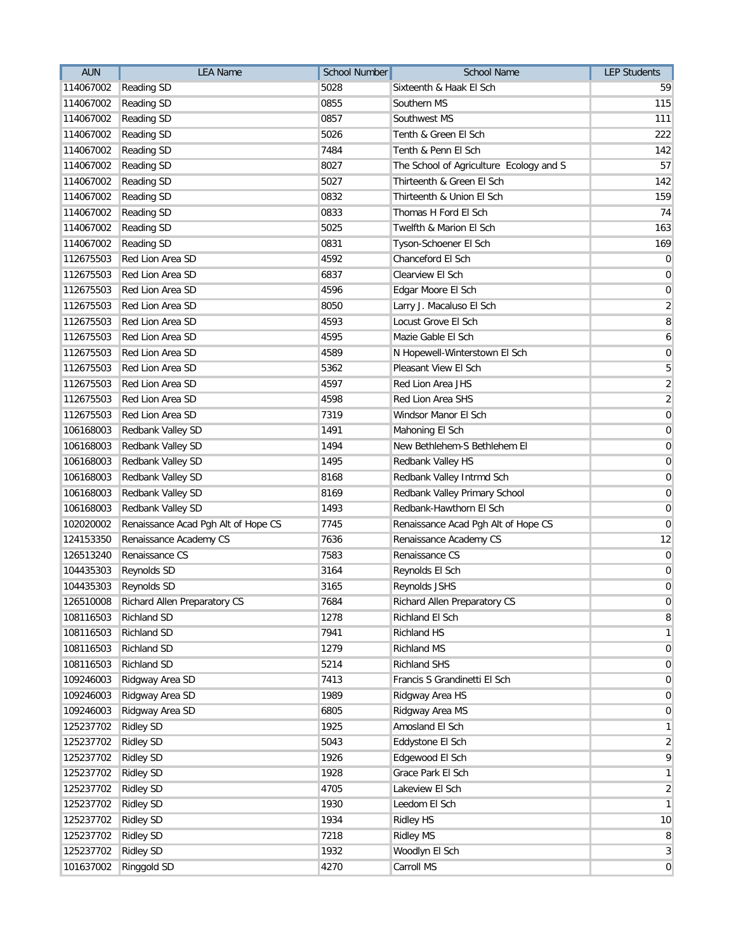| 5028<br>114067002<br>Reading SD<br>Sixteenth & Haak El Sch<br>59<br>0855<br>114067002<br>Reading SD<br>Southern MS<br>115<br>Reading SD<br>0857<br>111<br>114067002<br>Southwest MS<br>5026<br>114067002<br><b>Reading SD</b><br>Tenth & Green El Sch<br>7484<br>114067002<br>Reading SD<br>Tenth & Penn El Sch<br>142<br>8027<br>114067002<br>Reading SD<br>The School of Agriculture Ecology and S<br>5027<br>Thirteenth & Green El Sch<br>142<br>114067002<br><b>Reading SD</b><br>114067002<br>0832<br>Thirteenth & Union El Sch<br><b>Reading SD</b><br>114067002<br><b>Reading SD</b><br>0833<br>Thomas H Ford El Sch<br>5025<br>114067002<br>Reading SD<br>Twelfth & Marion El Sch<br>0831<br>114067002<br>Reading SD<br>Tyson-Schoener El Sch<br>169<br>Red Lion Area SD<br>4592<br>Chanceford El Sch<br>112675503<br>$\overline{0}$<br>112675503<br>Red Lion Area SD<br>6837<br>Clearview El Sch<br>$\overline{0}$<br>4596<br>112675503<br>Red Lion Area SD<br>Edgar Moore El Sch<br>$\mathbf 0$<br>Red Lion Area SD<br>8050<br>Larry J. Macaluso El Sch<br>$\overline{2}$<br>112675503<br>4593<br>$\bf 8$<br>112675503<br>Red Lion Area SD<br>Locust Grove El Sch<br>Red Lion Area SD<br>4595<br>112675503<br>Mazie Gable El Sch<br>6<br>Red Lion Area SD<br>4589<br>$\mathbf 0$<br>112675503<br>N Hopewell-Winterstown El Sch<br>Red Lion Area SD<br>5362<br>Pleasant View El Sch<br>5<br>112675503<br>Red Lion Area SD<br>4597<br>$\overline{a}$<br>112675503<br>Red Lion Area JHS<br>$\overline{2}$<br>112675503<br>Red Lion Area SD<br>4598<br>Red Lion Area SHS<br>112675503<br>Red Lion Area SD<br>7319<br>Windsor Manor El Sch<br>$\mathbf 0$<br>106168003<br>Redbank Valley SD<br>1491<br>Mahoning El Sch<br>$\mathbf 0$<br>Redbank Valley SD<br>1494<br>New Bethlehem-S Bethlehem El<br>$\mathbf 0$<br>106168003<br>Redbank Valley SD<br>1495<br>Redbank Valley HS<br>106168003<br>$\mathbf 0$<br>Redbank Valley SD<br>8168<br>106168003<br>Redbank Valley Intrmd Sch<br>$\mathbf 0$<br>106168003<br>Redbank Valley SD<br>8169<br>Redbank Valley Primary School<br>$\mathbf 0$<br>Redbank Valley SD<br>1493<br>Redbank-Hawthorn El Sch<br>106168003<br>$\mathbf 0$<br>Renaissance Acad Pgh Alt of Hope CS<br>7745<br>Renaissance Acad Pgh Alt of Hope CS<br>$\mathbf 0$<br>102020002<br>7636<br>12<br>124153350<br>Renaissance Academy CS<br>Renaissance Academy CS<br>Renaissance CS<br>7583<br>Renaissance CS<br>$\pmb{0}$<br>126513240<br>3164<br>104435303<br>Reynolds SD<br>Reynolds El Sch<br>$\mathbf 0$<br>$\mathbf 0$<br>104435303<br>Reynolds SD<br>3165<br>Reynolds JSHS<br>7684<br>$\pmb{0}$<br>126510008 Richard Allen Preparatory CS<br>Richard Allen Preparatory CS<br>8<br>108116503<br><b>Richland SD</b><br>1278<br>Richland El Sch<br>Richland SD<br>7941<br>108116503<br>Richland HS<br>$\mathbf{1}$<br><b>Richland SD</b><br>1279<br>Richland MS<br>108116503<br>$\mathbf 0$<br><b>Richland SD</b><br>5214<br><b>Richland SHS</b><br>108116503<br>$\pmb{0}$<br>109246003<br>Ridgway Area SD<br>7413<br>Francis S Grandinetti El Sch<br>$\pmb{0}$<br>Ridgway Area SD<br>109246003<br>1989<br>Ridgway Area HS<br>$\mathbf 0$<br>109246003<br>Ridgway Area SD<br>6805<br>Ridgway Area MS<br>$\pmb{0}$<br><b>Ridley SD</b><br>125237702<br>1925<br>Amosland El Sch<br>$\mathbf{1}$<br><b>Ridley SD</b><br>Eddystone El Sch<br>125237702<br>5043<br>$\overline{2}$<br><b>Ridley SD</b><br>1926<br>9<br>125237702<br>Edgewood El Sch<br>125237702<br><b>Ridley SD</b><br>1928<br>Grace Park El Sch<br>$\mathbf{1}$<br>125237702<br><b>Ridley SD</b><br>4705<br>Lakeview El Sch<br>$\overline{2}$<br>1930<br>Leedom El Sch<br>125237702<br><b>Ridley SD</b><br>$\mathbf{1}$<br><b>Ridley SD</b><br>1934<br>Ridley HS<br>125237702<br>10<br><b>Ridley SD</b><br>7218<br><b>Ridley MS</b><br>8<br>125237702<br>125237702<br><b>Ridley SD</b><br>1932<br>Woodlyn El Sch<br>3 | <b>AUN</b> | <b>LEA Name</b> | <b>School Number</b> | <b>School Name</b> | <b>LEP Students</b> |
|------------------------------------------------------------------------------------------------------------------------------------------------------------------------------------------------------------------------------------------------------------------------------------------------------------------------------------------------------------------------------------------------------------------------------------------------------------------------------------------------------------------------------------------------------------------------------------------------------------------------------------------------------------------------------------------------------------------------------------------------------------------------------------------------------------------------------------------------------------------------------------------------------------------------------------------------------------------------------------------------------------------------------------------------------------------------------------------------------------------------------------------------------------------------------------------------------------------------------------------------------------------------------------------------------------------------------------------------------------------------------------------------------------------------------------------------------------------------------------------------------------------------------------------------------------------------------------------------------------------------------------------------------------------------------------------------------------------------------------------------------------------------------------------------------------------------------------------------------------------------------------------------------------------------------------------------------------------------------------------------------------------------------------------------------------------------------------------------------------------------------------------------------------------------------------------------------------------------------------------------------------------------------------------------------------------------------------------------------------------------------------------------------------------------------------------------------------------------------------------------------------------------------------------------------------------------------------------------------------------------------------------------------------------------------------------------------------------------------------------------------------------------------------------------------------------------------------------------------------------------------------------------------------------------------------------------------------------------------------------------------------------------------------------------------------------------------------------------------------------------------------------------------------------------------------------------------------------------------------------------------------------------------------------------------------------------------------------------------------------------------------------------------------------------------------------------------------------------------------------------------------------------------------------------------------------------------------------------------------------------------------------------------------------------------------------------------------------------------------------------------------------------------------------------------------------------------------------------------------------------------------------------------------|------------|-----------------|----------------------|--------------------|---------------------|
|                                                                                                                                                                                                                                                                                                                                                                                                                                                                                                                                                                                                                                                                                                                                                                                                                                                                                                                                                                                                                                                                                                                                                                                                                                                                                                                                                                                                                                                                                                                                                                                                                                                                                                                                                                                                                                                                                                                                                                                                                                                                                                                                                                                                                                                                                                                                                                                                                                                                                                                                                                                                                                                                                                                                                                                                                                                                                                                                                                                                                                                                                                                                                                                                                                                                                                                                                                                                                                                                                                                                                                                                                                                                                                                                                                                                                                                                                                            |            |                 |                      |                    |                     |
|                                                                                                                                                                                                                                                                                                                                                                                                                                                                                                                                                                                                                                                                                                                                                                                                                                                                                                                                                                                                                                                                                                                                                                                                                                                                                                                                                                                                                                                                                                                                                                                                                                                                                                                                                                                                                                                                                                                                                                                                                                                                                                                                                                                                                                                                                                                                                                                                                                                                                                                                                                                                                                                                                                                                                                                                                                                                                                                                                                                                                                                                                                                                                                                                                                                                                                                                                                                                                                                                                                                                                                                                                                                                                                                                                                                                                                                                                                            |            |                 |                      |                    |                     |
|                                                                                                                                                                                                                                                                                                                                                                                                                                                                                                                                                                                                                                                                                                                                                                                                                                                                                                                                                                                                                                                                                                                                                                                                                                                                                                                                                                                                                                                                                                                                                                                                                                                                                                                                                                                                                                                                                                                                                                                                                                                                                                                                                                                                                                                                                                                                                                                                                                                                                                                                                                                                                                                                                                                                                                                                                                                                                                                                                                                                                                                                                                                                                                                                                                                                                                                                                                                                                                                                                                                                                                                                                                                                                                                                                                                                                                                                                                            |            |                 |                      |                    |                     |
|                                                                                                                                                                                                                                                                                                                                                                                                                                                                                                                                                                                                                                                                                                                                                                                                                                                                                                                                                                                                                                                                                                                                                                                                                                                                                                                                                                                                                                                                                                                                                                                                                                                                                                                                                                                                                                                                                                                                                                                                                                                                                                                                                                                                                                                                                                                                                                                                                                                                                                                                                                                                                                                                                                                                                                                                                                                                                                                                                                                                                                                                                                                                                                                                                                                                                                                                                                                                                                                                                                                                                                                                                                                                                                                                                                                                                                                                                                            |            |                 |                      |                    | 222                 |
|                                                                                                                                                                                                                                                                                                                                                                                                                                                                                                                                                                                                                                                                                                                                                                                                                                                                                                                                                                                                                                                                                                                                                                                                                                                                                                                                                                                                                                                                                                                                                                                                                                                                                                                                                                                                                                                                                                                                                                                                                                                                                                                                                                                                                                                                                                                                                                                                                                                                                                                                                                                                                                                                                                                                                                                                                                                                                                                                                                                                                                                                                                                                                                                                                                                                                                                                                                                                                                                                                                                                                                                                                                                                                                                                                                                                                                                                                                            |            |                 |                      |                    |                     |
|                                                                                                                                                                                                                                                                                                                                                                                                                                                                                                                                                                                                                                                                                                                                                                                                                                                                                                                                                                                                                                                                                                                                                                                                                                                                                                                                                                                                                                                                                                                                                                                                                                                                                                                                                                                                                                                                                                                                                                                                                                                                                                                                                                                                                                                                                                                                                                                                                                                                                                                                                                                                                                                                                                                                                                                                                                                                                                                                                                                                                                                                                                                                                                                                                                                                                                                                                                                                                                                                                                                                                                                                                                                                                                                                                                                                                                                                                                            |            |                 |                      |                    | 57                  |
|                                                                                                                                                                                                                                                                                                                                                                                                                                                                                                                                                                                                                                                                                                                                                                                                                                                                                                                                                                                                                                                                                                                                                                                                                                                                                                                                                                                                                                                                                                                                                                                                                                                                                                                                                                                                                                                                                                                                                                                                                                                                                                                                                                                                                                                                                                                                                                                                                                                                                                                                                                                                                                                                                                                                                                                                                                                                                                                                                                                                                                                                                                                                                                                                                                                                                                                                                                                                                                                                                                                                                                                                                                                                                                                                                                                                                                                                                                            |            |                 |                      |                    |                     |
|                                                                                                                                                                                                                                                                                                                                                                                                                                                                                                                                                                                                                                                                                                                                                                                                                                                                                                                                                                                                                                                                                                                                                                                                                                                                                                                                                                                                                                                                                                                                                                                                                                                                                                                                                                                                                                                                                                                                                                                                                                                                                                                                                                                                                                                                                                                                                                                                                                                                                                                                                                                                                                                                                                                                                                                                                                                                                                                                                                                                                                                                                                                                                                                                                                                                                                                                                                                                                                                                                                                                                                                                                                                                                                                                                                                                                                                                                                            |            |                 |                      |                    | 159                 |
|                                                                                                                                                                                                                                                                                                                                                                                                                                                                                                                                                                                                                                                                                                                                                                                                                                                                                                                                                                                                                                                                                                                                                                                                                                                                                                                                                                                                                                                                                                                                                                                                                                                                                                                                                                                                                                                                                                                                                                                                                                                                                                                                                                                                                                                                                                                                                                                                                                                                                                                                                                                                                                                                                                                                                                                                                                                                                                                                                                                                                                                                                                                                                                                                                                                                                                                                                                                                                                                                                                                                                                                                                                                                                                                                                                                                                                                                                                            |            |                 |                      |                    | 74                  |
|                                                                                                                                                                                                                                                                                                                                                                                                                                                                                                                                                                                                                                                                                                                                                                                                                                                                                                                                                                                                                                                                                                                                                                                                                                                                                                                                                                                                                                                                                                                                                                                                                                                                                                                                                                                                                                                                                                                                                                                                                                                                                                                                                                                                                                                                                                                                                                                                                                                                                                                                                                                                                                                                                                                                                                                                                                                                                                                                                                                                                                                                                                                                                                                                                                                                                                                                                                                                                                                                                                                                                                                                                                                                                                                                                                                                                                                                                                            |            |                 |                      |                    | 163                 |
|                                                                                                                                                                                                                                                                                                                                                                                                                                                                                                                                                                                                                                                                                                                                                                                                                                                                                                                                                                                                                                                                                                                                                                                                                                                                                                                                                                                                                                                                                                                                                                                                                                                                                                                                                                                                                                                                                                                                                                                                                                                                                                                                                                                                                                                                                                                                                                                                                                                                                                                                                                                                                                                                                                                                                                                                                                                                                                                                                                                                                                                                                                                                                                                                                                                                                                                                                                                                                                                                                                                                                                                                                                                                                                                                                                                                                                                                                                            |            |                 |                      |                    |                     |
|                                                                                                                                                                                                                                                                                                                                                                                                                                                                                                                                                                                                                                                                                                                                                                                                                                                                                                                                                                                                                                                                                                                                                                                                                                                                                                                                                                                                                                                                                                                                                                                                                                                                                                                                                                                                                                                                                                                                                                                                                                                                                                                                                                                                                                                                                                                                                                                                                                                                                                                                                                                                                                                                                                                                                                                                                                                                                                                                                                                                                                                                                                                                                                                                                                                                                                                                                                                                                                                                                                                                                                                                                                                                                                                                                                                                                                                                                                            |            |                 |                      |                    |                     |
|                                                                                                                                                                                                                                                                                                                                                                                                                                                                                                                                                                                                                                                                                                                                                                                                                                                                                                                                                                                                                                                                                                                                                                                                                                                                                                                                                                                                                                                                                                                                                                                                                                                                                                                                                                                                                                                                                                                                                                                                                                                                                                                                                                                                                                                                                                                                                                                                                                                                                                                                                                                                                                                                                                                                                                                                                                                                                                                                                                                                                                                                                                                                                                                                                                                                                                                                                                                                                                                                                                                                                                                                                                                                                                                                                                                                                                                                                                            |            |                 |                      |                    |                     |
|                                                                                                                                                                                                                                                                                                                                                                                                                                                                                                                                                                                                                                                                                                                                                                                                                                                                                                                                                                                                                                                                                                                                                                                                                                                                                                                                                                                                                                                                                                                                                                                                                                                                                                                                                                                                                                                                                                                                                                                                                                                                                                                                                                                                                                                                                                                                                                                                                                                                                                                                                                                                                                                                                                                                                                                                                                                                                                                                                                                                                                                                                                                                                                                                                                                                                                                                                                                                                                                                                                                                                                                                                                                                                                                                                                                                                                                                                                            |            |                 |                      |                    |                     |
|                                                                                                                                                                                                                                                                                                                                                                                                                                                                                                                                                                                                                                                                                                                                                                                                                                                                                                                                                                                                                                                                                                                                                                                                                                                                                                                                                                                                                                                                                                                                                                                                                                                                                                                                                                                                                                                                                                                                                                                                                                                                                                                                                                                                                                                                                                                                                                                                                                                                                                                                                                                                                                                                                                                                                                                                                                                                                                                                                                                                                                                                                                                                                                                                                                                                                                                                                                                                                                                                                                                                                                                                                                                                                                                                                                                                                                                                                                            |            |                 |                      |                    |                     |
|                                                                                                                                                                                                                                                                                                                                                                                                                                                                                                                                                                                                                                                                                                                                                                                                                                                                                                                                                                                                                                                                                                                                                                                                                                                                                                                                                                                                                                                                                                                                                                                                                                                                                                                                                                                                                                                                                                                                                                                                                                                                                                                                                                                                                                                                                                                                                                                                                                                                                                                                                                                                                                                                                                                                                                                                                                                                                                                                                                                                                                                                                                                                                                                                                                                                                                                                                                                                                                                                                                                                                                                                                                                                                                                                                                                                                                                                                                            |            |                 |                      |                    |                     |
|                                                                                                                                                                                                                                                                                                                                                                                                                                                                                                                                                                                                                                                                                                                                                                                                                                                                                                                                                                                                                                                                                                                                                                                                                                                                                                                                                                                                                                                                                                                                                                                                                                                                                                                                                                                                                                                                                                                                                                                                                                                                                                                                                                                                                                                                                                                                                                                                                                                                                                                                                                                                                                                                                                                                                                                                                                                                                                                                                                                                                                                                                                                                                                                                                                                                                                                                                                                                                                                                                                                                                                                                                                                                                                                                                                                                                                                                                                            |            |                 |                      |                    |                     |
|                                                                                                                                                                                                                                                                                                                                                                                                                                                                                                                                                                                                                                                                                                                                                                                                                                                                                                                                                                                                                                                                                                                                                                                                                                                                                                                                                                                                                                                                                                                                                                                                                                                                                                                                                                                                                                                                                                                                                                                                                                                                                                                                                                                                                                                                                                                                                                                                                                                                                                                                                                                                                                                                                                                                                                                                                                                                                                                                                                                                                                                                                                                                                                                                                                                                                                                                                                                                                                                                                                                                                                                                                                                                                                                                                                                                                                                                                                            |            |                 |                      |                    |                     |
|                                                                                                                                                                                                                                                                                                                                                                                                                                                                                                                                                                                                                                                                                                                                                                                                                                                                                                                                                                                                                                                                                                                                                                                                                                                                                                                                                                                                                                                                                                                                                                                                                                                                                                                                                                                                                                                                                                                                                                                                                                                                                                                                                                                                                                                                                                                                                                                                                                                                                                                                                                                                                                                                                                                                                                                                                                                                                                                                                                                                                                                                                                                                                                                                                                                                                                                                                                                                                                                                                                                                                                                                                                                                                                                                                                                                                                                                                                            |            |                 |                      |                    |                     |
|                                                                                                                                                                                                                                                                                                                                                                                                                                                                                                                                                                                                                                                                                                                                                                                                                                                                                                                                                                                                                                                                                                                                                                                                                                                                                                                                                                                                                                                                                                                                                                                                                                                                                                                                                                                                                                                                                                                                                                                                                                                                                                                                                                                                                                                                                                                                                                                                                                                                                                                                                                                                                                                                                                                                                                                                                                                                                                                                                                                                                                                                                                                                                                                                                                                                                                                                                                                                                                                                                                                                                                                                                                                                                                                                                                                                                                                                                                            |            |                 |                      |                    |                     |
|                                                                                                                                                                                                                                                                                                                                                                                                                                                                                                                                                                                                                                                                                                                                                                                                                                                                                                                                                                                                                                                                                                                                                                                                                                                                                                                                                                                                                                                                                                                                                                                                                                                                                                                                                                                                                                                                                                                                                                                                                                                                                                                                                                                                                                                                                                                                                                                                                                                                                                                                                                                                                                                                                                                                                                                                                                                                                                                                                                                                                                                                                                                                                                                                                                                                                                                                                                                                                                                                                                                                                                                                                                                                                                                                                                                                                                                                                                            |            |                 |                      |                    |                     |
|                                                                                                                                                                                                                                                                                                                                                                                                                                                                                                                                                                                                                                                                                                                                                                                                                                                                                                                                                                                                                                                                                                                                                                                                                                                                                                                                                                                                                                                                                                                                                                                                                                                                                                                                                                                                                                                                                                                                                                                                                                                                                                                                                                                                                                                                                                                                                                                                                                                                                                                                                                                                                                                                                                                                                                                                                                                                                                                                                                                                                                                                                                                                                                                                                                                                                                                                                                                                                                                                                                                                                                                                                                                                                                                                                                                                                                                                                                            |            |                 |                      |                    |                     |
|                                                                                                                                                                                                                                                                                                                                                                                                                                                                                                                                                                                                                                                                                                                                                                                                                                                                                                                                                                                                                                                                                                                                                                                                                                                                                                                                                                                                                                                                                                                                                                                                                                                                                                                                                                                                                                                                                                                                                                                                                                                                                                                                                                                                                                                                                                                                                                                                                                                                                                                                                                                                                                                                                                                                                                                                                                                                                                                                                                                                                                                                                                                                                                                                                                                                                                                                                                                                                                                                                                                                                                                                                                                                                                                                                                                                                                                                                                            |            |                 |                      |                    |                     |
|                                                                                                                                                                                                                                                                                                                                                                                                                                                                                                                                                                                                                                                                                                                                                                                                                                                                                                                                                                                                                                                                                                                                                                                                                                                                                                                                                                                                                                                                                                                                                                                                                                                                                                                                                                                                                                                                                                                                                                                                                                                                                                                                                                                                                                                                                                                                                                                                                                                                                                                                                                                                                                                                                                                                                                                                                                                                                                                                                                                                                                                                                                                                                                                                                                                                                                                                                                                                                                                                                                                                                                                                                                                                                                                                                                                                                                                                                                            |            |                 |                      |                    |                     |
|                                                                                                                                                                                                                                                                                                                                                                                                                                                                                                                                                                                                                                                                                                                                                                                                                                                                                                                                                                                                                                                                                                                                                                                                                                                                                                                                                                                                                                                                                                                                                                                                                                                                                                                                                                                                                                                                                                                                                                                                                                                                                                                                                                                                                                                                                                                                                                                                                                                                                                                                                                                                                                                                                                                                                                                                                                                                                                                                                                                                                                                                                                                                                                                                                                                                                                                                                                                                                                                                                                                                                                                                                                                                                                                                                                                                                                                                                                            |            |                 |                      |                    |                     |
|                                                                                                                                                                                                                                                                                                                                                                                                                                                                                                                                                                                                                                                                                                                                                                                                                                                                                                                                                                                                                                                                                                                                                                                                                                                                                                                                                                                                                                                                                                                                                                                                                                                                                                                                                                                                                                                                                                                                                                                                                                                                                                                                                                                                                                                                                                                                                                                                                                                                                                                                                                                                                                                                                                                                                                                                                                                                                                                                                                                                                                                                                                                                                                                                                                                                                                                                                                                                                                                                                                                                                                                                                                                                                                                                                                                                                                                                                                            |            |                 |                      |                    |                     |
|                                                                                                                                                                                                                                                                                                                                                                                                                                                                                                                                                                                                                                                                                                                                                                                                                                                                                                                                                                                                                                                                                                                                                                                                                                                                                                                                                                                                                                                                                                                                                                                                                                                                                                                                                                                                                                                                                                                                                                                                                                                                                                                                                                                                                                                                                                                                                                                                                                                                                                                                                                                                                                                                                                                                                                                                                                                                                                                                                                                                                                                                                                                                                                                                                                                                                                                                                                                                                                                                                                                                                                                                                                                                                                                                                                                                                                                                                                            |            |                 |                      |                    |                     |
|                                                                                                                                                                                                                                                                                                                                                                                                                                                                                                                                                                                                                                                                                                                                                                                                                                                                                                                                                                                                                                                                                                                                                                                                                                                                                                                                                                                                                                                                                                                                                                                                                                                                                                                                                                                                                                                                                                                                                                                                                                                                                                                                                                                                                                                                                                                                                                                                                                                                                                                                                                                                                                                                                                                                                                                                                                                                                                                                                                                                                                                                                                                                                                                                                                                                                                                                                                                                                                                                                                                                                                                                                                                                                                                                                                                                                                                                                                            |            |                 |                      |                    |                     |
|                                                                                                                                                                                                                                                                                                                                                                                                                                                                                                                                                                                                                                                                                                                                                                                                                                                                                                                                                                                                                                                                                                                                                                                                                                                                                                                                                                                                                                                                                                                                                                                                                                                                                                                                                                                                                                                                                                                                                                                                                                                                                                                                                                                                                                                                                                                                                                                                                                                                                                                                                                                                                                                                                                                                                                                                                                                                                                                                                                                                                                                                                                                                                                                                                                                                                                                                                                                                                                                                                                                                                                                                                                                                                                                                                                                                                                                                                                            |            |                 |                      |                    |                     |
|                                                                                                                                                                                                                                                                                                                                                                                                                                                                                                                                                                                                                                                                                                                                                                                                                                                                                                                                                                                                                                                                                                                                                                                                                                                                                                                                                                                                                                                                                                                                                                                                                                                                                                                                                                                                                                                                                                                                                                                                                                                                                                                                                                                                                                                                                                                                                                                                                                                                                                                                                                                                                                                                                                                                                                                                                                                                                                                                                                                                                                                                                                                                                                                                                                                                                                                                                                                                                                                                                                                                                                                                                                                                                                                                                                                                                                                                                                            |            |                 |                      |                    |                     |
|                                                                                                                                                                                                                                                                                                                                                                                                                                                                                                                                                                                                                                                                                                                                                                                                                                                                                                                                                                                                                                                                                                                                                                                                                                                                                                                                                                                                                                                                                                                                                                                                                                                                                                                                                                                                                                                                                                                                                                                                                                                                                                                                                                                                                                                                                                                                                                                                                                                                                                                                                                                                                                                                                                                                                                                                                                                                                                                                                                                                                                                                                                                                                                                                                                                                                                                                                                                                                                                                                                                                                                                                                                                                                                                                                                                                                                                                                                            |            |                 |                      |                    |                     |
|                                                                                                                                                                                                                                                                                                                                                                                                                                                                                                                                                                                                                                                                                                                                                                                                                                                                                                                                                                                                                                                                                                                                                                                                                                                                                                                                                                                                                                                                                                                                                                                                                                                                                                                                                                                                                                                                                                                                                                                                                                                                                                                                                                                                                                                                                                                                                                                                                                                                                                                                                                                                                                                                                                                                                                                                                                                                                                                                                                                                                                                                                                                                                                                                                                                                                                                                                                                                                                                                                                                                                                                                                                                                                                                                                                                                                                                                                                            |            |                 |                      |                    |                     |
|                                                                                                                                                                                                                                                                                                                                                                                                                                                                                                                                                                                                                                                                                                                                                                                                                                                                                                                                                                                                                                                                                                                                                                                                                                                                                                                                                                                                                                                                                                                                                                                                                                                                                                                                                                                                                                                                                                                                                                                                                                                                                                                                                                                                                                                                                                                                                                                                                                                                                                                                                                                                                                                                                                                                                                                                                                                                                                                                                                                                                                                                                                                                                                                                                                                                                                                                                                                                                                                                                                                                                                                                                                                                                                                                                                                                                                                                                                            |            |                 |                      |                    |                     |
|                                                                                                                                                                                                                                                                                                                                                                                                                                                                                                                                                                                                                                                                                                                                                                                                                                                                                                                                                                                                                                                                                                                                                                                                                                                                                                                                                                                                                                                                                                                                                                                                                                                                                                                                                                                                                                                                                                                                                                                                                                                                                                                                                                                                                                                                                                                                                                                                                                                                                                                                                                                                                                                                                                                                                                                                                                                                                                                                                                                                                                                                                                                                                                                                                                                                                                                                                                                                                                                                                                                                                                                                                                                                                                                                                                                                                                                                                                            |            |                 |                      |                    |                     |
|                                                                                                                                                                                                                                                                                                                                                                                                                                                                                                                                                                                                                                                                                                                                                                                                                                                                                                                                                                                                                                                                                                                                                                                                                                                                                                                                                                                                                                                                                                                                                                                                                                                                                                                                                                                                                                                                                                                                                                                                                                                                                                                                                                                                                                                                                                                                                                                                                                                                                                                                                                                                                                                                                                                                                                                                                                                                                                                                                                                                                                                                                                                                                                                                                                                                                                                                                                                                                                                                                                                                                                                                                                                                                                                                                                                                                                                                                                            |            |                 |                      |                    |                     |
|                                                                                                                                                                                                                                                                                                                                                                                                                                                                                                                                                                                                                                                                                                                                                                                                                                                                                                                                                                                                                                                                                                                                                                                                                                                                                                                                                                                                                                                                                                                                                                                                                                                                                                                                                                                                                                                                                                                                                                                                                                                                                                                                                                                                                                                                                                                                                                                                                                                                                                                                                                                                                                                                                                                                                                                                                                                                                                                                                                                                                                                                                                                                                                                                                                                                                                                                                                                                                                                                                                                                                                                                                                                                                                                                                                                                                                                                                                            |            |                 |                      |                    |                     |
|                                                                                                                                                                                                                                                                                                                                                                                                                                                                                                                                                                                                                                                                                                                                                                                                                                                                                                                                                                                                                                                                                                                                                                                                                                                                                                                                                                                                                                                                                                                                                                                                                                                                                                                                                                                                                                                                                                                                                                                                                                                                                                                                                                                                                                                                                                                                                                                                                                                                                                                                                                                                                                                                                                                                                                                                                                                                                                                                                                                                                                                                                                                                                                                                                                                                                                                                                                                                                                                                                                                                                                                                                                                                                                                                                                                                                                                                                                            |            |                 |                      |                    |                     |
|                                                                                                                                                                                                                                                                                                                                                                                                                                                                                                                                                                                                                                                                                                                                                                                                                                                                                                                                                                                                                                                                                                                                                                                                                                                                                                                                                                                                                                                                                                                                                                                                                                                                                                                                                                                                                                                                                                                                                                                                                                                                                                                                                                                                                                                                                                                                                                                                                                                                                                                                                                                                                                                                                                                                                                                                                                                                                                                                                                                                                                                                                                                                                                                                                                                                                                                                                                                                                                                                                                                                                                                                                                                                                                                                                                                                                                                                                                            |            |                 |                      |                    |                     |
|                                                                                                                                                                                                                                                                                                                                                                                                                                                                                                                                                                                                                                                                                                                                                                                                                                                                                                                                                                                                                                                                                                                                                                                                                                                                                                                                                                                                                                                                                                                                                                                                                                                                                                                                                                                                                                                                                                                                                                                                                                                                                                                                                                                                                                                                                                                                                                                                                                                                                                                                                                                                                                                                                                                                                                                                                                                                                                                                                                                                                                                                                                                                                                                                                                                                                                                                                                                                                                                                                                                                                                                                                                                                                                                                                                                                                                                                                                            |            |                 |                      |                    |                     |
|                                                                                                                                                                                                                                                                                                                                                                                                                                                                                                                                                                                                                                                                                                                                                                                                                                                                                                                                                                                                                                                                                                                                                                                                                                                                                                                                                                                                                                                                                                                                                                                                                                                                                                                                                                                                                                                                                                                                                                                                                                                                                                                                                                                                                                                                                                                                                                                                                                                                                                                                                                                                                                                                                                                                                                                                                                                                                                                                                                                                                                                                                                                                                                                                                                                                                                                                                                                                                                                                                                                                                                                                                                                                                                                                                                                                                                                                                                            |            |                 |                      |                    |                     |
|                                                                                                                                                                                                                                                                                                                                                                                                                                                                                                                                                                                                                                                                                                                                                                                                                                                                                                                                                                                                                                                                                                                                                                                                                                                                                                                                                                                                                                                                                                                                                                                                                                                                                                                                                                                                                                                                                                                                                                                                                                                                                                                                                                                                                                                                                                                                                                                                                                                                                                                                                                                                                                                                                                                                                                                                                                                                                                                                                                                                                                                                                                                                                                                                                                                                                                                                                                                                                                                                                                                                                                                                                                                                                                                                                                                                                                                                                                            |            |                 |                      |                    |                     |
|                                                                                                                                                                                                                                                                                                                                                                                                                                                                                                                                                                                                                                                                                                                                                                                                                                                                                                                                                                                                                                                                                                                                                                                                                                                                                                                                                                                                                                                                                                                                                                                                                                                                                                                                                                                                                                                                                                                                                                                                                                                                                                                                                                                                                                                                                                                                                                                                                                                                                                                                                                                                                                                                                                                                                                                                                                                                                                                                                                                                                                                                                                                                                                                                                                                                                                                                                                                                                                                                                                                                                                                                                                                                                                                                                                                                                                                                                                            |            |                 |                      |                    |                     |
|                                                                                                                                                                                                                                                                                                                                                                                                                                                                                                                                                                                                                                                                                                                                                                                                                                                                                                                                                                                                                                                                                                                                                                                                                                                                                                                                                                                                                                                                                                                                                                                                                                                                                                                                                                                                                                                                                                                                                                                                                                                                                                                                                                                                                                                                                                                                                                                                                                                                                                                                                                                                                                                                                                                                                                                                                                                                                                                                                                                                                                                                                                                                                                                                                                                                                                                                                                                                                                                                                                                                                                                                                                                                                                                                                                                                                                                                                                            |            |                 |                      |                    |                     |
|                                                                                                                                                                                                                                                                                                                                                                                                                                                                                                                                                                                                                                                                                                                                                                                                                                                                                                                                                                                                                                                                                                                                                                                                                                                                                                                                                                                                                                                                                                                                                                                                                                                                                                                                                                                                                                                                                                                                                                                                                                                                                                                                                                                                                                                                                                                                                                                                                                                                                                                                                                                                                                                                                                                                                                                                                                                                                                                                                                                                                                                                                                                                                                                                                                                                                                                                                                                                                                                                                                                                                                                                                                                                                                                                                                                                                                                                                                            |            |                 |                      |                    |                     |
|                                                                                                                                                                                                                                                                                                                                                                                                                                                                                                                                                                                                                                                                                                                                                                                                                                                                                                                                                                                                                                                                                                                                                                                                                                                                                                                                                                                                                                                                                                                                                                                                                                                                                                                                                                                                                                                                                                                                                                                                                                                                                                                                                                                                                                                                                                                                                                                                                                                                                                                                                                                                                                                                                                                                                                                                                                                                                                                                                                                                                                                                                                                                                                                                                                                                                                                                                                                                                                                                                                                                                                                                                                                                                                                                                                                                                                                                                                            |            |                 |                      |                    |                     |
|                                                                                                                                                                                                                                                                                                                                                                                                                                                                                                                                                                                                                                                                                                                                                                                                                                                                                                                                                                                                                                                                                                                                                                                                                                                                                                                                                                                                                                                                                                                                                                                                                                                                                                                                                                                                                                                                                                                                                                                                                                                                                                                                                                                                                                                                                                                                                                                                                                                                                                                                                                                                                                                                                                                                                                                                                                                                                                                                                                                                                                                                                                                                                                                                                                                                                                                                                                                                                                                                                                                                                                                                                                                                                                                                                                                                                                                                                                            |            |                 |                      |                    |                     |
|                                                                                                                                                                                                                                                                                                                                                                                                                                                                                                                                                                                                                                                                                                                                                                                                                                                                                                                                                                                                                                                                                                                                                                                                                                                                                                                                                                                                                                                                                                                                                                                                                                                                                                                                                                                                                                                                                                                                                                                                                                                                                                                                                                                                                                                                                                                                                                                                                                                                                                                                                                                                                                                                                                                                                                                                                                                                                                                                                                                                                                                                                                                                                                                                                                                                                                                                                                                                                                                                                                                                                                                                                                                                                                                                                                                                                                                                                                            |            |                 |                      |                    |                     |
|                                                                                                                                                                                                                                                                                                                                                                                                                                                                                                                                                                                                                                                                                                                                                                                                                                                                                                                                                                                                                                                                                                                                                                                                                                                                                                                                                                                                                                                                                                                                                                                                                                                                                                                                                                                                                                                                                                                                                                                                                                                                                                                                                                                                                                                                                                                                                                                                                                                                                                                                                                                                                                                                                                                                                                                                                                                                                                                                                                                                                                                                                                                                                                                                                                                                                                                                                                                                                                                                                                                                                                                                                                                                                                                                                                                                                                                                                                            |            |                 |                      |                    |                     |
|                                                                                                                                                                                                                                                                                                                                                                                                                                                                                                                                                                                                                                                                                                                                                                                                                                                                                                                                                                                                                                                                                                                                                                                                                                                                                                                                                                                                                                                                                                                                                                                                                                                                                                                                                                                                                                                                                                                                                                                                                                                                                                                                                                                                                                                                                                                                                                                                                                                                                                                                                                                                                                                                                                                                                                                                                                                                                                                                                                                                                                                                                                                                                                                                                                                                                                                                                                                                                                                                                                                                                                                                                                                                                                                                                                                                                                                                                                            |            |                 |                      |                    |                     |
|                                                                                                                                                                                                                                                                                                                                                                                                                                                                                                                                                                                                                                                                                                                                                                                                                                                                                                                                                                                                                                                                                                                                                                                                                                                                                                                                                                                                                                                                                                                                                                                                                                                                                                                                                                                                                                                                                                                                                                                                                                                                                                                                                                                                                                                                                                                                                                                                                                                                                                                                                                                                                                                                                                                                                                                                                                                                                                                                                                                                                                                                                                                                                                                                                                                                                                                                                                                                                                                                                                                                                                                                                                                                                                                                                                                                                                                                                                            |            |                 |                      |                    |                     |
|                                                                                                                                                                                                                                                                                                                                                                                                                                                                                                                                                                                                                                                                                                                                                                                                                                                                                                                                                                                                                                                                                                                                                                                                                                                                                                                                                                                                                                                                                                                                                                                                                                                                                                                                                                                                                                                                                                                                                                                                                                                                                                                                                                                                                                                                                                                                                                                                                                                                                                                                                                                                                                                                                                                                                                                                                                                                                                                                                                                                                                                                                                                                                                                                                                                                                                                                                                                                                                                                                                                                                                                                                                                                                                                                                                                                                                                                                                            | 101637002  | Ringgold SD     | 4270                 | Carroll MS         | $\mathbf 0$         |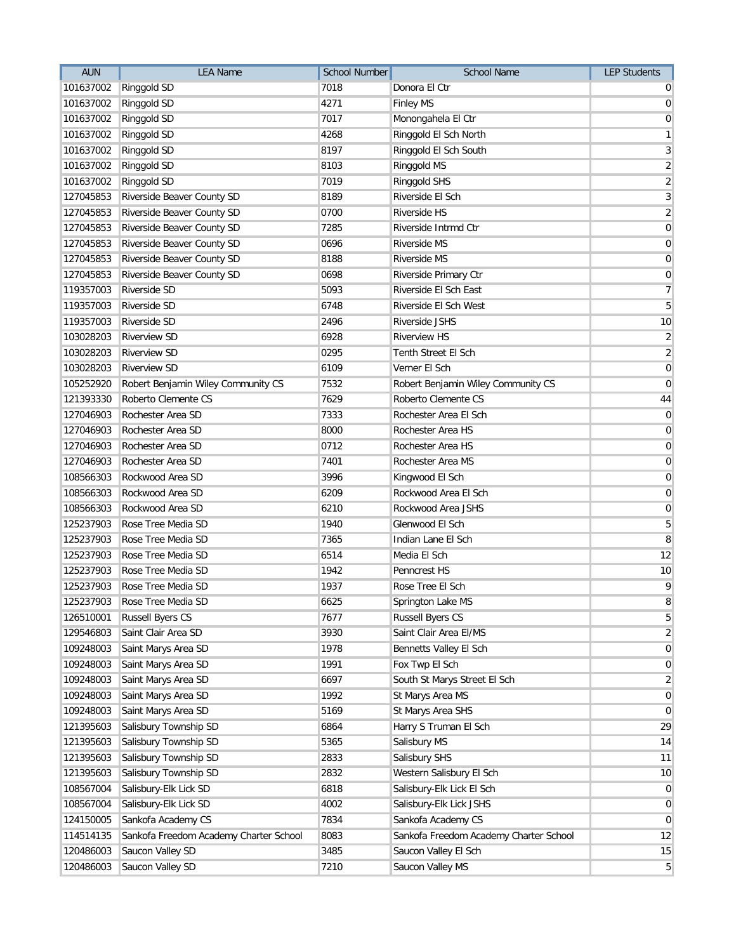| <b>AUN</b> | <b>LEA Name</b>                        | <b>School Number</b> | <b>School Name</b>                     | <b>LEP Students</b> |
|------------|----------------------------------------|----------------------|----------------------------------------|---------------------|
| 101637002  | Ringgold SD                            | 7018                 | Donora El Ctr                          | $\overline{0}$      |
| 101637002  | Ringgold SD                            | 4271                 | <b>Finley MS</b>                       | $\overline{0}$      |
| 101637002  | Ringgold SD                            | 7017                 | Monongahela El Ctr                     | $\mathbf 0$         |
| 101637002  | Ringgold SD                            | 4268                 | Ringgold El Sch North                  | $\mathbf{1}$        |
| 101637002  | Ringgold SD                            | 8197                 | Ringgold El Sch South                  | $\mathbf{3}$        |
| 101637002  | Ringgold SD                            | 8103                 | Ringgold MS                            | $\overline{2}$      |
| 101637002  | Ringgold SD                            | 7019                 | Ringgold SHS                           | $\overline{2}$      |
| 127045853  | Riverside Beaver County SD             | 8189                 | Riverside El Sch                       | $\mathbf{3}$        |
| 127045853  | Riverside Beaver County SD             | 0700                 | Riverside HS                           | $\overline{2}$      |
| 127045853  | Riverside Beaver County SD             | 7285                 | Riverside Intrmd Ctr                   | $\mathbf 0$         |
| 127045853  | Riverside Beaver County SD             | 0696                 | Riverside MS                           | $\overline{0}$      |
| 127045853  | Riverside Beaver County SD             | 8188                 | <b>Riverside MS</b>                    | $\overline{0}$      |
| 127045853  | Riverside Beaver County SD             | 0698                 | Riverside Primary Ctr                  | $\pmb{0}$           |
| 119357003  | Riverside SD                           | 5093                 | Riverside El Sch East                  | $\overline{7}$      |
| 119357003  | <b>Riverside SD</b>                    | 6748                 | Riverside El Sch West                  | 5                   |
| 119357003  | <b>Riverside SD</b>                    | 2496                 | Riverside JSHS                         | 10                  |
| 103028203  | <b>Riverview SD</b>                    | 6928                 | <b>Riverview HS</b>                    | $\overline{2}$      |
| 103028203  | <b>Riverview SD</b>                    | 0295                 | Tenth Street El Sch                    | $\overline{2}$      |
| 103028203  | <b>Riverview SD</b>                    | 6109                 | Verner El Sch                          | $\mathbf 0$         |
| 105252920  | Robert Benjamin Wiley Community CS     | 7532                 | Robert Benjamin Wiley Community CS     | $\overline{0}$      |
| 121393330  | Roberto Clemente CS                    | 7629                 | Roberto Clemente CS                    | 44                  |
| 127046903  | Rochester Area SD                      | 7333                 | Rochester Area El Sch                  | $\mathbf 0$         |
| 127046903  | Rochester Area SD                      | 8000                 | Rochester Area HS                      | $\mathbf 0$         |
| 127046903  | Rochester Area SD                      | 0712                 | Rochester Area HS                      | $\mathbf 0$         |
| 127046903  | Rochester Area SD                      | 7401                 | Rochester Area MS                      | $\mathbf 0$         |
| 108566303  | Rockwood Area SD                       | 3996                 | Kingwood El Sch                        | $\mathbf 0$         |
| 108566303  | Rockwood Area SD                       | 6209                 | Rockwood Area El Sch                   | $\mathbf 0$         |
| 108566303  | Rockwood Area SD                       | 6210                 | Rockwood Area JSHS                     | $\mathbf 0$         |
| 125237903  | Rose Tree Media SD                     | 1940                 | Glenwood El Sch                        | 5                   |
| 125237903  | Rose Tree Media SD                     | 7365                 | Indian Lane El Sch                     | 8                   |
| 125237903  | Rose Tree Media SD                     | 6514                 | Media El Sch                           | 12                  |
| 125237903  | Rose Tree Media SD                     | 1942                 | Penncrest HS                           | 10                  |
| 125237903  | Rose Tree Media SD                     | 1937                 | Rose Tree El Sch                       | 9                   |
| 125237903  | Rose Tree Media SD                     | 6625                 | Springton Lake MS                      | 8                   |
| 126510001  | <b>Russell Byers CS</b>                | 7677                 | Russell Byers CS                       | 5                   |
| 129546803  | Saint Clair Area SD                    | 3930                 | Saint Clair Area El/MS                 | $\overline{2}$      |
| 109248003  | Saint Marys Area SD                    | 1978                 | Bennetts Valley El Sch                 | $\mathbf 0$         |
| 109248003  | Saint Marys Area SD                    | 1991                 | Fox Twp El Sch                         | $\mathbf 0$         |
| 109248003  | Saint Marys Area SD                    | 6697                 | South St Marys Street El Sch           | $\overline{2}$      |
| 109248003  | Saint Marys Area SD                    | 1992                 | St Marys Area MS                       | $\mathbf 0$         |
| 109248003  | Saint Marys Area SD                    | 5169                 | St Marys Area SHS                      | $\mathbf 0$         |
| 121395603  | Salisbury Township SD                  | 6864                 | Harry S Truman El Sch                  | 29                  |
| 121395603  | Salisbury Township SD                  | 5365                 | Salisbury MS                           | 14                  |
| 121395603  | Salisbury Township SD                  | 2833                 | Salisbury SHS                          | 11                  |
| 121395603  | Salisbury Township SD                  | 2832                 | Western Salisbury El Sch               | 10                  |
| 108567004  | Salisbury-Elk Lick SD                  | 6818                 | Salisbury-Elk Lick El Sch              | $\overline{0}$      |
| 108567004  | Salisbury-Elk Lick SD                  | 4002                 | Salisbury-Elk Lick JSHS                | $\mathbf 0$         |
| 124150005  | Sankofa Academy CS                     | 7834                 | Sankofa Academy CS                     | $\mathbf 0$         |
| 114514135  | Sankofa Freedom Academy Charter School | 8083                 | Sankofa Freedom Academy Charter School | 12                  |
| 120486003  | Saucon Valley SD                       | 3485                 | Saucon Valley El Sch                   | 15                  |
| 120486003  | Saucon Valley SD                       | 7210                 | Saucon Valley MS                       | 5                   |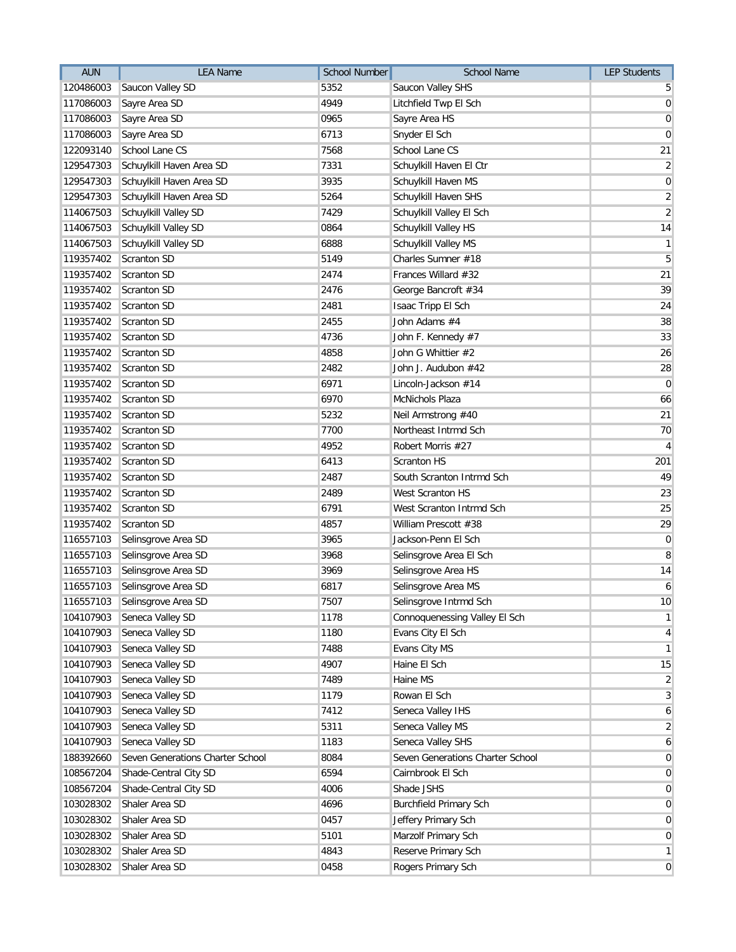| <b>AUN</b> | <b>LEA Name</b>                  | <b>School Number</b> | School Name                      | <b>LEP Students</b> |
|------------|----------------------------------|----------------------|----------------------------------|---------------------|
| 120486003  | Saucon Valley SD                 | 5352                 | Saucon Valley SHS                | 5 <sup>1</sup>      |
| 117086003  | Sayre Area SD                    | 4949                 | Litchfield Twp El Sch            | $\overline{0}$      |
| 117086003  | Sayre Area SD                    | 0965                 | Sayre Area HS                    | $\boldsymbol{0}$    |
| 117086003  | Sayre Area SD                    | 6713                 | Snyder El Sch                    | $\overline{0}$      |
| 122093140  | School Lane CS                   | 7568                 | School Lane CS                   | 21                  |
| 129547303  | Schuylkill Haven Area SD         | 7331                 | Schuylkill Haven El Ctr          | $\overline{2}$      |
| 129547303  | Schuylkill Haven Area SD         | 3935                 | Schuylkill Haven MS              | $\overline{0}$      |
| 129547303  | Schuylkill Haven Area SD         | 5264                 | Schuylkill Haven SHS             | $\overline{2}$      |
| 114067503  | Schuylkill Valley SD             | 7429                 | Schuylkill Valley El Sch         | $\overline{2}$      |
| 114067503  | Schuylkill Valley SD             | 0864                 | Schuylkill Valley HS             | 14                  |
| 114067503  | Schuylkill Valley SD             | 6888                 | Schuylkill Valley MS             | 1                   |
| 119357402  | Scranton SD                      | 5149                 | Charles Sumner #18               | 5                   |
| 119357402  | Scranton SD                      | 2474                 | Frances Willard #32              | 21                  |
| 119357402  | Scranton SD                      | 2476                 | George Bancroft #34              | 39                  |
| 119357402  | Scranton SD                      | 2481                 | Isaac Tripp El Sch               | 24                  |
| 119357402  | Scranton SD                      | 2455                 | John Adams #4                    | 38                  |
| 119357402  | Scranton SD                      | 4736                 | John F. Kennedy #7               | 33                  |
| 119357402  | Scranton SD                      | 4858                 | John G Whittier #2               | 26                  |
| 119357402  | Scranton SD                      | 2482                 | John J. Audubon #42              | 28                  |
| 119357402  | Scranton SD                      | 6971                 | Lincoln-Jackson #14              | $\overline{0}$      |
| 119357402  | Scranton SD                      | 6970                 | McNichols Plaza                  | 66                  |
| 119357402  | Scranton SD                      | 5232                 | Neil Armstrong #40               | 21                  |
| 119357402  | Scranton SD                      | 7700                 | Northeast Intrmd Sch             | 70                  |
| 119357402  | Scranton SD                      | 4952                 | Robert Morris #27                | $\vert 4 \vert$     |
| 119357402  | Scranton SD                      | 6413                 | <b>Scranton HS</b>               | 201                 |
| 119357402  | Scranton SD                      | 2487                 | South Scranton Intrmd Sch        | 49                  |
| 119357402  | Scranton SD                      | 2489                 | West Scranton HS                 | 23                  |
| 119357402  | Scranton SD                      | 6791                 | West Scranton Intrmd Sch         | 25                  |
| 119357402  | Scranton SD                      | 4857                 | William Prescott #38             | 29                  |
| 116557103  | Selinsgrove Area SD              | 3965                 | Jackson-Penn El Sch              | $\overline{0}$      |
| 116557103  | Selinsgrove Area SD              | 3968                 | Selinsgrove Area El Sch          | 8                   |
| 116557103  | Selinsgrove Area SD              | 3969                 | Selinsgrove Area HS              | 14                  |
| 116557103  | Selinsgrove Area SD              | 6817                 | Selinsgrove Area MS              | 6 <sup>1</sup>      |
|            | 116557103 Selinsgrove Area SD    | 7507                 | Selinsgrove Intrmd Sch           | 10                  |
| 104107903  | Seneca Valley SD                 | 1178                 | Connoquenessing Valley El Sch    | 1                   |
| 104107903  | Seneca Valley SD                 | 1180                 | Evans City El Sch                | $\vert 4 \vert$     |
| 104107903  | Seneca Valley SD                 | 7488                 | Evans City MS                    | 1                   |
| 104107903  | Seneca Valley SD                 | 4907                 | Haine El Sch                     | 15                  |
| 104107903  | Seneca Valley SD                 | 7489                 | Haine MS                         | $\overline{2}$      |
| 104107903  | Seneca Valley SD                 | 1179                 | Rowan El Sch                     | 3 <sup>1</sup>      |
| 104107903  | Seneca Valley SD                 | 7412                 | Seneca Valley IHS                | $6 \mid$            |
| 104107903  | Seneca Valley SD                 | 5311                 | Seneca Valley MS                 | $\overline{2}$      |
| 104107903  | Seneca Valley SD                 | 1183                 | Seneca Valley SHS                | $6 \mid$            |
| 188392660  | Seven Generations Charter School | 8084                 | Seven Generations Charter School | $\overline{0}$      |
| 108567204  | Shade-Central City SD            | 6594                 | Cairnbrook El Sch                | $\overline{0}$      |
| 108567204  | Shade-Central City SD            | 4006                 | Shade JSHS                       | $\overline{0}$      |
| 103028302  | Shaler Area SD                   | 4696                 | <b>Burchfield Primary Sch</b>    | $\overline{0}$      |
| 103028302  | Shaler Area SD                   | 0457                 | Jeffery Primary Sch              | $\overline{0}$      |
| 103028302  | Shaler Area SD                   | 5101                 | Marzolf Primary Sch              | $\overline{0}$      |
| 103028302  | Shaler Area SD                   | 4843                 | Reserve Primary Sch              | $\mathbf{1}$        |
| 103028302  | Shaler Area SD                   | 0458                 | Rogers Primary Sch               | 0                   |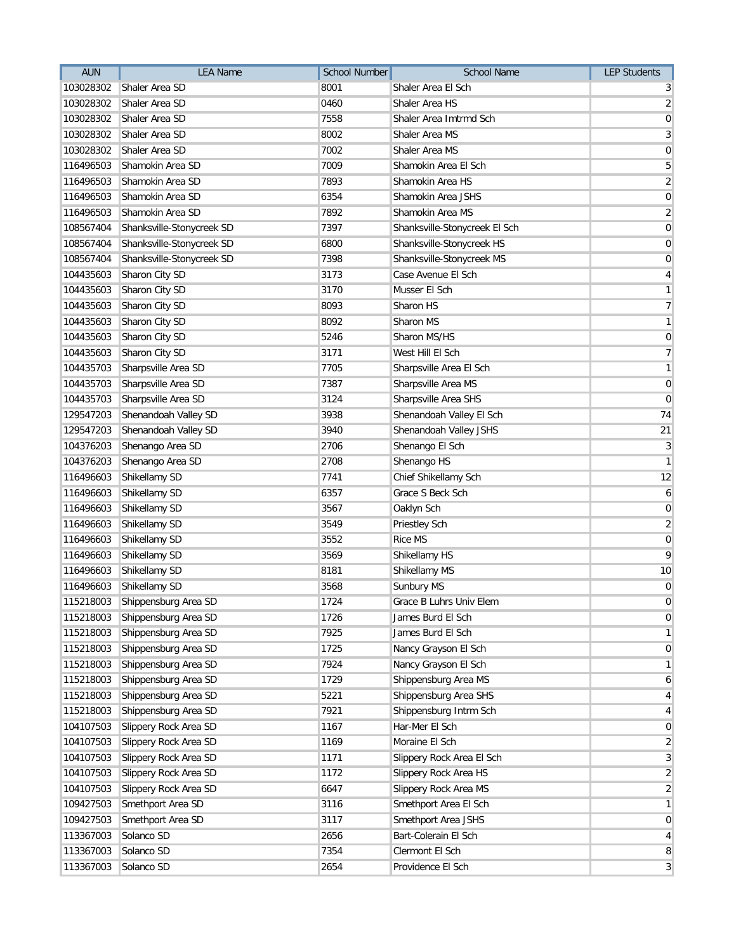| <b>AUN</b> | <b>LEA Name</b>           | School Number | <b>School Name</b>            | <b>LEP Students</b> |
|------------|---------------------------|---------------|-------------------------------|---------------------|
| 103028302  | Shaler Area SD            | 8001          | Shaler Area El Sch            | 3                   |
| 103028302  | Shaler Area SD            | 0460          | Shaler Area HS                | 2                   |
| 103028302  | Shaler Area SD            | 7558          | Shaler Area Imtrmd Sch        | $\mathbf 0$         |
| 103028302  | Shaler Area SD            | 8002          | Shaler Area MS                | 3                   |
| 103028302  | Shaler Area SD            | 7002          | Shaler Area MS                | 0                   |
| 116496503  | Shamokin Area SD          | 7009          | Shamokin Area El Sch          | 5                   |
| 116496503  | Shamokin Area SD          | 7893          | Shamokin Area HS              | $\sqrt{2}$          |
| 116496503  | Shamokin Area SD          | 6354          | Shamokin Area JSHS            | $\mathbf 0$         |
| 116496503  | Shamokin Area SD          | 7892          | Shamokin Area MS              | $\overline{2}$      |
| 108567404  | Shanksville-Stonycreek SD | 7397          | Shanksville-Stonycreek El Sch | $\mathbf 0$         |
| 108567404  | Shanksville-Stonycreek SD | 6800          | Shanksville-Stonycreek HS     | 0                   |
| 108567404  | Shanksville-Stonycreek SD | 7398          | Shanksville-Stonycreek MS     | 0                   |
| 104435603  | Sharon City SD            | 3173          | Case Avenue El Sch            | 4                   |
| 104435603  | Sharon City SD            | 3170          | Musser El Sch                 | 1                   |
| 104435603  | Sharon City SD            | 8093          | Sharon HS                     | 7                   |
| 104435603  | Sharon City SD            | 8092          | Sharon MS                     | 1                   |
| 104435603  | Sharon City SD            | 5246          | Sharon MS/HS                  | 0                   |
| 104435603  | Sharon City SD            | 3171          | West Hill El Sch              | $\overline{7}$      |
| 104435703  | Sharpsville Area SD       | 7705          | Sharpsville Area El Sch       | 1                   |
| 104435703  | Sharpsville Area SD       | 7387          | Sharpsville Area MS           | $\mathbf 0$         |
| 104435703  | Sharpsville Area SD       | 3124          | Sharpsville Area SHS          | $\mathbf 0$         |
| 129547203  | Shenandoah Valley SD      | 3938          | Shenandoah Valley El Sch      | 74                  |
| 129547203  | Shenandoah Valley SD      | 3940          | Shenandoah Valley JSHS        | 21                  |
| 104376203  | Shenango Area SD          | 2706          | Shenango El Sch               | 3                   |
| 104376203  | Shenango Area SD          | 2708          | Shenango HS                   | $\mathbf{1}$        |
| 116496603  | Shikellamy SD             | 7741          | Chief Shikellamy Sch          | 12                  |
| 116496603  | Shikellamy SD             | 6357          | Grace S Beck Sch              | 6                   |
| 116496603  | Shikellamy SD             | 3567          | Oaklyn Sch                    | $\mathbf 0$         |
| 116496603  | Shikellamy SD             | 3549          | Priestley Sch                 | $\overline{2}$      |
| 116496603  | Shikellamy SD             | 3552          | Rice MS                       | $\boldsymbol{0}$    |
| 116496603  | Shikellamy SD             | 3569          | Shikellamy HS                 | 9                   |
| 116496603  | Shikellamy SD             | 8181          | Shikellamy MS                 | 10                  |
| 116496603  | Shikellamy SD             | 3568          | Sunbury MS                    | $\mathbf 0$         |
| 115218003  | Shippensburg Area SD      | 1724          | Grace B Luhrs Univ Elem       | $\mathbf 0$         |
| 115218003  | Shippensburg Area SD      | 1726          | James Burd El Sch             | 0                   |
| 115218003  | Shippensburg Area SD      | 7925          | James Burd El Sch             | 1                   |
| 115218003  | Shippensburg Area SD      | 1725          | Nancy Grayson El Sch          | $\mathbf 0$         |
| 115218003  | Shippensburg Area SD      | 7924          | Nancy Grayson El Sch          | 1                   |
| 115218003  | Shippensburg Area SD      | 1729          | Shippensburg Area MS          | 6                   |
| 115218003  | Shippensburg Area SD      | 5221          | Shippensburg Area SHS         | 4                   |
| 115218003  | Shippensburg Area SD      | 7921          | Shippensburg Intrm Sch        | 4                   |
| 104107503  | Slippery Rock Area SD     | 1167          | Har-Mer El Sch                | 0                   |
| 104107503  | Slippery Rock Area SD     | 1169          | Moraine El Sch                | $\overline{2}$      |
| 104107503  | Slippery Rock Area SD     | 1171          | Slippery Rock Area El Sch     | 3                   |
| 104107503  | Slippery Rock Area SD     | 1172          | Slippery Rock Area HS         | $\overline{2}$      |
| 104107503  | Slippery Rock Area SD     | 6647          | Slippery Rock Area MS         | $\overline{2}$      |
| 109427503  | Smethport Area SD         | 3116          | Smethport Area El Sch         | 1                   |
| 109427503  | Smethport Area SD         | 3117          | Smethport Area JSHS           | 0                   |
| 113367003  | Solanco SD                | 2656          | Bart-Colerain El Sch          | 4                   |
| 113367003  | Solanco SD                | 7354          | Clermont El Sch               | 8                   |
| 113367003  | Solanco SD                | 2654          | Providence El Sch             | 3                   |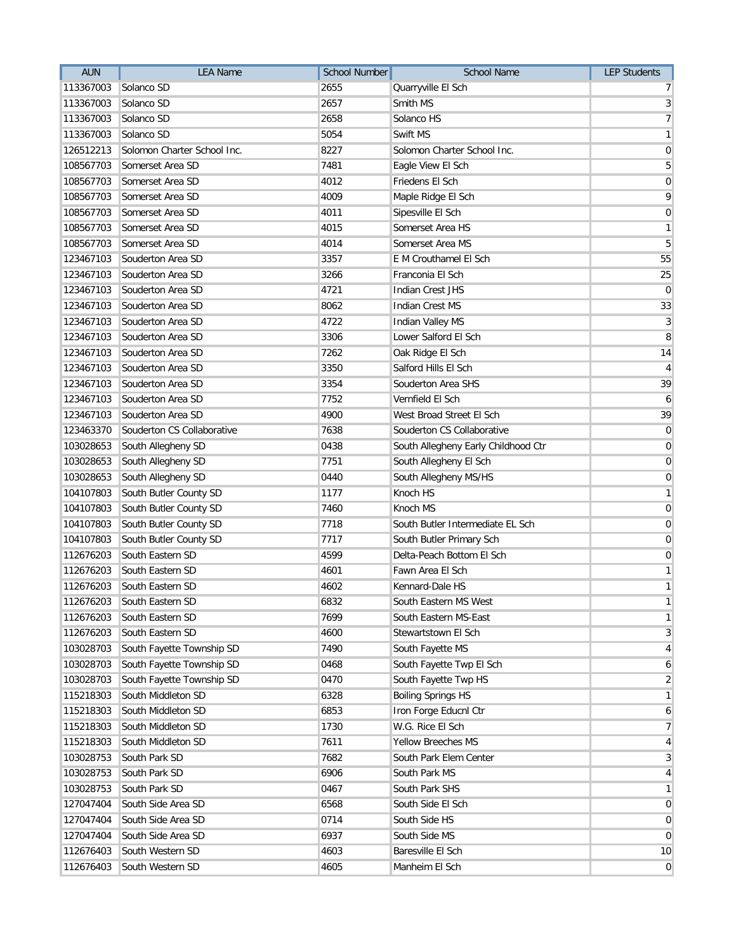| <b>AUN</b> | <b>LEA Name</b>             | <b>School Number</b> | <b>School Name</b>                  | <b>LEP Students</b> |
|------------|-----------------------------|----------------------|-------------------------------------|---------------------|
| 113367003  | Solanco SD                  | 2655                 | Quarryville El Sch                  | 7                   |
| 113367003  | Solanco SD                  | 2657                 | Smith MS                            | 3                   |
| 113367003  | Solanco SD                  | 2658                 | Solanco HS                          | $\overline{7}$      |
| 113367003  | Solanco SD                  | 5054                 | Swift MS                            | $\mathbf{1}$        |
| 126512213  | Solomon Charter School Inc. | 8227                 | Solomon Charter School Inc.         | $\mathbf 0$         |
| 108567703  | Somerset Area SD            | 7481                 | Eagle View El Sch                   | 5                   |
| 108567703  | Somerset Area SD            | 4012                 | Friedens El Sch                     | $\pmb{0}$           |
| 108567703  | Somerset Area SD            | 4009                 | Maple Ridge El Sch                  | 9                   |
| 108567703  | Somerset Area SD            | 4011                 | Sipesville El Sch                   | $\mathbf 0$         |
| 108567703  | Somerset Area SD            | 4015                 | Somerset Area HS                    | $\mathbf{1}$        |
| 108567703  | Somerset Area SD            | 4014                 | Somerset Area MS                    | 5                   |
| 123467103  | Souderton Area SD           | 3357                 | E M Crouthamel El Sch               | 55                  |
| 123467103  | Souderton Area SD           | 3266                 | Franconia El Sch                    | 25                  |
| 123467103  | Souderton Area SD           | 4721                 | <b>Indian Crest JHS</b>             | $\overline{0}$      |
| 123467103  | Souderton Area SD           | 8062                 | <b>Indian Crest MS</b>              | 33                  |
| 123467103  | Souderton Area SD           | 4722                 | <b>Indian Valley MS</b>             | $\overline{3}$      |
| 123467103  | Souderton Area SD           | 3306                 | Lower Salford El Sch                | 8                   |
| 123467103  | Souderton Area SD           | 7262                 | Oak Ridge El Sch                    | 14                  |
| 123467103  | Souderton Area SD           | 3350                 | Salford Hills El Sch                | $\overline{4}$      |
| 123467103  | Souderton Area SD           | 3354                 | Souderton Area SHS                  | 39                  |
| 123467103  | Souderton Area SD           | 7752                 | Vernfield El Sch                    | 6                   |
| 123467103  | Souderton Area SD           | 4900                 | West Broad Street El Sch            | 39                  |
| 123463370  | Souderton CS Collaborative  | 7638                 | Souderton CS Collaborative          | $\mathbf{0}$        |
| 103028653  | South Allegheny SD          | 0438                 | South Allegheny Early Childhood Ctr | $\mathbf 0$         |
| 103028653  | South Allegheny SD          | 7751                 | South Allegheny El Sch              | $\mathbf 0$         |
| 103028653  | South Allegheny SD          | 0440                 | South Allegheny MS/HS               | $\mathbf 0$         |
| 104107803  | South Butler County SD      | 1177                 | Knoch HS                            | $\mathbf{1}$        |
| 104107803  | South Butler County SD      | 7460                 | Knoch MS                            | $\mathbf 0$         |
| 104107803  | South Butler County SD      | 7718                 | South Butler Intermediate EL Sch    | $\overline{0}$      |
| 104107803  | South Butler County SD      | 7717                 | South Butler Primary Sch            | $\mathbf 0$         |
| 112676203  | South Eastern SD            | 4599                 | Delta-Peach Bottom El Sch           | $\overline{0}$      |
| 112676203  | South Eastern SD            | 4601                 | Fawn Area El Sch                    | $\mathbf{1}$        |
| 112676203  | South Eastern SD            | 4602                 | Kennard-Dale HS                     | $\mathbf{1}$        |
| 112676203  | South Eastern SD            | 6832                 | South Eastern MS West               | $\mathbf{1}$        |
| 112676203  | South Eastern SD            | 7699                 | South Eastern MS-East               | $\mathbf{1}$        |
| 112676203  | South Eastern SD            | 4600                 | Stewartstown El Sch                 | 3                   |
| 103028703  | South Fayette Township SD   | 7490                 | South Fayette MS                    | $\overline{4}$      |
| 103028703  | South Fayette Township SD   | 0468                 | South Fayette Twp El Sch            | 6                   |
| 103028703  | South Fayette Township SD   | 0470                 | South Fayette Twp HS                | $\overline{2}$      |
| 115218303  | South Middleton SD          | 6328                 | <b>Boiling Springs HS</b>           | $\mathbf{1}$        |
| 115218303  | South Middleton SD          | 6853                 | Iron Forge Educnl Ctr               | 6                   |
| 115218303  | South Middleton SD          | 1730                 | W.G. Rice El Sch                    | $\overline{7}$      |
| 115218303  | South Middleton SD          | 7611                 | Yellow Breeches MS                  | 4                   |
| 103028753  | South Park SD               | 7682                 | South Park Elem Center              | 3                   |
| 103028753  | South Park SD               | 6906                 | South Park MS                       | 4                   |
| 103028753  | South Park SD               | 0467                 | South Park SHS                      | $\mathbf{1}$        |
| 127047404  | South Side Area SD          | 6568                 | South Side El Sch                   | $\mathbf 0$         |
| 127047404  | South Side Area SD          | 0714                 | South Side HS                       | $\mathbf 0$         |
| 127047404  | South Side Area SD          | 6937                 | South Side MS                       | $\mathbf 0$         |
| 112676403  | South Western SD            | 4603                 | Baresville El Sch                   | 10                  |
| 112676403  | South Western SD            | 4605                 | Manheim El Sch                      | $\mathbf 0$         |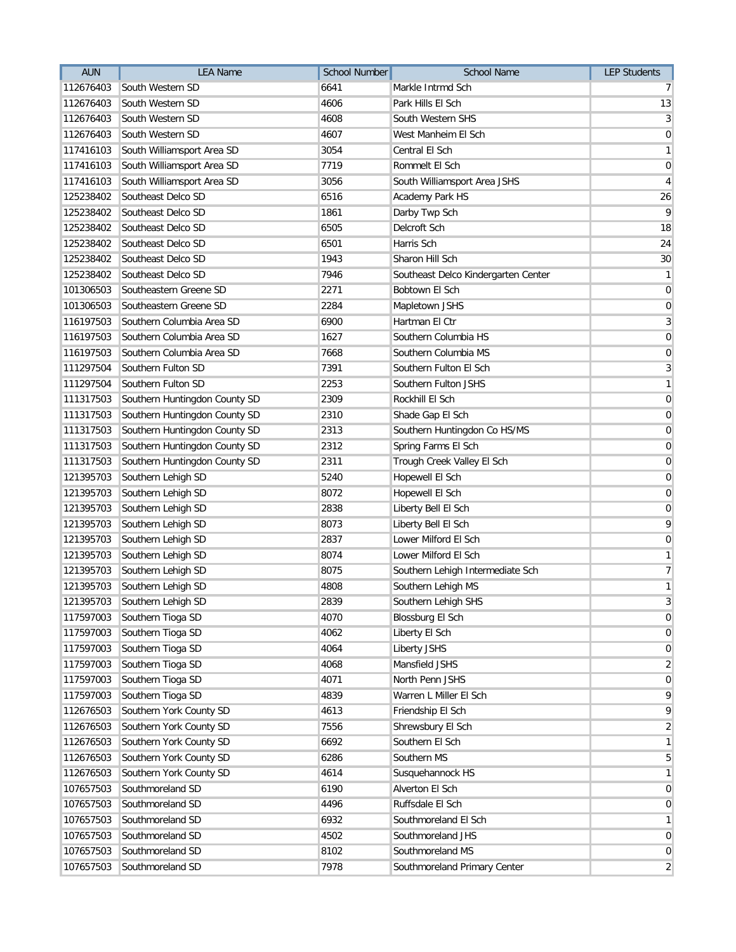| <b>AUN</b> | <b>LEA Name</b>               | <b>School Number</b> | <b>School Name</b>                  | <b>LEP Students</b> |
|------------|-------------------------------|----------------------|-------------------------------------|---------------------|
| 112676403  | South Western SD              | 6641                 | Markle Intrmd Sch                   | 7                   |
| 112676403  | South Western SD              | 4606                 | Park Hills El Sch                   | 13                  |
| 112676403  | South Western SD              | 4608                 | South Western SHS                   | $\mathbf{3}$        |
| 112676403  | South Western SD              | 4607                 | West Manheim El Sch                 | $\mathbf 0$         |
| 117416103  | South Williamsport Area SD    | 3054                 | Central El Sch                      | $\mathbf{1}$        |
| 117416103  | South Williamsport Area SD    | 7719                 | Rommelt El Sch                      | $\overline{0}$      |
| 117416103  | South Williamsport Area SD    | 3056                 | South Williamsport Area JSHS        | $\overline{4}$      |
| 125238402  | Southeast Delco SD            | 6516                 | Academy Park HS                     | 26                  |
| 125238402  | Southeast Delco SD            | 1861                 | Darby Twp Sch                       | 9                   |
| 125238402  | Southeast Delco SD            | 6505                 | Delcroft Sch                        | 18                  |
| 125238402  | Southeast Delco SD            | 6501                 | Harris Sch                          | 24                  |
| 125238402  | Southeast Delco SD            | 1943                 | Sharon Hill Sch                     | 30                  |
| 125238402  | Southeast Delco SD            | 7946                 | Southeast Delco Kindergarten Center | $\mathbf{1}$        |
| 101306503  | Southeastern Greene SD        | 2271                 | Bobtown El Sch                      | $\overline{0}$      |
| 101306503  | Southeastern Greene SD        | 2284                 | Mapletown JSHS                      | $\mathbf 0$         |
| 116197503  | Southern Columbia Area SD     | 6900                 | Hartman El Ctr                      | $\sqrt{3}$          |
| 116197503  | Southern Columbia Area SD     | 1627                 | Southern Columbia HS                | $\overline{0}$      |
| 116197503  | Southern Columbia Area SD     | 7668                 | Southern Columbia MS                | $\overline{0}$      |
| 111297504  | Southern Fulton SD            | 7391                 | Southern Fulton El Sch              | 3                   |
| 111297504  | Southern Fulton SD            | 2253                 | Southern Fulton JSHS                | $\mathbf{1}$        |
| 111317503  | Southern Huntingdon County SD | 2309                 | Rockhill El Sch                     | $\mathbf 0$         |
| 111317503  | Southern Huntingdon County SD | 2310                 | Shade Gap El Sch                    | $\mathbf 0$         |
| 111317503  | Southern Huntingdon County SD | 2313                 | Southern Huntingdon Co HS/MS        | $\mathbf 0$         |
| 111317503  | Southern Huntingdon County SD | 2312                 | Spring Farms El Sch                 | $\mathbf 0$         |
| 111317503  | Southern Huntingdon County SD | 2311                 | Trough Creek Valley El Sch          | $\mathbf 0$         |
| 121395703  | Southern Lehigh SD            | 5240                 | Hopewell El Sch                     | $\mathbf 0$         |
| 121395703  | Southern Lehigh SD            | 8072                 | Hopewell El Sch                     | $\mathbf 0$         |
| 121395703  | Southern Lehigh SD            | 2838                 | Liberty Bell El Sch                 | $\mathbf 0$         |
| 121395703  | Southern Lehigh SD            | 8073                 | Liberty Bell El Sch                 | 9                   |
| 121395703  | Southern Lehigh SD            | 2837                 | Lower Milford El Sch                | $\mathbf 0$         |
| 121395703  | Southern Lehigh SD            | 8074                 | Lower Milford El Sch                | $\mathbf{1}$        |
| 121395703  | Southern Lehigh SD            | 8075                 | Southern Lehigh Intermediate Sch    | $\overline{7}$      |
| 121395703  | Southern Lehigh SD            | 4808                 | Southern Lehigh MS                  | $\mathbf{1}$        |
| 121395703  | Southern Lehigh SD            | 2839                 | Southern Lehigh SHS                 | 3                   |
| 117597003  | Southern Tioga SD             | 4070                 | <b>Blossburg El Sch</b>             | $\pmb{0}$           |
| 117597003  | Southern Tioga SD             | 4062                 | Liberty El Sch                      | $\overline{0}$      |
| 117597003  | Southern Tioga SD             | 4064                 | Liberty JSHS                        | $\mathbf 0$         |
| 117597003  | Southern Tioga SD             | 4068                 | Mansfield JSHS                      | $\overline{2}$      |
| 117597003  | Southern Tioga SD             | 4071                 | North Penn JSHS                     | $\pmb{0}$           |
| 117597003  | Southern Tioga SD             | 4839                 | Warren L Miller El Sch              | 9                   |
| 112676503  | Southern York County SD       | 4613                 | Friendship El Sch                   | 9                   |
| 112676503  | Southern York County SD       | 7556                 | Shrewsbury El Sch                   | $\overline{c}$      |
| 112676503  | Southern York County SD       | 6692                 | Southern El Sch                     | $\mathbf{1}$        |
| 112676503  | Southern York County SD       | 6286                 | Southern MS                         | 5                   |
| 112676503  | Southern York County SD       | 4614                 | Susquehannock HS                    | $\mathbf{1}$        |
| 107657503  | Southmoreland SD              | 6190                 | Alverton El Sch                     | $\overline{0}$      |
| 107657503  | Southmoreland SD              | 4496                 | Ruffsdale El Sch                    | $\mathbf 0$         |
| 107657503  | Southmoreland SD              | 6932                 | Southmoreland El Sch                | $\mathbf{1}$        |
| 107657503  | Southmoreland SD              | 4502                 | Southmoreland JHS                   | $\mathbf 0$         |
| 107657503  | Southmoreland SD              | 8102                 | Southmoreland MS                    | 0                   |
| 107657503  | Southmoreland SD              | 7978                 | Southmoreland Primary Center        | $\overline{2}$      |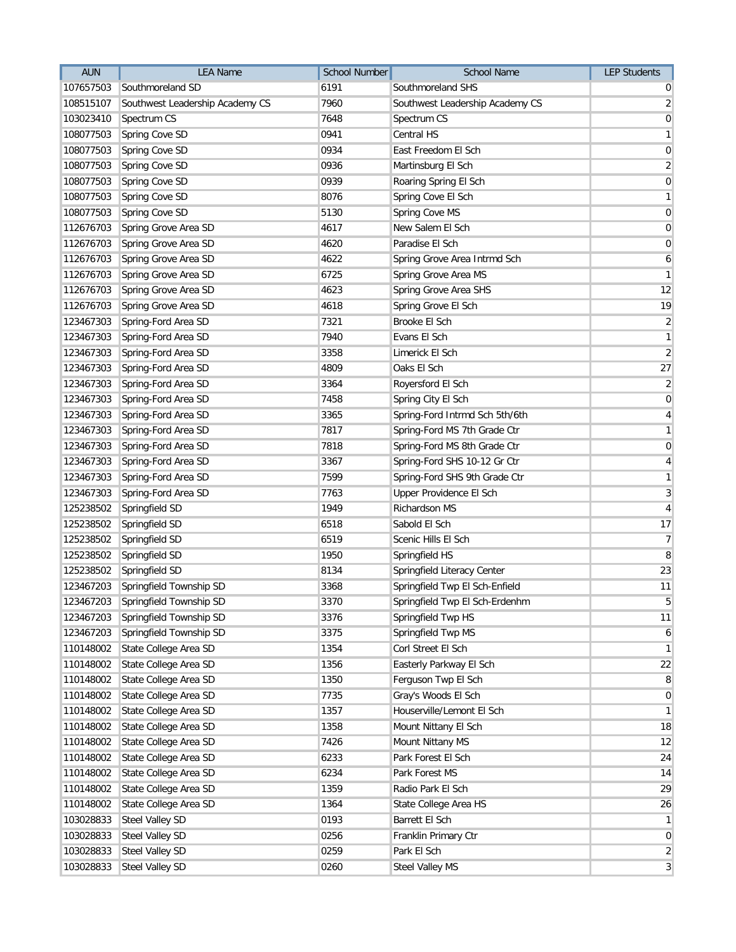| <b>AUN</b> | <b>LEA Name</b>                 | School Number | <b>School Name</b>              | <b>LEP Students</b> |
|------------|---------------------------------|---------------|---------------------------------|---------------------|
| 107657503  | Southmoreland SD                | 6191          | Southmoreland SHS               | 0                   |
| 108515107  | Southwest Leadership Academy CS | 7960          | Southwest Leadership Academy CS | $\overline{2}$      |
| 103023410  | Spectrum CS                     | 7648          | Spectrum CS                     | $\pmb{0}$           |
| 108077503  | Spring Cove SD                  | 0941          | Central HS                      | $\overline{1}$      |
| 108077503  | Spring Cove SD                  | 0934          | East Freedom El Sch             | $\pmb{0}$           |
| 108077503  | Spring Cove SD                  | 0936          | Martinsburg El Sch              | $\overline{2}$      |
| 108077503  | Spring Cove SD                  | 0939          | Roaring Spring El Sch           | $\boldsymbol{0}$    |
| 108077503  | Spring Cove SD                  | 8076          | Spring Cove El Sch              | $\mathbf{1}$        |
| 108077503  | Spring Cove SD                  | 5130          | Spring Cove MS                  | $\pmb{0}$           |
| 112676703  | Spring Grove Area SD            | 4617          | New Salem El Sch                | $\pmb{0}$           |
| 112676703  | Spring Grove Area SD            | 4620          | Paradise El Sch                 | $\pmb{0}$           |
| 112676703  | Spring Grove Area SD            | 4622          | Spring Grove Area Intrmd Sch    | 6                   |
| 112676703  | Spring Grove Area SD            | 6725          | Spring Grove Area MS            | $\mathbf{1}$        |
| 112676703  | Spring Grove Area SD            | 4623          | Spring Grove Area SHS           | 12                  |
| 112676703  | Spring Grove Area SD            | 4618          | Spring Grove El Sch             | 19                  |
| 123467303  | Spring-Ford Area SD             | 7321          | Brooke El Sch                   | $\overline{2}$      |
| 123467303  | Spring-Ford Area SD             | 7940          | Evans El Sch                    | $\mathbf{1}$        |
| 123467303  | Spring-Ford Area SD             | 3358          | Limerick El Sch                 | $\overline{2}$      |
| 123467303  | Spring-Ford Area SD             | 4809          | Oaks El Sch                     | 27                  |
| 123467303  | Spring-Ford Area SD             | 3364          | Royersford El Sch               | $\overline{2}$      |
| 123467303  | Spring-Ford Area SD             | 7458          | Spring City El Sch              | $\mathbf 0$         |
| 123467303  | Spring-Ford Area SD             | 3365          | Spring-Ford Intrmd Sch 5th/6th  | $\overline{4}$      |
| 123467303  | Spring-Ford Area SD             | 7817          | Spring-Ford MS 7th Grade Ctr    | $\mathbf{1}$        |
| 123467303  | Spring-Ford Area SD             | 7818          | Spring-Ford MS 8th Grade Ctr    | $\mathbf 0$         |
| 123467303  | Spring-Ford Area SD             | 3367          | Spring-Ford SHS 10-12 Gr Ctr    | $\overline{a}$      |
| 123467303  | Spring-Ford Area SD             | 7599          | Spring-Ford SHS 9th Grade Ctr   | $\mathbf{1}$        |
| 123467303  | Spring-Ford Area SD             | 7763          | Upper Providence El Sch         | 3                   |
| 125238502  | Springfield SD                  | 1949          | Richardson MS                   | 4                   |
| 125238502  | Springfield SD                  | 6518          | Sabold El Sch                   | 17                  |
| 125238502  | Springfield SD                  | 6519          | Scenic Hills El Sch             | $\overline{7}$      |
| 125238502  | Springfield SD                  | 1950          | Springfield HS                  | 8                   |
| 125238502  | Springfield SD                  | 8134          | Springfield Literacy Center     | 23                  |
| 123467203  | Springfield Township SD         | 3368          | Springfield Twp El Sch-Enfield  | 11                  |
| 123467203  | Springfield Township SD         | 3370          | Springfield Twp El Sch-Erdenhm  | 5                   |
| 123467203  | Springfield Township SD         | 3376          | Springfield Twp HS              | 11                  |
| 123467203  | Springfield Township SD         | 3375          | Springfield Twp MS              | 6                   |
| 110148002  | State College Area SD           | 1354          | Corl Street El Sch              | $\mathbf{1}$        |
| 110148002  | State College Area SD           | 1356          | Easterly Parkway El Sch         | 22                  |
| 110148002  | State College Area SD           | 1350          | Ferguson Twp El Sch             | 8                   |
| 110148002  | State College Area SD           | 7735          | Gray's Woods El Sch             | $\mathbf 0$         |
| 110148002  | State College Area SD           | 1357          | Houserville/Lemont El Sch       | $\mathbf{1}$        |
| 110148002  | State College Area SD           | 1358          | Mount Nittany El Sch            | 18                  |
| 110148002  | State College Area SD           | 7426          | Mount Nittany MS                | 12                  |
| 110148002  | State College Area SD           | 6233          | Park Forest El Sch              | 24                  |
| 110148002  | State College Area SD           | 6234          | Park Forest MS                  | 14                  |
| 110148002  | State College Area SD           | 1359          | Radio Park El Sch               | 29                  |
| 110148002  | State College Area SD           | 1364          | State College Area HS           | 26                  |
| 103028833  | Steel Valley SD                 | 0193          | Barrett El Sch                  | $\mathbf{1}$        |
| 103028833  | <b>Steel Valley SD</b>          | 0256          | Franklin Primary Ctr            | $\mathbf 0$         |
| 103028833  | <b>Steel Valley SD</b>          | 0259          | Park El Sch                     | $\overline{2}$      |
| 103028833  | <b>Steel Valley SD</b>          | 0260          | Steel Valley MS                 | 3                   |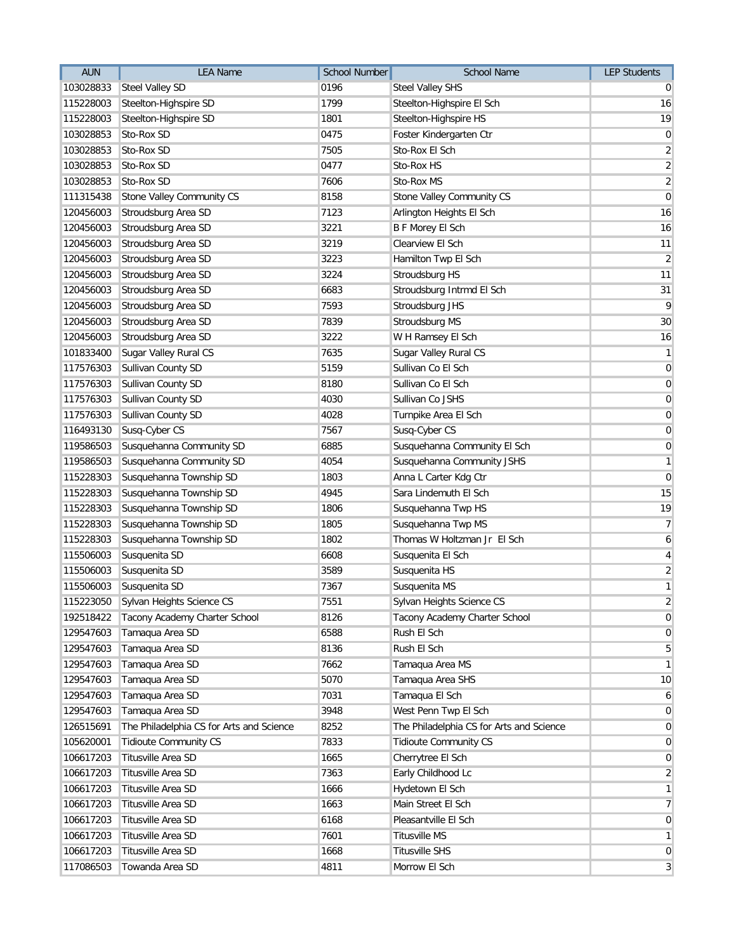| <b>AUN</b> | <b>LEA Name</b>                          | <b>School Number</b> | <b>School Name</b>                       | <b>LEP Students</b> |
|------------|------------------------------------------|----------------------|------------------------------------------|---------------------|
| 103028833  | <b>Steel Valley SD</b>                   | 0196                 | <b>Steel Valley SHS</b>                  | $\overline{0}$      |
| 115228003  | Steelton-Highspire SD                    | 1799                 | Steelton-Highspire El Sch                | 16                  |
| 115228003  | Steelton-Highspire SD                    | 1801                 | Steelton-Highspire HS                    | 19                  |
| 103028853  | Sto-Rox SD                               | 0475                 | Foster Kindergarten Ctr                  | 0                   |
| 103028853  | Sto-Rox SD                               | 7505                 | Sto-Rox El Sch                           | $\overline{2}$      |
| 103028853  | Sto-Rox SD                               | 0477                 | Sto-Rox HS                               | $\overline{2}$      |
| 103028853  | Sto-Rox SD                               | 7606                 | Sto-Rox MS                               | $\overline{2}$      |
| 111315438  | Stone Valley Community CS                | 8158                 | Stone Valley Community CS                | $\boldsymbol{0}$    |
| 120456003  | Stroudsburg Area SD                      | 7123                 | Arlington Heights El Sch                 | 16                  |
| 120456003  | Stroudsburg Area SD                      | 3221                 | <b>B F Morey El Sch</b>                  | 16                  |
| 120456003  | Stroudsburg Area SD                      | 3219                 | Clearview El Sch                         | 11                  |
| 120456003  | Stroudsburg Area SD                      | 3223                 | Hamilton Twp El Sch                      | $\overline{2}$      |
| 120456003  | Stroudsburg Area SD                      | 3224                 | Stroudsburg HS                           | 11                  |
| 120456003  | Stroudsburg Area SD                      | 6683                 | Stroudsburg Intrmd El Sch                | 31                  |
| 120456003  | Stroudsburg Area SD                      | 7593                 | Stroudsburg JHS                          | 9                   |
| 120456003  | Stroudsburg Area SD                      | 7839                 | Stroudsburg MS                           | 30                  |
| 120456003  | Stroudsburg Area SD                      | 3222                 | W H Ramsey El Sch                        | 16                  |
| 101833400  | Sugar Valley Rural CS                    | 7635                 | Sugar Valley Rural CS                    | $\mathbf{1}$        |
| 117576303  | Sullivan County SD                       | 5159                 | Sullivan Co El Sch                       | $\overline{0}$      |
| 117576303  | Sullivan County SD                       | 8180                 | Sullivan Co El Sch                       | $\boldsymbol{0}$    |
| 117576303  | Sullivan County SD                       | 4030                 | Sullivan Co JSHS                         | $\boldsymbol{0}$    |
| 117576303  | Sullivan County SD                       | 4028                 | Turnpike Area El Sch                     | $\boldsymbol{0}$    |
| 116493130  | Susq-Cyber CS                            | 7567                 | Susq-Cyber CS                            | $\overline{0}$      |
| 119586503  | Susquehanna Community SD                 | 6885                 | Susquehanna Community El Sch             | $\overline{0}$      |
| 119586503  | Susquehanna Community SD                 | 4054                 | Susquehanna Community JSHS               | $\mathbf{1}$        |
| 115228303  | Susquehanna Township SD                  | 1803                 | Anna L Carter Kdg Ctr                    | $\boldsymbol{0}$    |
| 115228303  | Susquehanna Township SD                  | 4945                 | Sara Lindemuth El Sch                    | 15                  |
| 115228303  | Susquehanna Township SD                  | 1806                 | Susquehanna Twp HS                       | 19                  |
| 115228303  | Susquehanna Township SD                  | 1805                 | Susquehanna Twp MS                       | $\overline{7}$      |
| 115228303  | Susquehanna Township SD                  | 1802                 | Thomas W Holtzman Jr El Sch              | 6                   |
| 115506003  | Susquenita SD                            | 6608                 | Susquenita El Sch                        | $\vert 4 \vert$     |
| 115506003  | Susquenita SD                            | 3589                 | Susquenita HS                            | $\overline{2}$      |
| 115506003  | Susquenita SD                            | 7367                 | Susquenita MS                            | $\overline{1}$      |
| 115223050  | Sylvan Heights Science CS                | 7551                 | Sylvan Heights Science CS                | $\overline{2}$      |
| 192518422  | Tacony Academy Charter School            | 8126                 | Tacony Academy Charter School            | $\overline{0}$      |
| 129547603  | Tamaqua Area SD                          | 6588                 | Rush El Sch                              | $\overline{0}$      |
| 129547603  | Tamaqua Area SD                          | 8136                 | Rush El Sch                              | $\sqrt{5}$          |
| 129547603  | Tamaqua Area SD                          | 7662                 | Tamaqua Area MS                          | $\mathbf{1}$        |
| 129547603  | Tamaqua Area SD                          | 5070                 | Tamaqua Area SHS                         | 10                  |
| 129547603  | Tamaqua Area SD                          | 7031                 | Tamaqua El Sch                           | 6                   |
| 129547603  | Tamaqua Area SD                          | 3948                 | West Penn Twp El Sch                     | $\overline{0}$      |
| 126515691  | The Philadelphia CS for Arts and Science | 8252                 | The Philadelphia CS for Arts and Science | $\overline{0}$      |
| 105620001  | <b>Tidioute Community CS</b>             | 7833                 | <b>Tidioute Community CS</b>             | $\overline{0}$      |
| 106617203  | Titusville Area SD                       | 1665                 | Cherrytree El Sch                        | $\overline{0}$      |
| 106617203  | Titusville Area SD                       | 7363                 | Early Childhood Lc                       | $\overline{2}$      |
| 106617203  | Titusville Area SD                       | 1666                 | Hydetown El Sch                          | $\mathbf{1}$        |
| 106617203  | Titusville Area SD                       | 1663                 | Main Street El Sch                       | $\overline{7}$      |
| 106617203  | Titusville Area SD                       | 6168                 | Pleasantville El Sch                     | $\overline{0}$      |
| 106617203  | Titusville Area SD                       | 7601                 | <b>Titusville MS</b>                     | $\mathbf{1}$        |
| 106617203  | Titusville Area SD                       | 1668                 | <b>Titusville SHS</b>                    | $\overline{0}$      |
| 117086503  | Towanda Area SD                          | 4811                 | Morrow El Sch                            | $\overline{3}$      |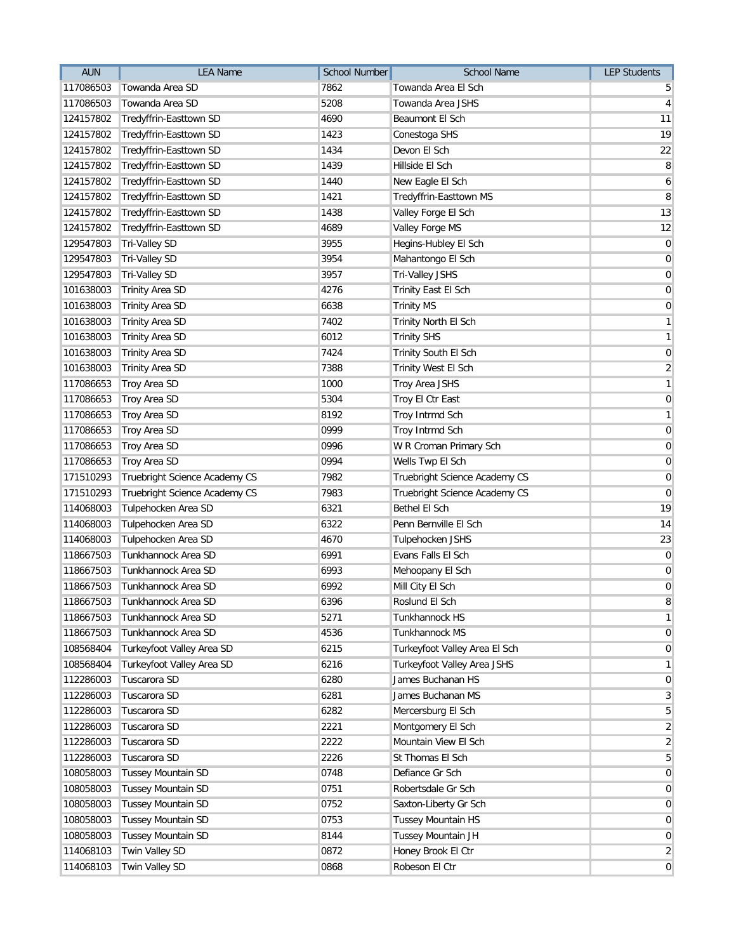| <b>AUN</b> | <b>LEA Name</b>               | School Number | <b>School Name</b>            | <b>LEP Students</b> |
|------------|-------------------------------|---------------|-------------------------------|---------------------|
| 117086503  | Towanda Area SD               | 7862          | Towanda Area El Sch           | 5                   |
| 117086503  | Towanda Area SD               | 5208          | Towanda Area JSHS             | $\overline{4}$      |
| 124157802  | Tredyffrin-Easttown SD        | 4690          | Beaumont El Sch               | 11                  |
| 124157802  | Tredyffrin-Easttown SD        | 1423          | Conestoga SHS                 | 19                  |
| 124157802  | Tredyffrin-Easttown SD        | 1434          | Devon El Sch                  | 22                  |
| 124157802  | Tredyffrin-Easttown SD        | 1439          | Hillside El Sch               | 8                   |
| 124157802  | Tredyffrin-Easttown SD        | 1440          | New Eagle El Sch              | 6                   |
| 124157802  | Tredyffrin-Easttown SD        | 1421          | Tredyffrin-Easttown MS        | 8                   |
| 124157802  | Tredyffrin-Easttown SD        | 1438          | Valley Forge El Sch           | 13                  |
| 124157802  | Tredyffrin-Easttown SD        | 4689          | Valley Forge MS               | 12                  |
| 129547803  | <b>Tri-Valley SD</b>          | 3955          | Hegins-Hubley El Sch          | $\mathbf 0$         |
| 129547803  | <b>Tri-Valley SD</b>          | 3954          | Mahantongo El Sch             | $\pmb{0}$           |
| 129547803  | Tri-Valley SD                 | 3957          | Tri-Valley JSHS               | $\pmb{0}$           |
| 101638003  | <b>Trinity Area SD</b>        | 4276          | Trinity East El Sch           | $\mathbf 0$         |
| 101638003  | <b>Trinity Area SD</b>        | 6638          | <b>Trinity MS</b>             | $\mathbf 0$         |
| 101638003  | <b>Trinity Area SD</b>        | 7402          | Trinity North El Sch          | $\overline{1}$      |
| 101638003  | <b>Trinity Area SD</b>        | 6012          | <b>Trinity SHS</b>            | $\mathbf{1}$        |
| 101638003  | <b>Trinity Area SD</b>        | 7424          | Trinity South El Sch          | $\pmb{0}$           |
| 101638003  | <b>Trinity Area SD</b>        | 7388          | Trinity West El Sch           | $\overline{2}$      |
| 117086653  | Troy Area SD                  | 1000          | Troy Area JSHS                | $\mathbf{1}$        |
| 117086653  | Troy Area SD                  | 5304          | Troy El Ctr East              | $\pmb{0}$           |
| 117086653  | Troy Area SD                  | 8192          | Troy Intrmd Sch               | $\mathbf{1}$        |
| 117086653  | Troy Area SD                  | 0999          | <b>Troy Intrmd Sch</b>        | $\mathbf 0$         |
| 117086653  | Troy Area SD                  | 0996          | W R Croman Primary Sch        | $\mathbf 0$         |
| 117086653  | Troy Area SD                  | 0994          | Wells Twp El Sch              | $\mathbf 0$         |
| 171510293  | Truebright Science Academy CS | 7982          | Truebright Science Academy CS | $\mathbf 0$         |
| 171510293  | Truebright Science Academy CS | 7983          | Truebright Science Academy CS | $\mathbf 0$         |
| 114068003  | Tulpehocken Area SD           | 6321          | Bethel El Sch                 | 19                  |
| 114068003  | Tulpehocken Area SD           | 6322          | Penn Bernville El Sch         | 14                  |
| 114068003  | Tulpehocken Area SD           | 4670          | Tulpehocken JSHS              | 23                  |
| 118667503  | Tunkhannock Area SD           | 6991          | Evans Falls El Sch            | $\pmb{0}$           |
| 118667503  | Tunkhannock Area SD           | 6993          | Mehoopany El Sch              | $\pmb{0}$           |
| 118667503  | Tunkhannock Area SD           | 6992          | Mill City El Sch              | $\pmb{0}$           |
| 118667503  | Tunkhannock Area SD           | 6396          | Roslund El Sch                | $\, 8$              |
| 118667503  | Tunkhannock Area SD           | 5271          | Tunkhannock HS                | $\mathbf{1}$        |
| 118667503  | Tunkhannock Area SD           | 4536          | Tunkhannock MS                | $\mathbf 0$         |
| 108568404  | Turkeyfoot Valley Area SD     | 6215          | Turkeyfoot Valley Area El Sch | $\mathbf 0$         |
| 108568404  | Turkeyfoot Valley Area SD     | 6216          | Turkeyfoot Valley Area JSHS   | $\mathbf{1}$        |
| 112286003  | Tuscarora SD                  | 6280          | James Buchanan HS             | $\mathbf 0$         |
| 112286003  | Tuscarora SD                  | 6281          | James Buchanan MS             | 3                   |
| 112286003  | Tuscarora SD                  | 6282          | Mercersburg El Sch            | 5                   |
| 112286003  | Tuscarora SD                  | 2221          | Montgomery El Sch             | $\overline{c}$      |
| 112286003  | Tuscarora SD                  | 2222          | Mountain View El Sch          | $\overline{2}$      |
| 112286003  | Tuscarora SD                  | 2226          | St Thomas El Sch              | 5                   |
| 108058003  | <b>Tussey Mountain SD</b>     | 0748          | Defiance Gr Sch               | $\mathbf 0$         |
| 108058003  | <b>Tussey Mountain SD</b>     | 0751          | Robertsdale Gr Sch            | $\mathbf 0$         |
| 108058003  | Tussey Mountain SD            | 0752          | Saxton-Liberty Gr Sch         | $\mathbf 0$         |
| 108058003  | <b>Tussey Mountain SD</b>     | 0753          | <b>Tussey Mountain HS</b>     | $\mathbf 0$         |
| 108058003  | <b>Tussey Mountain SD</b>     | 8144          | Tussey Mountain JH            | $\mathbf 0$         |
| 114068103  | Twin Valley SD                | 0872          | Honey Brook El Ctr            | $\overline{2}$      |
| 114068103  | Twin Valley SD                | 0868          | Robeson El Ctr                | $\mathbf 0$         |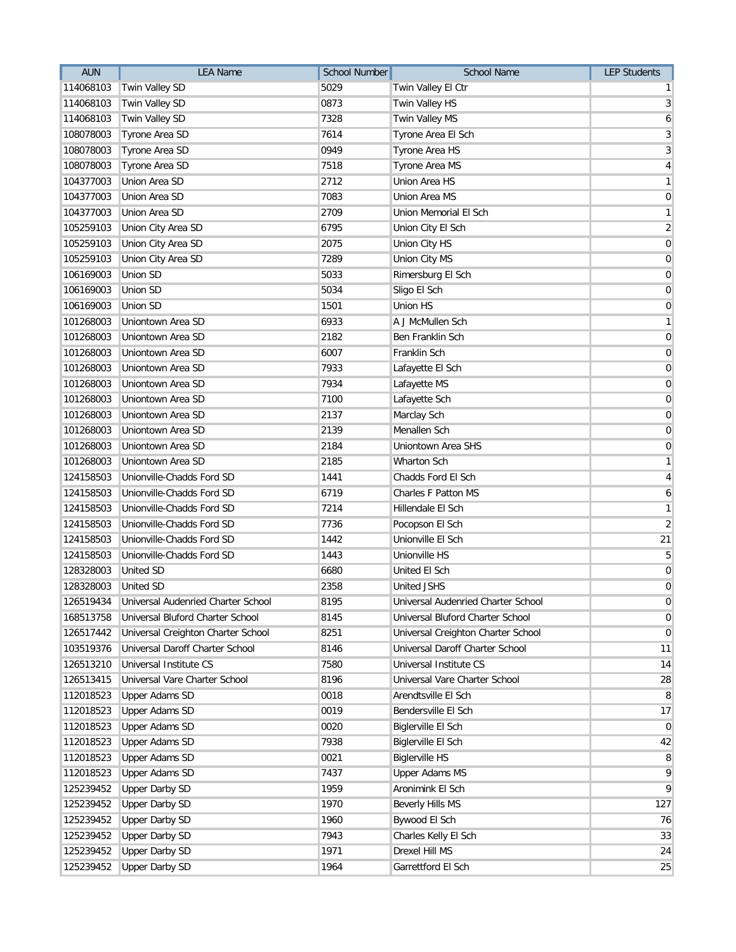| <b>AUN</b> | <b>LEA Name</b>                              | <b>School Number</b> | <b>School Name</b>                 | <b>LEP Students</b> |
|------------|----------------------------------------------|----------------------|------------------------------------|---------------------|
| 114068103  | Twin Valley SD                               | 5029                 | Twin Valley El Ctr                 | $\mathbf{1}$        |
| 114068103  | Twin Valley SD                               | 0873                 | Twin Valley HS                     | $\mathbf{3}$        |
| 114068103  | Twin Valley SD                               | 7328                 | Twin Valley MS                     | 6                   |
| 108078003  | Tyrone Area SD                               | 7614                 | Tyrone Area El Sch                 | 3                   |
| 108078003  | Tyrone Area SD                               | 0949                 | Tyrone Area HS                     | 3                   |
| 108078003  | Tyrone Area SD                               | 7518                 | Tyrone Area MS                     | $\overline{4}$      |
| 104377003  | Union Area SD                                | 2712                 | Union Area HS                      | $\mathbf{1}$        |
| 104377003  | Union Area SD                                | 7083                 | Union Area MS                      | $\pmb{0}$           |
| 104377003  | Union Area SD                                | 2709                 | Union Memorial El Sch              | $\mathbf{1}$        |
| 105259103  | Union City Area SD                           | 6795                 | Union City El Sch                  | $\overline{2}$      |
| 105259103  | Union City Area SD                           | 2075                 | Union City HS                      | $\mathbf 0$         |
| 105259103  | Union City Area SD                           | 7289                 | Union City MS                      | $\mathbf 0$         |
| 106169003  | Union SD                                     | 5033                 | Rimersburg El Sch                  | $\mathbf 0$         |
| 106169003  | Union SD                                     | 5034                 | Sligo El Sch                       | $\pmb{0}$           |
| 106169003  | Union SD                                     | 1501                 | <b>Union HS</b>                    | $\mathbf 0$         |
| 101268003  | Uniontown Area SD                            | 6933                 | A J McMullen Sch                   | $\mathbf{1}$        |
| 101268003  | Uniontown Area SD                            | 2182                 | Ben Franklin Sch                   | $\pmb{0}$           |
| 101268003  | Uniontown Area SD                            | 6007                 | Franklin Sch                       | $\mathbf 0$         |
| 101268003  | Uniontown Area SD                            | 7933                 | Lafayette El Sch                   | $\pmb{0}$           |
| 101268003  | Uniontown Area SD                            | 7934                 | Lafayette MS                       | $\pmb{0}$           |
| 101268003  | Uniontown Area SD                            | 7100                 | Lafayette Sch                      | $\pmb{0}$           |
| 101268003  | Uniontown Area SD                            | 2137                 | Marclay Sch                        | $\pmb{0}$           |
| 101268003  | Uniontown Area SD                            | 2139                 | Menallen Sch                       | $\mathbf 0$         |
| 101268003  | Uniontown Area SD                            | 2184                 | Uniontown Area SHS                 | $\mathbf 0$         |
| 101268003  | Uniontown Area SD                            | 2185                 | <b>Wharton Sch</b>                 | $\mathbf{1}$        |
| 124158503  | Unionville-Chadds Ford SD                    | 1441                 | Chadds Ford El Sch                 | 4                   |
| 124158503  | Unionville-Chadds Ford SD                    | 6719                 | <b>Charles F Patton MS</b>         | 6                   |
| 124158503  | Unionville-Chadds Ford SD                    | 7214                 | Hillendale El Sch                  | $\mathbf{1}$        |
| 124158503  | Unionville-Chadds Ford SD                    | 7736                 | Pocopson El Sch                    | $\overline{2}$      |
| 124158503  | Unionville-Chadds Ford SD                    | 1442                 | Unionville El Sch                  | 21                  |
| 124158503  | Unionville-Chadds Ford SD                    | 1443                 | Unionville HS                      | $\overline{5}$      |
| 128328003  | <b>United SD</b>                             | 6680                 | United El Sch                      | $\pmb{0}$           |
| 128328003  | <b>United SD</b>                             | 2358                 | <b>United JSHS</b>                 | $\mathbf 0$         |
|            | 126519434 Universal Audenried Charter School | 8195                 | Universal Audenried Charter School | $\pmb{0}$           |
| 168513758  | Universal Bluford Charter School             | 8145                 | Universal Bluford Charter School   | 0                   |
| 126517442  | Universal Creighton Charter School           | 8251                 | Universal Creighton Charter School | $\mathbf 0$         |
| 103519376  | Universal Daroff Charter School              | 8146                 | Universal Daroff Charter School    | 11                  |
| 126513210  | Universal Institute CS                       | 7580                 | Universal Institute CS             | 14                  |
| 126513415  | Universal Vare Charter School                | 8196                 | Universal Vare Charter School      | 28                  |
| 112018523  | <b>Upper Adams SD</b>                        | 0018                 | Arendtsville El Sch                | 8                   |
| 112018523  | <b>Upper Adams SD</b>                        | 0019                 | Bendersville El Sch                | 17                  |
| 112018523  | <b>Upper Adams SD</b>                        | 0020                 | <b>Biglerville El Sch</b>          | $\mathbf 0$         |
| 112018523  | <b>Upper Adams SD</b>                        | 7938                 | Biglerville El Sch                 | 42                  |
| 112018523  | <b>Upper Adams SD</b>                        | 0021                 | <b>Biglerville HS</b>              | 8                   |
| 112018523  | <b>Upper Adams SD</b>                        | 7437                 | <b>Upper Adams MS</b>              | 9                   |
| 125239452  | <b>Upper Darby SD</b>                        | 1959                 | Aronimink El Sch                   | 9                   |
| 125239452  | <b>Upper Darby SD</b>                        | 1970                 | Beverly Hills MS                   | 127                 |
| 125239452  | <b>Upper Darby SD</b>                        | 1960                 | Bywood El Sch                      | 76                  |
| 125239452  | <b>Upper Darby SD</b>                        | 7943                 | Charles Kelly El Sch               | 33                  |
| 125239452  | <b>Upper Darby SD</b>                        | 1971                 | Drexel Hill MS                     | 24                  |
| 125239452  | <b>Upper Darby SD</b>                        | 1964                 | Garrettford El Sch                 | 25                  |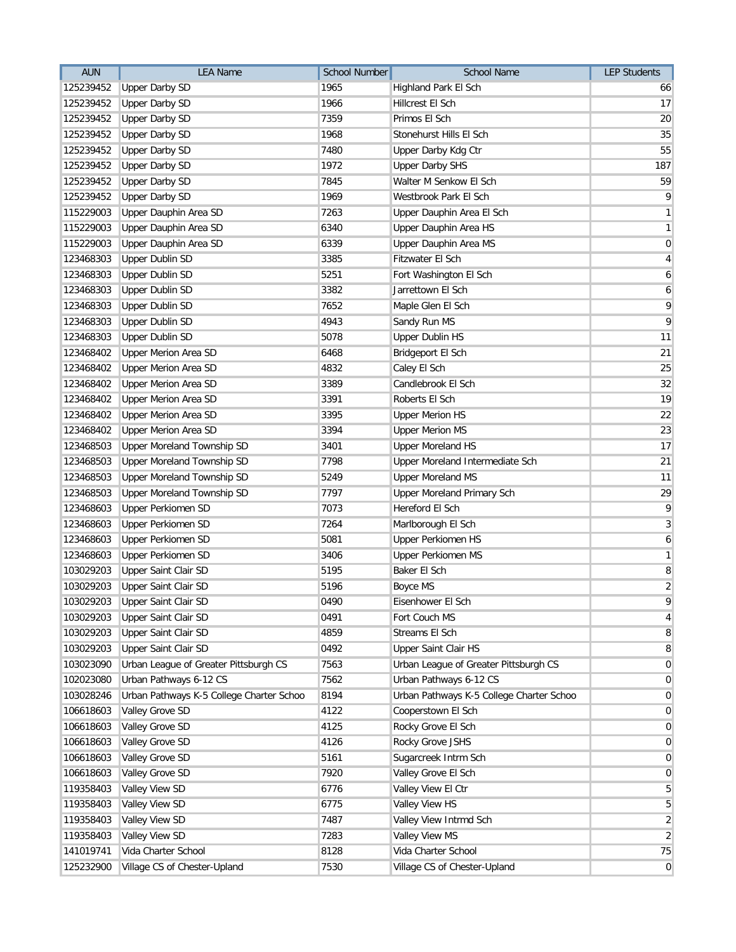| <b>AUN</b> | <b>LEA Name</b>                          | <b>School Number</b> | School Name                              | <b>LEP Students</b> |
|------------|------------------------------------------|----------------------|------------------------------------------|---------------------|
| 125239452  | <b>Upper Darby SD</b>                    | 1965                 | Highland Park El Sch                     | 66                  |
| 125239452  | <b>Upper Darby SD</b>                    | 1966                 | Hillcrest El Sch                         | 17                  |
| 125239452  | <b>Upper Darby SD</b>                    | 7359                 | Primos El Sch                            | 20                  |
| 125239452  | <b>Upper Darby SD</b>                    | 1968                 | Stonehurst Hills El Sch                  | 35                  |
| 125239452  | <b>Upper Darby SD</b>                    | 7480                 | Upper Darby Kdg Ctr                      | 55                  |
| 125239452  | <b>Upper Darby SD</b>                    | 1972                 | <b>Upper Darby SHS</b>                   | 187                 |
| 125239452  | <b>Upper Darby SD</b>                    | 7845                 | Walter M Senkow El Sch                   | 59                  |
| 125239452  | <b>Upper Darby SD</b>                    | 1969                 | Westbrook Park El Sch                    | 9                   |
| 115229003  | Upper Dauphin Area SD                    | 7263                 | Upper Dauphin Area El Sch                | $\mathbf{1}$        |
| 115229003  | Upper Dauphin Area SD                    | 6340                 | Upper Dauphin Area HS                    | $\mathbf{1}$        |
| 115229003  | Upper Dauphin Area SD                    | 6339                 | Upper Dauphin Area MS                    | 0                   |
| 123468303  | <b>Upper Dublin SD</b>                   | 3385                 | Fitzwater El Sch                         | $\vert 4 \vert$     |
| 123468303  | <b>Upper Dublin SD</b>                   | 5251                 | Fort Washington El Sch                   | 6                   |
| 123468303  | <b>Upper Dublin SD</b>                   | 3382                 | Jarrettown El Sch                        | 6                   |
| 123468303  | <b>Upper Dublin SD</b>                   | 7652                 | Maple Glen El Sch                        | 9                   |
| 123468303  | <b>Upper Dublin SD</b>                   | 4943                 | Sandy Run MS                             | 9                   |
| 123468303  | <b>Upper Dublin SD</b>                   | 5078                 | <b>Upper Dublin HS</b>                   | 11                  |
| 123468402  | <b>Upper Merion Area SD</b>              | 6468                 | Bridgeport El Sch                        | 21                  |
| 123468402  | <b>Upper Merion Area SD</b>              | 4832                 | Caley El Sch                             | 25                  |
| 123468402  | <b>Upper Merion Area SD</b>              | 3389                 | Candlebrook El Sch                       | 32                  |
| 123468402  | <b>Upper Merion Area SD</b>              | 3391                 | Roberts El Sch                           | 19                  |
| 123468402  | <b>Upper Merion Area SD</b>              | 3395                 | <b>Upper Merion HS</b>                   | 22                  |
| 123468402  | <b>Upper Merion Area SD</b>              | 3394                 | <b>Upper Merion MS</b>                   | 23                  |
| 123468503  | Upper Moreland Township SD               | 3401                 | <b>Upper Moreland HS</b>                 | 17                  |
| 123468503  | <b>Upper Moreland Township SD</b>        | 7798                 | Upper Moreland Intermediate Sch          | 21                  |
| 123468503  | Upper Moreland Township SD               | 5249                 | <b>Upper Moreland MS</b>                 | 11                  |
| 123468503  | Upper Moreland Township SD               | 7797                 | Upper Moreland Primary Sch               | 29                  |
| 123468603  | <b>Upper Perkiomen SD</b>                | 7073                 | Hereford El Sch                          | 9                   |
| 123468603  | Upper Perkiomen SD                       | 7264                 | Marlborough El Sch                       | $\overline{3}$      |
| 123468603  | <b>Upper Perkiomen SD</b>                | 5081                 | <b>Upper Perkiomen HS</b>                | $\boldsymbol{6}$    |
| 123468603  | <b>Upper Perkiomen SD</b>                | 3406                 | <b>Upper Perkiomen MS</b>                | $\mathbf{1}$        |
| 103029203  | Upper Saint Clair SD                     | 5195                 | Baker El Sch                             | $\,8$               |
| 103029203  | <b>Upper Saint Clair SD</b>              | 5196                 | Boyce MS                                 | $\overline{2}$      |
| 103029203  | Upper Saint Clair SD                     | 0490                 | Eisenhower El Sch                        | $\mathsf q$         |
| 103029203  | Upper Saint Clair SD                     | 0491                 | Fort Couch MS                            | $\vert 4 \vert$     |
| 103029203  | <b>Upper Saint Clair SD</b>              | 4859                 | Streams El Sch                           | 8                   |
| 103029203  | <b>Upper Saint Clair SD</b>              | 0492                 | <b>Upper Saint Clair HS</b>              | 8                   |
| 103023090  | Urban League of Greater Pittsburgh CS    | 7563                 | Urban League of Greater Pittsburgh CS    | $\overline{0}$      |
| 102023080  | Urban Pathways 6-12 CS                   | 7562                 | Urban Pathways 6-12 CS                   | $\overline{0}$      |
| 103028246  | Urban Pathways K-5 College Charter Schoo | 8194                 | Urban Pathways K-5 College Charter Schoo | $\overline{0}$      |
| 106618603  | Valley Grove SD                          | 4122                 | Cooperstown El Sch                       | $\overline{0}$      |
| 106618603  | Valley Grove SD                          | 4125                 | Rocky Grove El Sch                       | $\boldsymbol{0}$    |
| 106618603  | Valley Grove SD                          | 4126                 | Rocky Grove JSHS                         | $\overline{0}$      |
| 106618603  | Valley Grove SD                          | 5161                 | Sugarcreek Intrm Sch                     | $\overline{0}$      |
| 106618603  | Valley Grove SD                          | 7920                 | Valley Grove El Sch                      | $\overline{0}$      |
| 119358403  | Valley View SD                           | 6776                 | Valley View El Ctr                       | $\overline{5}$      |
| 119358403  | Valley View SD                           | 6775                 | Valley View HS                           | $\overline{5}$      |
| 119358403  | Valley View SD                           | 7487                 | Valley View Intrmd Sch                   | $\overline{2}$      |
| 119358403  | Valley View SD                           | 7283                 | Valley View MS                           | $\overline{2}$      |
| 141019741  | Vida Charter School                      | 8128                 | Vida Charter School                      | 75                  |
| 125232900  | Village CS of Chester-Upland             | 7530                 | Village CS of Chester-Upland             | $\overline{0}$      |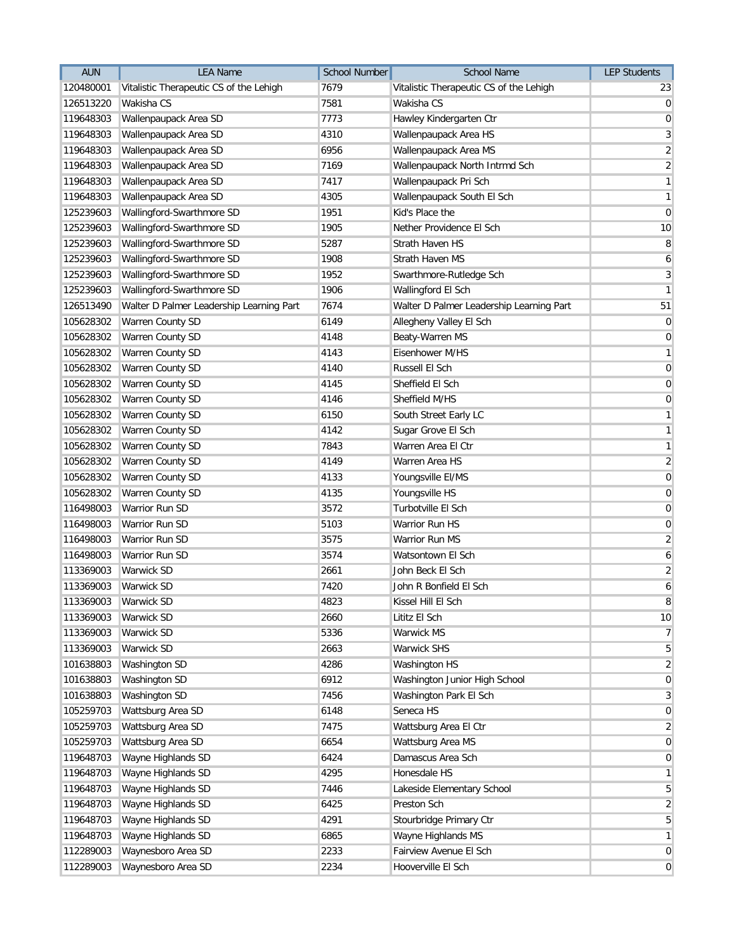| <b>AUN</b> | <b>LEA Name</b>                          | <b>School Number</b> | <b>School Name</b>                       | <b>LEP Students</b> |
|------------|------------------------------------------|----------------------|------------------------------------------|---------------------|
| 120480001  | Vitalistic Therapeutic CS of the Lehigh  | 7679                 | Vitalistic Therapeutic CS of the Lehigh  | 23                  |
| 126513220  | Wakisha CS                               | 7581                 | Wakisha CS                               | $\overline{0}$      |
| 119648303  | Wallenpaupack Area SD                    | 7773                 | Hawley Kindergarten Ctr                  | $\pmb{0}$           |
| 119648303  | Wallenpaupack Area SD                    | 4310                 | Wallenpaupack Area HS                    | 3                   |
| 119648303  | Wallenpaupack Area SD                    | 6956                 | Wallenpaupack Area MS                    | $\overline{2}$      |
| 119648303  | Wallenpaupack Area SD                    | 7169                 | Wallenpaupack North Intrmd Sch           | $\overline{2}$      |
| 119648303  | Wallenpaupack Area SD                    | 7417                 | Wallenpaupack Pri Sch                    | $\mathbf{1}$        |
| 119648303  | Wallenpaupack Area SD                    | 4305                 | Wallenpaupack South El Sch               | $\mathbf{1}$        |
| 125239603  | Wallingford-Swarthmore SD                | 1951                 | Kid's Place the                          | $\pmb{0}$           |
| 125239603  | Wallingford-Swarthmore SD                | 1905                 | Nether Providence El Sch                 | 10                  |
| 125239603  | Wallingford-Swarthmore SD                | 5287                 | Strath Haven HS                          | 8                   |
| 125239603  | Wallingford-Swarthmore SD                | 1908                 | Strath Haven MS                          | 6                   |
| 125239603  | Wallingford-Swarthmore SD                | 1952                 | Swarthmore-Rutledge Sch                  | 3                   |
| 125239603  | Wallingford-Swarthmore SD                | 1906                 | Wallingford El Sch                       | $\mathbf{1}$        |
| 126513490  | Walter D Palmer Leadership Learning Part | 7674                 | Walter D Palmer Leadership Learning Part | 51                  |
| 105628302  | Warren County SD                         | 6149                 | Allegheny Valley El Sch                  | $\mathbf 0$         |
| 105628302  | Warren County SD                         | 4148                 | Beaty-Warren MS                          | $\pmb{0}$           |
| 105628302  | Warren County SD                         | 4143                 | Eisenhower M/HS                          | $\mathbf{1}$        |
| 105628302  | Warren County SD                         | 4140                 | Russell El Sch                           | $\pmb{0}$           |
| 105628302  | Warren County SD                         | 4145                 | Sheffield El Sch                         | $\pmb{0}$           |
| 105628302  | Warren County SD                         | 4146                 | Sheffield M/HS                           | $\pmb{0}$           |
| 105628302  | Warren County SD                         | 6150                 | South Street Early LC                    | $\mathbf{1}$        |
| 105628302  | Warren County SD                         | 4142                 | Sugar Grove El Sch                       | $\mathbf{1}$        |
| 105628302  | Warren County SD                         | 7843                 | Warren Area El Ctr                       | $\mathbf{1}$        |
| 105628302  | Warren County SD                         | 4149                 | Warren Area HS                           | $\overline{a}$      |
| 105628302  | Warren County SD                         | 4133                 | Youngsville EI/MS                        | $\mathbf 0$         |
| 105628302  | Warren County SD                         | 4135                 | Youngsville HS                           | $\mathbf 0$         |
| 116498003  | Warrior Run SD                           | 3572                 | Turbotville El Sch                       | $\mathbf 0$         |
| 116498003  | Warrior Run SD                           | 5103                 | Warrior Run HS                           | $\mathbf 0$         |
| 116498003  | <b>Warrior Run SD</b>                    | 3575                 | Warrior Run MS                           | $\overline{2}$      |
| 116498003  | Warrior Run SD                           | 3574                 | Watsontown El Sch                        | 6                   |
| 113369003  | <b>Warwick SD</b>                        | 2661                 | John Beck El Sch                         | $\overline{2}$      |
| 113369003  | Warwick SD                               | 7420                 | John R Bonfield El Sch                   | 6                   |
| 113369003  | <b>Warwick SD</b>                        | 4823                 | Kissel Hill El Sch                       | $\, 8$              |
| 113369003  | Warwick SD                               | 2660                 | Lititz El Sch                            | 10                  |
| 113369003  | Warwick SD                               | 5336                 | Warwick MS                               | $\overline{7}$      |
| 113369003  | Warwick SD                               | 2663                 | <b>Warwick SHS</b>                       | 5                   |
| 101638803  | Washington SD                            | 4286                 | Washington HS                            | $\overline{2}$      |
| 101638803  | Washington SD                            | 6912                 | Washington Junior High School            | $\pmb{0}$           |
| 101638803  | Washington SD                            | 7456                 | Washington Park El Sch                   | 3                   |
| 105259703  | Wattsburg Area SD                        | 6148                 | Seneca HS                                | $\mathbf 0$         |
| 105259703  | Wattsburg Area SD                        | 7475                 | Wattsburg Area El Ctr                    | $\overline{2}$      |
| 105259703  | Wattsburg Area SD                        | 6654                 | Wattsburg Area MS                        | $\mathbf 0$         |
| 119648703  | Wayne Highlands SD                       | 6424                 | Damascus Area Sch                        | $\mathbf 0$         |
| 119648703  | Wayne Highlands SD                       | 4295                 | Honesdale HS                             | $\mathbf{1}$        |
| 119648703  | Wayne Highlands SD                       | 7446                 | Lakeside Elementary School               | 5                   |
| 119648703  | Wayne Highlands SD                       | 6425                 | Preston Sch                              | $\overline{a}$      |
| 119648703  | Wayne Highlands SD                       | 4291                 | Stourbridge Primary Ctr                  | 5                   |
| 119648703  | Wayne Highlands SD                       | 6865                 | Wayne Highlands MS                       | $\mathbf{1}$        |
| 112289003  | Waynesboro Area SD                       | 2233                 | Fairview Avenue El Sch                   | $\mathbf 0$         |
| 112289003  | Waynesboro Area SD                       | 2234                 | Hooverville El Sch                       | $\mathbf 0$         |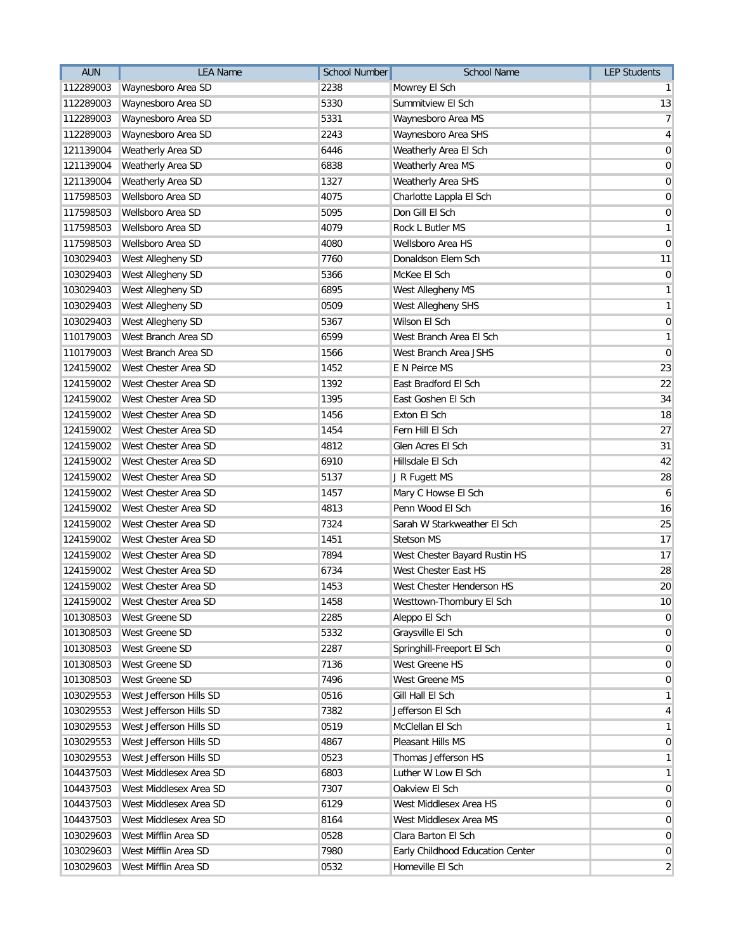| <b>AUN</b> | <b>LEA Name</b>         | <b>School Number</b> | <b>School Name</b>               | <b>LEP Students</b> |
|------------|-------------------------|----------------------|----------------------------------|---------------------|
| 112289003  | Waynesboro Area SD      | 2238                 | Mowrey El Sch                    | $\mathbf{1}$        |
| 112289003  | Waynesboro Area SD      | 5330                 | Summitview El Sch                | 13                  |
| 112289003  | Waynesboro Area SD      | 5331                 | Waynesboro Area MS               | $\overline{7}$      |
| 112289003  | Waynesboro Area SD      | 2243                 | Waynesboro Area SHS              | $\overline{4}$      |
| 121139004  | Weatherly Area SD       | 6446                 | Weatherly Area El Sch            | $\mathbf 0$         |
| 121139004  | Weatherly Area SD       | 6838                 | Weatherly Area MS                | $\mathbf 0$         |
| 121139004  | Weatherly Area SD       | 1327                 | Weatherly Area SHS               | $\pmb{0}$           |
| 117598503  | Wellsboro Area SD       | 4075                 | Charlotte Lappla El Sch          | $\pmb{0}$           |
| 117598503  | Wellsboro Area SD       | 5095                 | Don Gill El Sch                  | $\pmb{0}$           |
| 117598503  | Wellsboro Area SD       | 4079                 | Rock L Butler MS                 | $\mathbf{1}$        |
| 117598503  | Wellsboro Area SD       | 4080                 | Wellsboro Area HS                | $\mathbf 0$         |
| 103029403  | West Allegheny SD       | 7760                 | Donaldson Elem Sch               | 11                  |
| 103029403  | West Allegheny SD       | 5366                 | McKee El Sch                     | $\overline{0}$      |
| 103029403  | West Allegheny SD       | 6895                 | West Allegheny MS                | $\mathbf{1}$        |
| 103029403  | West Allegheny SD       | 0509                 | West Allegheny SHS               | $\mathbf{1}$        |
| 103029403  | West Allegheny SD       | 5367                 | Wilson El Sch                    | $\pmb{0}$           |
| 110179003  | West Branch Area SD     | 6599                 | West Branch Area El Sch          | $\mathbf{1}$        |
| 110179003  | West Branch Area SD     | 1566                 | West Branch Area JSHS            | $\mathbf 0$         |
| 124159002  | West Chester Area SD    | 1452                 | E N Peirce MS                    | 23                  |
| 124159002  | West Chester Area SD    | 1392                 | East Bradford El Sch             | 22                  |
| 124159002  | West Chester Area SD    | 1395                 | East Goshen El Sch               | 34                  |
| 124159002  | West Chester Area SD    | 1456                 | Exton El Sch                     | 18                  |
| 124159002  | West Chester Area SD    | 1454                 | Fern Hill El Sch                 | 27                  |
| 124159002  | West Chester Area SD    | 4812                 | Glen Acres El Sch                | 31                  |
| 124159002  | West Chester Area SD    | 6910                 | Hillsdale El Sch                 | 42                  |
| 124159002  | West Chester Area SD    | 5137                 | J R Fugett MS                    | 28                  |
| 124159002  | West Chester Area SD    | 1457                 | Mary C Howse El Sch              | 6                   |
| 124159002  | West Chester Area SD    | 4813                 | Penn Wood El Sch                 | 16                  |
| 124159002  | West Chester Area SD    | 7324                 | Sarah W Starkweather El Sch      | 25                  |
| 124159002  | West Chester Area SD    | 1451                 | <b>Stetson MS</b>                | 17                  |
| 124159002  | West Chester Area SD    | 7894                 | West Chester Bayard Rustin HS    | 17                  |
| 124159002  | West Chester Area SD    | 6734                 | West Chester East HS             | 28                  |
| 124159002  | West Chester Area SD    | 1453                 | West Chester Henderson HS        | 20                  |
| 124159002  | West Chester Area SD    | 1458                 | Westtown-Thornbury El Sch        | 10                  |
| 101308503  | West Greene SD          | 2285                 | Aleppo El Sch                    | 0                   |
| 101308503  | West Greene SD          | 5332                 | Graysville El Sch                | $\overline{0}$      |
| 101308503  | West Greene SD          | 2287                 | Springhill-Freeport El Sch       | $\mathbf 0$         |
| 101308503  | West Greene SD          | 7136                 | West Greene HS                   | $\overline{0}$      |
| 101308503  | West Greene SD          | 7496                 | West Greene MS                   | $\mathbf 0$         |
| 103029553  | West Jefferson Hills SD | 0516                 | Gill Hall El Sch                 | $\mathbf{1}$        |
| 103029553  | West Jefferson Hills SD | 7382                 | Jefferson El Sch                 | 4                   |
| 103029553  | West Jefferson Hills SD | 0519                 | McClellan El Sch                 | $\mathbf{1}$        |
| 103029553  | West Jefferson Hills SD | 4867                 | Pleasant Hills MS                | 0                   |
| 103029553  | West Jefferson Hills SD | 0523                 | Thomas Jefferson HS              | $\mathbf{1}$        |
| 104437503  | West Middlesex Area SD  | 6803                 | Luther W Low El Sch              | $\mathbf{1}$        |
| 104437503  | West Middlesex Area SD  | 7307                 | Oakview El Sch                   | $\overline{0}$      |
| 104437503  | West Middlesex Area SD  | 6129                 | West Middlesex Area HS           | $\mathbf 0$         |
| 104437503  | West Middlesex Area SD  | 8164                 | West Middlesex Area MS           | $\mathbf 0$         |
| 103029603  | West Mifflin Area SD    | 0528                 | Clara Barton El Sch              | $\mathbf 0$         |
| 103029603  | West Mifflin Area SD    | 7980                 | Early Childhood Education Center | $\mathbf 0$         |
| 103029603  | West Mifflin Area SD    | 0532                 | Homeville El Sch                 | $\overline{2}$      |
|            |                         |                      |                                  |                     |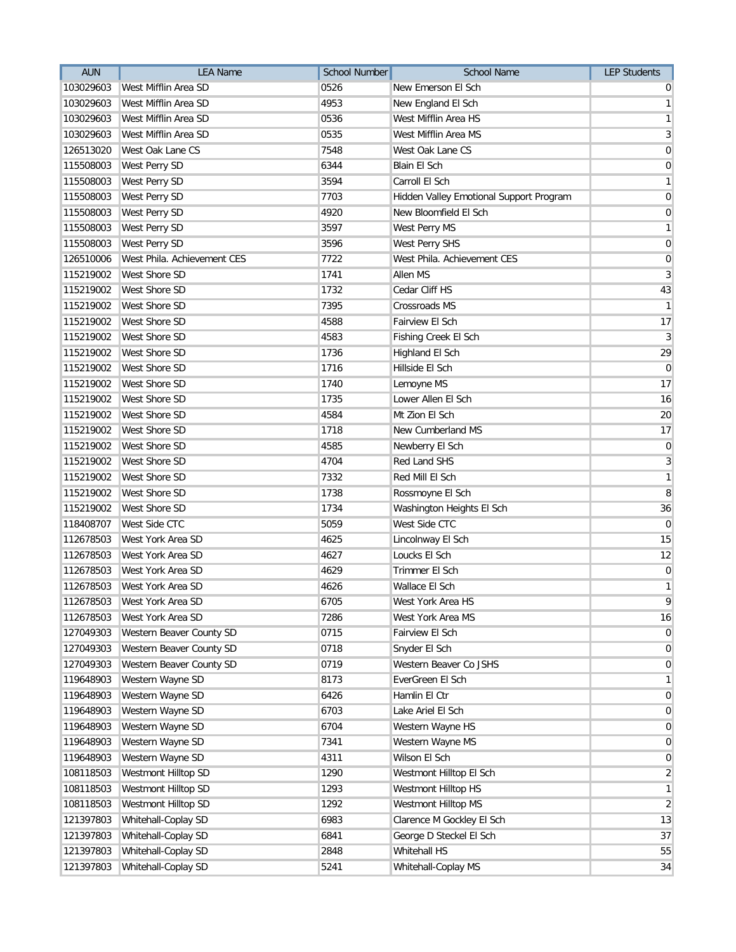| <b>AUN</b> | <b>LEA Name</b>             | <b>School Number</b> | <b>School Name</b>                      | <b>LEP Students</b> |
|------------|-----------------------------|----------------------|-----------------------------------------|---------------------|
| 103029603  | West Mifflin Area SD        | 0526                 | New Emerson El Sch                      | 0                   |
| 103029603  | West Mifflin Area SD        | 4953                 | New England El Sch                      | $\mathbf{1}$        |
| 103029603  | West Mifflin Area SD        | 0536                 | West Mifflin Area HS                    | $\mathbf{1}$        |
| 103029603  | West Mifflin Area SD        | 0535                 | West Mifflin Area MS                    | 3                   |
| 126513020  | West Oak Lane CS            | 7548                 | West Oak Lane CS                        | $\mathbf 0$         |
| 115508003  | West Perry SD               | 6344                 | <b>Blain El Sch</b>                     | $\overline{0}$      |
| 115508003  | West Perry SD               | 3594                 | Carroll El Sch                          | $\mathbf{1}$        |
| 115508003  | West Perry SD               | 7703                 | Hidden Valley Emotional Support Program | $\mathbf 0$         |
| 115508003  | West Perry SD               | 4920                 | New Bloomfield El Sch                   | $\pmb{0}$           |
| 115508003  | West Perry SD               | 3597                 | West Perry MS                           | $\mathbf{1}$        |
| 115508003  | West Perry SD               | 3596                 | <b>West Perry SHS</b>                   | $\mathbf 0$         |
| 126510006  | West Phila. Achievement CES | 7722                 | West Phila. Achievement CES             | $\overline{0}$      |
| 115219002  | <b>West Shore SD</b>        | 1741                 | Allen MS                                | 3                   |
| 115219002  | West Shore SD               | 1732                 | Cedar Cliff HS                          | 43                  |
| 115219002  | West Shore SD               | 7395                 | Crossroads MS                           | $\mathbf{1}$        |
| 115219002  | <b>West Shore SD</b>        | 4588                 | Fairview El Sch                         | 17                  |
| 115219002  | West Shore SD               | 4583                 | Fishing Creek El Sch                    | $\mathbf{3}$        |
| 115219002  | West Shore SD               | 1736                 | Highland El Sch                         | 29                  |
| 115219002  | <b>West Shore SD</b>        | 1716                 | Hillside El Sch                         | $\mathbf 0$         |
| 115219002  | West Shore SD               | 1740                 | Lemoyne MS                              | 17                  |
| 115219002  | <b>West Shore SD</b>        | 1735                 | Lower Allen El Sch                      | 16                  |
| 115219002  | <b>West Shore SD</b>        | 4584                 | Mt Zion El Sch                          | 20                  |
| 115219002  | West Shore SD               | 1718                 | New Cumberland MS                       | 17                  |
| 115219002  | West Shore SD               | 4585                 | Newberry El Sch                         | $\mathbf 0$         |
| 115219002  | West Shore SD               | 4704                 | <b>Red Land SHS</b>                     | 3                   |
| 115219002  | West Shore SD               | 7332                 | Red Mill El Sch                         | $\mathbf{1}$        |
| 115219002  | <b>West Shore SD</b>        | 1738                 | Rossmoyne El Sch                        | 8                   |
| 115219002  | West Shore SD               | 1734                 | Washington Heights El Sch               | 36                  |
| 118408707  | West Side CTC               | 5059                 | West Side CTC                           | $\overline{0}$      |
| 112678503  | West York Area SD           | 4625                 | Lincolnway El Sch                       | 15                  |
| 112678503  | West York Area SD           | 4627                 | Loucks El Sch                           | 12                  |
| 112678503  | West York Area SD           | 4629                 | Trimmer El Sch                          | $\pmb{0}$           |
| 112678503  | West York Area SD           | 4626                 | Wallace El Sch                          | $\mathbf{1}$        |
| 112678503  | West York Area SD           | 6705                 | West York Area HS                       | 9                   |
| 112678503  | West York Area SD           | 7286                 | West York Area MS                       | 16                  |
| 127049303  | Western Beaver County SD    | 0715                 | Fairview El Sch                         | $\overline{0}$      |
| 127049303  | Western Beaver County SD    | 0718                 | Snyder El Sch                           | $\mathbf 0$         |
| 127049303  | Western Beaver County SD    | 0719                 | Western Beaver Co JSHS                  | $\overline{0}$      |
| 119648903  | Western Wayne SD            | 8173                 | EverGreen El Sch                        | $\mathbf{1}$        |
| 119648903  | Western Wayne SD            | 6426                 | Hamlin El Ctr                           | 0                   |
| 119648903  | Western Wayne SD            | 6703                 | Lake Ariel El Sch                       | $\overline{0}$      |
| 119648903  | Western Wayne SD            | 6704                 | Western Wayne HS                        | $\mathbf 0$         |
| 119648903  | Western Wayne SD            | 7341                 | Western Wayne MS                        | 0                   |
| 119648903  | Western Wayne SD            | 4311                 | Wilson El Sch                           | $\mathbf 0$         |
| 108118503  | Westmont Hilltop SD         | 1290                 | Westmont Hilltop El Sch                 | $\overline{2}$      |
| 108118503  | Westmont Hilltop SD         | 1293                 | Westmont Hilltop HS                     | $\mathbf{1}$        |
| 108118503  | Westmont Hilltop SD         | 1292                 | Westmont Hilltop MS                     | $\boldsymbol{2}$    |
| 121397803  | Whitehall-Coplay SD         | 6983                 | Clarence M Gockley El Sch               | 13                  |
| 121397803  | Whitehall-Coplay SD         | 6841                 | George D Steckel El Sch                 | 37                  |
| 121397803  | Whitehall-Coplay SD         | 2848                 | Whitehall HS                            | 55                  |
| 121397803  | Whitehall-Coplay SD         | 5241                 | Whitehall-Coplay MS                     | 34                  |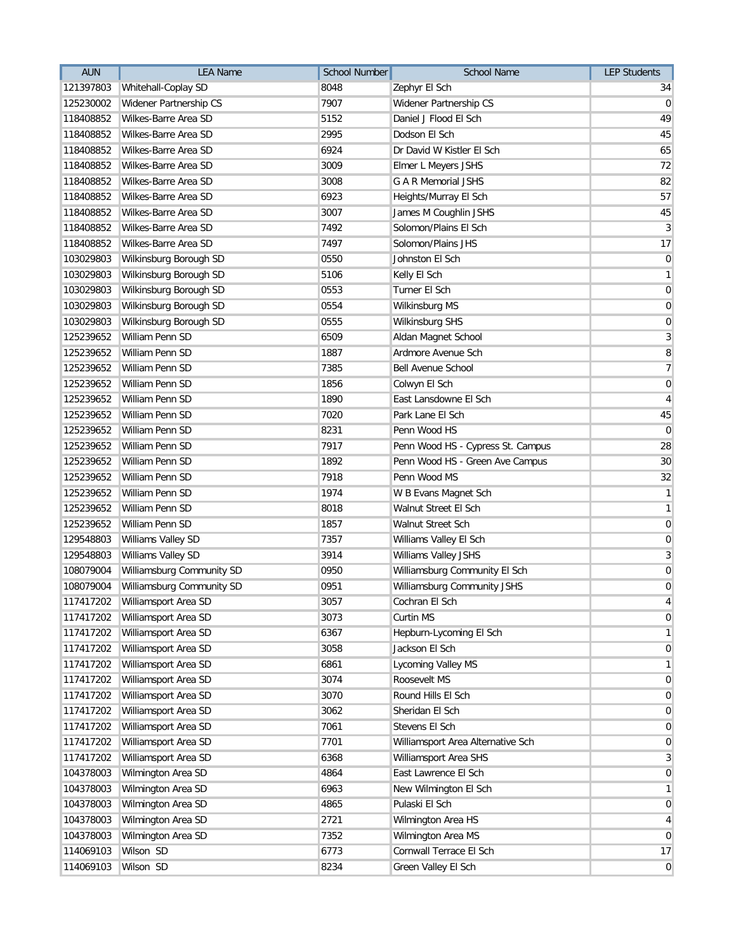| <b>AUN</b> | <b>LEA Name</b>                | School Number | <b>School Name</b>                | <b>LEP Students</b> |
|------------|--------------------------------|---------------|-----------------------------------|---------------------|
| 121397803  | Whitehall-Coplay SD            | 8048          | Zephyr El Sch                     | 34                  |
| 125230002  | Widener Partnership CS         | 7907          | Widener Partnership CS            | $\overline{0}$      |
| 118408852  | Wilkes-Barre Area SD           | 5152          | Daniel J Flood El Sch             | 49                  |
| 118408852  | Wilkes-Barre Area SD           | 2995          | Dodson El Sch                     | 45                  |
| 118408852  | Wilkes-Barre Area SD           | 6924          | Dr David W Kistler El Sch         | 65                  |
| 118408852  | Wilkes-Barre Area SD           | 3009          | Elmer L Meyers JSHS               | 72                  |
| 118408852  | Wilkes-Barre Area SD           | 3008          | <b>G A R Memorial JSHS</b>        | 82                  |
| 118408852  | Wilkes-Barre Area SD           | 6923          | Heights/Murray El Sch             | 57                  |
| 118408852  | Wilkes-Barre Area SD           | 3007          | James M Coughlin JSHS             | 45                  |
| 118408852  | Wilkes-Barre Area SD           | 7492          | Solomon/Plains El Sch             | $\overline{3}$      |
| 118408852  | Wilkes-Barre Area SD           | 7497          | Solomon/Plains JHS                | 17                  |
| 103029803  | Wilkinsburg Borough SD         | 0550          | Johnston El Sch                   | $\overline{0}$      |
| 103029803  | Wilkinsburg Borough SD         | 5106          | Kelly El Sch                      | $\mathbf{1}$        |
| 103029803  | Wilkinsburg Borough SD         | 0553          | Turner El Sch                     | $\mathbf 0$         |
| 103029803  | Wilkinsburg Borough SD         | 0554          | Wilkinsburg MS                    | $\mathbf 0$         |
| 103029803  | Wilkinsburg Borough SD         | 0555          | Wilkinsburg SHS                   | $\pmb{0}$           |
| 125239652  | William Penn SD                | 6509          | Aldan Magnet School               | $\mathbf{3}$        |
| 125239652  | William Penn SD                | 1887          | Ardmore Avenue Sch                | 8                   |
| 125239652  | William Penn SD                | 7385          | <b>Bell Avenue School</b>         | $\overline{7}$      |
| 125239652  | William Penn SD                | 1856          | Colwyn El Sch                     | $\pmb{0}$           |
| 125239652  | William Penn SD                | 1890          | East Lansdowne El Sch             | $\overline{4}$      |
| 125239652  | William Penn SD                | 7020          | Park Lane El Sch                  | 45                  |
| 125239652  | William Penn SD                | 8231          | Penn Wood HS                      | $\overline{0}$      |
| 125239652  | William Penn SD                | 7917          | Penn Wood HS - Cypress St. Campus | 28                  |
| 125239652  | William Penn SD                | 1892          | Penn Wood HS - Green Ave Campus   | 30                  |
| 125239652  | William Penn SD                | 7918          | Penn Wood MS                      | 32                  |
| 125239652  | William Penn SD                | 1974          | W B Evans Magnet Sch              | $\mathbf{1}$        |
| 125239652  | William Penn SD                | 8018          | Walnut Street El Sch              | $\mathbf{1}$        |
| 125239652  | William Penn SD                | 1857          | Walnut Street Sch                 | $\mathbf 0$         |
| 129548803  | Williams Valley SD             | 7357          | Williams Valley El Sch            | $\pmb{0}$           |
| 129548803  | Williams Valley SD             | 3914          | Williams Valley JSHS              | $\mathbf{3}$        |
| 108079004  | Williamsburg Community SD      | 0950          | Williamsburg Community El Sch     | $\pmb{0}$           |
| 108079004  | Williamsburg Community SD      | 0951          | Williamsburg Community JSHS       | $\boldsymbol{0}$    |
|            | 117417202 Williamsport Area SD | 3057          | Cochran El Sch                    | $\overline{4}$      |
| 117417202  | Williamsport Area SD           | 3073          | Curtin MS                         | $\overline{0}$      |
| 117417202  | Williamsport Area SD           | 6367          | Hepburn-Lycoming El Sch           | $\mathbf{1}$        |
| 117417202  | Williamsport Area SD           | 3058          | Jackson El Sch                    | $\mathbf 0$         |
| 117417202  | Williamsport Area SD           | 6861          | Lycoming Valley MS                | $\mathbf{1}$        |
| 117417202  | Williamsport Area SD           | 3074          | Roosevelt MS                      | $\overline{0}$      |
| 117417202  | Williamsport Area SD           | 3070          | Round Hills El Sch                | 0                   |
| 117417202  | Williamsport Area SD           | 3062          | Sheridan El Sch                   | $\overline{0}$      |
| 117417202  | Williamsport Area SD           | 7061          | Stevens El Sch                    | $\mathbf 0$         |
| 117417202  | Williamsport Area SD           | 7701          | Williamsport Area Alternative Sch | 0                   |
| 117417202  | Williamsport Area SD           | 6368          | Williamsport Area SHS             | 3                   |
| 104378003  | Wilmington Area SD             | 4864          | East Lawrence El Sch              | $\mathbf 0$         |
| 104378003  | Wilmington Area SD             | 6963          | New Wilmington El Sch             | $\mathbf{1}$        |
| 104378003  | Wilmington Area SD             | 4865          | Pulaski El Sch                    | $\mathbf 0$         |
| 104378003  | Wilmington Area SD             | 2721          | Wilmington Area HS                | 4                   |
| 104378003  | Wilmington Area SD             | 7352          | Wilmington Area MS                | $\mathbf 0$         |
| 114069103  | Wilson SD                      | 6773          | Cornwall Terrace El Sch           | 17                  |
| 114069103  | Wilson SD                      | 8234          | Green Valley El Sch               | $\mathbf 0$         |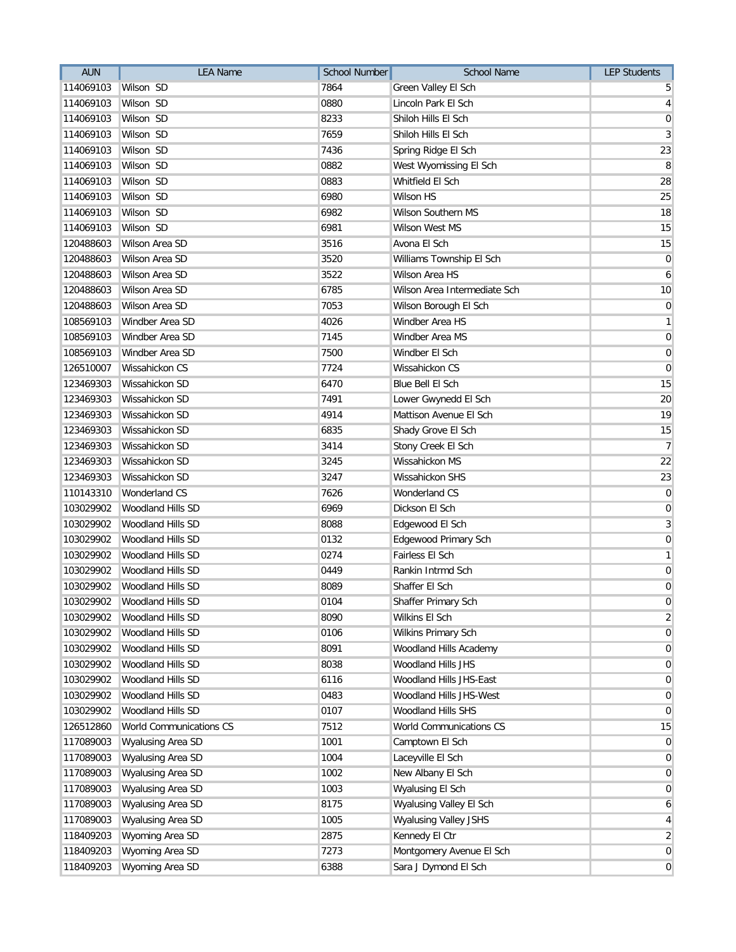| <b>AUN</b> | <b>LEA Name</b>          | <b>School Number</b> | <b>School Name</b>           | <b>LEP Students</b> |
|------------|--------------------------|----------------------|------------------------------|---------------------|
| 114069103  | Wilson SD                | 7864                 | Green Valley El Sch          | 5                   |
| 114069103  | Wilson SD                | 0880                 | Lincoln Park El Sch          | $\overline{4}$      |
| 114069103  | Wilson SD                | 8233                 | Shiloh Hills El Sch          | $\mathbf 0$         |
| 114069103  | Wilson SD                | 7659                 | Shiloh Hills El Sch          | $\overline{3}$      |
| 114069103  | Wilson SD                | 7436                 | Spring Ridge El Sch          | 23                  |
| 114069103  | Wilson SD                | 0882                 | West Wyomissing El Sch       | 8                   |
| 114069103  | Wilson SD                | 0883                 | Whitfield El Sch             | 28                  |
| 114069103  | Wilson SD                | 6980                 | <b>Wilson HS</b>             | 25                  |
| 114069103  | Wilson SD                | 6982                 | Wilson Southern MS           | 18                  |
| 114069103  | Wilson SD                | 6981                 | Wilson West MS               | 15                  |
| 120488603  | Wilson Area SD           | 3516                 | Avona El Sch                 | 15                  |
| 120488603  | Wilson Area SD           | 3520                 | Williams Township El Sch     | $\overline{0}$      |
| 120488603  | Wilson Area SD           | 3522                 | Wilson Area HS               | 6                   |
| 120488603  | Wilson Area SD           | 6785                 | Wilson Area Intermediate Sch | 10                  |
| 120488603  | Wilson Area SD           | 7053                 | Wilson Borough El Sch        | $\overline{0}$      |
| 108569103  | Windber Area SD          | 4026                 | Windber Area HS              | $\mathbf{1}$        |
| 108569103  | Windber Area SD          | 7145                 | Windber Area MS              | $\mathbf 0$         |
| 108569103  | Windber Area SD          | 7500                 | Windber El Sch               | $\overline{0}$      |
| 126510007  | <b>Wissahickon CS</b>    | 7724                 | Wissahickon CS               | $\mathbf 0$         |
| 123469303  | Wissahickon SD           | 6470                 | Blue Bell El Sch             | 15                  |
| 123469303  | Wissahickon SD           | 7491                 | Lower Gwynedd El Sch         | 20                  |
| 123469303  | Wissahickon SD           | 4914                 | Mattison Avenue El Sch       | 19                  |
| 123469303  | Wissahickon SD           | 6835                 | Shady Grove El Sch           | 15                  |
| 123469303  | Wissahickon SD           | 3414                 | Stony Creek El Sch           | $\overline{7}$      |
| 123469303  | Wissahickon SD           | 3245                 | Wissahickon MS               | 22                  |
| 123469303  | Wissahickon SD           | 3247                 | Wissahickon SHS              | 23                  |
| 110143310  | <b>Wonderland CS</b>     | 7626                 | <b>Wonderland CS</b>         | $\mathbf 0$         |
| 103029902  | Woodland Hills SD        | 6969                 | Dickson El Sch               | $\mathbf 0$         |
| 103029902  | Woodland Hills SD        | 8088                 | Edgewood El Sch              | $\mathbf{3}$        |
| 103029902  | Woodland Hills SD        | 0132                 | Edgewood Primary Sch         | $\mathbf 0$         |
| 103029902  | Woodland Hills SD        | 0274                 | Fairless El Sch              | $\mathbf{1}$        |
| 103029902  | Woodland Hills SD        | 0449                 | Rankin Intrmd Sch            | $\pmb{0}$           |
| 103029902  | Woodland Hills SD        | 8089                 | Shaffer El Sch               | $\boldsymbol{0}$    |
| 103029902  | <b>Woodland Hills SD</b> | 0104                 | Shaffer Primary Sch          | $\pmb{0}$           |
| 103029902  | Woodland Hills SD        | 8090                 | Wilkins El Sch               | $\overline{2}$      |
| 103029902  | Woodland Hills SD        | 0106                 | Wilkins Primary Sch          | $\overline{0}$      |
| 103029902  | Woodland Hills SD        | 8091                 | Woodland Hills Academy       | $\mathbf 0$         |
| 103029902  | Woodland Hills SD        | 8038                 | Woodland Hills JHS           | $\mathbf 0$         |
| 103029902  | Woodland Hills SD        | 6116                 | Woodland Hills JHS-East      | $\mathbf 0$         |
| 103029902  | Woodland Hills SD        | 0483                 | Woodland Hills JHS-West      | 0                   |
| 103029902  | Woodland Hills SD        | 0107                 | Woodland Hills SHS           | $\overline{0}$      |
| 126512860  | World Communications CS  | 7512                 | World Communications CS      | 15                  |
| 117089003  | Wyalusing Area SD        | 1001                 | Camptown El Sch              | $\mathbf 0$         |
| 117089003  | <b>Wyalusing Area SD</b> | 1004                 | Laceyville El Sch            | $\overline{0}$      |
| 117089003  | Wyalusing Area SD        | 1002                 | New Albany El Sch            | $\mathbf 0$         |
| 117089003  | <b>Wyalusing Area SD</b> | 1003                 | Wyalusing El Sch             | $\mathbf 0$         |
| 117089003  | <b>Wyalusing Area SD</b> | 8175                 | Wyalusing Valley El Sch      | 6                   |
| 117089003  | Wyalusing Area SD        | 1005                 | <b>Wyalusing Valley JSHS</b> | 4                   |
| 118409203  | Wyoming Area SD          | 2875                 | Kennedy El Ctr               | $\overline{2}$      |
| 118409203  | Wyoming Area SD          | 7273                 | Montgomery Avenue El Sch     | $\mathbf 0$         |
| 118409203  | Wyoming Area SD          | 6388                 | Sara J Dymond El Sch         | $\mathbf 0$         |